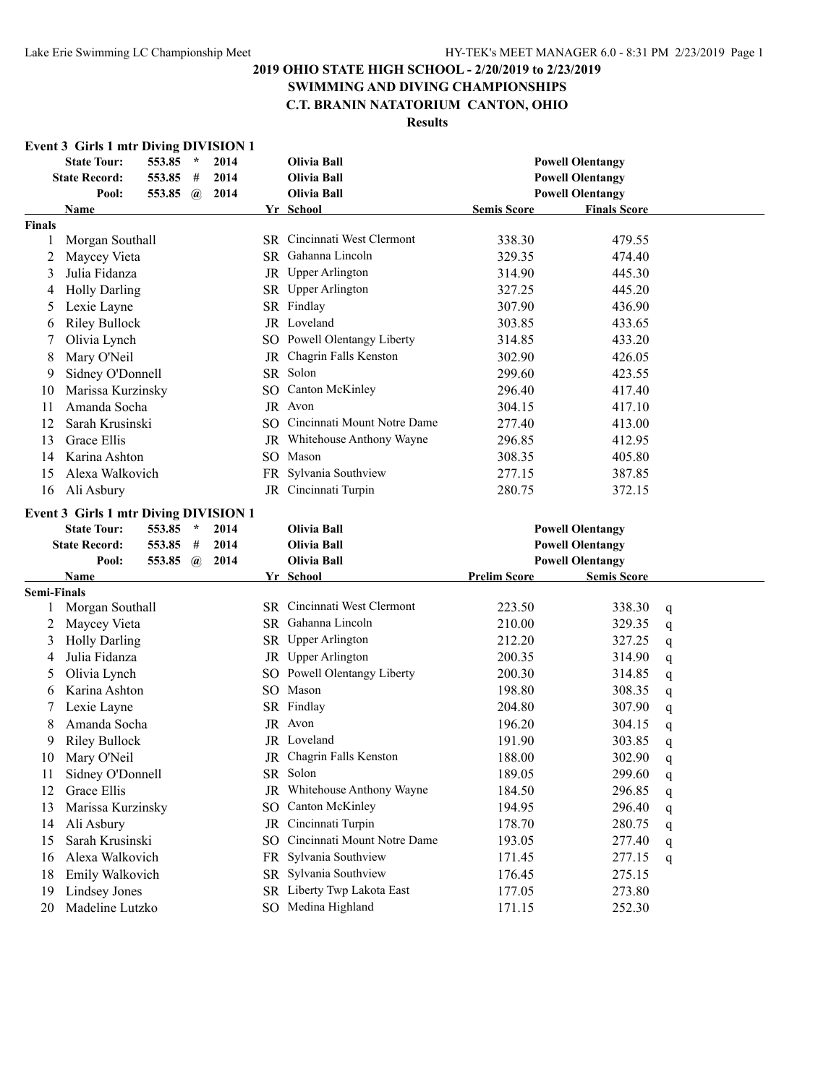# **SWIMMING AND DIVING CHAMPIONSHIPS**

# **C.T. BRANIN NATATORIUM CANTON, OHIO**

| <b>Event 3 Girls 1 mtr Diving DIVISION 1</b> | <b>State Tour:</b>                                                | 553.85 | $\mathcal{A}$ | 2014 |                                                    | <b>Olivia Ball</b>             |                     |                         |   |
|----------------------------------------------|-------------------------------------------------------------------|--------|---------------|------|----------------------------------------------------|--------------------------------|---------------------|-------------------------|---|
|                                              | <b>State Record:</b><br>553.85<br>#<br>2014<br><b>Olivia Ball</b> |        |               |      | <b>Powell Olentangy</b><br><b>Powell Olentangy</b> |                                |                     |                         |   |
|                                              | Pool:                                                             | 553.85 | $\bm{a}$      | 2014 |                                                    | <b>Olivia Ball</b>             |                     | <b>Powell Olentangy</b> |   |
| Name                                         |                                                                   |        |               |      |                                                    | Yr School                      | <b>Semis Score</b>  | <b>Finals Score</b>     |   |
| <b>Finals</b>                                |                                                                   |        |               |      |                                                    |                                |                     |                         |   |
| 1                                            | Morgan Southall                                                   |        |               |      |                                                    | SR Cincinnati West Clermont    | 338.30              | 479.55                  |   |
| 2                                            | Maycey Vieta                                                      |        |               |      |                                                    | SR Gahanna Lincoln             | 329.35              | 474.40                  |   |
| 3                                            | Julia Fidanza                                                     |        |               |      |                                                    | JR Upper Arlington             | 314.90              | 445.30                  |   |
| 4                                            | <b>Holly Darling</b>                                              |        |               |      |                                                    | SR Upper Arlington             | 327.25              | 445.20                  |   |
| 5                                            | Lexie Layne                                                       |        |               |      |                                                    | SR Findlay                     | 307.90              | 436.90                  |   |
| 6                                            | <b>Riley Bullock</b>                                              |        |               |      |                                                    | JR Loveland                    | 303.85              | 433.65                  |   |
| 7                                            | Olivia Lynch                                                      |        |               |      |                                                    | SO Powell Olentangy Liberty    | 314.85              | 433.20                  |   |
| 8                                            | Mary O'Neil                                                       |        |               |      |                                                    | JR Chagrin Falls Kenston       | 302.90              | 426.05                  |   |
| 9                                            | Sidney O'Donnell                                                  |        |               |      |                                                    | SR Solon                       | 299.60              | 423.55                  |   |
| 10                                           | Marissa Kurzinsky                                                 |        |               |      |                                                    | SO Canton McKinley             | 296.40              | 417.40                  |   |
| 11                                           | Amanda Socha                                                      |        |               |      |                                                    | JR Avon                        | 304.15              | 417.10                  |   |
| 12                                           | Sarah Krusinski                                                   |        |               |      |                                                    | SO Cincinnati Mount Notre Dame | 277.40              | 413.00                  |   |
| 13                                           | Grace Ellis                                                       |        |               |      |                                                    | JR Whitehouse Anthony Wayne    | 296.85              | 412.95                  |   |
| 14                                           | Karina Ashton                                                     |        |               |      |                                                    | SO Mason                       | 308.35              | 405.80                  |   |
|                                              | Alexa Walkovich                                                   |        |               |      |                                                    | FR Sylvania Southview          |                     |                         |   |
| 15                                           |                                                                   |        |               |      |                                                    | JR Cincinnati Turpin           | 277.15              | 387.85                  |   |
| 16                                           | Ali Asbury                                                        |        |               |      |                                                    |                                | 280.75              | 372.15                  |   |
| <b>Event 3 Girls 1 mtr Diving DIVISION 1</b> |                                                                   |        |               |      |                                                    |                                |                     |                         |   |
|                                              | <b>State Tour:</b>                                                | 553.85 | $\star$       | 2014 |                                                    | <b>Olivia Ball</b>             |                     | <b>Powell Olentangy</b> |   |
|                                              | <b>State Record:</b>                                              | 553.85 | #             | 2014 |                                                    | <b>Olivia Ball</b>             |                     | <b>Powell Olentangy</b> |   |
|                                              | Pool:                                                             | 553.85 | $\omega$      | 2014 |                                                    | <b>Olivia Ball</b>             |                     | <b>Powell Olentangy</b> |   |
| Name<br><b>Semi-Finals</b>                   |                                                                   |        |               |      |                                                    | Yr School                      | <b>Prelim Score</b> | <b>Semis Score</b>      |   |
| 1                                            | Morgan Southall                                                   |        |               |      |                                                    | SR Cincinnati West Clermont    | 223.50              | 338.30                  | q |
| 2                                            | Maycey Vieta                                                      |        |               |      |                                                    | SR Gahanna Lincoln             | 210.00              | 329.35                  | q |
| 3                                            | <b>Holly Darling</b>                                              |        |               |      |                                                    | SR Upper Arlington             | 212.20              | 327.25                  |   |
| 4                                            | Julia Fidanza                                                     |        |               |      |                                                    | JR Upper Arlington             | 200.35              | 314.90                  | q |
| 5                                            | Olivia Lynch                                                      |        |               |      |                                                    | SO Powell Olentangy Liberty    | 200.30              | 314.85                  | q |
| 6                                            | Karina Ashton                                                     |        |               |      |                                                    | SO Mason                       | 198.80              | 308.35                  | q |
|                                              | Lexie Layne                                                       |        |               |      |                                                    | SR Findlay                     | 204.80              | 307.90                  | q |
| 7<br>8                                       | Amanda Socha                                                      |        |               |      |                                                    | JR Avon                        | 196.20              | 304.15                  | q |
|                                              |                                                                   |        |               |      |                                                    | JR Loveland                    |                     |                         | q |
| 9                                            | <b>Riley Bullock</b>                                              |        |               |      |                                                    | JR Chagrin Falls Kenston       | 191.90              | 303.85                  | q |
| 10                                           | Mary O'Neil                                                       |        |               |      |                                                    | SR Solon                       | 188.00              | 302.90                  | q |
| 11                                           | Sidney O'Donnell                                                  |        |               |      |                                                    |                                | 189.05              | 299.60                  | q |
| 12                                           | Grace Ellis                                                       |        |               |      |                                                    | JR Whitehouse Anthony Wayne    | 184.50              | 296.85                  | q |
| 13                                           | Marissa Kurzinsky                                                 |        |               |      | SO.                                                | Canton McKinley                | 194.95              | 296.40                  | q |
| 14                                           | Ali Asbury                                                        |        |               |      | JR                                                 | Cincinnati Turpin              | 178.70              | 280.75                  | q |
| 15                                           | Sarah Krusinski                                                   |        |               |      | SO.                                                | Cincinnati Mount Notre Dame    | 193.05              | 277.40                  | q |
| 16                                           | Alexa Walkovich                                                   |        |               |      |                                                    | FR Sylvania Southview          | 171.45              | 277.15                  | q |
| 18                                           | Emily Walkovich                                                   |        |               |      |                                                    | SR Sylvania Southview          | 176.45              | 275.15                  |   |
| 19                                           | <b>Lindsey Jones</b>                                              |        |               |      |                                                    | SR Liberty Twp Lakota East     | 177.05              | 273.80                  |   |
| 20                                           | Madeline Lutzko                                                   |        |               |      |                                                    | SO Medina Highland             | 171.15              | 252.30                  |   |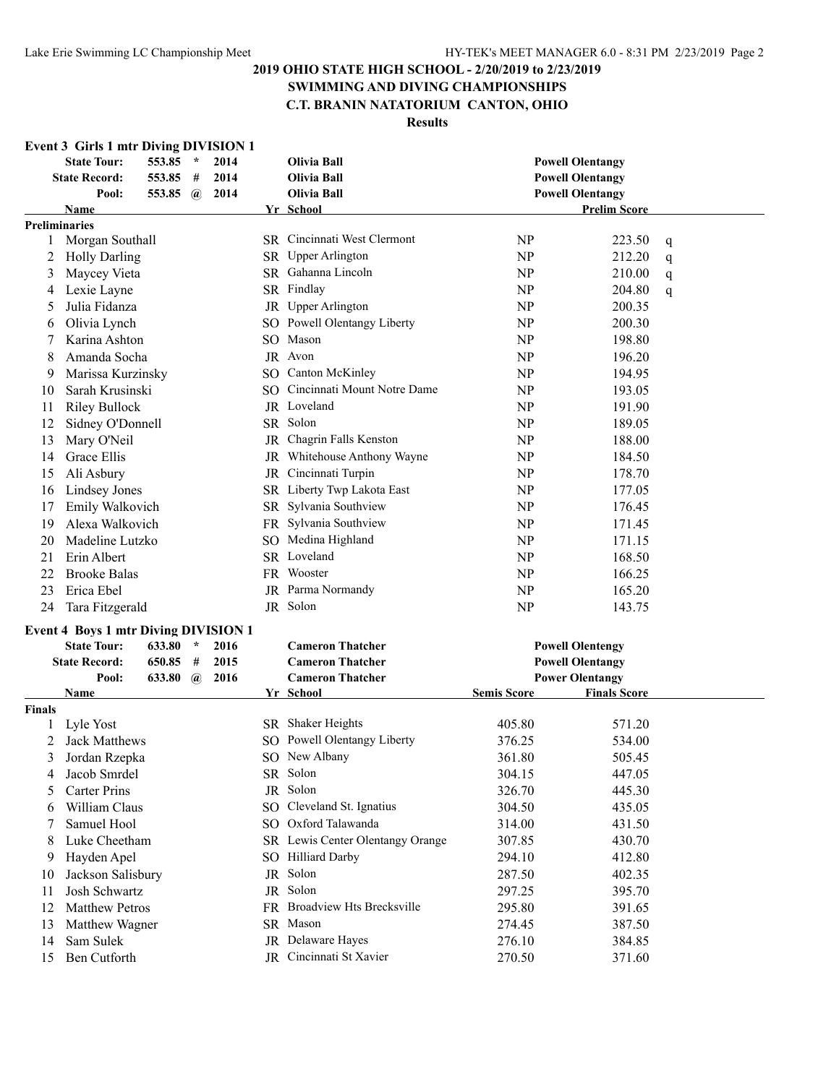# **SWIMMING AND DIVING CHAMPIONSHIPS**

# **C.T. BRANIN NATATORIUM CANTON, OHIO**

|               | <b>Event 3 Girls 1 mtr Diving DIVISION 1</b><br><b>State Tour:</b> | 553.85          | $\star$  | 2014 | <b>Olivia Ball</b>                 |                    | <b>Powell Olentangy</b> |   |
|---------------|--------------------------------------------------------------------|-----------------|----------|------|------------------------------------|--------------------|-------------------------|---|
|               | <b>State Record:</b>                                               | 553.85          | #        | 2014 | Olivia Ball                        |                    | <b>Powell Olentangy</b> |   |
|               | Pool:                                                              | 553.85 $\omega$ |          | 2014 | Olivia Ball                        |                    | <b>Powell Olentangy</b> |   |
|               | Name                                                               |                 |          |      | Yr School                          |                    | <b>Prelim Score</b>     |   |
|               | <b>Preliminaries</b>                                               |                 |          |      |                                    |                    |                         |   |
| 1             | Morgan Southall                                                    |                 |          |      | <b>SR</b> Cincinnati West Clermont | <b>NP</b>          | 223.50                  | q |
| 2             | <b>Holly Darling</b>                                               |                 |          |      | SR Upper Arlington                 | <b>NP</b>          | 212.20                  | q |
| 3             | Maycey Vieta                                                       |                 |          |      | SR Gahanna Lincoln                 | <b>NP</b>          | 210.00                  | q |
| 4             | Lexie Layne                                                        |                 |          |      | SR Findlay                         | NP                 | 204.80                  | q |
| 5             | Julia Fidanza                                                      |                 |          |      | JR Upper Arlington                 | <b>NP</b>          | 200.35                  |   |
| 6             | Olivia Lynch                                                       |                 |          |      | SO Powell Olentangy Liberty        | NP                 | 200.30                  |   |
| 7             | Karina Ashton                                                      |                 |          |      | SO Mason                           | <b>NP</b>          | 198.80                  |   |
| 8             | Amanda Socha                                                       |                 |          |      | JR Avon                            | NP                 | 196.20                  |   |
| 9             | Marissa Kurzinsky                                                  |                 |          |      | SO Canton McKinley                 | NP                 | 194.95                  |   |
| 10            | Sarah Krusinski                                                    |                 |          |      | SO Cincinnati Mount Notre Dame     | NP                 | 193.05                  |   |
| 11            | <b>Riley Bullock</b>                                               |                 |          |      | JR Loveland                        | NP                 | 191.90                  |   |
| 12            | Sidney O'Donnell                                                   |                 |          |      | SR Solon                           | NP                 | 189.05                  |   |
| 13            | Mary O'Neil                                                        |                 |          |      | JR Chagrin Falls Kenston           | NP                 | 188.00                  |   |
| 14            | Grace Ellis                                                        |                 |          |      | JR Whitehouse Anthony Wayne        | <b>NP</b>          | 184.50                  |   |
| 15            | Ali Asbury                                                         |                 |          |      | JR Cincinnati Turpin               | <b>NP</b>          | 178.70                  |   |
| 16            | Lindsey Jones                                                      |                 |          |      | SR Liberty Twp Lakota East         | <b>NP</b>          | 177.05                  |   |
| 17            | Emily Walkovich                                                    |                 |          |      | SR Sylvania Southview              | <b>NP</b>          | 176.45                  |   |
| 19            | Alexa Walkovich                                                    |                 |          |      | FR Sylvania Southview              | <b>NP</b>          | 171.45                  |   |
| 20            | Madeline Lutzko                                                    |                 |          |      | SO Medina Highland                 | <b>NP</b>          | 171.15                  |   |
| 21            | Erin Albert                                                        |                 |          |      | SR Loveland                        | <b>NP</b>          | 168.50                  |   |
| 22            | <b>Brooke Balas</b>                                                |                 |          |      | FR Wooster                         | <b>NP</b>          | 166.25                  |   |
|               | Erica Ebel                                                         |                 |          |      | JR Parma Normandy                  | NP                 |                         |   |
| 23            |                                                                    |                 |          |      | JR Solon                           |                    | 165.20                  |   |
| 24            | Tara Fitzgerald                                                    |                 |          |      |                                    | NP                 | 143.75                  |   |
|               | <b>Event 4 Boys 1 mtr Diving DIVISION 1</b>                        |                 |          |      |                                    |                    |                         |   |
|               | <b>State Tour:</b>                                                 | 633.80          | $\star$  | 2016 | <b>Cameron Thatcher</b>            |                    | <b>Powell Olentengy</b> |   |
|               | <b>State Record:</b>                                               | 650.85          | #        | 2015 | <b>Cameron Thatcher</b>            |                    | <b>Powell Olentangy</b> |   |
|               | Pool:                                                              | 633.80          | $\bm{a}$ | 2016 | <b>Cameron Thatcher</b>            |                    | <b>Power Olentangy</b>  |   |
|               | <b>Name</b>                                                        |                 |          |      | <b>Yr School</b>                   | <b>Semis Score</b> | <b>Finals Score</b>     |   |
| <b>Finals</b> |                                                                    |                 |          |      |                                    |                    |                         |   |
| 1             | Lyle Yost                                                          |                 |          |      | SR Shaker Heights                  | 405.80             | 571.20                  |   |
| 2             | <b>Jack Matthews</b>                                               |                 |          |      | SO Powell Olentangy Liberty        | 376.25             | 534.00                  |   |
| 3             | Jordan Rzepka                                                      |                 |          |      | SO New Albany                      | 361.80             | 505.45                  |   |
| 4             | Jacob Smrdel                                                       |                 |          |      | SR Solon                           | 304.15             | 447.05                  |   |
| 5             | <b>Carter Prins</b>                                                |                 |          |      | JR Solon                           | 326.70             | 445.30                  |   |
| 6             | William Claus                                                      |                 |          |      | SO Cleveland St. Ignatius          | 304.50             | 435.05                  |   |
| 7             | Samuel Hool                                                        |                 |          |      | SO Oxford Talawanda                | 314.00             | 431.50                  |   |
| 8             | Luke Cheetham                                                      |                 |          |      | SR Lewis Center Olentangy Orange   | 307.85             | 430.70                  |   |
| 9             | Hayden Apel                                                        |                 |          |      | SO Hilliard Darby                  | 294.10             | 412.80                  |   |
| 10            | Jackson Salisbury                                                  |                 |          |      | JR Solon                           | 287.50             | 402.35                  |   |
| 11            | Josh Schwartz                                                      |                 |          |      | JR Solon                           | 297.25             | 395.70                  |   |
| 12            | <b>Matthew Petros</b>                                              |                 |          |      | FR Broadview Hts Brecksville       | 295.80             | 391.65                  |   |
| 13            | Matthew Wagner                                                     |                 |          |      | SR Mason                           | 274.45             | 387.50                  |   |
| 14            | Sam Sulek                                                          |                 |          |      | JR Delaware Hayes                  | 276.10             | 384.85                  |   |
| 15            | Ben Cutforth                                                       |                 |          |      | JR Cincinnati St Xavier            | 270.50             | 371.60                  |   |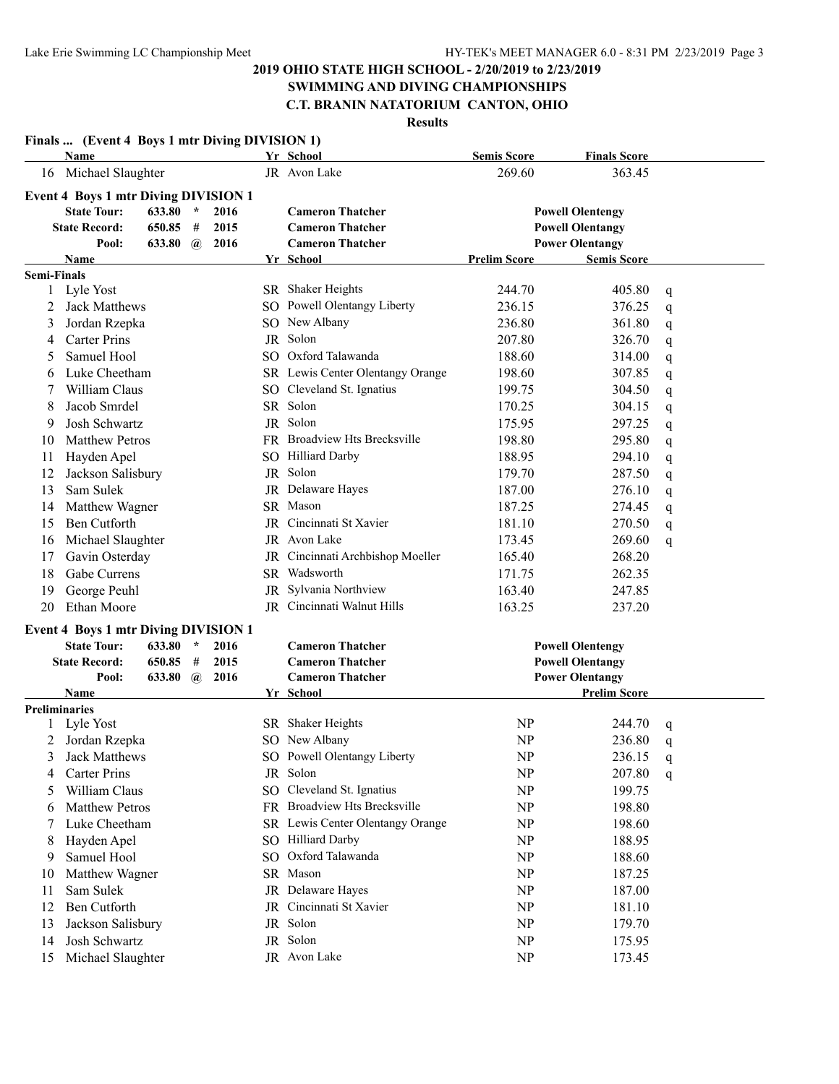### **SWIMMING AND DIVING CHAMPIONSHIPS C.T. BRANIN NATATORIUM CANTON, OHIO**

| Name                               |                                                                                                                                                                                                            |                                                                                                                                                                                                                                                                                                                                                                   |                                        |                                                                                                                    |                                  | <b>Semis Score</b>                                                                                                                                                                                                                                                                                                                                                                                                                                                                                                                                                                                                                                                                                          | <b>Finals Score</b>                                                                 |                                                                                                                                                                                                                                                                                                                                                     |
|------------------------------------|------------------------------------------------------------------------------------------------------------------------------------------------------------------------------------------------------------|-------------------------------------------------------------------------------------------------------------------------------------------------------------------------------------------------------------------------------------------------------------------------------------------------------------------------------------------------------------------|----------------------------------------|--------------------------------------------------------------------------------------------------------------------|----------------------------------|-------------------------------------------------------------------------------------------------------------------------------------------------------------------------------------------------------------------------------------------------------------------------------------------------------------------------------------------------------------------------------------------------------------------------------------------------------------------------------------------------------------------------------------------------------------------------------------------------------------------------------------------------------------------------------------------------------------|-------------------------------------------------------------------------------------|-----------------------------------------------------------------------------------------------------------------------------------------------------------------------------------------------------------------------------------------------------------------------------------------------------------------------------------------------------|
|                                    |                                                                                                                                                                                                            |                                                                                                                                                                                                                                                                                                                                                                   |                                        |                                                                                                                    |                                  | 269.60                                                                                                                                                                                                                                                                                                                                                                                                                                                                                                                                                                                                                                                                                                      | 363.45                                                                              |                                                                                                                                                                                                                                                                                                                                                     |
|                                    |                                                                                                                                                                                                            |                                                                                                                                                                                                                                                                                                                                                                   |                                        |                                                                                                                    |                                  |                                                                                                                                                                                                                                                                                                                                                                                                                                                                                                                                                                                                                                                                                                             |                                                                                     |                                                                                                                                                                                                                                                                                                                                                     |
| <b>State Tour:</b>                 | 633.80                                                                                                                                                                                                     | $\star$                                                                                                                                                                                                                                                                                                                                                           | 2016                                   |                                                                                                                    | <b>Cameron Thatcher</b>          |                                                                                                                                                                                                                                                                                                                                                                                                                                                                                                                                                                                                                                                                                                             |                                                                                     |                                                                                                                                                                                                                                                                                                                                                     |
|                                    | 650.85                                                                                                                                                                                                     | #                                                                                                                                                                                                                                                                                                                                                                 | 2015                                   |                                                                                                                    | <b>Cameron Thatcher</b>          |                                                                                                                                                                                                                                                                                                                                                                                                                                                                                                                                                                                                                                                                                                             |                                                                                     |                                                                                                                                                                                                                                                                                                                                                     |
| Pool:                              |                                                                                                                                                                                                            | $\mathbf{a}$                                                                                                                                                                                                                                                                                                                                                      | 2016                                   |                                                                                                                    | <b>Cameron Thatcher</b>          |                                                                                                                                                                                                                                                                                                                                                                                                                                                                                                                                                                                                                                                                                                             |                                                                                     |                                                                                                                                                                                                                                                                                                                                                     |
| Name                               |                                                                                                                                                                                                            |                                                                                                                                                                                                                                                                                                                                                                   |                                        |                                                                                                                    |                                  | <b>Prelim Score</b>                                                                                                                                                                                                                                                                                                                                                                                                                                                                                                                                                                                                                                                                                         | <b>Semis Score</b>                                                                  |                                                                                                                                                                                                                                                                                                                                                     |
|                                    |                                                                                                                                                                                                            |                                                                                                                                                                                                                                                                                                                                                                   |                                        |                                                                                                                    |                                  |                                                                                                                                                                                                                                                                                                                                                                                                                                                                                                                                                                                                                                                                                                             |                                                                                     |                                                                                                                                                                                                                                                                                                                                                     |
|                                    |                                                                                                                                                                                                            |                                                                                                                                                                                                                                                                                                                                                                   |                                        |                                                                                                                    |                                  | 244.70                                                                                                                                                                                                                                                                                                                                                                                                                                                                                                                                                                                                                                                                                                      | 405.80                                                                              | q                                                                                                                                                                                                                                                                                                                                                   |
|                                    |                                                                                                                                                                                                            |                                                                                                                                                                                                                                                                                                                                                                   |                                        |                                                                                                                    |                                  | 236.15                                                                                                                                                                                                                                                                                                                                                                                                                                                                                                                                                                                                                                                                                                      | 376.25                                                                              | q                                                                                                                                                                                                                                                                                                                                                   |
|                                    |                                                                                                                                                                                                            |                                                                                                                                                                                                                                                                                                                                                                   |                                        |                                                                                                                    |                                  | 236.80                                                                                                                                                                                                                                                                                                                                                                                                                                                                                                                                                                                                                                                                                                      | 361.80                                                                              | q                                                                                                                                                                                                                                                                                                                                                   |
| <b>Carter Prins</b>                |                                                                                                                                                                                                            |                                                                                                                                                                                                                                                                                                                                                                   |                                        |                                                                                                                    |                                  | 207.80                                                                                                                                                                                                                                                                                                                                                                                                                                                                                                                                                                                                                                                                                                      | 326.70                                                                              | q                                                                                                                                                                                                                                                                                                                                                   |
| Samuel Hool                        |                                                                                                                                                                                                            |                                                                                                                                                                                                                                                                                                                                                                   |                                        |                                                                                                                    |                                  | 188.60                                                                                                                                                                                                                                                                                                                                                                                                                                                                                                                                                                                                                                                                                                      | 314.00                                                                              | q                                                                                                                                                                                                                                                                                                                                                   |
|                                    |                                                                                                                                                                                                            |                                                                                                                                                                                                                                                                                                                                                                   |                                        |                                                                                                                    |                                  | 198.60                                                                                                                                                                                                                                                                                                                                                                                                                                                                                                                                                                                                                                                                                                      | 307.85                                                                              | q                                                                                                                                                                                                                                                                                                                                                   |
|                                    |                                                                                                                                                                                                            |                                                                                                                                                                                                                                                                                                                                                                   |                                        |                                                                                                                    |                                  | 199.75                                                                                                                                                                                                                                                                                                                                                                                                                                                                                                                                                                                                                                                                                                      | 304.50                                                                              | q                                                                                                                                                                                                                                                                                                                                                   |
|                                    |                                                                                                                                                                                                            |                                                                                                                                                                                                                                                                                                                                                                   |                                        |                                                                                                                    |                                  | 170.25                                                                                                                                                                                                                                                                                                                                                                                                                                                                                                                                                                                                                                                                                                      | 304.15                                                                              | q                                                                                                                                                                                                                                                                                                                                                   |
|                                    |                                                                                                                                                                                                            |                                                                                                                                                                                                                                                                                                                                                                   |                                        |                                                                                                                    |                                  | 175.95                                                                                                                                                                                                                                                                                                                                                                                                                                                                                                                                                                                                                                                                                                      | 297.25                                                                              | q                                                                                                                                                                                                                                                                                                                                                   |
|                                    |                                                                                                                                                                                                            |                                                                                                                                                                                                                                                                                                                                                                   |                                        |                                                                                                                    |                                  | 198.80                                                                                                                                                                                                                                                                                                                                                                                                                                                                                                                                                                                                                                                                                                      | 295.80                                                                              | q                                                                                                                                                                                                                                                                                                                                                   |
| Hayden Apel                        |                                                                                                                                                                                                            |                                                                                                                                                                                                                                                                                                                                                                   |                                        |                                                                                                                    |                                  | 188.95                                                                                                                                                                                                                                                                                                                                                                                                                                                                                                                                                                                                                                                                                                      | 294.10                                                                              | q                                                                                                                                                                                                                                                                                                                                                   |
|                                    |                                                                                                                                                                                                            |                                                                                                                                                                                                                                                                                                                                                                   |                                        |                                                                                                                    |                                  | 179.70                                                                                                                                                                                                                                                                                                                                                                                                                                                                                                                                                                                                                                                                                                      | 287.50                                                                              | q                                                                                                                                                                                                                                                                                                                                                   |
| Sam Sulek                          |                                                                                                                                                                                                            |                                                                                                                                                                                                                                                                                                                                                                   |                                        |                                                                                                                    |                                  | 187.00                                                                                                                                                                                                                                                                                                                                                                                                                                                                                                                                                                                                                                                                                                      | 276.10                                                                              | q                                                                                                                                                                                                                                                                                                                                                   |
|                                    |                                                                                                                                                                                                            |                                                                                                                                                                                                                                                                                                                                                                   |                                        |                                                                                                                    |                                  | 187.25                                                                                                                                                                                                                                                                                                                                                                                                                                                                                                                                                                                                                                                                                                      | 274.45                                                                              | q                                                                                                                                                                                                                                                                                                                                                   |
|                                    |                                                                                                                                                                                                            |                                                                                                                                                                                                                                                                                                                                                                   |                                        |                                                                                                                    |                                  |                                                                                                                                                                                                                                                                                                                                                                                                                                                                                                                                                                                                                                                                                                             |                                                                                     | q                                                                                                                                                                                                                                                                                                                                                   |
|                                    |                                                                                                                                                                                                            |                                                                                                                                                                                                                                                                                                                                                                   |                                        |                                                                                                                    |                                  | 173.45                                                                                                                                                                                                                                                                                                                                                                                                                                                                                                                                                                                                                                                                                                      |                                                                                     | q                                                                                                                                                                                                                                                                                                                                                   |
|                                    |                                                                                                                                                                                                            |                                                                                                                                                                                                                                                                                                                                                                   |                                        |                                                                                                                    |                                  |                                                                                                                                                                                                                                                                                                                                                                                                                                                                                                                                                                                                                                                                                                             |                                                                                     |                                                                                                                                                                                                                                                                                                                                                     |
|                                    |                                                                                                                                                                                                            |                                                                                                                                                                                                                                                                                                                                                                   |                                        |                                                                                                                    |                                  |                                                                                                                                                                                                                                                                                                                                                                                                                                                                                                                                                                                                                                                                                                             |                                                                                     |                                                                                                                                                                                                                                                                                                                                                     |
|                                    |                                                                                                                                                                                                            |                                                                                                                                                                                                                                                                                                                                                                   |                                        |                                                                                                                    |                                  |                                                                                                                                                                                                                                                                                                                                                                                                                                                                                                                                                                                                                                                                                                             |                                                                                     |                                                                                                                                                                                                                                                                                                                                                     |
|                                    |                                                                                                                                                                                                            |                                                                                                                                                                                                                                                                                                                                                                   |                                        |                                                                                                                    |                                  |                                                                                                                                                                                                                                                                                                                                                                                                                                                                                                                                                                                                                                                                                                             |                                                                                     |                                                                                                                                                                                                                                                                                                                                                     |
|                                    |                                                                                                                                                                                                            |                                                                                                                                                                                                                                                                                                                                                                   |                                        |                                                                                                                    |                                  |                                                                                                                                                                                                                                                                                                                                                                                                                                                                                                                                                                                                                                                                                                             |                                                                                     |                                                                                                                                                                                                                                                                                                                                                     |
|                                    |                                                                                                                                                                                                            |                                                                                                                                                                                                                                                                                                                                                                   |                                        |                                                                                                                    |                                  |                                                                                                                                                                                                                                                                                                                                                                                                                                                                                                                                                                                                                                                                                                             |                                                                                     |                                                                                                                                                                                                                                                                                                                                                     |
|                                    |                                                                                                                                                                                                            |                                                                                                                                                                                                                                                                                                                                                                   |                                        |                                                                                                                    |                                  |                                                                                                                                                                                                                                                                                                                                                                                                                                                                                                                                                                                                                                                                                                             |                                                                                     |                                                                                                                                                                                                                                                                                                                                                     |
|                                    |                                                                                                                                                                                                            |                                                                                                                                                                                                                                                                                                                                                                   |                                        |                                                                                                                    |                                  |                                                                                                                                                                                                                                                                                                                                                                                                                                                                                                                                                                                                                                                                                                             |                                                                                     |                                                                                                                                                                                                                                                                                                                                                     |
|                                    |                                                                                                                                                                                                            |                                                                                                                                                                                                                                                                                                                                                                   |                                        |                                                                                                                    |                                  |                                                                                                                                                                                                                                                                                                                                                                                                                                                                                                                                                                                                                                                                                                             |                                                                                     |                                                                                                                                                                                                                                                                                                                                                     |
|                                    |                                                                                                                                                                                                            |                                                                                                                                                                                                                                                                                                                                                                   |                                        |                                                                                                                    |                                  |                                                                                                                                                                                                                                                                                                                                                                                                                                                                                                                                                                                                                                                                                                             |                                                                                     |                                                                                                                                                                                                                                                                                                                                                     |
|                                    |                                                                                                                                                                                                            |                                                                                                                                                                                                                                                                                                                                                                   |                                        |                                                                                                                    |                                  |                                                                                                                                                                                                                                                                                                                                                                                                                                                                                                                                                                                                                                                                                                             |                                                                                     | q                                                                                                                                                                                                                                                                                                                                                   |
|                                    |                                                                                                                                                                                                            |                                                                                                                                                                                                                                                                                                                                                                   |                                        |                                                                                                                    |                                  |                                                                                                                                                                                                                                                                                                                                                                                                                                                                                                                                                                                                                                                                                                             |                                                                                     | q                                                                                                                                                                                                                                                                                                                                                   |
|                                    |                                                                                                                                                                                                            |                                                                                                                                                                                                                                                                                                                                                                   |                                        |                                                                                                                    |                                  |                                                                                                                                                                                                                                                                                                                                                                                                                                                                                                                                                                                                                                                                                                             |                                                                                     | $\mathbf q$                                                                                                                                                                                                                                                                                                                                         |
|                                    |                                                                                                                                                                                                            |                                                                                                                                                                                                                                                                                                                                                                   |                                        |                                                                                                                    |                                  |                                                                                                                                                                                                                                                                                                                                                                                                                                                                                                                                                                                                                                                                                                             |                                                                                     | q                                                                                                                                                                                                                                                                                                                                                   |
|                                    |                                                                                                                                                                                                            |                                                                                                                                                                                                                                                                                                                                                                   |                                        |                                                                                                                    |                                  |                                                                                                                                                                                                                                                                                                                                                                                                                                                                                                                                                                                                                                                                                                             |                                                                                     |                                                                                                                                                                                                                                                                                                                                                     |
|                                    |                                                                                                                                                                                                            |                                                                                                                                                                                                                                                                                                                                                                   |                                        |                                                                                                                    | FR Broadview Hts Brecksville     | NP                                                                                                                                                                                                                                                                                                                                                                                                                                                                                                                                                                                                                                                                                                          | 198.80                                                                              |                                                                                                                                                                                                                                                                                                                                                     |
|                                    |                                                                                                                                                                                                            |                                                                                                                                                                                                                                                                                                                                                                   |                                        |                                                                                                                    |                                  |                                                                                                                                                                                                                                                                                                                                                                                                                                                                                                                                                                                                                                                                                                             | 198.60                                                                              |                                                                                                                                                                                                                                                                                                                                                     |
| <b>Matthew Petros</b>              |                                                                                                                                                                                                            |                                                                                                                                                                                                                                                                                                                                                                   |                                        |                                                                                                                    |                                  |                                                                                                                                                                                                                                                                                                                                                                                                                                                                                                                                                                                                                                                                                                             |                                                                                     |                                                                                                                                                                                                                                                                                                                                                     |
| Luke Cheetham                      |                                                                                                                                                                                                            |                                                                                                                                                                                                                                                                                                                                                                   |                                        |                                                                                                                    | SR Lewis Center Olentangy Orange | NP                                                                                                                                                                                                                                                                                                                                                                                                                                                                                                                                                                                                                                                                                                          |                                                                                     |                                                                                                                                                                                                                                                                                                                                                     |
| Hayden Apel                        |                                                                                                                                                                                                            |                                                                                                                                                                                                                                                                                                                                                                   |                                        |                                                                                                                    | SO Hilliard Darby                | NP                                                                                                                                                                                                                                                                                                                                                                                                                                                                                                                                                                                                                                                                                                          | 188.95                                                                              |                                                                                                                                                                                                                                                                                                                                                     |
| Samuel Hool                        |                                                                                                                                                                                                            |                                                                                                                                                                                                                                                                                                                                                                   |                                        |                                                                                                                    | SO Oxford Talawanda              | NP                                                                                                                                                                                                                                                                                                                                                                                                                                                                                                                                                                                                                                                                                                          | 188.60                                                                              |                                                                                                                                                                                                                                                                                                                                                     |
| Matthew Wagner                     |                                                                                                                                                                                                            |                                                                                                                                                                                                                                                                                                                                                                   |                                        |                                                                                                                    | SR Mason                         | NP                                                                                                                                                                                                                                                                                                                                                                                                                                                                                                                                                                                                                                                                                                          | 187.25                                                                              |                                                                                                                                                                                                                                                                                                                                                     |
| Sam Sulek                          |                                                                                                                                                                                                            |                                                                                                                                                                                                                                                                                                                                                                   |                                        |                                                                                                                    | JR Delaware Hayes                | NP                                                                                                                                                                                                                                                                                                                                                                                                                                                                                                                                                                                                                                                                                                          | 187.00                                                                              |                                                                                                                                                                                                                                                                                                                                                     |
| Ben Cutforth                       |                                                                                                                                                                                                            |                                                                                                                                                                                                                                                                                                                                                                   |                                        |                                                                                                                    | JR Cincinnati St Xavier          | NP                                                                                                                                                                                                                                                                                                                                                                                                                                                                                                                                                                                                                                                                                                          | 181.10                                                                              |                                                                                                                                                                                                                                                                                                                                                     |
| Jackson Salisbury<br>Josh Schwartz |                                                                                                                                                                                                            |                                                                                                                                                                                                                                                                                                                                                                   |                                        |                                                                                                                    | JR Solon<br>JR Solon             | NP<br>NP                                                                                                                                                                                                                                                                                                                                                                                                                                                                                                                                                                                                                                                                                                    | 179.70<br>175.95                                                                    |                                                                                                                                                                                                                                                                                                                                                     |
| 2                                  | <b>State Record:</b><br><b>Semi-Finals</b><br>1 Lyle Yost<br><b>Ethan Moore</b><br><b>State Tour:</b><br><b>State Record:</b><br>Pool:<br>Name<br><b>Preliminaries</b><br>Lyle Yost<br><b>Carter Prins</b> | 16 Michael Slaughter<br>Jack Matthews<br>Jordan Rzepka<br>Luke Cheetham<br>William Claus<br>Jacob Smrdel<br>Josh Schwartz<br><b>Matthew Petros</b><br>Jackson Salisbury<br>Matthew Wagner<br>Ben Cutforth<br>Michael Slaughter<br>Gavin Osterday<br>Gabe Currens<br>George Peuhl<br>633.80<br>650.85<br>633.80<br>Jordan Rzepka<br>Jack Matthews<br>William Claus | 633.80<br>$\star$<br>#<br>$\mathbf{a}$ | <b>Event 4 Boys 1 mtr Diving DIVISION 1</b><br><b>Event 4 Boys 1 mtr Diving DIVISION 1</b><br>2016<br>2015<br>2016 |                                  | Yr School<br>JR Avon Lake<br>Yr School<br>SR Shaker Heights<br>SO Powell Olentangy Liberty<br>SO New Albany<br>JR Solon<br>SO Oxford Talawanda<br>SR Lewis Center Olentangy Orange<br>SO Cleveland St. Ignatius<br>SR Solon<br>JR Solon<br>FR Broadview Hts Brecksville<br>SO Hilliard Darby<br>JR Solon<br>JR Delaware Hayes<br>SR Mason<br>JR Cincinnati St Xavier<br>JR Avon Lake<br>JR Cincinnati Archbishop Moeller<br>SR Wadsworth<br>JR Sylvania Northview<br>JR Cincinnati Walnut Hills<br><b>Cameron Thatcher</b><br><b>Cameron Thatcher</b><br><b>Cameron Thatcher</b><br>Yr School<br>SR Shaker Heights<br>SO New Albany<br>SO Powell Olentangy Liberty<br>JR Solon<br>SO Cleveland St. Ignatius | 181.10<br>165.40<br>171.75<br>163.40<br>163.25<br><b>NP</b><br>NP<br>NP<br>NP<br>NP | Finals  (Event 4 Boys 1 mtr Diving DIVISION 1)<br><b>Powell Olentengy</b><br><b>Powell Olentangy</b><br><b>Power Olentangy</b><br>270.50<br>269.60<br>268.20<br>262.35<br>247.85<br>237.20<br><b>Powell Olentengy</b><br><b>Powell Olentangy</b><br><b>Power Olentangy</b><br><b>Prelim Score</b><br>244.70<br>236.80<br>236.15<br>207.80<br>199.75 |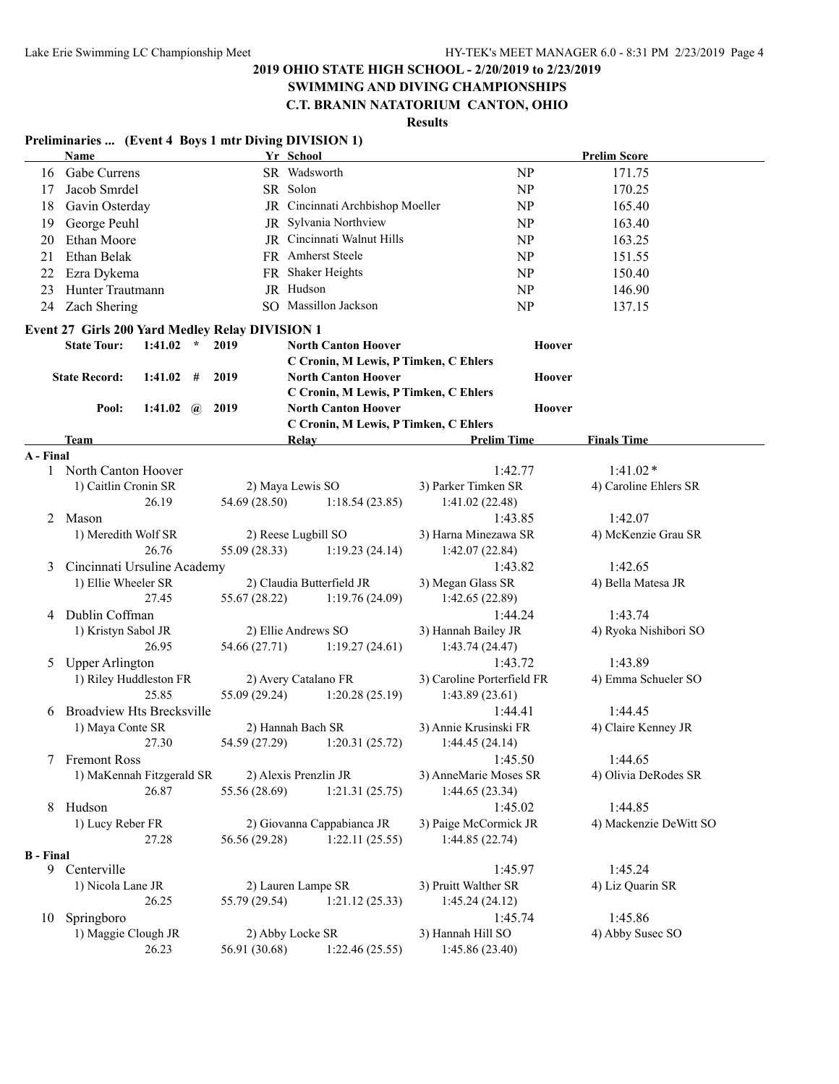### **SWIMMING AND DIVING CHAMPIONSHIPS C.T. BRANIN NATATORIUM CANTON, OHIO**

# **Results**

#### **Preliminaries ... (Event 4 Boys 1 mtr Diving DIVISION 1)**

|                  | Name                                            |               | Yr School                                                           |                            | <b>Prelim Score</b>    |
|------------------|-------------------------------------------------|---------------|---------------------------------------------------------------------|----------------------------|------------------------|
| 16               | Gabe Currens                                    |               | SR Wadsworth                                                        | NP                         | 171.75                 |
| 17               | Jacob Smrdel                                    |               | SR Solon                                                            | NP                         | 170.25                 |
| 18               | Gavin Osterday                                  |               | JR Cincinnati Archbishop Moeller                                    | NP                         | 165.40                 |
| 19               | George Peuhl                                    |               | JR Sylvania Northview                                               | NP                         | 163.40                 |
| 20               | Ethan Moore                                     |               | JR Cincinnati Walnut Hills                                          | NP                         | 163.25                 |
| 21               | Ethan Belak                                     |               | FR Amherst Steele                                                   | NP                         | 151.55                 |
| 22               | Ezra Dykema                                     |               | FR Shaker Heights                                                   | NP                         | 150.40                 |
| 23               | Hunter Trautmann                                |               | JR Hudson                                                           | NP                         | 146.90                 |
| 24               | Zach Shering                                    |               | SO Massillon Jackson                                                | NP                         | 137.15                 |
|                  |                                                 |               |                                                                     |                            |                        |
|                  | Event 27 Girls 200 Yard Medley Relay DIVISION 1 |               |                                                                     |                            |                        |
|                  | <b>State Tour:</b><br>1:41.02<br>$\star$        | 2019          | <b>North Canton Hoover</b>                                          | Hoover                     |                        |
|                  |                                                 |               | C Cronin, M Lewis, P Timken, C Ehlers                               |                            |                        |
|                  | <b>State Record:</b><br>$1:41.02$ #             | 2019          | <b>North Canton Hoover</b>                                          | Hoover                     |                        |
|                  |                                                 |               | C Cronin, M Lewis, P Timken, C Ehlers                               |                            |                        |
|                  | Pool:<br>1:41.02 $\omega$                       | 2019          | <b>North Canton Hoover</b><br>C Cronin, M Lewis, P Timken, C Ehlers | Hoover                     |                        |
|                  | Team                                            |               | <b>Relay</b>                                                        | <b>Prelim Time</b>         | <b>Finals Time</b>     |
| A - Final        |                                                 |               |                                                                     |                            |                        |
|                  | 1 North Canton Hoover                           |               |                                                                     | 1:42.77                    | $1:41.02*$             |
|                  | 1) Caitlin Cronin SR                            |               | 2) Maya Lewis SO                                                    | 3) Parker Timken SR        | 4) Caroline Ehlers SR  |
|                  | 26.19                                           | 54.69 (28.50) | 1:18.54(23.85)                                                      | 1:41.02(22.48)             |                        |
| 2                | Mason                                           |               |                                                                     | 1:43.85                    | 1:42.07                |
|                  | 1) Meredith Wolf SR                             |               | 2) Reese Lugbill SO                                                 | 3) Harna Minezawa SR       | 4) McKenzie Grau SR    |
|                  | 26.76                                           | 55.09 (28.33) | 1:19.23(24.14)                                                      | 1:42.07(22.84)             |                        |
| 3                | Cincinnati Ursuline Academy                     |               |                                                                     | 1:43.82                    | 1:42.65                |
|                  | 1) Ellie Wheeler SR                             |               | 2) Claudia Butterfield JR                                           | 3) Megan Glass SR          | 4) Bella Matesa JR     |
|                  | 27.45                                           | 55.67 (28.22) | 1:19.76(24.09)                                                      | 1:42.65(22.89)             |                        |
| 4                | Dublin Coffman                                  |               |                                                                     | 1:44.24                    | 1:43.74                |
|                  | 1) Kristyn Sabol JR                             |               | 2) Ellie Andrews SO                                                 | 3) Hannah Bailey JR        | 4) Ryoka Nishibori SO  |
|                  | 26.95                                           | 54.66 (27.71) | 1:19.27(24.61)                                                      | 1:43.74(24.47)             |                        |
| 5                | <b>Upper Arlington</b>                          |               |                                                                     | 1:43.72                    | 1:43.89                |
|                  | 1) Riley Huddleston FR                          |               | 2) Avery Catalano FR                                                | 3) Caroline Porterfield FR | 4) Emma Schueler SO    |
|                  | 25.85                                           | 55.09 (29.24) | 1:20.28(25.19)                                                      | 1:43.89(23.61)             |                        |
| 6                | <b>Broadview Hts Brecksville</b>                |               |                                                                     | 1:44.41                    | 1:44.45                |
|                  | 1) Maya Conte SR                                |               | 2) Hannah Bach SR                                                   | 3) Annie Krusinski FR      | 4) Claire Kenney JR    |
|                  | 27.30                                           | 54.59 (27.29) | 1:20.31(25.72)                                                      | 1:44.45(24.14)             |                        |
|                  | 7 Fremont Ross                                  |               |                                                                     | 1:45.50                    | 1:44.65                |
|                  | 1) MaKennah Fitzgerald SR                       |               | 2) Alexis Prenzlin JR                                               | 3) AnneMarie Moses SR      | 4) Olivia DeRodes SR   |
|                  | 26.87                                           | 55.56 (28.69) | 1:21.31(25.75)                                                      | 1:44.65(23.34)             |                        |
| 8                | Hudson                                          |               |                                                                     | 1:45.02                    | 1:44.85                |
|                  | 1) Lucy Reber FR                                |               | 2) Giovanna Cappabianca JR                                          | 3) Paige McCormick JR      | 4) Mackenzie DeWitt SO |
|                  | 27.28                                           | 56.56 (29.28) | 1:22.11(25.55)                                                      | 1:44.85(22.74)             |                        |
| <b>B</b> - Final | 9 Centerville                                   |               |                                                                     | 1:45.97                    | 1:45.24                |
|                  | 1) Nicola Lane JR                               |               | 2) Lauren Lampe SR                                                  | 3) Pruitt Walther SR       | 4) Liz Quarin SR       |
|                  | 26.25                                           | 55.79 (29.54) | 1:21.12(25.33)                                                      | 1:45.24(24.12)             |                        |
| 10               | Springboro                                      |               |                                                                     | 1:45.74                    | 1:45.86                |
|                  | 1) Maggie Clough JR                             |               | 2) Abby Locke SR                                                    | 3) Hannah Hill SO          | 4) Abby Susec SO       |
|                  | 26.23                                           | 56.91 (30.68) | 1:22.46(25.55)                                                      | 1:45.86(23.40)             |                        |
|                  |                                                 |               |                                                                     |                            |                        |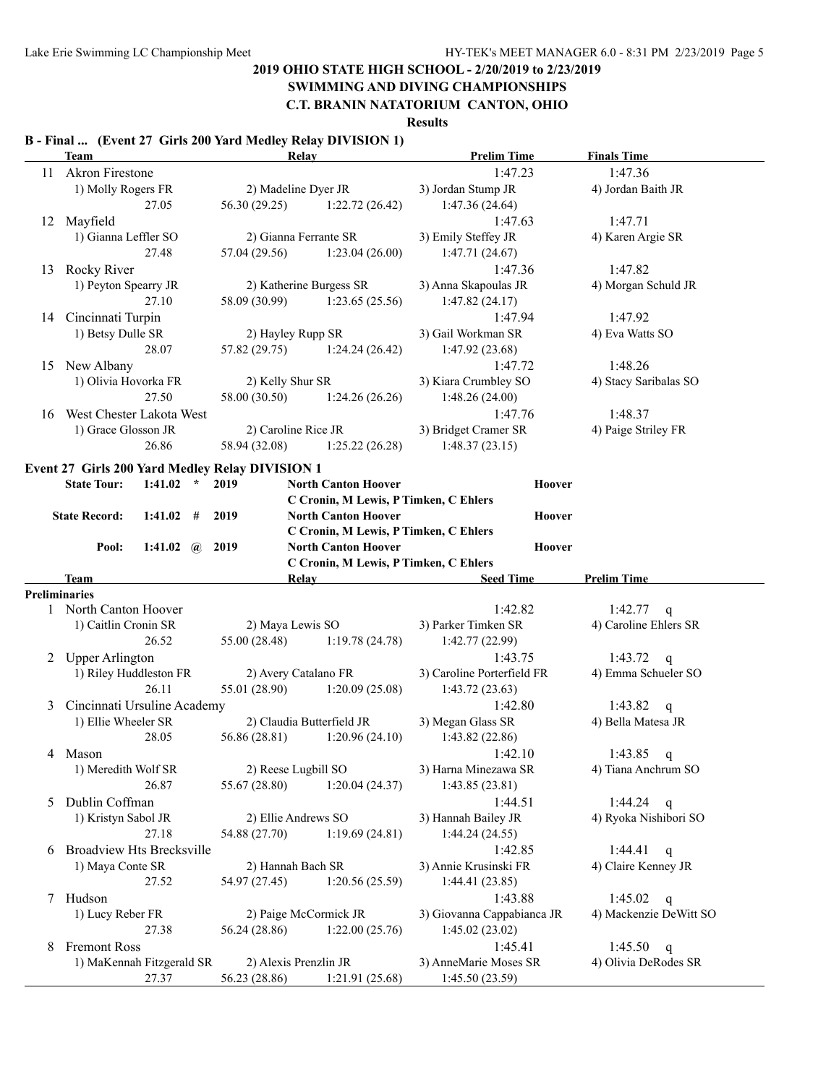# **SWIMMING AND DIVING CHAMPIONSHIPS**

### **C.T. BRANIN NATATORIUM CANTON, OHIO**

#### **Results**

# **B - Final ... (Event 27 Girls 200 Yard Medley Relay DIVISION 1)**

|    | <b>Team</b>                      |                  | Relay                                           |                                       | <b>Prelim Time</b>                       | <b>Finals Time</b>      |
|----|----------------------------------|------------------|-------------------------------------------------|---------------------------------------|------------------------------------------|-------------------------|
| 11 | <b>Akron Firestone</b>           |                  |                                                 |                                       | 1:47.23                                  | 1:47.36                 |
|    | 1) Molly Rogers FR               |                  | 2) Madeline Dyer JR                             |                                       | 3) Jordan Stump JR                       | 4) Jordan Baith JR      |
|    |                                  | 27.05            | 56.30 (29.25)                                   | 1:22.72(26.42)                        | 1:47.36 (24.64)                          |                         |
|    | 12 Mayfield                      |                  |                                                 |                                       | 1:47.63                                  | 1:47.71                 |
|    | 1) Gianna Leffler SO             |                  | 2) Gianna Ferrante SR                           |                                       | 3) Emily Steffey JR                      | 4) Karen Argie SR       |
|    |                                  | 27.48            | 57.04 (29.56)                                   | 1:23.04(26.00)                        | 1:47.71(24.67)                           |                         |
| 13 | Rocky River                      |                  |                                                 |                                       | 1:47.36                                  | 1:47.82                 |
|    | 1) Peyton Spearry JR             |                  |                                                 | 2) Katherine Burgess SR               | 3) Anna Skapoulas JR                     | 4) Morgan Schuld JR     |
|    |                                  | 27.10            | 58.09 (30.99)                                   | 1:23.65(25.56)                        | 1:47.82(24.17)                           |                         |
|    | 14 Cincinnati Turpin             |                  |                                                 |                                       | 1:47.94                                  | 1:47.92                 |
|    | 1) Betsy Dulle SR                |                  | 2) Hayley Rupp SR                               |                                       | 3) Gail Workman SR                       | 4) Eva Watts SO         |
|    |                                  | 28.07            | 57.82 (29.75)                                   | 1:24.24(26.42)                        | 1:47.92(23.68)                           |                         |
| 15 | New Albany                       |                  |                                                 |                                       | 1:47.72                                  | 1:48.26                 |
|    | 1) Olivia Hovorka FR             |                  | 2) Kelly Shur SR                                |                                       | 3) Kiara Crumbley SO                     | 4) Stacy Saribalas SO   |
|    |                                  | 27.50            | 58.00 (30.50)                                   | 1:24.26(26.26)                        | 1:48.26(24.00)                           |                         |
| 16 | West Chester Lakota West         |                  |                                                 |                                       | 1:47.76                                  | 1:48.37                 |
|    | 1) Grace Glosson JR              |                  | 2) Caroline Rice JR                             |                                       | 3) Bridget Cramer SR                     | 4) Paige Striley FR     |
|    |                                  | 26.86            | 58.94 (32.08)                                   | 1:25.22(26.28)                        | 1:48.37(23.15)                           |                         |
|    |                                  |                  | Event 27 Girls 200 Yard Medley Relay DIVISION 1 |                                       |                                          |                         |
|    | <b>State Tour:</b>               | $1:41.02$ *      | 2019                                            | <b>North Canton Hoover</b>            | Hoover                                   |                         |
|    |                                  |                  |                                                 | C Cronin, M Lewis, P Timken, C Ehlers |                                          |                         |
|    | <b>State Record:</b>             | $1:41.02$ #      | 2019                                            | <b>North Canton Hoover</b>            | Hoover                                   |                         |
|    |                                  |                  |                                                 | C Cronin, M Lewis, P Timken, C Ehlers |                                          |                         |
|    | Pool:                            | 1:41.02 $\omega$ | 2019                                            | <b>North Canton Hoover</b>            | Hoover                                   |                         |
|    |                                  |                  |                                                 | C Cronin, M Lewis, P Timken, C Ehlers |                                          |                         |
|    | Team                             |                  |                                                 | <b>Relay</b>                          | <b>Seed Time</b>                         | <b>Prelim Time</b>      |
|    | <b>Preliminaries</b>             |                  |                                                 |                                       |                                          |                         |
|    | North Canton Hoover              |                  |                                                 |                                       | 1:42.82                                  | 1:42.77<br>q            |
|    | 1) Caitlin Cronin SR             |                  | 2) Maya Lewis SO                                |                                       | 3) Parker Timken SR                      | 4) Caroline Ehlers SR   |
|    |                                  | 26.52            | 55.00 (28.48)                                   | 1:19.78(24.78)                        | 1:42.77 (22.99)                          |                         |
|    | 2 Upper Arlington                |                  |                                                 |                                       | 1:43.75                                  | 1:43.72<br>q            |
|    | 1) Riley Huddleston FR           |                  | 2) Avery Catalano FR                            |                                       | 3) Caroline Porterfield FR               | 4) Emma Schueler SO     |
|    |                                  | 26.11            | 55.01 (28.90)                                   | 1:20.09(25.08)                        | 1:43.72(23.63)                           |                         |
| 3  | Cincinnati Ursuline Academy      |                  |                                                 |                                       | 1:42.80                                  | 1:43.82<br>$\mathsf{q}$ |
|    | 1) Ellie Wheeler SR              |                  |                                                 | 2) Claudia Butterfield JR             | 3) Megan Glass SR                        | 4) Bella Matesa JR      |
|    |                                  | 28.05            | 56.86 (28.81)                                   | 1:20.96(24.10)                        | 1:43.82(22.86)                           |                         |
| 4  | Mason                            |                  |                                                 |                                       | 1:42.10                                  | 1:43.85<br>q            |
|    | 1) Meredith Wolf SR              |                  | 2) Reese Lugbill SO                             |                                       | 3) Harna Minezawa SR                     | 4) Tiana Anchrum SO     |
|    |                                  | 26.87            | 55.67 (28.80)                                   | 1:20.04(24.37)                        | 1:43.85(23.81)                           |                         |
| 5  | Dublin Coffman                   |                  |                                                 |                                       | 1:44.51                                  | 1:44.24<br>q            |
|    | 1) Kristyn Sabol JR              |                  | 2) Ellie Andrews SO                             |                                       | 3) Hannah Bailey JR                      | 4) Ryoka Nishibori SO   |
|    |                                  | 27.18            | 54.88 (27.70)                                   | 1:19.69(24.81)                        | 1:44.24(24.55)                           |                         |
| 6  | <b>Broadview Hts Brecksville</b> |                  |                                                 |                                       | 1:42.85                                  | 1:44.41<br>$\mathbf q$  |
|    | 1) Maya Conte SR                 |                  | 2) Hannah Bach SR                               |                                       | 3) Annie Krusinski FR                    | 4) Claire Kenney JR     |
|    |                                  | 27.52            | 54.97 (27.45)                                   | 1:20.56(25.59)                        | 1:44.41(23.85)                           |                         |
|    | 7 Hudson                         |                  |                                                 |                                       | 1:43.88                                  | 1:45.02<br>$\mathbf q$  |
|    | 1) Lucy Reber FR                 |                  |                                                 | 2) Paige McCormick JR                 | 3) Giovanna Cappabianca JR               | 4) Mackenzie DeWitt SO  |
|    |                                  | 27.38            | 56.24 (28.86)                                   | 1:22.00(25.76)                        | 1:45.02(23.02)                           |                         |
| 8  |                                  |                  |                                                 |                                       |                                          |                         |
|    | <b>Fremont Ross</b>              |                  |                                                 |                                       | 1:45.41                                  | 1:45.50<br>q            |
|    | 1) MaKennah Fitzgerald SR        | 27.37            | 2) Alexis Prenzlin JR<br>56.23 (28.86)          | 1:21.91(25.68)                        | 3) AnneMarie Moses SR<br>1:45.50 (23.59) | 4) Olivia DeRodes SR    |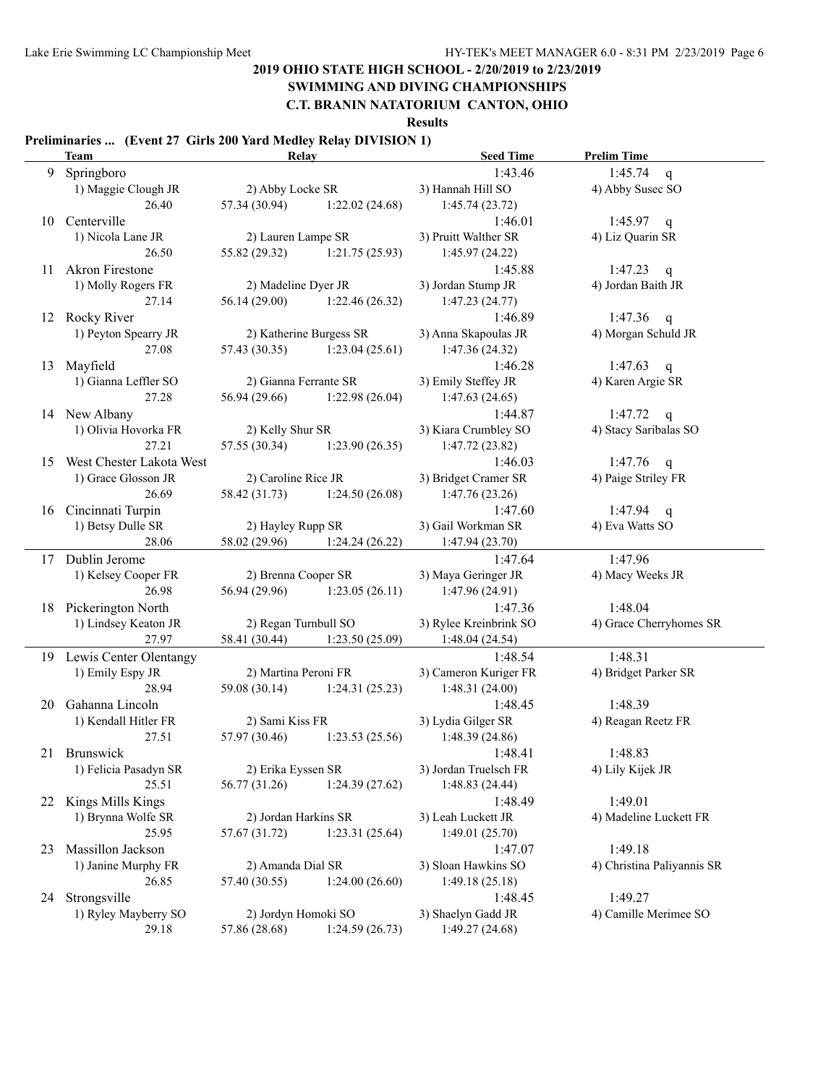# **SWIMMING AND DIVING CHAMPIONSHIPS**

### **C.T. BRANIN NATATORIUM CANTON, OHIO**

**Results**

#### **Preliminaries ... (Event 27 Girls 200 Yard Medley Relay DIVISION 1)**

|    | Team                        | <b>Relay</b>          |                               | <b>Seed Time</b>       | <b>Prelim Time</b>         |
|----|-----------------------------|-----------------------|-------------------------------|------------------------|----------------------------|
| 9  | Springboro                  |                       |                               | 1:43.46                | 1:45.74<br>q               |
|    | 1) Maggie Clough JR         | 2) Abby Locke SR      |                               | 3) Hannah Hill SO      | 4) Abby Susec SO           |
|    | 26.40                       | 57.34 (30.94)         | 1:22.02(24.68)                | 1:45.74(23.72)         |                            |
| 10 | Centerville                 |                       |                               | 1:46.01                | 1:45.97 $q$                |
|    | 1) Nicola Lane JR           | 2) Lauren Lampe SR    |                               | 3) Pruitt Walther SR   | 4) Liz Quarin SR           |
|    | 26.50                       | 55.82 (29.32)         | 1:21.75(25.93)                | 1:45.97(24.22)         |                            |
| 11 | Akron Firestone             |                       |                               | 1:45.88                | 1:47.23                    |
|    |                             |                       |                               |                        | $\mathbf{q}$               |
|    | 1) Molly Rogers FR          | 2) Madeline Dyer JR   |                               | 3) Jordan Stump JR     | 4) Jordan Baith JR         |
|    | 27.14                       | 56.14 (29.00)         | 1:22.46(26.32)                | 1:47.23(24.77)         |                            |
|    | 12 Rocky River              |                       |                               | 1:46.89                | 1:47.36<br>q               |
|    | 1) Peyton Spearry JR        |                       | 2) Katherine Burgess SR       | 3) Anna Skapoulas JR   | 4) Morgan Schuld JR        |
|    | 27.08                       | 57.43 (30.35)         | 1:23.04(25.61)                | 1:47.36(24.32)         |                            |
| 13 | Mayfield                    |                       |                               | 1:46.28                | 1:47.63<br>q               |
|    | 1) Gianna Leffler SO        | 2) Gianna Ferrante SR |                               | 3) Emily Steffey JR    | 4) Karen Argie SR          |
|    | 27.28                       | 56.94 (29.66)         | 1:22.98(26.04)                | 1:47.63(24.65)         |                            |
|    | 14 New Albany               |                       |                               | 1:44.87                | 1:47.72<br>q               |
|    | 1) Olivia Hovorka FR        | 2) Kelly Shur SR      |                               | 3) Kiara Crumbley SO   | 4) Stacy Saribalas SO      |
|    | 27.21                       | 57.55 (30.34)         | 1:23.90(26.35)                | 1:47.72(23.82)         |                            |
|    |                             |                       |                               |                        |                            |
|    | 15 West Chester Lakota West |                       |                               | 1:46.03                | 1:47.76<br>q               |
|    | 1) Grace Glosson JR         | 2) Caroline Rice JR   |                               | 3) Bridget Cramer SR   | 4) Paige Striley FR        |
|    | 26.69                       |                       | 58.42 (31.73) 1:24.50 (26.08) | 1:47.76(23.26)         |                            |
|    | 16 Cincinnati Turpin        |                       |                               | 1:47.60                | 1:47.94 $q$                |
|    | 1) Betsy Dulle SR           | 2) Hayley Rupp SR     |                               | 3) Gail Workman SR     | 4) Eva Watts SO            |
|    | 28.06                       |                       | 58.02 (29.96) 1:24.24 (26.22) | 1:47.94(23.70)         |                            |
|    | 17 Dublin Jerome            |                       |                               | 1:47.64                | 1:47.96                    |
|    | 1) Kelsey Cooper FR         | 2) Brenna Cooper SR   |                               | 3) Maya Geringer JR    | 4) Macy Weeks JR           |
|    | 26.98                       | 56.94 (29.96)         | 1:23.05(26.11)                | 1:47.96 (24.91)        |                            |
|    | 18 Pickerington North       |                       |                               | 1:47.36                | 1:48.04                    |
|    | 1) Lindsey Keaton JR        | 2) Regan Turnbull SO  |                               | 3) Rylee Kreinbrink SO | 4) Grace Cherryhomes SR    |
|    | 27.97                       |                       |                               |                        |                            |
|    |                             | 58.41 (30.44)         | 1:23.50 (25.09)               | 1:48.04(24.54)         |                            |
|    | 19 Lewis Center Olentangy   |                       |                               | 1:48.54                | 1:48.31                    |
|    | 1) Emily Espy JR            | 2) Martina Peroni FR  |                               | 3) Cameron Kuriger FR  | 4) Bridget Parker SR       |
|    | 28.94                       |                       | 59.08 (30.14) 1:24.31 (25.23) | 1:48.31(24.00)         |                            |
| 20 | Gahanna Lincoln             |                       |                               | 1:48.45                | 1:48.39                    |
|    | 1) Kendall Hitler FR        | 2) Sami Kiss FR       |                               | 3) Lydia Gilger SR     | 4) Reagan Reetz FR         |
|    | 27.51                       | 57.97 (30.46)         | 1:23.53(25.56)                | 1:48.39(24.86)         |                            |
|    | 21 Brunswick                |                       |                               | 1:48.41                | 1:48.83                    |
|    | 1) Felicia Pasadyn SR       | 2) Erika Eyssen SR    |                               | 3) Jordan Truelsch FR  | 4) Lily Kijek JR           |
|    | 25.51                       | 56.77 (31.26)         | 1:24.39(27.62)                | 1:48.83 (24.44)        |                            |
| 22 | Kings Mills Kings           |                       |                               | 1:48.49                | 1:49.01                    |
|    | 1) Brynna Wolfe SR          | 2) Jordan Harkins SR  |                               | 3) Leah Luckett JR     | 4) Madeline Luckett FR     |
|    | 25.95                       | 57.67 (31.72)         | 1:23.31(25.64)                | 1:49.01(25.70)         |                            |
|    |                             |                       |                               |                        |                            |
| 23 | Massillon Jackson           |                       |                               | 1:47.07                | 1:49.18                    |
|    | 1) Janine Murphy FR         | 2) Amanda Dial SR     |                               | 3) Sloan Hawkins SO    | 4) Christina Paliyannis SR |
|    | 26.85                       | 57.40 (30.55)         | 1:24.00(26.60)                | 1:49.18(25.18)         |                            |
|    | 24 Strongsville             |                       |                               | 1:48.45                | 1:49.27                    |
|    | 1) Ryley Mayberry SO        | 2) Jordyn Homoki SO   |                               | 3) Shaelyn Gadd JR     | 4) Camille Merimee SO      |
|    | 29.18                       | 57.86 (28.68)         | 1:24.59(26.73)                | 1:49.27(24.68)         |                            |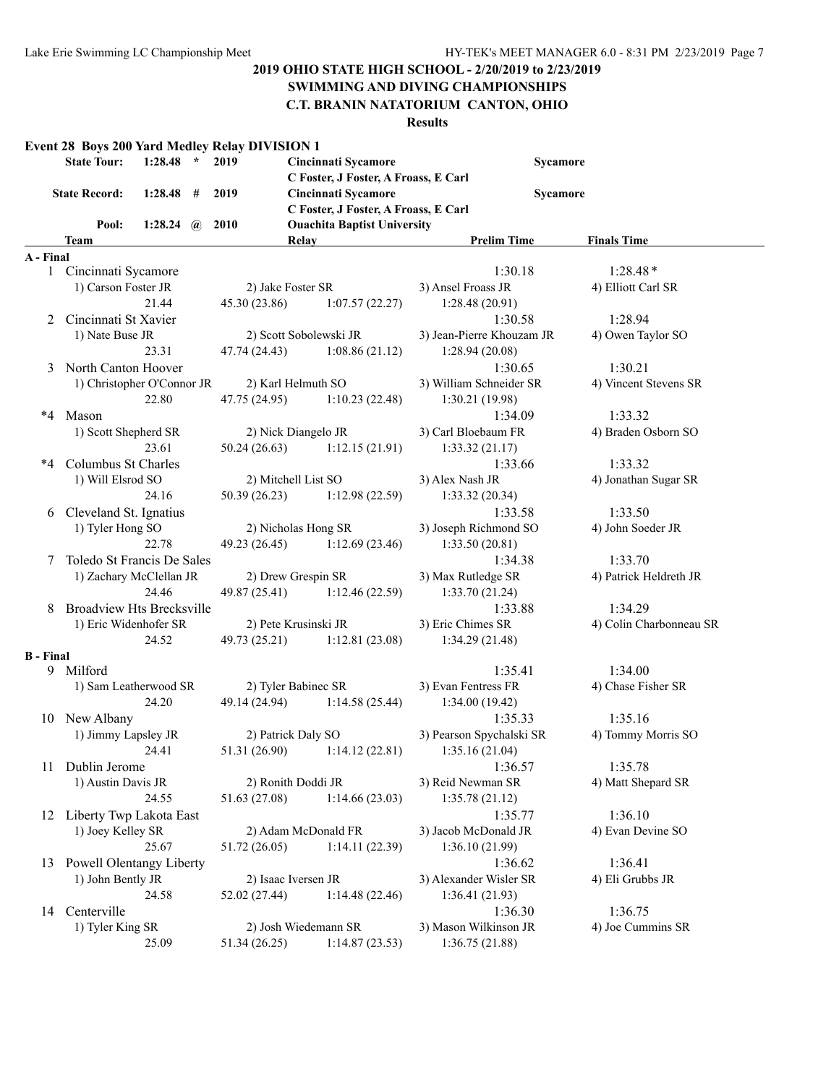#### **SWIMMING AND DIVING CHAMPIONSHIPS C.T. BRANIN NATATORIUM CANTON, OHIO**

|                  | <b>State Tour:</b>                                  | $1:28.48$ *           |   | Event 28 Boys 200 Yard Medley Relay DIVISION 1<br>2019 | Cincinnati Sycamore                  | Sycamore                                      |                                  |  |  |
|------------------|-----------------------------------------------------|-----------------------|---|--------------------------------------------------------|--------------------------------------|-----------------------------------------------|----------------------------------|--|--|
|                  |                                                     |                       |   |                                                        | C Foster, J Foster, A Froass, E Carl |                                               |                                  |  |  |
|                  | <b>State Record:</b>                                | 1:28.48               | # | 2019                                                   | Cincinnati Sycamore                  |                                               | Sycamore                         |  |  |
|                  |                                                     |                       |   |                                                        | C Foster, J Foster, A Froass, E Carl |                                               |                                  |  |  |
|                  | Pool:                                               | 1:28.24 $\omega$ 2010 |   |                                                        | <b>Ouachita Baptist University</b>   |                                               |                                  |  |  |
|                  | Team                                                |                       |   |                                                        | Relay                                | <b>Prelim Time</b>                            | <b>Finals Time</b>               |  |  |
| A - Final        |                                                     |                       |   |                                                        |                                      |                                               |                                  |  |  |
| $\mathbf{1}$     | Cincinnati Sycamore                                 |                       |   |                                                        |                                      | 1:30.18                                       | $1:28.48*$                       |  |  |
|                  | 1) Carson Foster JR                                 | 21.44                 |   | 2) Jake Foster SR                                      |                                      | 3) Ansel Froass JR                            | 4) Elliott Carl SR               |  |  |
|                  |                                                     |                       |   | 45.30(23.86)                                           | 1:07.57(22.27)                       | 1:28.48(20.91)                                |                                  |  |  |
| 2                | Cincinnati St Xavier                                |                       |   |                                                        |                                      | 1:30.58                                       | 1:28.94                          |  |  |
|                  | 1) Nate Buse JR                                     |                       |   |                                                        | 2) Scott Sobolewski JR               | 3) Jean-Pierre Khouzam JR                     | 4) Owen Taylor SO                |  |  |
|                  |                                                     | 23.31                 |   | 47.74 (24.43)                                          | 1:08.86(21.12)                       | 1:28.94(20.08)                                |                                  |  |  |
|                  | 3 North Canton Hoover<br>1) Christopher O'Connor JR |                       |   | 2) Karl Helmuth SO                                     |                                      | 1:30.65<br>3) William Schneider SR            | 1:30.21<br>4) Vincent Stevens SR |  |  |
|                  |                                                     | 22.80                 |   | 47.75 (24.95)                                          | 1:10.23(22.48)                       | 1:30.21(19.98)                                |                                  |  |  |
|                  | *4 Mason                                            |                       |   |                                                        |                                      | 1:34.09                                       | 1:33.32                          |  |  |
|                  | 1) Scott Shepherd SR                                |                       |   | 2) Nick Diangelo JR                                    |                                      | 3) Carl Bloebaum FR                           | 4) Braden Osborn SO              |  |  |
|                  |                                                     | 23.61                 |   | 50.24 (26.63)                                          | 1:12.15(21.91)                       | 1:33.32(21.17)                                |                                  |  |  |
| *4               | Columbus St Charles                                 |                       |   |                                                        |                                      | 1:33.66                                       | 1:33.32                          |  |  |
|                  | 1) Will Elsrod SO                                   |                       |   | 2) Mitchell List SO                                    |                                      | 3) Alex Nash JR                               | 4) Jonathan Sugar SR             |  |  |
|                  |                                                     | 24.16                 |   | 50.39(26.23)                                           | 1:12.98(22.59)                       | 1:33.32(20.34)                                |                                  |  |  |
| 6                | Cleveland St. Ignatius                              |                       |   |                                                        |                                      | 1:33.58                                       | 1:33.50                          |  |  |
|                  | 1) Tyler Hong SO                                    |                       |   |                                                        | 2) Nicholas Hong SR                  | 3) Joseph Richmond SO                         | 4) John Soeder JR                |  |  |
|                  |                                                     | 22.78                 |   | 49.23 (26.45)                                          | 1:12.69(23.46)                       | 1:33.50(20.81)                                |                                  |  |  |
| 7                | Toledo St Francis De Sales                          |                       |   |                                                        |                                      | 1:34.38                                       | 1:33.70                          |  |  |
|                  | 1) Zachary McClellan JR                             |                       |   | 2) Drew Grespin SR                                     |                                      | 3) Max Rutledge SR                            | 4) Patrick Heldreth JR           |  |  |
|                  |                                                     | 24.46                 |   | 49.87 (25.41)                                          | 1:12.46(22.59)                       | 1:33.70(21.24)                                |                                  |  |  |
|                  | <b>Broadview Hts Brecksville</b>                    |                       |   |                                                        |                                      | 1:33.88                                       | 1:34.29                          |  |  |
|                  | 1) Eric Widenhofer SR                               |                       |   | 2) Pete Krusinski JR                                   |                                      | 3) Eric Chimes SR                             | 4) Colin Charbonneau SR          |  |  |
|                  |                                                     | 24.52                 |   | 49.73 (25.21)                                          | 1:12.81(23.08)                       | 1:34.29(21.48)                                |                                  |  |  |
| <b>B</b> - Final |                                                     |                       |   |                                                        |                                      |                                               |                                  |  |  |
|                  | 9 Milford                                           |                       |   |                                                        |                                      | 1:35.41                                       | 1:34.00                          |  |  |
|                  | 1) Sam Leatherwood SR                               |                       |   | 2) Tyler Babinec SR                                    |                                      | 3) Evan Fentress FR                           | 4) Chase Fisher SR               |  |  |
|                  |                                                     | 24.20                 |   | 49.14 (24.94)                                          | 1:14.58(25.44)                       | 1:34.00(19.42)                                |                                  |  |  |
|                  | 10 New Albany                                       |                       |   |                                                        |                                      | 1:35.33                                       | 1:35.16                          |  |  |
|                  | 1) Jimmy Lapsley JR                                 |                       |   | 2) Patrick Daly SO                                     |                                      | 3) Pearson Spychalski SR                      | 4) Tommy Morris SO               |  |  |
|                  |                                                     | 24.41                 |   |                                                        |                                      | 51.31 (26.90) 1:14.12 (22.81) 1:35.16 (21.04) |                                  |  |  |
|                  | 11 Dublin Jerome                                    |                       |   |                                                        |                                      | 1:36.57                                       | 1:35.78                          |  |  |
|                  | 1) Austin Davis JR                                  |                       |   | 2) Ronith Doddi JR                                     |                                      | 3) Reid Newman SR                             | 4) Matt Shepard SR               |  |  |
|                  |                                                     | 24.55                 |   | 51.63 (27.08)                                          | 1:14.66(23.03)                       | 1:35.78(21.12)                                |                                  |  |  |
|                  | 12 Liberty Twp Lakota East                          |                       |   |                                                        |                                      | 1:35.77                                       | 1:36.10                          |  |  |
|                  | 1) Joey Kelley SR                                   |                       |   |                                                        | 2) Adam McDonald FR                  | 3) Jacob McDonald JR                          | 4) Evan Devine SO                |  |  |
|                  |                                                     | 25.67                 |   | 51.72 (26.05)                                          | 1:14.11(22.39)                       | 1:36.10(21.99)                                |                                  |  |  |
| 13               | <b>Powell Olentangy Liberty</b>                     |                       |   |                                                        |                                      | 1:36.62                                       | 1:36.41                          |  |  |
|                  | 1) John Bently JR                                   |                       |   | 2) Isaac Iversen JR                                    |                                      | 3) Alexander Wisler SR                        | 4) Eli Grubbs JR                 |  |  |
|                  |                                                     | 24.58                 |   | 52.02 (27.44)                                          | 1:14.48(22.46)                       | 1:36.41(21.93)                                |                                  |  |  |
| 14               | Centerville                                         |                       |   |                                                        |                                      | 1:36.30                                       | 1:36.75                          |  |  |
|                  | 1) Tyler King SR                                    |                       |   |                                                        | 2) Josh Wiedemann SR                 | 3) Mason Wilkinson JR                         | 4) Joe Cummins SR                |  |  |
|                  |                                                     | 25.09                 |   | 51.34 (26.25)                                          | 1:14.87(23.53)                       | 1:36.75(21.88)                                |                                  |  |  |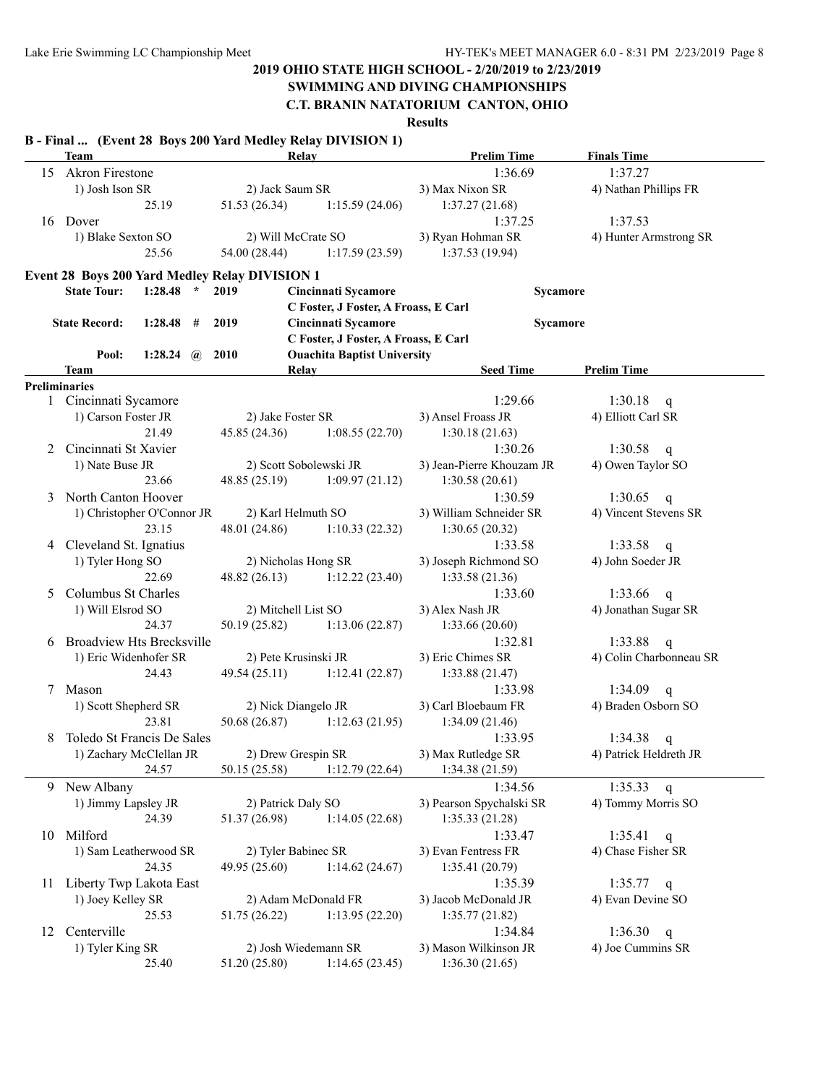# **SWIMMING AND DIVING CHAMPIONSHIPS**

**C.T. BRANIN NATATORIUM CANTON, OHIO**

|  |  | B - Final  (Event 28 Boys 200 Yard Medley Relay DIVISION 1) |
|--|--|-------------------------------------------------------------|
|  |  |                                                             |

|    | <b>Team</b>                      |         |              |                                                       | Relay                                | <b>Prelim Time</b>        | <b>Finals Time</b>                   |
|----|----------------------------------|---------|--------------|-------------------------------------------------------|--------------------------------------|---------------------------|--------------------------------------|
|    | 15 Akron Firestone               |         |              |                                                       |                                      | 1:36.69                   | 1:37.27                              |
|    | 1) Josh Ison SR                  |         |              | 2) Jack Saum SR                                       |                                      | 3) Max Nixon SR           | 4) Nathan Phillips FR                |
|    |                                  | 25.19   |              | 51.53 (26.34)                                         | 1:15.59(24.06)                       | 1:37.27(21.68)            |                                      |
|    | 16 Dover                         |         |              |                                                       |                                      | 1:37.25                   | 1:37.53                              |
|    | 1) Blake Sexton SO               |         |              | 2) Will McCrate SO                                    |                                      | 3) Ryan Hohman SR         | 4) Hunter Armstrong SR               |
|    |                                  | 25.56   |              | 54.00 (28.44)                                         | 1:17.59(23.59)                       | 1:37.53(19.94)            |                                      |
|    |                                  |         |              | <b>Event 28 Boys 200 Yard Medley Relay DIVISION 1</b> |                                      |                           |                                      |
|    | <b>State Tour:</b>               | 1:28.48 | $\star$      | 2019                                                  | Cincinnati Sycamore                  |                           |                                      |
|    |                                  |         |              |                                                       | C Foster, J Foster, A Froass, E Carl | Sycamore                  |                                      |
|    | <b>State Record:</b>             | 1:28.48 | #            | 2019                                                  | Cincinnati Sycamore                  | Sycamore                  |                                      |
|    |                                  |         |              |                                                       | C Foster, J Foster, A Froass, E Carl |                           |                                      |
|    | Pool:                            | 1:28.24 | $\mathbf{a}$ | <b>2010</b>                                           | <b>Ouachita Baptist University</b>   |                           |                                      |
|    | Team                             |         |              |                                                       | Relay                                | <b>Seed Time</b>          | <b>Prelim Time</b>                   |
|    | <b>Preliminaries</b>             |         |              |                                                       |                                      |                           |                                      |
|    | 1 Cincinnati Sycamore            |         |              |                                                       |                                      | 1:29.66                   | 1:30.18<br>$\mathsf{q}$              |
|    | 1) Carson Foster JR              |         |              | 2) Jake Foster SR                                     |                                      | 3) Ansel Froass JR        | 4) Elliott Carl SR                   |
|    |                                  | 21.49   |              | 45.85 (24.36)                                         | 1:08.55(22.70)                       | 1:30.18(21.63)            |                                      |
| 2  | Cincinnati St Xavier             |         |              |                                                       |                                      | 1:30.26                   | 1:30.58<br>$\mathbf q$               |
|    | 1) Nate Buse JR                  |         |              |                                                       | 2) Scott Sobolewski JR               | 3) Jean-Pierre Khouzam JR | 4) Owen Taylor SO                    |
|    |                                  | 23.66   |              | 48.85(25.19)                                          | 1:09.97(21.12)                       | 1:30.58(20.61)            |                                      |
| 3  | North Canton Hoover              |         |              |                                                       |                                      | 1:30.59                   | 1:30.65<br>$\mathsf{q}$              |
|    | 1) Christopher O'Connor JR       |         |              | 2) Karl Helmuth SO                                    |                                      | 3) William Schneider SR   | 4) Vincent Stevens SR                |
|    |                                  | 23.15   |              | 48.01 (24.86)                                         | 1:10.33(22.32)                       | 1:30.65(20.32)            |                                      |
| 4  | Cleveland St. Ignatius           |         |              |                                                       |                                      | 1:33.58                   | 1:33.58<br>$\mathbf q$               |
|    | 1) Tyler Hong SO                 |         |              | 2) Nicholas Hong SR                                   |                                      | 3) Joseph Richmond SO     | 4) John Soeder JR                    |
|    |                                  | 22.69   |              | 48.82(26.13)                                          | 1:12.22(23.40)                       | 1:33.58(21.36)            |                                      |
| 5  | Columbus St Charles              |         |              |                                                       |                                      | 1:33.60                   | 1:33.66                              |
|    |                                  |         |              | 2) Mitchell List SO                                   |                                      | 3) Alex Nash JR           | $\mathbf{q}$<br>4) Jonathan Sugar SR |
|    | 1) Will Elsrod SO<br>24.37       |         |              |                                                       |                                      |                           |                                      |
|    |                                  |         |              | 50.19 (25.82)                                         | 1:13.06(22.87)                       | 1:33.66(20.60)            |                                      |
| 6  | <b>Broadview Hts Brecksville</b> |         |              |                                                       |                                      | 1:32.81                   | 1:33.88<br>q                         |
|    | 1) Eric Widenhofer SR            |         |              | 2) Pete Krusinski JR                                  |                                      | 3) Eric Chimes SR         | 4) Colin Charbonneau SR              |
|    |                                  | 24.43   |              | 49.54 (25.11)                                         | 1:12.41(22.87)                       | 1:33.88(21.47)            |                                      |
| 7  | Mason                            |         |              |                                                       |                                      | 1:33.98                   | 1:34.09 $q$                          |
|    | 1) Scott Shepherd SR             |         |              | 2) Nick Diangelo JR                                   |                                      | 3) Carl Bloebaum FR       | 4) Braden Osborn SO                  |
|    |                                  | 23.81   |              | 50.68 (26.87)                                         | 1:12.63(21.95)                       | 1:34.09(21.46)            |                                      |
| 8  | Toledo St Francis De Sales       |         |              |                                                       |                                      | 1:33.95                   | 1:34.38<br>q                         |
|    | 1) Zachary McClellan JR          |         |              | 2) Drew Grespin SR                                    |                                      | 3) Max Rutledge SR        | 4) Patrick Heldreth JR               |
|    |                                  | 24.57   |              | 50.15(25.58)                                          | 1:12.79(22.64)                       | 1:34.38(21.59)            |                                      |
| 9. | New Albany                       |         |              |                                                       |                                      | 1:34.56                   | 1:35.33 q                            |
|    | 1) Jimmy Lapsley JR              |         |              | 2) Patrick Daly SO                                    |                                      | 3) Pearson Spychalski SR  | 4) Tommy Morris SO                   |
|    |                                  | 24.39   |              | 51.37 (26.98)                                         | 1:14.05(22.68)                       | 1:35.33(21.28)            |                                      |
|    | 10 Milford                       |         |              |                                                       |                                      | 1:33.47                   | 1:35.41 q                            |
|    | 1) Sam Leatherwood SR            |         |              | 2) Tyler Babinec SR                                   |                                      | 3) Evan Fentress FR       | 4) Chase Fisher SR                   |
|    |                                  | 24.35   |              | 49.95 (25.60)                                         | 1:14.62(24.67)                       | 1:35.41(20.79)            |                                      |
| 11 | Liberty Twp Lakota East          |         |              |                                                       |                                      | 1:35.39                   | $1:35.77$ q                          |
|    | 1) Joey Kelley SR                |         |              |                                                       | 2) Adam McDonald FR                  | 3) Jacob McDonald JR      | 4) Evan Devine SO                    |
|    |                                  | 25.53   |              | 51.75 (26.22)                                         | 1:13.95(22.20)                       | 1:35.77(21.82)            |                                      |
| 12 | Centerville                      |         |              |                                                       |                                      | 1:34.84                   | 1:36.30<br>q                         |
|    | 1) Tyler King SR                 |         |              | 2) Josh Wiedemann SR                                  |                                      | 3) Mason Wilkinson JR     | 4) Joe Cummins SR                    |
|    |                                  | 25.40   |              | 51.20 (25.80)                                         | 1:14.65(23.45)                       | 1:36.30(21.65)            |                                      |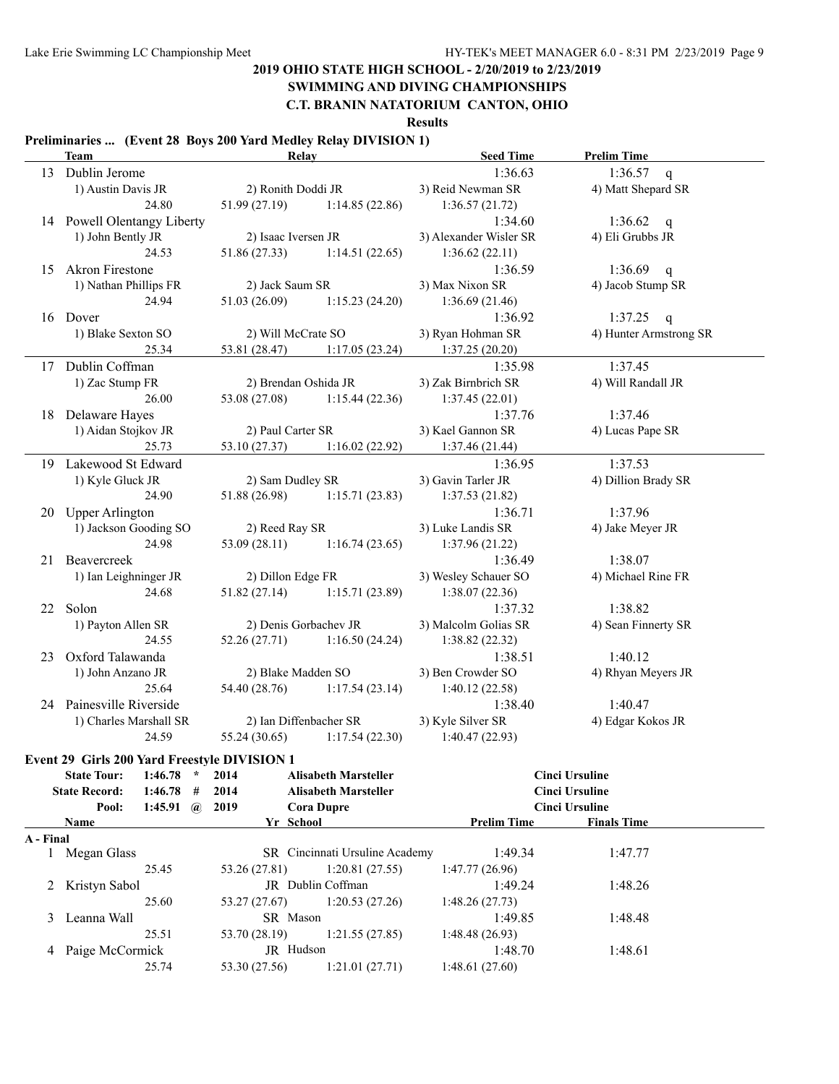# **SWIMMING AND DIVING CHAMPIONSHIPS**

**C.T. BRANIN NATATORIUM CANTON, OHIO**

**Results**

#### **Preliminaries ... (Event 28 Boys 200 Yard Medley Relay DIVISION 1)**

|           | <b>Team</b>                                  | Relay                               | <b>Seed Time</b>       | <b>Prelim Time</b>     |
|-----------|----------------------------------------------|-------------------------------------|------------------------|------------------------|
|           | 13 Dublin Jerome                             |                                     | 1:36.63                | 1:36.57 q              |
|           | 1) Austin Davis JR                           | 2) Ronith Doddi JR                  | 3) Reid Newman SR      | 4) Matt Shepard SR     |
|           | 24.80                                        | 1:14.85(22.86)                      | 1:36.57(21.72)         |                        |
|           | 14 Powell Olentangy Liberty                  |                                     | 1:34.60                | 1:36.62 q              |
|           | 1) John Bently JR                            | 2) Isaac Iversen JR                 | 3) Alexander Wisler SR | 4) Eli Grubbs JR       |
|           | 24.53                                        | 51.86 (27.33)<br>1:14.51(22.65)     | 1:36.62(22.11)         |                        |
| 15        | <b>Akron Firestone</b>                       |                                     | 1:36.59                | 1:36.69 q              |
|           | 1) Nathan Phillips FR                        | 2) Jack Saum SR                     | 3) Max Nixon SR        | 4) Jacob Stump SR      |
|           | 24.94                                        | 51.03(26.09)<br>1:15.23(24.20)      | 1:36.69(21.46)         |                        |
|           | 16 Dover                                     |                                     | 1:36.92                | 1:37.25 q              |
|           | 1) Blake Sexton SO                           | 2) Will McCrate SO                  | 3) Ryan Hohman SR      | 4) Hunter Armstrong SR |
|           | 25.34                                        | 53.81 (28.47) 1:17.05 (23.24)       | 1:37.25(20.20)         |                        |
|           | 17 Dublin Coffman                            |                                     | 1:35.98                | 1:37.45                |
|           | 1) Zac Stump FR                              | 2) Brendan Oshida JR                | 3) Zak Birnbrich SR    | 4) Will Randall JR     |
|           | 26.00                                        | $53.08(27.08)$ 1:15.44 (22.36)      | 1:37.45(22.01)         |                        |
|           | 18 Delaware Hayes                            |                                     | 1:37.76                | 1:37.46                |
|           | 1) Aidan Stojkov JR                          | 2) Paul Carter SR                   | 3) Kael Gannon SR      | 4) Lucas Pape SR       |
|           | 25.73                                        | 1:16.02(22.92)<br>53.10 (27.37)     | 1:37.46(21.44)         |                        |
|           | 19 Lakewood St Edward                        |                                     | 1:36.95                | 1:37.53                |
|           | 1) Kyle Gluck JR                             | 2) Sam Dudley SR                    | 3) Gavin Tarler JR     | 4) Dillion Brady SR    |
|           | 24.90                                        | 51.88 (26.98)<br>1:15.71(23.83)     | 1:37.53(21.82)         |                        |
| 20        | <b>Upper Arlington</b>                       |                                     | 1:36.71                | 1:37.96                |
|           | 1) Jackson Gooding SO                        | 2) Reed Ray SR                      | 3) Luke Landis SR      | 4) Jake Meyer JR       |
|           | 24.98                                        | 53.09(28.11)<br>1:16.74(23.65)      | 1:37.96(21.22)         |                        |
| 21        | Beavercreek                                  |                                     | 1:36.49                | 1:38.07                |
|           | 1) Ian Leighninger JR                        | 2) Dillon Edge FR                   | 3) Wesley Schauer SO   | 4) Michael Rine FR     |
|           | 24.68                                        | 51.82 (27.14) 1:15.71 (23.89)       | 1:38.07(22.36)         |                        |
|           | 22 Solon                                     |                                     | 1:37.32                | 1:38.82                |
|           | 1) Payton Allen SR                           | 2) Denis Gorbachev JR               | 3) Malcolm Golias SR   | 4) Sean Finnerty SR    |
|           | 24.55                                        | 52.26 (27.71)<br>1:16.50(24.24)     | 1:38.82(22.32)         |                        |
| 23        | Oxford Talawanda                             |                                     | 1:38.51                | 1:40.12                |
|           | 1) John Anzano JR                            | 2) Blake Madden SO                  | 3) Ben Crowder SO      | 4) Rhyan Meyers JR     |
|           | 25.64                                        | 54.40 (28.76) 1:17.54 (23.14)       | 1:40.12(22.58)         |                        |
|           | 24 Painesville Riverside                     |                                     | 1:38.40                | 1:40.47                |
|           | 1) Charles Marshall SR                       | 2) Ian Diffenbacher SR              | 3) Kyle Silver SR      | 4) Edgar Kokos JR      |
|           | 24.59                                        | 1:17.54(22.30)                      | 1:40.47(22.93)         |                        |
|           | Event 29 Girls 200 Yard Freestyle DIVISION 1 |                                     |                        |                        |
|           | $1:46.78$ * 2014<br><b>State Tour:</b>       | <b>Alisabeth Marsteller</b>         |                        | <b>Cinci Ursuline</b>  |
|           | <b>State Record:</b><br>1:46.78<br>#         | <b>Alisabeth Marsteller</b><br>2014 |                        | <b>Cinci Ursuline</b>  |
|           | Pool:<br>1:45.91<br>$\mathbf{a}$             | 2019<br><b>Cora Dupre</b>           |                        | <b>Cinci Ursuline</b>  |
|           | <b>Name</b>                                  | Yr School                           | <b>Prelim Time</b>     | <b>Finals Time</b>     |
| A - Final |                                              |                                     |                        |                        |
|           | 1 Megan Glass                                | SR Cincinnati Ursuline Academy      | 1:49.34                | 1:47.77                |
|           | 25.45                                        | 53.26 (27.81)<br>1:20.81(27.55)     | 1:47.77(26.96)         |                        |
|           | 2 Kristyn Sabol                              | JR Dublin Coffman                   | 1:49.24                | 1:48.26                |

25.60 53.27 (27.67) 1:20.53 (27.26) 1:48.26 (27.73) 3 Leanna Wall SR Mason 1:49.85 1:48.48 25.51 53.70 (28.19) 1:21.55 (27.85) 1:48.48 (26.93) 4 Paige McCormick JR Hudson 1:48.70 1:48.61 25.74 53.30 (27.56) 1:21.01 (27.71) 1:48.61 (27.60)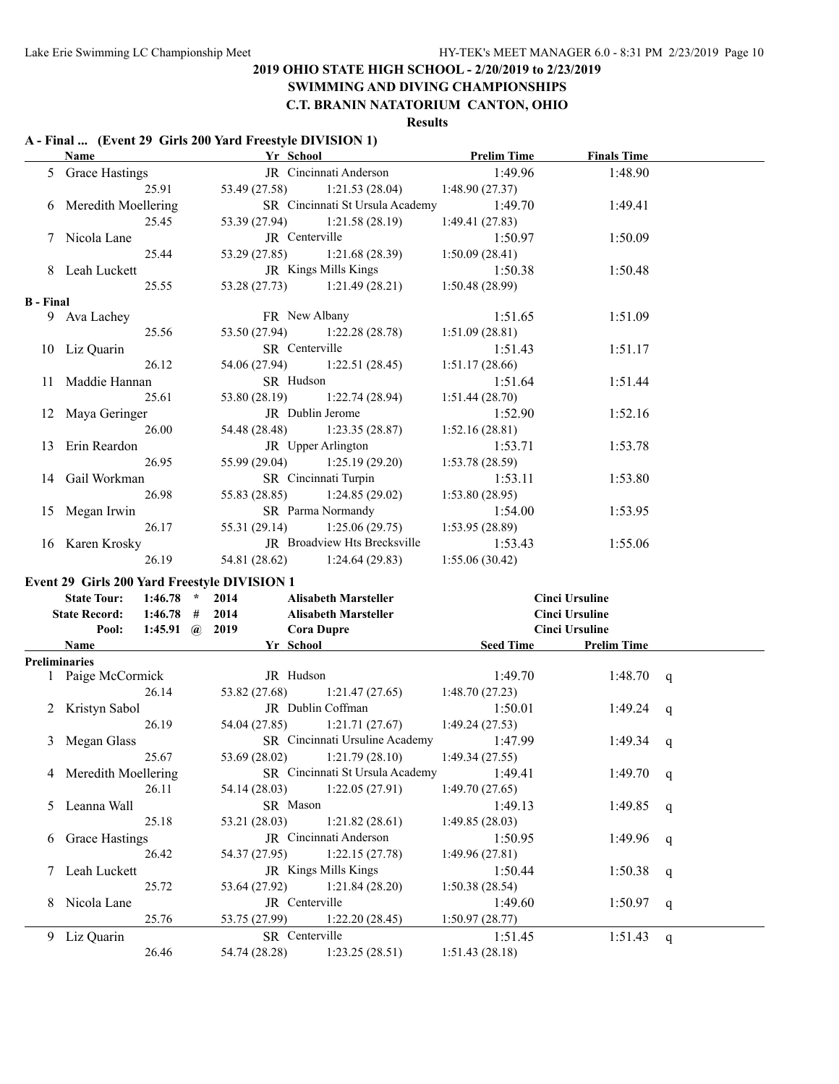#### **SWIMMING AND DIVING CHAMPIONSHIPS C.T. BRANIN NATATORIUM CANTON, OHIO**

#### **Results**

# **A - Final ... (Event 29 Girls 200 Yard Freestyle DIVISION 1)**

|                  | Name                                         | Yr School         |                                               | <b>Prelim Time</b> | <b>Finals Time</b>    |  |
|------------------|----------------------------------------------|-------------------|-----------------------------------------------|--------------------|-----------------------|--|
|                  | 5 Grace Hastings                             |                   | JR Cincinnati Anderson                        | 1:49.96            | 1:48.90               |  |
|                  | 25.91                                        |                   | 53.49 (27.58) 1:21.53 (28.04) 1:48.90 (27.37) |                    |                       |  |
|                  | 6 Meredith Moellering                        |                   | SR Cincinnati St Ursula Academy               | 1:49.70            | 1:49.41               |  |
|                  | 25.45                                        |                   | 53.39 (27.94) 1:21.58 (28.19)                 | 1:49.41 (27.83)    |                       |  |
|                  | 7 Nicola Lane                                |                   | JR Centerville                                | 1:50.97            | 1:50.09               |  |
|                  | 25.44                                        |                   | $53.29(27.85)$ 1:21.68 (28.39)                | 1:50.09(28.41)     |                       |  |
|                  | 8 Leah Luckett                               |                   | JR Kings Mills Kings                          | 1:50.38            | 1:50.48               |  |
|                  | 25.55                                        |                   | 53.28 (27.73) 1:21.49 (28.21)                 | 1:50.48(28.99)     |                       |  |
| <b>B</b> - Final |                                              |                   |                                               |                    |                       |  |
|                  | 9 Ava Lachey                                 |                   | FR New Albany                                 | 1:51.65            | 1:51.09               |  |
|                  | 25.56                                        |                   | 53.50 (27.94) 1:22.28 (28.78)                 | 1:51.09(28.81)     |                       |  |
|                  | 10 Liz Quarin                                |                   | SR Centerville                                | 1:51.43            | 1:51.17               |  |
|                  | 26.12                                        |                   | 54.06 (27.94) 1:22.51 (28.45)                 | 1:51.17(28.66)     |                       |  |
|                  | 11 Maddie Hannan                             | SR Hudson         |                                               | 1:51.64            | 1:51.44               |  |
|                  | 25.61                                        |                   | $53.80(28.19)$ 1:22.74 (28.94)                | 1:51.44(28.70)     |                       |  |
|                  | 12 Maya Geringer                             |                   | JR Dublin Jerome                              | 1:52.90            | 1:52.16               |  |
|                  | 26.00                                        |                   | 54.48 (28.48) 1:23.35 (28.87)                 | 1:52.16(28.81)     |                       |  |
|                  | 13 Erin Reardon                              |                   | JR Upper Arlington                            | 1:53.71            | 1:53.78               |  |
|                  | 26.95                                        |                   | 55.99 (29.04) 1:25.19 (29.20)                 | 1:53.78(28.59)     |                       |  |
|                  | 14 Gail Workman                              |                   | SR Cincinnati Turpin                          | 1:53.11            | 1:53.80               |  |
|                  | 26.98                                        |                   | 55.83 (28.85) 1:24.85 (29.02)                 | 1:53.80(28.95)     |                       |  |
|                  | 15 Megan Irwin                               |                   | SR Parma Normandy                             | 1:54.00            | 1:53.95               |  |
|                  | 26.17                                        | 55.31 (29.14)     | 1:25.06(29.75)                                | 1:53.95(28.89)     |                       |  |
|                  | 16 Karen Krosky                              |                   | JR Broadview Hts Brecksville                  | 1:53.43            | 1:55.06               |  |
|                  | 26.19                                        |                   | 54.81 (28.62) 1:24.64 (29.83)                 | 1:55.06(30.42)     |                       |  |
|                  | Event 29 Girls 200 Yard Freestyle DIVISION 1 |                   |                                               |                    |                       |  |
|                  | <b>State Tour:</b><br>$1:46.78$ *            | 2014              | <b>Alisabeth Marsteller</b>                   |                    | <b>Cinci Ursuline</b> |  |
|                  | State Record: 1:46.78 # 2014                 |                   | <b>Alisabeth Marsteller</b>                   |                    | <b>Cinci Ursuline</b> |  |
|                  | Pool: 1:45.91 @ 2019                         | <b>Cora Dupre</b> |                                               |                    | <b>Cinci Ursuline</b> |  |
|                  | Name                                         |                   | Yr School                                     |                    | Seed Time Prelim Time |  |
|                  | Preliminaries                                |                   |                                               |                    |                       |  |
|                  | 1 Paige McCormick                            | JR Hudson         |                                               | 1:49.70            | $1:48.70 \text{ a}$   |  |

|   | <b>Preliminaries</b>  |                |                                                |                |         |   |
|---|-----------------------|----------------|------------------------------------------------|----------------|---------|---|
|   | Paige McCormick       | JR Hudson      |                                                | 1:49.70        | 1:48.70 | q |
|   | 26.14                 |                | 53.82 (27.68) 1:21.47 (27.65)                  | 1:48.70(27.23) |         |   |
|   | 2 Kristyn Sabol       |                | JR Dublin Coffman                              | 1:50.01        | 1:49.24 | q |
|   | 26.19                 |                | 54.04 (27.85) 1:21.71 (27.67) 1:49.24 (27.53)  |                |         |   |
| 3 | Megan Glass           |                | SR Cincinnati Ursuline Academy                 | 1:47.99        | 1:49.34 | q |
|   | 25.67                 |                | $53.69(28.02)$ 1:21.79 (28.10) 1:49.34 (27.55) |                |         |   |
|   | 4 Meredith Moellering |                | SR Cincinnati St Ursula Academy                | 1:49.41        | 1:49.70 | q |
|   | 26.11                 |                | $54.14(28.03)$ 1:22.05 (27.91)                 | 1:49.70(27.65) |         |   |
|   | 5 Leanna Wall         | SR Mason       |                                                | 1:49.13        | 1:49.85 | q |
|   | 25.18                 |                | $53.21(28.03)$ $1:21.82(28.61)$                | 1:49.85(28.03) |         |   |
| 6 | <b>Grace Hastings</b> |                | <b>JR</b> Cincinnati Anderson                  | 1:50.95        | 1:49.96 | q |
|   | 26.42                 |                | 54.37 (27.95) 1:22.15 (27.78)                  | 1:49.96(27.81) |         |   |
|   | 7 Leah Luckett        |                | JR Kings Mills Kings                           | 1:50.44        | 1:50.38 | q |
|   | 25.72                 |                | $53.64(27.92)$ 1:21.84 (28.20)                 | 1:50.38(28.54) |         |   |
|   | 8 Nicola Lane         | JR Centerville |                                                | 1:49.60        | 1:50.97 | q |
|   | 25.76                 |                | 1:22.20(28.45)                                 | 1:50.97(28.77) |         |   |
| 9 | Liz Quarin            | SR Centerville |                                                | 1:51.45        | 1:51.43 | q |
|   | 26.46                 | 54.74 (28.28)  | 1:23.25(28.51)                                 | 1:51.43(28.18) |         |   |
|   |                       |                |                                                |                |         |   |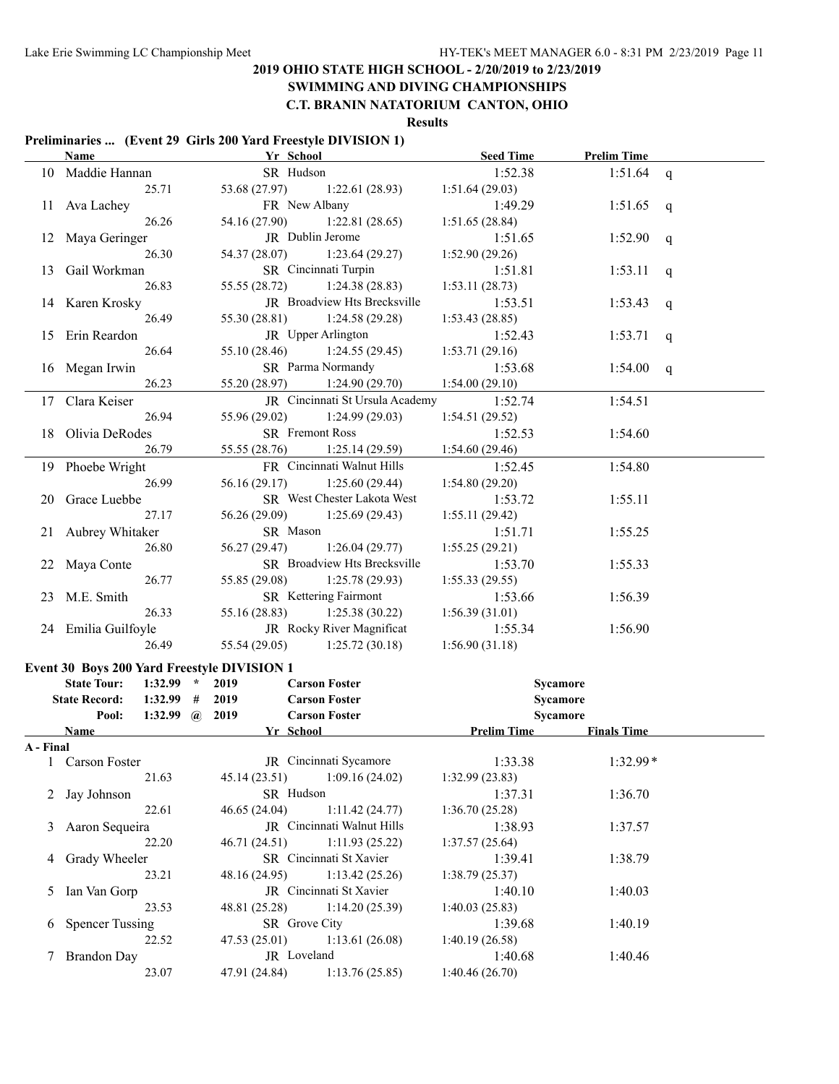# **SWIMMING AND DIVING CHAMPIONSHIPS**

### **C.T. BRANIN NATATORIUM CANTON, OHIO**

#### **Results**

#### **Preliminaries ... (Event 29 Girls 200 Yard Freestyle DIVISION 1)**

|           | <b>Name</b>                                 | Yr School                       | <b>Seed Time</b>          | <b>Prelim Time</b> |  |
|-----------|---------------------------------------------|---------------------------------|---------------------------|--------------------|--|
|           | 10 Maddie Hannan                            | SR Hudson                       | 1:52.38                   | 1:51.64<br>q       |  |
|           | 25.71                                       | 53.68 (27.97)<br>1:22.61(28.93) | 1:51.64(29.03)            |                    |  |
|           | 11 Ava Lachey                               | FR New Albany                   | 1:49.29                   | 1:51.65<br>q       |  |
|           | 26.26                                       | 54.16 (27.90)<br>1:22.81(28.65) | 1:51.65(28.84)            |                    |  |
|           | 12 Maya Geringer                            | JR Dublin Jerome                | 1:51.65                   | 1:52.90<br>q       |  |
|           | 26.30                                       | 54.37 (28.07)<br>1:23.64(29.27) | 1:52.90 (29.26)           |                    |  |
| 13        | Gail Workman                                | SR Cincinnati Turpin            | 1:51.81                   | 1:53.11<br>q       |  |
|           | 26.83                                       | 55.55 (28.72)<br>1:24.38(28.83) | 1:53.11(28.73)            |                    |  |
|           | 14 Karen Krosky                             | JR Broadview Hts Brecksville    | 1:53.51                   | 1:53.43<br>q       |  |
|           | 26.49                                       | 55.30 (28.81)<br>1:24.58(29.28) | 1:53.43(28.85)            |                    |  |
|           | 15 Erin Reardon                             | JR Upper Arlington              | 1:52.43                   | 1:53.71<br>q       |  |
|           | 26.64                                       | 55.10 (28.46)<br>1:24.55(29.45) | 1:53.71(29.16)            |                    |  |
|           | 16 Megan Irwin                              | SR Parma Normandy               | 1:53.68                   | 1:54.00<br>q       |  |
|           | 26.23                                       | 55.20 (28.97)<br>1:24.90(29.70) | 1:54.00(29.10)            |                    |  |
| 17        | Clara Keiser                                | JR Cincinnati St Ursula Academy | 1:52.74                   | 1:54.51            |  |
|           | 26.94                                       | 55.96 (29.02)<br>1:24.99(29.03) | 1:54.51(29.52)            |                    |  |
| 18        | Olivia DeRodes                              | SR Fremont Ross                 | 1:52.53                   | 1:54.60            |  |
|           | 26.79                                       | 55.55 (28.76)<br>1:25.14(29.59) | 1:54.60(29.46)            |                    |  |
|           | 19 Phoebe Wright                            | FR Cincinnati Walnut Hills      | 1:52.45                   | 1:54.80            |  |
|           | 26.99                                       | 56.16 (29.17)<br>1:25.60(29.44) | 1:54.80(29.20)            |                    |  |
| 20        | Grace Luebbe                                | SR West Chester Lakota West     | 1:53.72                   | 1:55.11            |  |
|           | 27.17                                       | 56.26 (29.09)<br>1:25.69(29.43) | 1:55.11(29.42)            |                    |  |
| 21        | Aubrey Whitaker                             | SR Mason                        | 1:51.71                   | 1:55.25            |  |
|           | 26.80                                       | 56.27 (29.47)<br>1:26.04(29.77) | 1:55.25(29.21)            |                    |  |
|           | 22 Maya Conte                               | SR Broadview Hts Brecksville    | 1:53.70                   | 1:55.33            |  |
|           | 26.77                                       | 55.85 (29.08)<br>1:25.78(29.93) | 1:55.33(29.55)            |                    |  |
| 23        | M.E. Smith                                  | SR Kettering Fairmont           | 1:53.66                   | 1:56.39            |  |
|           | 26.33                                       | 55.16 (28.83)<br>1:25.38(30.22) | 1:56.39(31.01)            |                    |  |
|           | 24 Emilia Guilfoyle                         | JR Rocky River Magnificat       | 1:55.34                   | 1:56.90            |  |
|           | 26.49                                       | 55.54 (29.05)<br>1:25.72(30.18) | 1:56.90(31.18)            |                    |  |
|           | Event 30 Boys 200 Yard Freestyle DIVISION 1 |                                 |                           |                    |  |
|           | <b>State Tour:</b><br>$1:32.99$ *           | 2019<br><b>Carson Foster</b>    | Sycamore                  |                    |  |
|           | 1:32.99<br><b>State Record:</b><br>#        | <b>Carson Foster</b><br>2019    | Sycamore                  |                    |  |
|           | 1:32.99 $\omega$ 2019<br>Pool:              | <b>Carson Foster</b>            | Sycamore                  |                    |  |
|           | Name                                        | Yr School                       | <b>Prelim Time</b>        | <b>Finals Time</b> |  |
| A - Final |                                             |                                 |                           |                    |  |
|           | 1 Carson Foster                             | JR Cincinnati Sycamore          | 1:33.38                   | $1:32.99*$         |  |
|           | 21.63                                       | 1:09.16(24.02)<br>45.14 (23.51) | 1:32.99(23.83)            |                    |  |
|           | Jay Johnson                                 | SR Hudson                       | 1:37.31                   | 1:36.70            |  |
|           | 22.61                                       | 1:11.42(24.77)<br>46.65 (24.04) | 1:36.70 (25.28)           |                    |  |
| 3         | Aaron Sequeira                              | JR Cincinnati Walnut Hills      | 1:38.93                   | 1:37.57            |  |
|           | 22.20                                       | 1:11.93(25.22)<br>46.71 (24.51) | 1:37.57(25.64)            |                    |  |
| 4         | Grady Wheeler                               | SR Cincinnati St Xavier         | 1:39.41                   | 1:38.79            |  |
|           | 23.21                                       | 1:13.42(25.26)<br>48.16 (24.95) | 1:38.79(25.37)            |                    |  |
| 5         | Ian Van Gorp                                | JR Cincinnati St Xavier         | 1:40.10                   | 1:40.03            |  |
|           | 23.53                                       | 1:14.20(25.39)<br>48.81 (25.28) | 1:40.03(25.83)            |                    |  |
| 6         | <b>Spencer Tussing</b>                      | SR Grove City                   | 1:39.68                   | 1:40.19            |  |
|           | 22.52                                       | 1:13.61(26.08)<br>47.53(25.01)  | 1:40.19(26.58)            |                    |  |
|           | <b>Brandon Day</b><br>23.07                 | JR Loveland<br>47.91 (24.84)    | 1:40.68<br>1:40.46(26.70) | 1:40.46            |  |
|           |                                             | 1:13.76(25.85)                  |                           |                    |  |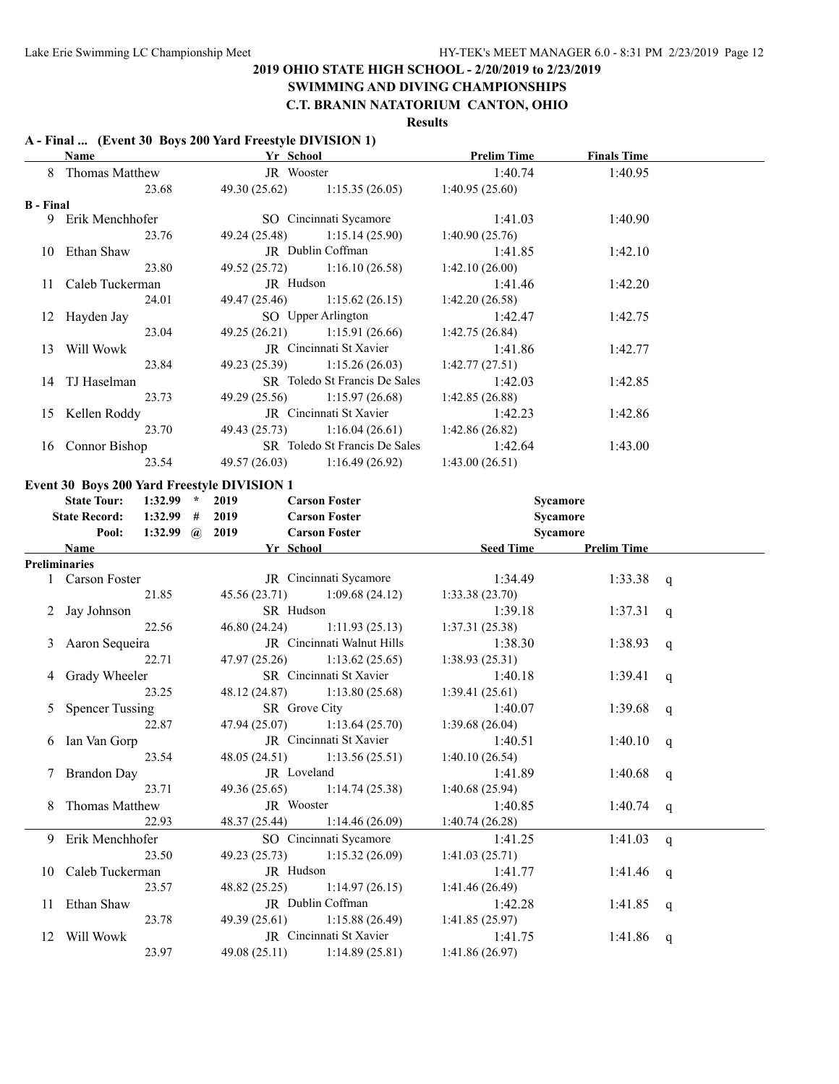#### **SWIMMING AND DIVING CHAMPIONSHIPS C.T. BRANIN NATATORIUM CANTON, OHIO**

#### **Results**

# **A - Final ... (Event 30 Boys 200 Yard Freestyle DIVISION 1)**

|                  | Name                   |                       | Yr School                                   |                               | <b>Prelim Time</b> | <b>Finals Time</b> |              |
|------------------|------------------------|-----------------------|---------------------------------------------|-------------------------------|--------------------|--------------------|--------------|
|                  | 8 Thomas Matthew       |                       | JR Wooster                                  |                               | 1:40.74            | 1:40.95            |              |
|                  |                        | 23.68                 | 49.30 (25.62)                               | 1:15.35(26.05)                | 1:40.95(25.60)     |                    |              |
| <b>B</b> - Final |                        |                       |                                             |                               |                    |                    |              |
|                  | 9 Erik Menchhofer      |                       |                                             | SO Cincinnati Sycamore        | 1:41.03            | 1:40.90            |              |
|                  |                        | 23.76                 | 49.24 (25.48)                               | 1:15.14(25.90)                | 1:40.90(25.76)     |                    |              |
|                  | 10 Ethan Shaw          |                       |                                             | JR Dublin Coffman             | 1:41.85            | 1:42.10            |              |
|                  |                        | 23.80                 | 49.52 (25.72)                               | 1:16.10(26.58)                | 1:42.10(26.00)     |                    |              |
|                  | 11 Caleb Tuckerman     |                       | JR Hudson                                   |                               | 1:41.46            | 1:42.20            |              |
|                  |                        | 24.01                 | 49.47 (25.46)                               | 1:15.62(26.15)                | 1:42.20(26.58)     |                    |              |
|                  | 12 Hayden Jay          |                       |                                             | SO Upper Arlington            | 1:42.47            | 1:42.75            |              |
|                  |                        | 23.04                 |                                             | 49.25 (26.21) 1:15.91 (26.66) | 1:42.75(26.84)     |                    |              |
|                  | 13 Will Wowk           |                       |                                             | JR Cincinnati St Xavier       | 1:41.86            | 1:42.77            |              |
|                  |                        | 23.84                 |                                             | 49.23 (25.39) 1:15.26 (26.03) | 1:42.77(27.51)     |                    |              |
|                  | 14 TJ Haselman         |                       |                                             | SR Toledo St Francis De Sales | 1:42.03            | 1:42.85            |              |
|                  |                        | 23.73                 | 49.29 (25.56)                               | 1:15.97(26.68)                | 1:42.85(26.88)     |                    |              |
|                  | 15 Kellen Roddy        |                       |                                             | JR Cincinnati St Xavier       | 1:42.23            | 1:42.86            |              |
|                  |                        | 23.70                 | 49.43 (25.73)                               | 1:16.04(26.61)                | 1:42.86(26.82)     |                    |              |
|                  | 16 Connor Bishop       |                       |                                             | SR Toledo St Francis De Sales | 1:42.64            | 1:43.00            |              |
|                  |                        | 23.54                 |                                             | 49.57 (26.03) 1:16.49 (26.92) | 1:43.00(26.51)     |                    |              |
|                  |                        |                       |                                             |                               |                    |                    |              |
|                  |                        |                       | Event 30 Boys 200 Yard Freestyle DIVISION 1 |                               |                    |                    |              |
|                  | <b>State Tour:</b>     | $1:32.99$ *           | 2019                                        | <b>Carson Foster</b>          | Sycamore           |                    |              |
|                  | <b>State Record:</b>   | $1:32.99$ #           | 2019                                        | <b>Carson Foster</b>          | Sycamore           |                    |              |
|                  | Pool:                  | 1:32.99 $\omega$ 2019 |                                             | <b>Carson Foster</b>          | Sycamore           |                    |              |
|                  | <b>Name</b>            |                       | Yr School                                   |                               | <b>Seed Time</b>   | <b>Prelim Time</b> |              |
|                  | <b>Preliminaries</b>   |                       |                                             |                               |                    |                    |              |
|                  | 1 Carson Foster        |                       |                                             | JR Cincinnati Sycamore        | 1:34.49            | 1:33.38            | q            |
|                  |                        | 21.85                 | 45.56 (23.71)                               | 1:09.68(24.12)                | 1:33.38(23.70)     |                    |              |
|                  | 2 Jay Johnson          |                       | SR Hudson                                   |                               | 1:39.18            | 1:37.31            | q            |
|                  |                        | 22.56                 | 46.80 (24.24)                               | 1:11.93(25.13)                | 1:37.31(25.38)     |                    |              |
| 3                | Aaron Sequeira         |                       |                                             | JR Cincinnati Walnut Hills    | 1:38.30            | 1:38.93            | q            |
|                  |                        | 22.71                 | 47.97 (25.26)                               | 1:13.62(25.65)                | 1:38.93(25.31)     |                    |              |
| 4                | Grady Wheeler          |                       |                                             | SR Cincinnati St Xavier       | 1:40.18            | 1:39.41            | q            |
|                  |                        | 23.25                 | 48.12 (24.87)                               | 1:13.80(25.68)                | 1:39.41(25.61)     |                    |              |
| 5                | <b>Spencer Tussing</b> |                       | SR Grove City                               |                               | 1:40.07            | 1:39.68            | q            |
|                  |                        | 22.87                 | 47.94 (25.07)                               | 1:13.64(25.70)                | 1:39.68(26.04)     |                    |              |
| 6                | Ian Van Gorp           |                       |                                             | JR Cincinnati St Xavier       | 1:40.51            | 1:40.10            | q            |
|                  |                        | 23.54                 | 48.05 (24.51)                               | 1:13.56(25.51)                | 1:40.10(26.54)     |                    |              |
|                  | 7 Brandon Day          |                       | JR Loveland                                 |                               | 1:41.89            | 1:40.68            | q            |
|                  |                        | 23.71                 | 49.36 (25.65)                               | 1:14.74(25.38)                | 1:40.68(25.94)     |                    |              |
| 8                | Thomas Matthew         |                       | JR Wooster                                  |                               | 1:40.85            | 1:40.74            | $\mathsf{q}$ |
|                  |                        | 22.93                 | 48.37 (25.44)                               | 1:14.46(26.09)                | 1:40.74 (26.28)    |                    |              |
|                  | 9 Erik Menchhofer      |                       |                                             | SO Cincinnati Sycamore        | 1:41.25            | 1:41.03            | $\mathsf{q}$ |
|                  |                        | 23.50                 | 49.23 (25.73)                               | 1:15.32(26.09)                | 1:41.03(25.71)     |                    |              |
| 10               | Caleb Tuckerman        |                       | JR Hudson                                   |                               | 1:41.77            | 1:41.46            | q            |
|                  |                        | 23.57                 | 48.82 (25.25)                               | 1:14.97(26.15)                | 1:41.46 (26.49)    |                    |              |
|                  | 11 Ethan Shaw          |                       |                                             | JR Dublin Coffman             | 1:42.28            | 1:41.85            | $\mathsf{q}$ |
|                  |                        | 23.78                 | 49.39 (25.61)                               | 1:15.88(26.49)                | 1:41.85(25.97)     |                    |              |
|                  | 12 Will Wowk           |                       |                                             | JR Cincinnati St Xavier       | 1:41.75            | 1:41.86            | $\mathsf{q}$ |
|                  |                        | 23.97                 | 49.08 (25.11)                               | 1:14.89(25.81)                | 1:41.86 (26.97)    |                    |              |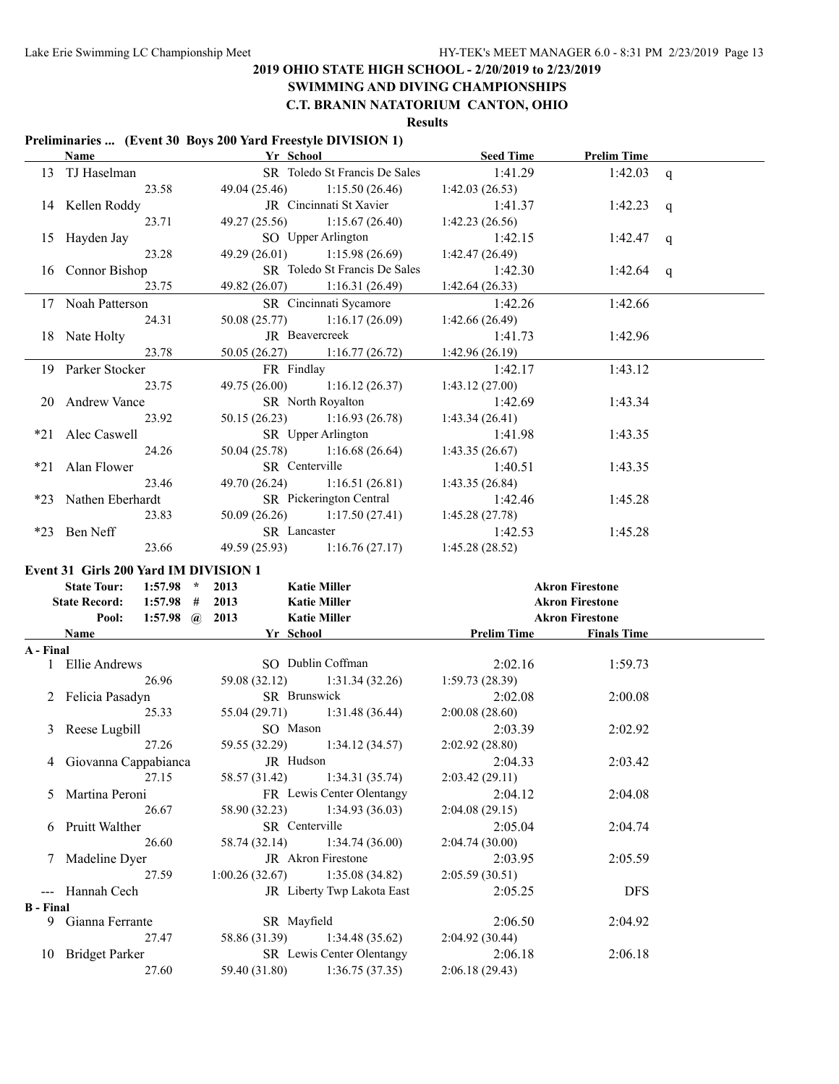# **SWIMMING AND DIVING CHAMPIONSHIPS**

**C.T. BRANIN NATATORIUM CANTON, OHIO**

**Results**

#### **Preliminaries ... (Event 30 Boys 200 Yard Freestyle DIVISION 1)**

|                  | Name                                                                       | $\frac{1}{2}$<br><b>Yr</b> School            | <b>Seed Time</b>                  | <b>Prelim Time</b>     |              |
|------------------|----------------------------------------------------------------------------|----------------------------------------------|-----------------------------------|------------------------|--------------|
|                  | 13 TJ Haselman                                                             | SR Toledo St Francis De Sales                | 1:41.29                           | 1:42.03                | $\mathbf{q}$ |
|                  | 23.58                                                                      | 49.04 (25.46)                                | 1:15.50(26.46)<br>1:42.03(26.53)  |                        |              |
|                  | 14 Kellen Roddy                                                            | JR Cincinnati St Xavier                      | 1:41.37                           | 1:42.23                | q            |
|                  | 23.71                                                                      | 49.27 (25.56)                                | 1:15.67(26.40)<br>1:42.23(26.56)  |                        |              |
|                  | 15 Hayden Jay                                                              | SO Upper Arlington                           | 1:42.15                           | 1:42.47                | q            |
|                  | 23.28                                                                      | 49.29 (26.01)                                | 1:15.98(26.69)<br>1:42.47(26.49)  |                        |              |
|                  | 16 Connor Bishop                                                           | SR Toledo St Francis De Sales                | 1:42.30                           | 1:42.64                | q            |
|                  | 23.75                                                                      | 49.82 (26.07)                                | 1:16.31(26.49)<br>1:42.64(26.33)  |                        |              |
|                  | 17 Noah Patterson                                                          | SR Cincinnati Sycamore                       | 1:42.26                           | 1:42.66                |              |
|                  | 24.31                                                                      | 50.08 (25.77)                                | 1:16.17(26.09)<br>1:42.66(26.49)  |                        |              |
|                  | 18 Nate Holty                                                              | JR Beavercreek                               | 1:41.73                           | 1:42.96                |              |
|                  | 23.78                                                                      | 50.05 (26.27)                                | 1:16.77(26.72)<br>1:42.96 (26.19) |                        |              |
|                  | 19 Parker Stocker                                                          | FR Findlay                                   | 1:42.17                           | 1:43.12                |              |
|                  | 23.75                                                                      | 49.75 (26.00)                                | 1:16.12(26.37)<br>1:43.12(27.00)  |                        |              |
|                  | 20 Andrew Vance                                                            | SR North Royalton                            | 1:42.69                           | 1:43.34                |              |
|                  | 23.92                                                                      | 50.15(26.23)                                 | 1:16.93(26.78)<br>1:43.34(26.41)  |                        |              |
| $*21$            | Alec Caswell                                                               | SR Upper Arlington                           | 1:41.98                           | 1:43.35                |              |
|                  | 24.26                                                                      | 50.04 (25.78)                                | 1:16.68(26.64)<br>1:43.35(26.67)  |                        |              |
| *21              | Alan Flower                                                                | SR Centerville                               | 1:40.51                           | 1:43.35                |              |
|                  | 23.46                                                                      | 49.70 (26.24)                                | 1:16.51(26.81)<br>1:43.35(26.84)  |                        |              |
| $*23$            | Nathen Eberhardt                                                           | SR Pickerington Central                      | 1:42.46                           | 1:45.28                |              |
|                  | 23.83                                                                      | 50.09 (26.26)                                | 1:17.50(27.41)<br>1:45.28(27.78)  |                        |              |
|                  | *23 Ben Neff                                                               | SR Lancaster                                 | 1:42.53                           | 1:45.28                |              |
|                  | 23.66                                                                      | 49.59 (25.93)                                | 1:16.76(27.17)<br>1:45.28(28.52)  |                        |              |
|                  |                                                                            |                                              |                                   |                        |              |
|                  |                                                                            |                                              |                                   |                        |              |
|                  | Event 31 Girls 200 Yard IM DIVISION 1<br><b>State Tour:</b><br>$1:57.98$ * | 2013<br><b>Katie Miller</b>                  |                                   | <b>Akron Firestone</b> |              |
|                  | <b>State Record:</b>                                                       | $1:57.98$ # 2013<br><b>Katie Miller</b>      |                                   | <b>Akron Firestone</b> |              |
|                  | Pool:                                                                      | 1:57.98 $\omega$ 2013<br><b>Katie Miller</b> |                                   | <b>Akron Firestone</b> |              |
|                  | <b>Name</b>                                                                | Yr School                                    | <b>Prelim Time</b>                | <b>Finals Time</b>     |              |
| A - Final        |                                                                            |                                              |                                   |                        |              |
|                  | 1 Ellie Andrews                                                            | SO Dublin Coffman                            | 2:02.16                           | 1:59.73                |              |
|                  | 26.96                                                                      | 59.08 (32.12)                                | 1:31.34(32.26)<br>1:59.73(28.39)  |                        |              |
|                  | 2 Felicia Pasadyn                                                          | SR Brunswick                                 | 2:02.08                           | 2:00.08                |              |
|                  | 25.33                                                                      | 55.04 (29.71)                                | 1:31.48(36.44)<br>2:00.08(28.60)  |                        |              |
|                  | 3 Reese Lugbill                                                            | SO Mason                                     | 2:03.39                           | 2:02.92                |              |
|                  | 27.26                                                                      | 59.55 (32.29)                                | 1:34.12(34.57)<br>2:02.92(28.80)  |                        |              |
| $\overline{4}$   | Giovanna Cappabianca                                                       | JR Hudson                                    | 2:04.33                           | 2:03.42                |              |
|                  | 27.15                                                                      | 58.57 (31.42)                                | 1:34.31(35.74)<br>2:03.42(29.11)  |                        |              |
| 5                | Martina Peroni                                                             | FR Lewis Center Olentangy                    | 2:04.12                           | 2:04.08                |              |
|                  | 26.67                                                                      | 58.90 (32.23)                                | 1:34.93(36.03)<br>2:04.08(29.15)  |                        |              |
|                  | 6 Pruitt Walther                                                           | SR Centerville                               | 2:05.04                           | 2:04.74                |              |
|                  | 26.60                                                                      | 58.74 (32.14)                                | 1:34.74(36.00)<br>2:04.74(30.00)  |                        |              |
| 7                | Madeline Dyer                                                              | JR Akron Firestone                           | 2:03.95                           | 2:05.59                |              |
|                  | 27.59                                                                      | 1:00.26(32.67)                               | 1:35.08(34.82)<br>2:05.59(30.51)  |                        |              |
|                  | Hannah Cech                                                                | JR Liberty Twp Lakota East                   | 2:05.25                           | <b>DFS</b>             |              |
| <b>B</b> - Final | 9 Gianna Ferrante                                                          | SR Mayfield                                  | 2:06.50                           | 2:04.92                |              |
|                  | 27.47                                                                      | 58.86 (31.39)                                | 1:34.48(35.62)<br>2:04.92 (30.44) |                        |              |
|                  | 10 Bridget Parker                                                          | SR Lewis Center Olentangy                    | 2:06.18                           | 2:06.18                |              |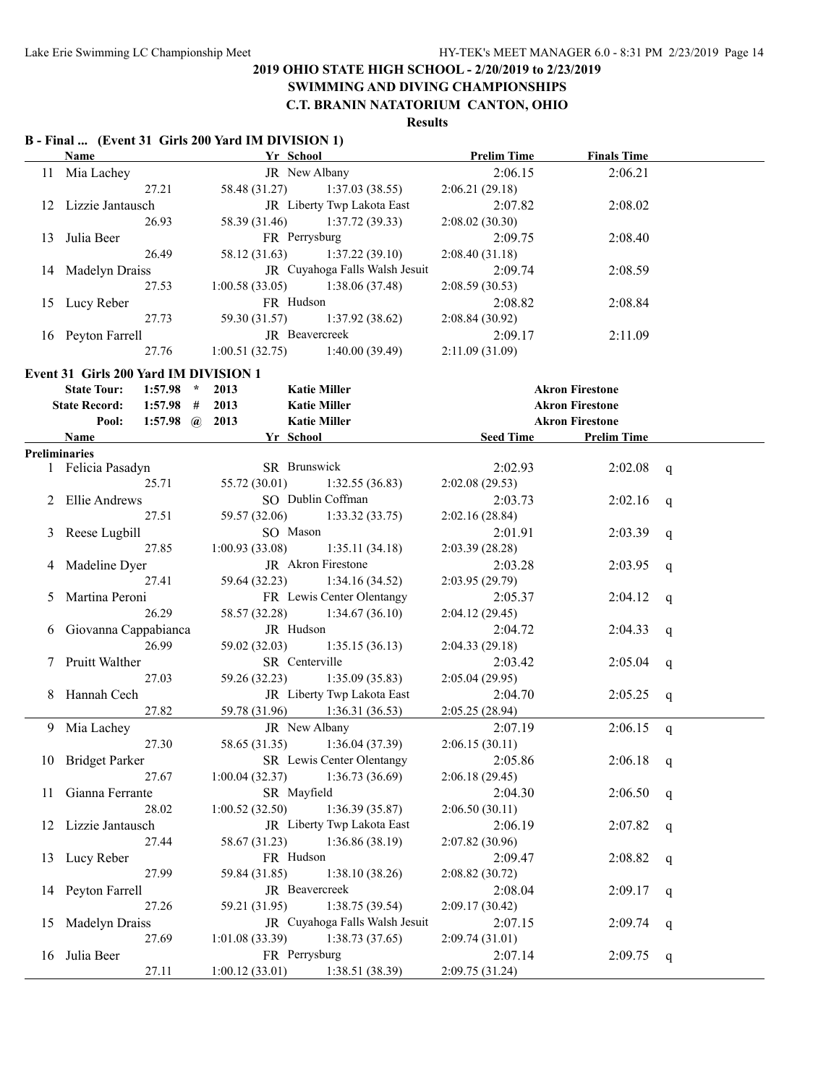# **SWIMMING AND DIVING CHAMPIONSHIPS**

**C.T. BRANIN NATATORIUM CANTON, OHIO**

### **Results**

### **B - Final ... (Event 31 Girls 200 Yard IM DIVISION 1)**

|               | Name                                                                       | Yr School                       |                                   | <b>Prelim Time</b>        | <b>Finals Time</b>     |   |
|---------------|----------------------------------------------------------------------------|---------------------------------|-----------------------------------|---------------------------|------------------------|---|
|               | 11 Mia Lachey                                                              |                                 | JR New Albany                     | 2:06.15                   | 2:06.21                |   |
|               | 27.21                                                                      | 58.48 (31.27)                   | 1:37.03(38.55)                    | 2:06.21(29.18)            |                        |   |
|               | 12 Lizzie Jantausch                                                        |                                 | JR Liberty Twp Lakota East        | 2:07.82                   | 2:08.02                |   |
|               | 26.93                                                                      | 58.39 (31.46)                   | 1:37.72(39.33)                    | 2:08.02(30.30)            |                        |   |
| 13            | Julia Beer                                                                 | FR Perrysburg                   |                                   | 2:09.75                   | 2:08.40                |   |
|               | 26.49                                                                      | 58.12 (31.63)                   | 1:37.22(39.10)                    | 2:08.40(31.18)            |                        |   |
|               | 14 Madelyn Draiss                                                          |                                 | JR Cuyahoga Falls Walsh Jesuit    | 2:09.74                   | 2:08.59                |   |
|               | 27.53                                                                      | 1:00.58(33.05)                  | 1:38.06(37.48)                    | 2:08.59(30.53)            |                        |   |
|               | 15 Lucy Reber                                                              | FR Hudson                       |                                   | 2:08.82                   | 2:08.84                |   |
|               | 27.73                                                                      | 59.30 (31.57)                   | 1:37.92(38.62)                    | 2:08.84 (30.92)           |                        |   |
|               | 16 Peyton Farrell                                                          |                                 | JR Beavercreek                    | 2:09.17                   | 2:11.09                |   |
|               | 27.76                                                                      | 1:00.51(32.75)                  | 1:40.00(39.49)                    | 2:11.09 (31.09)           |                        |   |
|               |                                                                            |                                 |                                   |                           |                        |   |
|               | Event 31 Girls 200 Yard IM DIVISION 1<br>$1:57.98$ *<br><b>State Tour:</b> | 2013                            | <b>Katie Miller</b>               |                           | <b>Akron Firestone</b> |   |
|               | <b>State Record:</b><br>$1:57.98$ #                                        | 2013                            | <b>Katie Miller</b>               |                           | <b>Akron Firestone</b> |   |
|               | 1:57.98 $\omega$ 2013<br>Pool:                                             |                                 | <b>Katie Miller</b>               |                           | <b>Akron Firestone</b> |   |
|               | Name                                                                       | Yr School                       |                                   | <b>Seed Time</b>          | <b>Prelim Time</b>     |   |
|               | <b>Preliminaries</b>                                                       |                                 |                                   |                           |                        |   |
|               | 1 Felicia Pasadyn                                                          | SR Brunswick                    |                                   | 2:02.93                   | 2:02.08                | q |
|               | 25.71                                                                      | 55.72 (30.01)                   | 1:32.55(36.83)                    | 2:02.08(29.53)            |                        |   |
| 2             | <b>Ellie Andrews</b>                                                       |                                 | SO Dublin Coffman                 | 2:03.73                   | 2:02.16                | q |
|               | 27.51                                                                      | 59.57 (32.06)                   | 1:33.32(33.75)                    | 2:02.16(28.84)            |                        |   |
| 3             | Reese Lugbill                                                              | SO Mason                        |                                   | 2:01.91                   | 2:03.39                | q |
|               | 27.85                                                                      | 1:00.93(33.08)                  | 1:35.11(34.18)                    | 2:03.39(28.28)            |                        |   |
| 4             | Madeline Dyer                                                              |                                 | JR Akron Firestone                | 2:03.28                   | 2:03.95                | q |
|               | 27.41                                                                      | 59.64 (32.23)                   | 1:34.16(34.52)                    | 2:03.95(29.79)            |                        |   |
| $\mathcal{L}$ | Martina Peroni                                                             |                                 | FR Lewis Center Olentangy         | 2:05.37                   | 2:04.12                | q |
|               | 26.29                                                                      | 58.57 (32.28)                   | 1:34.67(36.10)                    | 2:04.12(29.45)            |                        |   |
| 6             | Giovanna Cappabianca                                                       | JR Hudson                       |                                   | 2:04.72                   | 2:04.33                | q |
|               | 26.99                                                                      | 59.02 (32.03)                   | 1:35.15(36.13)                    | 2:04.33(29.18)            |                        |   |
|               | Pruitt Walther                                                             | SR Centerville                  |                                   | 2:03.42                   | 2:05.04                | q |
|               | 27.03                                                                      | 59.26 (32.23)                   | 1:35.09(35.83)                    | 2:05.04(29.95)            |                        |   |
|               | 8 Hannah Cech                                                              |                                 | JR Liberty Twp Lakota East        | 2:04.70                   | 2:05.25                | q |
|               | 27.82                                                                      | 59.78 (31.96)                   | 1:36.31(36.53)                    | 2:05.25(28.94)            |                        |   |
|               | 9 Mia Lachey                                                               |                                 | JR New Albany                     | 2:07.19                   | 2:06.15                |   |
|               | 27.30                                                                      | 58.65 (31.35)                   | 1:36.04(37.39)                    | 2:06.15(30.11)            |                        | q |
|               | 10 Bridget Parker                                                          |                                 | SR Lewis Center Olentangy         | 2:05.86                   | $2:06.18$ q            |   |
|               | 27.67                                                                      | 1:00.04(32.37)                  | 1:36.73(36.69)                    | 2:06.18(29.45)            |                        |   |
| 11.           | Gianna Ferrante                                                            | SR Mayfield                     |                                   | 2:04.30                   | 2:06.50                |   |
|               | 28.02                                                                      | 1:00.52(32.50)                  | 1:36.39(35.87)                    | 2:06.50(30.11)            |                        | q |
|               | 12 Lizzie Jantausch                                                        |                                 | JR Liberty Twp Lakota East        | 2:06.19                   | 2:07.82                |   |
|               | 27.44                                                                      | 58.67 (31.23)                   | 1:36.86(38.19)                    | 2:07.82 (30.96)           |                        | q |
|               | 13 Lucy Reber                                                              | FR Hudson                       |                                   | 2:09.47                   | 2:08.82                |   |
|               | 27.99                                                                      | 59.84 (31.85)                   | 1:38.10(38.26)                    |                           |                        | q |
|               | 14 Peyton Farrell                                                          |                                 | JR Beavercreek                    | 2:08.82(30.72)<br>2:08.04 | 2:09.17                |   |
|               | 27.26                                                                      | 59.21 (31.95)                   | 1:38.75(39.54)                    |                           |                        | q |
|               |                                                                            |                                 | JR Cuyahoga Falls Walsh Jesuit    | 2:09.17(30.42)            |                        |   |
| 15            | <b>Madelyn Draiss</b><br>27.69                                             |                                 | 1:38.73(37.65)                    | 2:07.15                   | 2:09.74                | q |
|               |                                                                            | 1:01.08(33.39)<br>FR Perrysburg |                                   | 2:09.74(31.01)            |                        |   |
| 16            | Julia Beer                                                                 |                                 |                                   | 2:07.14                   | 2:09.75                | q |
|               | 27.11                                                                      |                                 | $1:00.12(33.01)$ $1:38.51(38.39)$ | 2:09.75 (31.24)           |                        |   |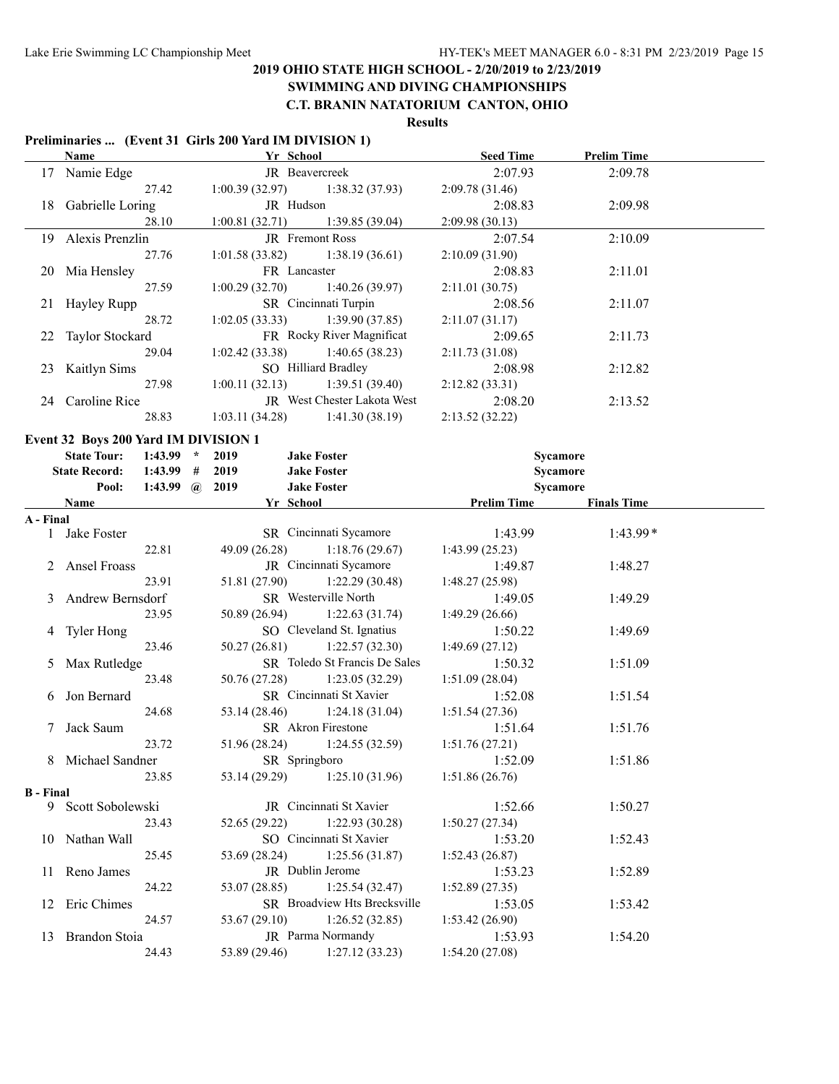#### **SWIMMING AND DIVING CHAMPIONSHIPS C.T. BRANIN NATATORIUM CANTON, OHIO**

# **Results**

#### **Preliminaries ... (Event 31 Girls 200 Yard IM DIVISION 1)**

|     | <b>Name</b>        | Yr School                         |                                    | <b>Seed Time</b> | <b>Prelim Time</b> |  |
|-----|--------------------|-----------------------------------|------------------------------------|------------------|--------------------|--|
| 17  | Namie Edge         | <b>JR</b> Beavercreek             |                                    | 2:07.93          | 2:09.78            |  |
|     | 27.42              | $1:00.39(32.97)$ $1:38.32(37.93)$ |                                    | 2:09.78(31.46)   |                    |  |
| 18  | Gabrielle Loring   | JR Hudson                         |                                    | 2:08.83          | 2:09.98            |  |
|     | 28.10              | 1:00.81(32.71)                    | 1:39.85(39.04)                     | 2:09.98(30.13)   |                    |  |
| 19. | Alexis Prenzlin    |                                   | <b>IR</b> Fremont Ross             | 2:07.54          | 2:10.09            |  |
|     | 27.76              | $1:01.58(33.82)$ $1:38.19(36.61)$ |                                    | 2:10.09(31.90)   |                    |  |
|     | 20 Mia Hensley     | FR Lancaster                      |                                    | 2:08.83          | 2:11.01            |  |
|     | 27.59              | 1:00.29(32.70)                    | 1:40.26(39.97)                     | 2:11.01(30.75)   |                    |  |
| 21  | Hayley Rupp        |                                   | SR Cincinnati Turpin               | 2:08.56          | 2:11.07            |  |
|     | 28.72              | $1:02.05(33.33)$ $1:39.90(37.85)$ |                                    | 2:11.07(31.17)   |                    |  |
|     | 22 Taylor Stockard |                                   | FR Rocky River Magnificat          | 2:09.65          | 2:11.73            |  |
|     | 29.04              | 1:02.42(33.38)                    | 1:40.65(38.23)                     | 2:11.73(31.08)   |                    |  |
| 23  | Kaitlyn Sims       |                                   | SO Hilliard Bradley                | 2:08.98          | 2:12.82            |  |
|     | 27.98              | 1:00.11(32.13)                    | 1:39.51(39.40)                     | 2:12.82(33.31)   |                    |  |
|     | 24 Caroline Rice   |                                   | <b>JR</b> West Chester Lakota West | 2:08.20          | 2:13.52            |  |
|     | 28.83              | 1:03.11(34.28)                    | 1:41.30(38.19)                     | 2:13.52(32.22)   |                    |  |

#### **Event 32 Boys 200 Yard IM DIVISION 1**

|                  | <b>State Tour:</b>   | $1:43.99$ *           | 2019          | <b>Jake Foster</b>              | Sycamore           |                    |  |
|------------------|----------------------|-----------------------|---------------|---------------------------------|--------------------|--------------------|--|
|                  | <b>State Record:</b> | $1:43.99$ #           | 2019          | <b>Jake Foster</b>              | Sycamore           |                    |  |
|                  | Pool:                | 1:43.99 $\omega$ 2019 |               | <b>Jake Foster</b>              | Sycamore           |                    |  |
|                  | Name                 |                       |               | Yr School                       | <b>Prelim Time</b> | <b>Finals Time</b> |  |
| A - Final        |                      |                       |               |                                 |                    |                    |  |
|                  | 1 Jake Foster        |                       |               | SR Cincinnati Sycamore          | 1:43.99            | $1:43.99*$         |  |
|                  |                      | 22.81                 |               | 49.09 (26.28) 1:18.76 (29.67)   | 1:43.99(25.23)     |                    |  |
|                  | 2 Ansel Froass       |                       |               | JR Cincinnati Sycamore          | 1:49.87            | 1:48.27            |  |
|                  |                      | 23.91                 | 51.81 (27.90) | 1:22.29(30.48)                  | 1:48.27(25.98)     |                    |  |
|                  | 3 Andrew Bernsdorf   |                       |               | SR Westerville North            | 1:49.05            | 1:49.29            |  |
|                  |                      | 23.95                 |               | 50.89 (26.94) 1:22.63 (31.74)   | 1:49.29(26.66)     |                    |  |
|                  | 4 Tyler Hong         |                       |               | SO Cleveland St. Ignatius       | 1:50.22            | 1:49.69            |  |
|                  |                      | 23.46                 |               | $50.27(26.81)$ $1:22.57(32.30)$ | 1:49.69(27.12)     |                    |  |
|                  | Max Rutledge         |                       |               | SR Toledo St Francis De Sales   | 1:50.32            | 1:51.09            |  |
|                  |                      | 23.48                 |               | 50.76 (27.28) 1:23.05 (32.29)   | 1:51.09(28.04)     |                    |  |
| 6                | Jon Bernard          |                       |               | SR Cincinnati St Xavier         | 1:52.08            | 1:51.54            |  |
|                  |                      | 24.68                 |               | $53.14(28.46)$ 1:24.18 (31.04)  | 1:51.54(27.36)     |                    |  |
|                  | Jack Saum            |                       |               | SR Akron Firestone              | 1:51.64            | 1:51.76            |  |
|                  |                      | 23.72                 |               | 1:24.55(32.59)                  | 1:51.76(27.21)     |                    |  |
|                  | 8 Michael Sandner    |                       |               | SR Springboro                   | 1:52.09            | 1:51.86            |  |
|                  |                      | 23.85                 |               | 53.14 (29.29) 1:25.10 (31.96)   | 1:51.86(26.76)     |                    |  |
| <b>B</b> - Final |                      |                       |               |                                 |                    |                    |  |
|                  | 9 Scott Sobolewski   |                       |               | JR Cincinnati St Xavier         | 1:52.66            | 1:50.27            |  |
|                  |                      | 23.43                 |               | $52.65(29.22)$ 1:22.93 (30.28)  | 1:50.27(27.34)     |                    |  |
|                  | 10 Nathan Wall       |                       |               | SO Cincinnati St Xavier         | 1:53.20            | 1:52.43            |  |
|                  |                      | 25.45                 | 53.69 (28.24) | 1:25.56(31.87)                  | 1:52.43(26.87)     |                    |  |
|                  | 11 Reno James        |                       |               | JR Dublin Jerome                | 1:53.23            | 1:52.89            |  |
|                  |                      | 24.22                 |               | $53.07(28.85)$ 1:25.54 (32.47)  | 1:52.89(27.35)     |                    |  |
|                  | 12 Eric Chimes       |                       |               | SR Broadview Hts Brecksville    | 1:53.05            | 1:53.42            |  |
|                  |                      | 24.57                 |               | 1:26.52(32.85)                  | 1:53.42(26.90)     |                    |  |
|                  | 13 Brandon Stoia     |                       |               | JR Parma Normandy               | 1:53.93            | 1:54.20            |  |
|                  |                      | 24.43                 |               | 53.89 (29.46) 1:27.12 (33.23)   | 1:54.20(27.08)     |                    |  |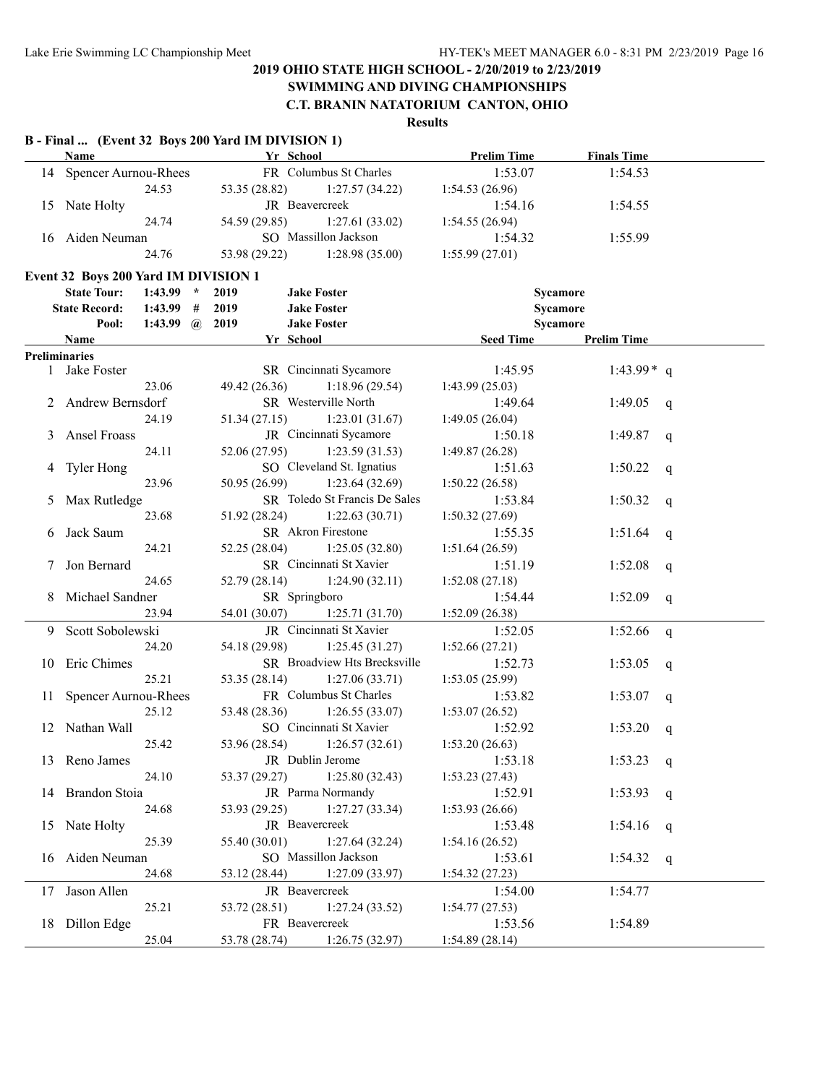**SWIMMING AND DIVING CHAMPIONSHIPS**

**C.T. BRANIN NATATORIUM CANTON, OHIO**

| FR Columbus St Charles<br>14 Spencer Aurnou-Rhees<br>1:53.07<br>1:54.53<br>24.53<br>53.35 (28.82)<br>1:27.57(34.22)<br>1:54.53(26.96)<br>JR Beavercreek<br>15 Nate Holty<br>1:54.16<br>1:54.55<br>54.59 (29.85)<br>1:27.61(33.02)<br>24.74<br>1:54.55(26.94)<br>SO Massillon Jackson<br>16 Aiden Neuman<br>1:54.32<br>1:55.99<br>53.98 (29.22)<br>1:28.98(35.00)<br>24.76<br>1:55.99(27.01)<br>Event 32 Boys 200 Yard IM DIVISION 1<br><b>State Tour:</b><br>$1:43.99$ *<br>2019<br><b>Jake Foster</b><br>Sycamore<br><b>State Record:</b><br>2019<br><b>Jake Foster</b><br><b>Sycamore</b><br>$1:43.99$ #<br>2019<br><b>Jake Foster</b><br>Sycamore<br>Pool:<br>1:43.99 $\omega$<br><b>Prelim Time</b><br>Yr School<br><b>Seed Time</b><br>Name<br><b>Preliminaries</b><br>SR Cincinnati Sycamore<br>1 Jake Foster<br>1:43.99 $*$ q<br>1:45.95<br>49.42 (26.36)<br>23.06<br>1:18.96(29.54)<br>1:43.99(25.03)<br>SR Westerville North<br>2 Andrew Bernsdorf<br>1:49.64<br>1:49.05<br>q<br>24.19<br>51.34(27.15)<br>1:23.01(31.67)<br>1:49.05(26.04)<br>JR Cincinnati Sycamore<br>3 Ansel Froass<br>1:50.18<br>1:49.87<br>$\mathsf{q}$<br>24.11<br>52.06(27.95)<br>1:23.59(31.53)<br>1:49.87(26.28)<br>SO Cleveland St. Ignatius<br>4 Tyler Hong<br>1:51.63<br>1:50.22<br>$\mathsf{q}$<br>23.96<br>50.95 (26.99)<br>1:23.64(32.69)<br>1:50.22(26.58)<br>SR Toledo St Francis De Sales<br>Max Rutledge<br>1:53.84<br>1:50.32<br>5<br>$\mathsf{q}$<br>23.68<br>51.92 (28.24)<br>1:22.63(30.71)<br>1:50.32(27.69)<br>SR Akron Firestone<br>Jack Saum<br>1:55.35<br>1:51.64<br>6<br>$\mathsf{q}$<br>24.21<br>52.25(28.04)<br>1:25.05(32.80)<br>1:51.64(26.59)<br>SR Cincinnati St Xavier<br>Jon Bernard<br>1:51.19<br>1:52.08<br>7<br>$\mathsf{q}$<br>24.65<br>52.79 (28.14)<br>1:24.90(32.11)<br>1:52.08(27.18)<br>Michael Sandner<br>SR Springboro<br>1:54.44<br>1:52.09<br>8<br>q<br>23.94<br>54.01 (30.07)<br>1:52.09(26.38)<br>1:25.71(31.70)<br>JR Cincinnati St Xavier<br>Scott Sobolewski<br>1:52.05<br>1:52.66<br>9.<br>$\mathsf{q}$<br>54.18 (29.98)<br>1:25.45(31.27)<br>1:52.66(27.21)<br>24.20<br>Eric Chimes<br>SR Broadview Hts Brecksville<br>1:52.73<br>1:53.05<br>10<br>q<br>25.21<br>53.35(28.14)<br>1:27.06(33.71)<br>1:53.05(25.99)<br>FR Columbus St Charles<br>11 Spencer Aurnou-Rhees<br>1:53.82<br>1:53.07<br>q<br>25.12<br>53.48 (28.36)<br>1:26.55(33.07)<br>1:53.07(26.52)<br>SO Cincinnati St Xavier<br>12 Nathan Wall<br>1:52.92<br>1:53.20<br>q<br>53.96 (28.54) 1:26.57 (32.61)<br>1:53.20(26.63)<br>25.42<br>JR Dublin Jerome<br>13 Reno James<br>1:53.18<br>$1:53.23$ q<br>24.10<br>53.37 (29.27)<br>1:25.80(32.43)<br>1:53.23(27.43)<br>14 Brandon Stoia<br>JR Parma Normandy<br>1:52.91<br>1:53.93 q<br>24.68<br>53.93 (29.25)<br>1:27.27(33.34)<br>1:53.93(26.66)<br>JR Beavercreek<br>15 Nate Holty<br>1:53.48<br>1:54.16 q<br>55.40 (30.01)<br>1:27.64(32.24)<br>25.39<br>1:54.16(26.52)<br>Aiden Neuman<br>SO Massillon Jackson<br>1:53.61<br>1:54.32 q<br>16<br>24.68<br>1:27.09(33.97)<br>53.12 (28.44)<br>1:54.32(27.23)<br>JR Beavercreek<br>Jason Allen<br>1:54.00<br>1:54.77<br>17<br>25.21<br>53.72 (28.51)<br>1:27.24(33.52)<br>1:54.77(27.53)<br>18 Dillon Edge<br>FR Beavercreek<br>1:54.89<br>1:53.56<br>25.04<br>53.78 (28.74)<br>1:26.75(32.97)<br>1:54.89(28.14) | Name |  | B - Final  (Event 32 Boys 200 Yard IM DIVISION 1) | Yr School | <b>Prelim Time</b> | <b>Finals Time</b> |  |
|-------------------------------------------------------------------------------------------------------------------------------------------------------------------------------------------------------------------------------------------------------------------------------------------------------------------------------------------------------------------------------------------------------------------------------------------------------------------------------------------------------------------------------------------------------------------------------------------------------------------------------------------------------------------------------------------------------------------------------------------------------------------------------------------------------------------------------------------------------------------------------------------------------------------------------------------------------------------------------------------------------------------------------------------------------------------------------------------------------------------------------------------------------------------------------------------------------------------------------------------------------------------------------------------------------------------------------------------------------------------------------------------------------------------------------------------------------------------------------------------------------------------------------------------------------------------------------------------------------------------------------------------------------------------------------------------------------------------------------------------------------------------------------------------------------------------------------------------------------------------------------------------------------------------------------------------------------------------------------------------------------------------------------------------------------------------------------------------------------------------------------------------------------------------------------------------------------------------------------------------------------------------------------------------------------------------------------------------------------------------------------------------------------------------------------------------------------------------------------------------------------------------------------------------------------------------------------------------------------------------------------------------------------------------------------------------------------------------------------------------------------------------------------------------------------------------------------------------------------------------------------------------------------------------------------------------------------------------------------------------------------------------------------------------------------------------------------------------------------------------------------------------------------------------------------------------------------------------------------------------------------------------------------------------------------------------|------|--|---------------------------------------------------|-----------|--------------------|--------------------|--|
|                                                                                                                                                                                                                                                                                                                                                                                                                                                                                                                                                                                                                                                                                                                                                                                                                                                                                                                                                                                                                                                                                                                                                                                                                                                                                                                                                                                                                                                                                                                                                                                                                                                                                                                                                                                                                                                                                                                                                                                                                                                                                                                                                                                                                                                                                                                                                                                                                                                                                                                                                                                                                                                                                                                                                                                                                                                                                                                                                                                                                                                                                                                                                                                                                                                                                                                   |      |  |                                                   |           |                    |                    |  |
|                                                                                                                                                                                                                                                                                                                                                                                                                                                                                                                                                                                                                                                                                                                                                                                                                                                                                                                                                                                                                                                                                                                                                                                                                                                                                                                                                                                                                                                                                                                                                                                                                                                                                                                                                                                                                                                                                                                                                                                                                                                                                                                                                                                                                                                                                                                                                                                                                                                                                                                                                                                                                                                                                                                                                                                                                                                                                                                                                                                                                                                                                                                                                                                                                                                                                                                   |      |  |                                                   |           |                    |                    |  |
|                                                                                                                                                                                                                                                                                                                                                                                                                                                                                                                                                                                                                                                                                                                                                                                                                                                                                                                                                                                                                                                                                                                                                                                                                                                                                                                                                                                                                                                                                                                                                                                                                                                                                                                                                                                                                                                                                                                                                                                                                                                                                                                                                                                                                                                                                                                                                                                                                                                                                                                                                                                                                                                                                                                                                                                                                                                                                                                                                                                                                                                                                                                                                                                                                                                                                                                   |      |  |                                                   |           |                    |                    |  |
|                                                                                                                                                                                                                                                                                                                                                                                                                                                                                                                                                                                                                                                                                                                                                                                                                                                                                                                                                                                                                                                                                                                                                                                                                                                                                                                                                                                                                                                                                                                                                                                                                                                                                                                                                                                                                                                                                                                                                                                                                                                                                                                                                                                                                                                                                                                                                                                                                                                                                                                                                                                                                                                                                                                                                                                                                                                                                                                                                                                                                                                                                                                                                                                                                                                                                                                   |      |  |                                                   |           |                    |                    |  |
|                                                                                                                                                                                                                                                                                                                                                                                                                                                                                                                                                                                                                                                                                                                                                                                                                                                                                                                                                                                                                                                                                                                                                                                                                                                                                                                                                                                                                                                                                                                                                                                                                                                                                                                                                                                                                                                                                                                                                                                                                                                                                                                                                                                                                                                                                                                                                                                                                                                                                                                                                                                                                                                                                                                                                                                                                                                                                                                                                                                                                                                                                                                                                                                                                                                                                                                   |      |  |                                                   |           |                    |                    |  |
|                                                                                                                                                                                                                                                                                                                                                                                                                                                                                                                                                                                                                                                                                                                                                                                                                                                                                                                                                                                                                                                                                                                                                                                                                                                                                                                                                                                                                                                                                                                                                                                                                                                                                                                                                                                                                                                                                                                                                                                                                                                                                                                                                                                                                                                                                                                                                                                                                                                                                                                                                                                                                                                                                                                                                                                                                                                                                                                                                                                                                                                                                                                                                                                                                                                                                                                   |      |  |                                                   |           |                    |                    |  |
|                                                                                                                                                                                                                                                                                                                                                                                                                                                                                                                                                                                                                                                                                                                                                                                                                                                                                                                                                                                                                                                                                                                                                                                                                                                                                                                                                                                                                                                                                                                                                                                                                                                                                                                                                                                                                                                                                                                                                                                                                                                                                                                                                                                                                                                                                                                                                                                                                                                                                                                                                                                                                                                                                                                                                                                                                                                                                                                                                                                                                                                                                                                                                                                                                                                                                                                   |      |  |                                                   |           |                    |                    |  |
|                                                                                                                                                                                                                                                                                                                                                                                                                                                                                                                                                                                                                                                                                                                                                                                                                                                                                                                                                                                                                                                                                                                                                                                                                                                                                                                                                                                                                                                                                                                                                                                                                                                                                                                                                                                                                                                                                                                                                                                                                                                                                                                                                                                                                                                                                                                                                                                                                                                                                                                                                                                                                                                                                                                                                                                                                                                                                                                                                                                                                                                                                                                                                                                                                                                                                                                   |      |  |                                                   |           |                    |                    |  |
|                                                                                                                                                                                                                                                                                                                                                                                                                                                                                                                                                                                                                                                                                                                                                                                                                                                                                                                                                                                                                                                                                                                                                                                                                                                                                                                                                                                                                                                                                                                                                                                                                                                                                                                                                                                                                                                                                                                                                                                                                                                                                                                                                                                                                                                                                                                                                                                                                                                                                                                                                                                                                                                                                                                                                                                                                                                                                                                                                                                                                                                                                                                                                                                                                                                                                                                   |      |  |                                                   |           |                    |                    |  |
|                                                                                                                                                                                                                                                                                                                                                                                                                                                                                                                                                                                                                                                                                                                                                                                                                                                                                                                                                                                                                                                                                                                                                                                                                                                                                                                                                                                                                                                                                                                                                                                                                                                                                                                                                                                                                                                                                                                                                                                                                                                                                                                                                                                                                                                                                                                                                                                                                                                                                                                                                                                                                                                                                                                                                                                                                                                                                                                                                                                                                                                                                                                                                                                                                                                                                                                   |      |  |                                                   |           |                    |                    |  |
|                                                                                                                                                                                                                                                                                                                                                                                                                                                                                                                                                                                                                                                                                                                                                                                                                                                                                                                                                                                                                                                                                                                                                                                                                                                                                                                                                                                                                                                                                                                                                                                                                                                                                                                                                                                                                                                                                                                                                                                                                                                                                                                                                                                                                                                                                                                                                                                                                                                                                                                                                                                                                                                                                                                                                                                                                                                                                                                                                                                                                                                                                                                                                                                                                                                                                                                   |      |  |                                                   |           |                    |                    |  |
|                                                                                                                                                                                                                                                                                                                                                                                                                                                                                                                                                                                                                                                                                                                                                                                                                                                                                                                                                                                                                                                                                                                                                                                                                                                                                                                                                                                                                                                                                                                                                                                                                                                                                                                                                                                                                                                                                                                                                                                                                                                                                                                                                                                                                                                                                                                                                                                                                                                                                                                                                                                                                                                                                                                                                                                                                                                                                                                                                                                                                                                                                                                                                                                                                                                                                                                   |      |  |                                                   |           |                    |                    |  |
|                                                                                                                                                                                                                                                                                                                                                                                                                                                                                                                                                                                                                                                                                                                                                                                                                                                                                                                                                                                                                                                                                                                                                                                                                                                                                                                                                                                                                                                                                                                                                                                                                                                                                                                                                                                                                                                                                                                                                                                                                                                                                                                                                                                                                                                                                                                                                                                                                                                                                                                                                                                                                                                                                                                                                                                                                                                                                                                                                                                                                                                                                                                                                                                                                                                                                                                   |      |  |                                                   |           |                    |                    |  |
|                                                                                                                                                                                                                                                                                                                                                                                                                                                                                                                                                                                                                                                                                                                                                                                                                                                                                                                                                                                                                                                                                                                                                                                                                                                                                                                                                                                                                                                                                                                                                                                                                                                                                                                                                                                                                                                                                                                                                                                                                                                                                                                                                                                                                                                                                                                                                                                                                                                                                                                                                                                                                                                                                                                                                                                                                                                                                                                                                                                                                                                                                                                                                                                                                                                                                                                   |      |  |                                                   |           |                    |                    |  |
|                                                                                                                                                                                                                                                                                                                                                                                                                                                                                                                                                                                                                                                                                                                                                                                                                                                                                                                                                                                                                                                                                                                                                                                                                                                                                                                                                                                                                                                                                                                                                                                                                                                                                                                                                                                                                                                                                                                                                                                                                                                                                                                                                                                                                                                                                                                                                                                                                                                                                                                                                                                                                                                                                                                                                                                                                                                                                                                                                                                                                                                                                                                                                                                                                                                                                                                   |      |  |                                                   |           |                    |                    |  |
|                                                                                                                                                                                                                                                                                                                                                                                                                                                                                                                                                                                                                                                                                                                                                                                                                                                                                                                                                                                                                                                                                                                                                                                                                                                                                                                                                                                                                                                                                                                                                                                                                                                                                                                                                                                                                                                                                                                                                                                                                                                                                                                                                                                                                                                                                                                                                                                                                                                                                                                                                                                                                                                                                                                                                                                                                                                                                                                                                                                                                                                                                                                                                                                                                                                                                                                   |      |  |                                                   |           |                    |                    |  |
|                                                                                                                                                                                                                                                                                                                                                                                                                                                                                                                                                                                                                                                                                                                                                                                                                                                                                                                                                                                                                                                                                                                                                                                                                                                                                                                                                                                                                                                                                                                                                                                                                                                                                                                                                                                                                                                                                                                                                                                                                                                                                                                                                                                                                                                                                                                                                                                                                                                                                                                                                                                                                                                                                                                                                                                                                                                                                                                                                                                                                                                                                                                                                                                                                                                                                                                   |      |  |                                                   |           |                    |                    |  |
|                                                                                                                                                                                                                                                                                                                                                                                                                                                                                                                                                                                                                                                                                                                                                                                                                                                                                                                                                                                                                                                                                                                                                                                                                                                                                                                                                                                                                                                                                                                                                                                                                                                                                                                                                                                                                                                                                                                                                                                                                                                                                                                                                                                                                                                                                                                                                                                                                                                                                                                                                                                                                                                                                                                                                                                                                                                                                                                                                                                                                                                                                                                                                                                                                                                                                                                   |      |  |                                                   |           |                    |                    |  |
|                                                                                                                                                                                                                                                                                                                                                                                                                                                                                                                                                                                                                                                                                                                                                                                                                                                                                                                                                                                                                                                                                                                                                                                                                                                                                                                                                                                                                                                                                                                                                                                                                                                                                                                                                                                                                                                                                                                                                                                                                                                                                                                                                                                                                                                                                                                                                                                                                                                                                                                                                                                                                                                                                                                                                                                                                                                                                                                                                                                                                                                                                                                                                                                                                                                                                                                   |      |  |                                                   |           |                    |                    |  |
|                                                                                                                                                                                                                                                                                                                                                                                                                                                                                                                                                                                                                                                                                                                                                                                                                                                                                                                                                                                                                                                                                                                                                                                                                                                                                                                                                                                                                                                                                                                                                                                                                                                                                                                                                                                                                                                                                                                                                                                                                                                                                                                                                                                                                                                                                                                                                                                                                                                                                                                                                                                                                                                                                                                                                                                                                                                                                                                                                                                                                                                                                                                                                                                                                                                                                                                   |      |  |                                                   |           |                    |                    |  |
|                                                                                                                                                                                                                                                                                                                                                                                                                                                                                                                                                                                                                                                                                                                                                                                                                                                                                                                                                                                                                                                                                                                                                                                                                                                                                                                                                                                                                                                                                                                                                                                                                                                                                                                                                                                                                                                                                                                                                                                                                                                                                                                                                                                                                                                                                                                                                                                                                                                                                                                                                                                                                                                                                                                                                                                                                                                                                                                                                                                                                                                                                                                                                                                                                                                                                                                   |      |  |                                                   |           |                    |                    |  |
|                                                                                                                                                                                                                                                                                                                                                                                                                                                                                                                                                                                                                                                                                                                                                                                                                                                                                                                                                                                                                                                                                                                                                                                                                                                                                                                                                                                                                                                                                                                                                                                                                                                                                                                                                                                                                                                                                                                                                                                                                                                                                                                                                                                                                                                                                                                                                                                                                                                                                                                                                                                                                                                                                                                                                                                                                                                                                                                                                                                                                                                                                                                                                                                                                                                                                                                   |      |  |                                                   |           |                    |                    |  |
|                                                                                                                                                                                                                                                                                                                                                                                                                                                                                                                                                                                                                                                                                                                                                                                                                                                                                                                                                                                                                                                                                                                                                                                                                                                                                                                                                                                                                                                                                                                                                                                                                                                                                                                                                                                                                                                                                                                                                                                                                                                                                                                                                                                                                                                                                                                                                                                                                                                                                                                                                                                                                                                                                                                                                                                                                                                                                                                                                                                                                                                                                                                                                                                                                                                                                                                   |      |  |                                                   |           |                    |                    |  |
|                                                                                                                                                                                                                                                                                                                                                                                                                                                                                                                                                                                                                                                                                                                                                                                                                                                                                                                                                                                                                                                                                                                                                                                                                                                                                                                                                                                                                                                                                                                                                                                                                                                                                                                                                                                                                                                                                                                                                                                                                                                                                                                                                                                                                                                                                                                                                                                                                                                                                                                                                                                                                                                                                                                                                                                                                                                                                                                                                                                                                                                                                                                                                                                                                                                                                                                   |      |  |                                                   |           |                    |                    |  |
|                                                                                                                                                                                                                                                                                                                                                                                                                                                                                                                                                                                                                                                                                                                                                                                                                                                                                                                                                                                                                                                                                                                                                                                                                                                                                                                                                                                                                                                                                                                                                                                                                                                                                                                                                                                                                                                                                                                                                                                                                                                                                                                                                                                                                                                                                                                                                                                                                                                                                                                                                                                                                                                                                                                                                                                                                                                                                                                                                                                                                                                                                                                                                                                                                                                                                                                   |      |  |                                                   |           |                    |                    |  |
|                                                                                                                                                                                                                                                                                                                                                                                                                                                                                                                                                                                                                                                                                                                                                                                                                                                                                                                                                                                                                                                                                                                                                                                                                                                                                                                                                                                                                                                                                                                                                                                                                                                                                                                                                                                                                                                                                                                                                                                                                                                                                                                                                                                                                                                                                                                                                                                                                                                                                                                                                                                                                                                                                                                                                                                                                                                                                                                                                                                                                                                                                                                                                                                                                                                                                                                   |      |  |                                                   |           |                    |                    |  |
|                                                                                                                                                                                                                                                                                                                                                                                                                                                                                                                                                                                                                                                                                                                                                                                                                                                                                                                                                                                                                                                                                                                                                                                                                                                                                                                                                                                                                                                                                                                                                                                                                                                                                                                                                                                                                                                                                                                                                                                                                                                                                                                                                                                                                                                                                                                                                                                                                                                                                                                                                                                                                                                                                                                                                                                                                                                                                                                                                                                                                                                                                                                                                                                                                                                                                                                   |      |  |                                                   |           |                    |                    |  |
|                                                                                                                                                                                                                                                                                                                                                                                                                                                                                                                                                                                                                                                                                                                                                                                                                                                                                                                                                                                                                                                                                                                                                                                                                                                                                                                                                                                                                                                                                                                                                                                                                                                                                                                                                                                                                                                                                                                                                                                                                                                                                                                                                                                                                                                                                                                                                                                                                                                                                                                                                                                                                                                                                                                                                                                                                                                                                                                                                                                                                                                                                                                                                                                                                                                                                                                   |      |  |                                                   |           |                    |                    |  |
|                                                                                                                                                                                                                                                                                                                                                                                                                                                                                                                                                                                                                                                                                                                                                                                                                                                                                                                                                                                                                                                                                                                                                                                                                                                                                                                                                                                                                                                                                                                                                                                                                                                                                                                                                                                                                                                                                                                                                                                                                                                                                                                                                                                                                                                                                                                                                                                                                                                                                                                                                                                                                                                                                                                                                                                                                                                                                                                                                                                                                                                                                                                                                                                                                                                                                                                   |      |  |                                                   |           |                    |                    |  |
|                                                                                                                                                                                                                                                                                                                                                                                                                                                                                                                                                                                                                                                                                                                                                                                                                                                                                                                                                                                                                                                                                                                                                                                                                                                                                                                                                                                                                                                                                                                                                                                                                                                                                                                                                                                                                                                                                                                                                                                                                                                                                                                                                                                                                                                                                                                                                                                                                                                                                                                                                                                                                                                                                                                                                                                                                                                                                                                                                                                                                                                                                                                                                                                                                                                                                                                   |      |  |                                                   |           |                    |                    |  |
|                                                                                                                                                                                                                                                                                                                                                                                                                                                                                                                                                                                                                                                                                                                                                                                                                                                                                                                                                                                                                                                                                                                                                                                                                                                                                                                                                                                                                                                                                                                                                                                                                                                                                                                                                                                                                                                                                                                                                                                                                                                                                                                                                                                                                                                                                                                                                                                                                                                                                                                                                                                                                                                                                                                                                                                                                                                                                                                                                                                                                                                                                                                                                                                                                                                                                                                   |      |  |                                                   |           |                    |                    |  |
|                                                                                                                                                                                                                                                                                                                                                                                                                                                                                                                                                                                                                                                                                                                                                                                                                                                                                                                                                                                                                                                                                                                                                                                                                                                                                                                                                                                                                                                                                                                                                                                                                                                                                                                                                                                                                                                                                                                                                                                                                                                                                                                                                                                                                                                                                                                                                                                                                                                                                                                                                                                                                                                                                                                                                                                                                                                                                                                                                                                                                                                                                                                                                                                                                                                                                                                   |      |  |                                                   |           |                    |                    |  |
|                                                                                                                                                                                                                                                                                                                                                                                                                                                                                                                                                                                                                                                                                                                                                                                                                                                                                                                                                                                                                                                                                                                                                                                                                                                                                                                                                                                                                                                                                                                                                                                                                                                                                                                                                                                                                                                                                                                                                                                                                                                                                                                                                                                                                                                                                                                                                                                                                                                                                                                                                                                                                                                                                                                                                                                                                                                                                                                                                                                                                                                                                                                                                                                                                                                                                                                   |      |  |                                                   |           |                    |                    |  |
|                                                                                                                                                                                                                                                                                                                                                                                                                                                                                                                                                                                                                                                                                                                                                                                                                                                                                                                                                                                                                                                                                                                                                                                                                                                                                                                                                                                                                                                                                                                                                                                                                                                                                                                                                                                                                                                                                                                                                                                                                                                                                                                                                                                                                                                                                                                                                                                                                                                                                                                                                                                                                                                                                                                                                                                                                                                                                                                                                                                                                                                                                                                                                                                                                                                                                                                   |      |  |                                                   |           |                    |                    |  |
|                                                                                                                                                                                                                                                                                                                                                                                                                                                                                                                                                                                                                                                                                                                                                                                                                                                                                                                                                                                                                                                                                                                                                                                                                                                                                                                                                                                                                                                                                                                                                                                                                                                                                                                                                                                                                                                                                                                                                                                                                                                                                                                                                                                                                                                                                                                                                                                                                                                                                                                                                                                                                                                                                                                                                                                                                                                                                                                                                                                                                                                                                                                                                                                                                                                                                                                   |      |  |                                                   |           |                    |                    |  |
|                                                                                                                                                                                                                                                                                                                                                                                                                                                                                                                                                                                                                                                                                                                                                                                                                                                                                                                                                                                                                                                                                                                                                                                                                                                                                                                                                                                                                                                                                                                                                                                                                                                                                                                                                                                                                                                                                                                                                                                                                                                                                                                                                                                                                                                                                                                                                                                                                                                                                                                                                                                                                                                                                                                                                                                                                                                                                                                                                                                                                                                                                                                                                                                                                                                                                                                   |      |  |                                                   |           |                    |                    |  |
|                                                                                                                                                                                                                                                                                                                                                                                                                                                                                                                                                                                                                                                                                                                                                                                                                                                                                                                                                                                                                                                                                                                                                                                                                                                                                                                                                                                                                                                                                                                                                                                                                                                                                                                                                                                                                                                                                                                                                                                                                                                                                                                                                                                                                                                                                                                                                                                                                                                                                                                                                                                                                                                                                                                                                                                                                                                                                                                                                                                                                                                                                                                                                                                                                                                                                                                   |      |  |                                                   |           |                    |                    |  |
|                                                                                                                                                                                                                                                                                                                                                                                                                                                                                                                                                                                                                                                                                                                                                                                                                                                                                                                                                                                                                                                                                                                                                                                                                                                                                                                                                                                                                                                                                                                                                                                                                                                                                                                                                                                                                                                                                                                                                                                                                                                                                                                                                                                                                                                                                                                                                                                                                                                                                                                                                                                                                                                                                                                                                                                                                                                                                                                                                                                                                                                                                                                                                                                                                                                                                                                   |      |  |                                                   |           |                    |                    |  |
|                                                                                                                                                                                                                                                                                                                                                                                                                                                                                                                                                                                                                                                                                                                                                                                                                                                                                                                                                                                                                                                                                                                                                                                                                                                                                                                                                                                                                                                                                                                                                                                                                                                                                                                                                                                                                                                                                                                                                                                                                                                                                                                                                                                                                                                                                                                                                                                                                                                                                                                                                                                                                                                                                                                                                                                                                                                                                                                                                                                                                                                                                                                                                                                                                                                                                                                   |      |  |                                                   |           |                    |                    |  |
|                                                                                                                                                                                                                                                                                                                                                                                                                                                                                                                                                                                                                                                                                                                                                                                                                                                                                                                                                                                                                                                                                                                                                                                                                                                                                                                                                                                                                                                                                                                                                                                                                                                                                                                                                                                                                                                                                                                                                                                                                                                                                                                                                                                                                                                                                                                                                                                                                                                                                                                                                                                                                                                                                                                                                                                                                                                                                                                                                                                                                                                                                                                                                                                                                                                                                                                   |      |  |                                                   |           |                    |                    |  |
|                                                                                                                                                                                                                                                                                                                                                                                                                                                                                                                                                                                                                                                                                                                                                                                                                                                                                                                                                                                                                                                                                                                                                                                                                                                                                                                                                                                                                                                                                                                                                                                                                                                                                                                                                                                                                                                                                                                                                                                                                                                                                                                                                                                                                                                                                                                                                                                                                                                                                                                                                                                                                                                                                                                                                                                                                                                                                                                                                                                                                                                                                                                                                                                                                                                                                                                   |      |  |                                                   |           |                    |                    |  |
|                                                                                                                                                                                                                                                                                                                                                                                                                                                                                                                                                                                                                                                                                                                                                                                                                                                                                                                                                                                                                                                                                                                                                                                                                                                                                                                                                                                                                                                                                                                                                                                                                                                                                                                                                                                                                                                                                                                                                                                                                                                                                                                                                                                                                                                                                                                                                                                                                                                                                                                                                                                                                                                                                                                                                                                                                                                                                                                                                                                                                                                                                                                                                                                                                                                                                                                   |      |  |                                                   |           |                    |                    |  |
|                                                                                                                                                                                                                                                                                                                                                                                                                                                                                                                                                                                                                                                                                                                                                                                                                                                                                                                                                                                                                                                                                                                                                                                                                                                                                                                                                                                                                                                                                                                                                                                                                                                                                                                                                                                                                                                                                                                                                                                                                                                                                                                                                                                                                                                                                                                                                                                                                                                                                                                                                                                                                                                                                                                                                                                                                                                                                                                                                                                                                                                                                                                                                                                                                                                                                                                   |      |  |                                                   |           |                    |                    |  |
|                                                                                                                                                                                                                                                                                                                                                                                                                                                                                                                                                                                                                                                                                                                                                                                                                                                                                                                                                                                                                                                                                                                                                                                                                                                                                                                                                                                                                                                                                                                                                                                                                                                                                                                                                                                                                                                                                                                                                                                                                                                                                                                                                                                                                                                                                                                                                                                                                                                                                                                                                                                                                                                                                                                                                                                                                                                                                                                                                                                                                                                                                                                                                                                                                                                                                                                   |      |  |                                                   |           |                    |                    |  |
|                                                                                                                                                                                                                                                                                                                                                                                                                                                                                                                                                                                                                                                                                                                                                                                                                                                                                                                                                                                                                                                                                                                                                                                                                                                                                                                                                                                                                                                                                                                                                                                                                                                                                                                                                                                                                                                                                                                                                                                                                                                                                                                                                                                                                                                                                                                                                                                                                                                                                                                                                                                                                                                                                                                                                                                                                                                                                                                                                                                                                                                                                                                                                                                                                                                                                                                   |      |  |                                                   |           |                    |                    |  |
|                                                                                                                                                                                                                                                                                                                                                                                                                                                                                                                                                                                                                                                                                                                                                                                                                                                                                                                                                                                                                                                                                                                                                                                                                                                                                                                                                                                                                                                                                                                                                                                                                                                                                                                                                                                                                                                                                                                                                                                                                                                                                                                                                                                                                                                                                                                                                                                                                                                                                                                                                                                                                                                                                                                                                                                                                                                                                                                                                                                                                                                                                                                                                                                                                                                                                                                   |      |  |                                                   |           |                    |                    |  |
|                                                                                                                                                                                                                                                                                                                                                                                                                                                                                                                                                                                                                                                                                                                                                                                                                                                                                                                                                                                                                                                                                                                                                                                                                                                                                                                                                                                                                                                                                                                                                                                                                                                                                                                                                                                                                                                                                                                                                                                                                                                                                                                                                                                                                                                                                                                                                                                                                                                                                                                                                                                                                                                                                                                                                                                                                                                                                                                                                                                                                                                                                                                                                                                                                                                                                                                   |      |  |                                                   |           |                    |                    |  |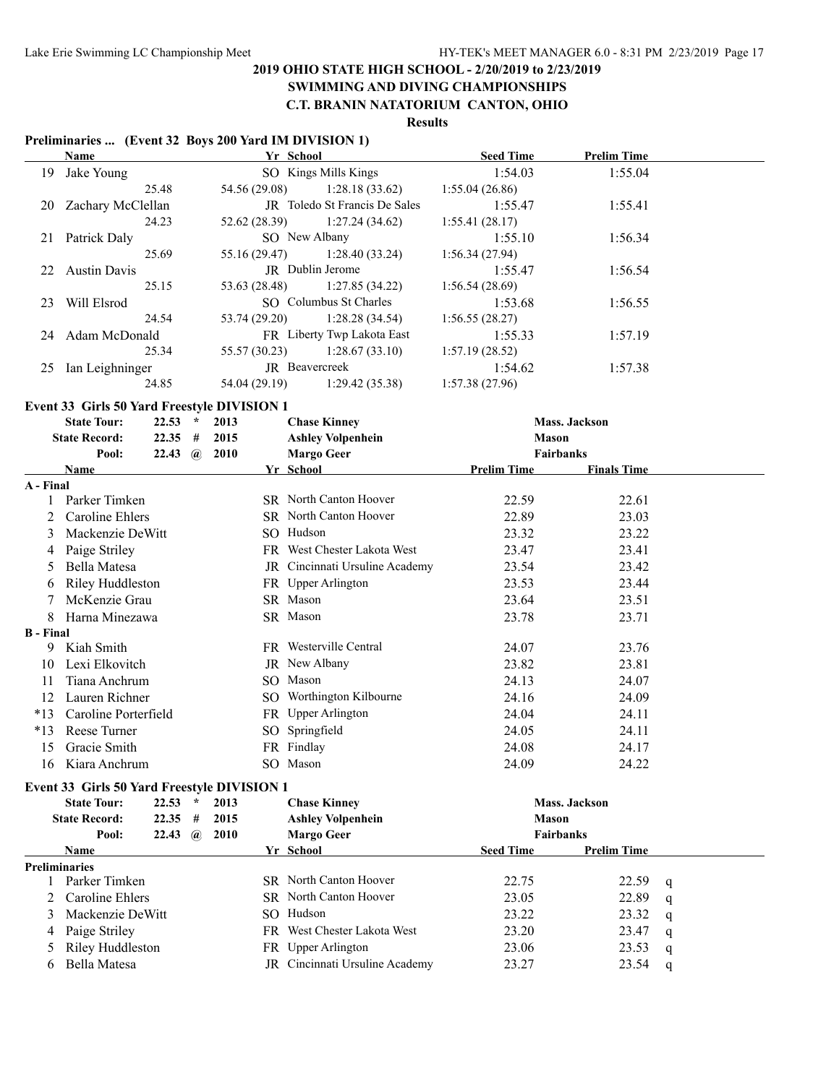#### **SWIMMING AND DIVING CHAMPIONSHIPS C.T. BRANIN NATATORIUM CANTON, OHIO**

# **Results**

#### **Preliminaries ... (Event 32 Boys 200 Yard IM DIVISION 1)**

|                      | Name                                        |           |              |               | Yr School                      | <b>Seed Time</b>   | <b>Prelim Time</b>   |   |
|----------------------|---------------------------------------------|-----------|--------------|---------------|--------------------------------|--------------------|----------------------|---|
| 19                   | Jake Young                                  |           |              |               | SO Kings Mills Kings           | 1:54.03            | 1:55.04              |   |
|                      |                                             | 25.48     |              | 54.56 (29.08) | 1:28.18(33.62)                 | 1:55.04(26.86)     |                      |   |
| 20                   | Zachary McClellan                           |           |              |               | JR Toledo St Francis De Sales  | 1:55.47            | 1:55.41              |   |
|                      |                                             | 24.23     |              | 52.62 (28.39) | 1:27.24(34.62)                 | 1:55.41(28.17)     |                      |   |
| 21                   | Patrick Daly                                |           |              |               | SO New Albany                  | 1:55.10            | 1:56.34              |   |
|                      |                                             | 25.69     |              | 55.16 (29.47) | 1:28.40(33.24)                 | 1:56.34 (27.94)    |                      |   |
| 22                   | <b>Austin Davis</b>                         |           |              |               | JR Dublin Jerome               | 1:55.47            | 1:56.54              |   |
|                      |                                             | 25.15     |              | 53.63 (28.48) | 1:27.85(34.22)                 | 1:56.54(28.69)     |                      |   |
| 23                   | Will Elsrod                                 |           |              |               | SO Columbus St Charles         | 1:53.68            | 1:56.55              |   |
|                      |                                             | 24.54     |              | 53.74 (29.20) | 1:28.28(34.54)                 | 1:56.55(28.27)     |                      |   |
| 24                   | Adam McDonald                               |           |              |               | FR Liberty Twp Lakota East     | 1:55.33            | 1:57.19              |   |
|                      |                                             | 25.34     |              | 55.57 (30.23) | 1:28.67(33.10)                 | 1:57.19(28.52)     |                      |   |
|                      | 25 Ian Leighninger                          |           |              |               | JR Beavercreek                 | 1:54.62            | 1:57.38              |   |
|                      |                                             | 24.85     |              | 54.04 (29.19) | 1:29.42(35.38)                 | 1:57.38(27.96)     |                      |   |
|                      | Event 33 Girls 50 Yard Freestyle DIVISION 1 |           |              |               |                                |                    |                      |   |
|                      | <b>State Tour:</b>                          | $22.53$ * |              | 2013          | <b>Chase Kinney</b>            |                    | <b>Mass. Jackson</b> |   |
|                      | <b>State Record:</b>                        | $22.35$ # |              | 2015          | <b>Ashley Volpenhein</b>       | <b>Mason</b>       |                      |   |
|                      | Pool:                                       |           |              | 22.43 @ 2010  | <b>Margo Geer</b>              |                    | <b>Fairbanks</b>     |   |
|                      | Name                                        |           |              |               | Yr School                      | <b>Prelim Time</b> | <b>Finals Time</b>   |   |
| A - Final            |                                             |           |              |               |                                |                    |                      |   |
| 1                    | Parker Timken                               |           |              |               | SR North Canton Hoover         | 22.59              | 22.61                |   |
| 2                    | Caroline Ehlers                             |           |              |               | SR North Canton Hoover         | 22.89              | 23.03                |   |
| 3                    | Mackenzie DeWitt                            |           |              |               | SO Hudson                      | 23.32              | 23.22                |   |
| 4                    | Paige Striley                               |           |              |               | FR West Chester Lakota West    | 23.47              | 23.41                |   |
|                      | Bella Matesa                                |           |              |               | JR Cincinnati Ursuline Academy | 23.54              | 23.42                |   |
| 6                    | Riley Huddleston                            |           |              |               | FR Upper Arlington             | 23.53              | 23.44                |   |
|                      | McKenzie Grau                               |           |              |               | SR Mason                       | 23.64              | 23.51                |   |
| 8                    | Harna Minezawa                              |           |              |               | SR Mason                       | 23.78              | 23.71                |   |
| <b>B</b> - Final     |                                             |           |              |               |                                |                    |                      |   |
|                      | 9 Kiah Smith                                |           |              |               | FR Westerville Central         | 24.07              | 23.76                |   |
| 10                   | Lexi Elkovitch                              |           |              |               | JR New Albany                  | 23.82              | 23.81                |   |
| 11                   | Tiana Anchrum                               |           |              |               | SO Mason                       | 24.13              | 24.07                |   |
| 12                   | Lauren Richner                              |           |              |               | SO Worthington Kilbourne       | 24.16              | 24.09                |   |
| $*13$                | Caroline Porterfield                        |           |              |               | FR Upper Arlington             | 24.04              | 24.11                |   |
| $*13$                | Reese Turner                                |           |              |               | SO Springfield                 | 24.05              | 24.11                |   |
| 15                   | Gracie Smith                                |           |              |               | FR Findlay                     | 24.08              | 24.17                |   |
| 16                   | Kiara Anchrum                               |           |              |               | SO Mason                       | 24.09              | 24.22                |   |
|                      | Event 33 Girls 50 Yard Freestyle DIVISION 1 |           |              |               |                                |                    |                      |   |
|                      | <b>State Tour:</b>                          | 22.53     | $\star$      | 2013          | <b>Chase Kinney</b>            |                    | Mass. Jackson        |   |
|                      | <b>State Record:</b>                        | 22.35     | #            | 2015          | <b>Ashley Volpenhein</b>       | <b>Mason</b>       |                      |   |
|                      | Pool:                                       | 22.43     | $\mathbf{a}$ | 2010          | <b>Margo Geer</b>              |                    | Fairbanks            |   |
|                      | Name                                        |           |              |               | Yr School                      | <b>Seed Time</b>   | <b>Prelim Time</b>   |   |
| <b>Preliminaries</b> |                                             |           |              |               |                                |                    |                      |   |
| 1                    | Parker Timken                               |           |              |               | SR North Canton Hoover         | 22.75              | 22.59                | q |
| 2                    | Caroline Ehlers                             |           |              |               | SR North Canton Hoover         | 23.05              | 22.89                | q |
| 3                    | Mackenzie DeWitt                            |           |              |               | SO Hudson                      | 23.22              | 23.32                | q |
| 4                    | Paige Striley                               |           |              |               | FR West Chester Lakota West    | 23.20              | 23.47                | q |
| 5                    | Riley Huddleston                            |           |              |               | FR Upper Arlington             | 23.06              | 23.53                | q |
| 6                    | Bella Matesa                                |           |              |               | JR Cincinnati Ursuline Academy | 23.27              | 23.54                | q |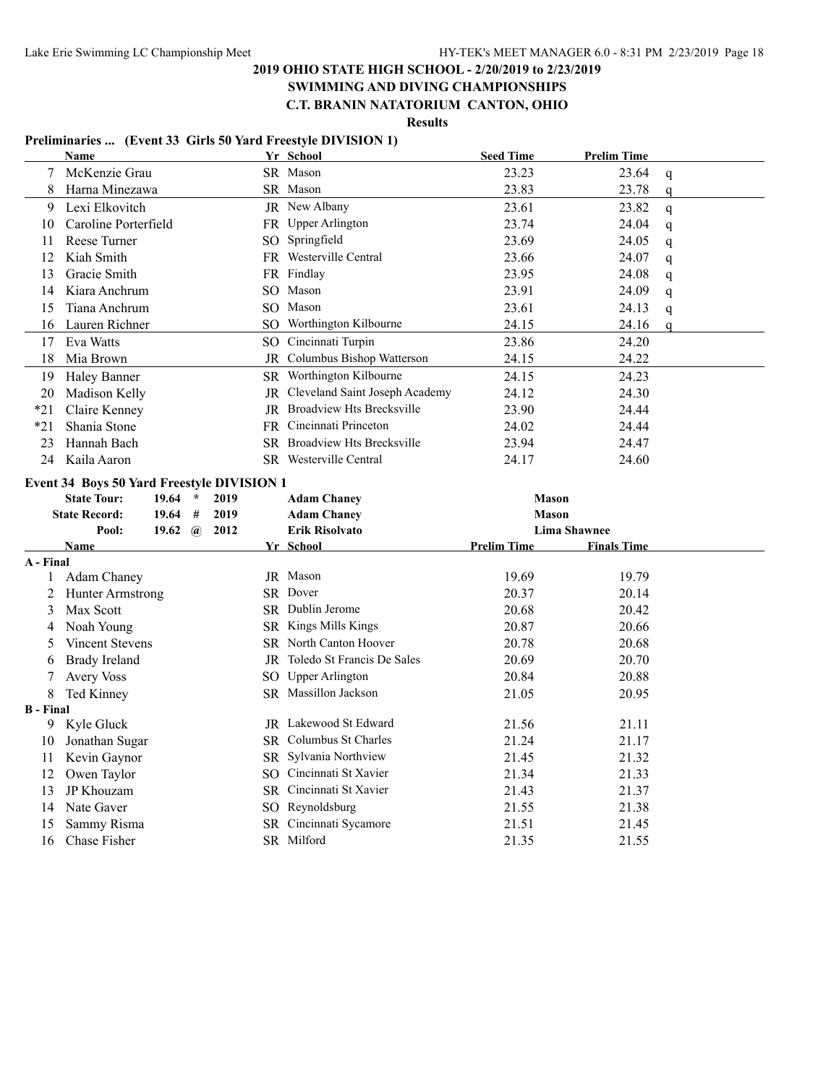# **SWIMMING AND DIVING CHAMPIONSHIPS**

**C.T. BRANIN NATATORIUM CANTON, OHIO**

**Results**

### **Preliminaries ... (Event 33 Girls 50 Yard Freestyle DIVISION 1)**

|                  | Name                                           | Yr School                                | <b>Seed Time</b>   | <b>Prelim Time</b>    |  |
|------------------|------------------------------------------------|------------------------------------------|--------------------|-----------------------|--|
| 7                | McKenzie Grau                                  | SR Mason                                 | 23.23              | 23.64<br>q            |  |
| 8                | Harna Minezawa                                 | SR Mason                                 | 23.83              | 23.78<br>$\mathbf{q}$ |  |
| 9                | Lexi Elkovitch                                 | JR New Albany                            | 23.61              | 23.82<br>$\mathbf{q}$ |  |
| 10               | Caroline Porterfield                           | FR Upper Arlington                       | 23.74              | 24.04<br>$\mathbf{q}$ |  |
| 11               | Reese Turner                                   | SO Springfield                           | 23.69              | 24.05<br>q            |  |
| 12               | Kiah Smith                                     | FR Westerville Central                   | 23.66              | 24.07<br>q            |  |
| 13               | Gracie Smith                                   | FR Findlay                               | 23.95              | 24.08<br>q            |  |
| 14               | Kiara Anchrum                                  | SO Mason                                 | 23.91              | 24.09<br>q            |  |
| 15               | Tiana Anchrum                                  | SO Mason                                 | 23.61              | 24.13<br>$\mathbf q$  |  |
| 16               | Lauren Richner                                 | SO Worthington Kilbourne                 | 24.15              | 24.16<br>$\mathbf{q}$ |  |
| 17               | Eva Watts                                      | SO Cincinnati Turpin                     | 23.86              | 24.20                 |  |
| 18               | Mia Brown                                      | JR Columbus Bishop Watterson             | 24.15              | 24.22                 |  |
| 19               | Haley Banner                                   | SR Worthington Kilbourne                 | 24.15              | 24.23                 |  |
| 20               | Madison Kelly                                  | JR Cleveland Saint Joseph Academy        | 24.12              | 24.30                 |  |
| $*21$            | Claire Kenney                                  | <b>JR</b> Broadview Hts Brecksville      | 23.90              | 24.44                 |  |
| $*21$            | Shania Stone                                   | FR Cincinnati Princeton                  | 24.02              | 24.44                 |  |
| 23               | Hannah Bach                                    | SR Broadview Hts Brecksville             | 23.94              | 24.47                 |  |
| 24               | Kaila Aaron                                    | SR Westerville Central                   | 24.17              | 24.60                 |  |
|                  | Event 34 Boys 50 Yard Freestyle DIVISION 1     |                                          |                    |                       |  |
|                  |                                                |                                          |                    |                       |  |
|                  | <b>State Tour:</b><br>19.64<br>$\star$<br>2019 |                                          | <b>Mason</b>       |                       |  |
|                  | <b>State Record:</b><br>19.64<br>#<br>2019     | <b>Adam Chaney</b><br><b>Adam Chaney</b> | <b>Mason</b>       |                       |  |
|                  | Pool:<br>19.62 $\omega$<br>2012                | <b>Erik Risolvato</b>                    |                    | <b>Lima Shawnee</b>   |  |
|                  | Name                                           | Yr School                                | <b>Prelim Time</b> | <b>Finals Time</b>    |  |
| A - Final        |                                                |                                          |                    |                       |  |
| 1                | Adam Chaney                                    | JR Mason                                 | 19.69              | 19.79                 |  |
| 2                | <b>Hunter Armstrong</b>                        | SR Dover                                 | 20.37              | 20.14                 |  |
| 3                | Max Scott                                      | SR Dublin Jerome                         | 20.68              | 20.42                 |  |
| 4                | Noah Young                                     | SR Kings Mills Kings                     | 20.87              | 20.66                 |  |
| 5                | Vincent Stevens                                | SR North Canton Hoover                   | 20.78              | 20.68                 |  |
| 6                | <b>Brady Ireland</b>                           | JR Toledo St Francis De Sales            | 20.69              | 20.70                 |  |
| $\overline{7}$   | <b>Avery Voss</b>                              | SO Upper Arlington                       | 20.84              | 20.88                 |  |
| 8                | Ted Kinney                                     | SR Massillon Jackson                     | 21.05              | 20.95                 |  |
| <b>B</b> - Final |                                                |                                          |                    |                       |  |
| 9                | Kyle Gluck                                     | <b>JR</b> Lakewood St Edward             | 21.56              | 21.11                 |  |
| 10               | Jonathan Sugar                                 | SR Columbus St Charles                   | 21.24              | 21.17                 |  |
| 11               | Kevin Gaynor                                   | SR Sylvania Northview                    | 21.45              | 21.32                 |  |
| 12               | Owen Taylor                                    | SO Cincinnati St Xavier                  | 21.34              | 21.33                 |  |
| 13               | JP Khouzam                                     | SR Cincinnati St Xavier                  | 21.43              | 21.37                 |  |
| 14               | Nate Gaver                                     | SO Reynoldsburg                          | 21.55              | 21.38                 |  |
| 15<br>16         | Sammy Risma<br>Chase Fisher                    | SR Cincinnati Sycamore<br>SR Milford     | 21.51<br>21.35     | 21.45<br>21.55        |  |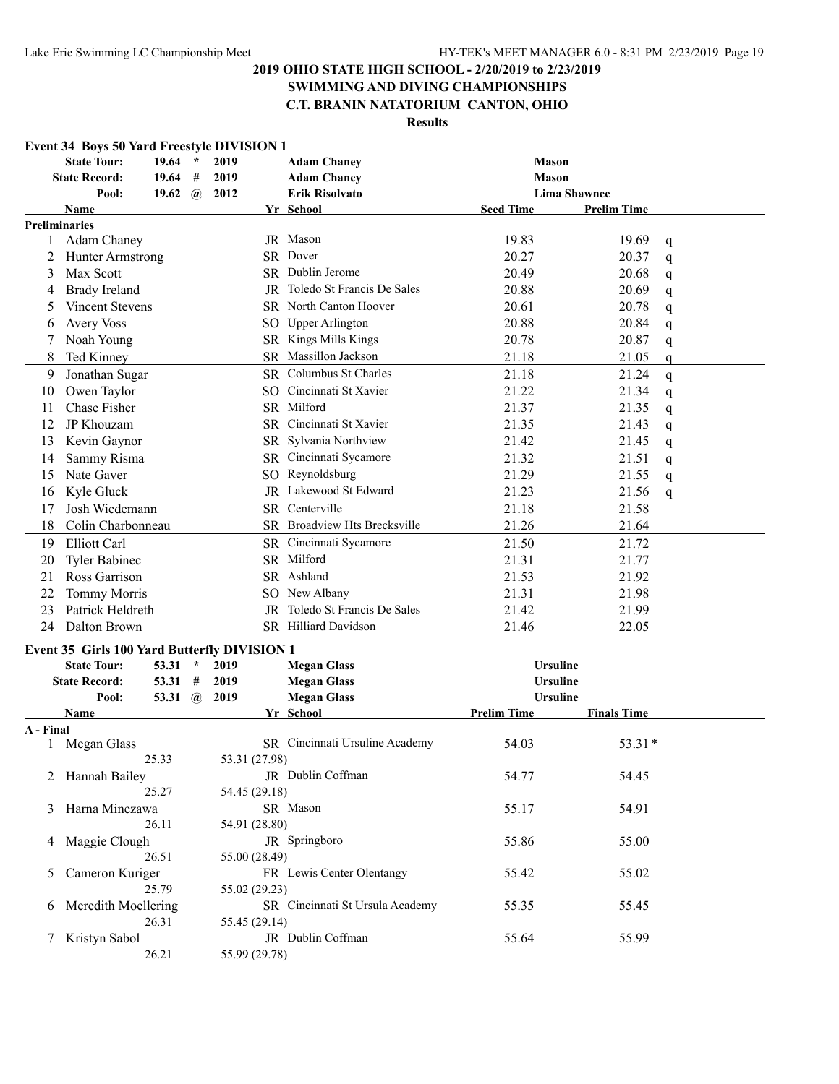# **SWIMMING AND DIVING CHAMPIONSHIPS**

# **C.T. BRANIN NATATORIUM CANTON, OHIO**

|           | <b>Event 34 Boys 50 Yard Freestyle DIVISION 1</b>   |                |          |               |               |                                 |                    |                     |              |
|-----------|-----------------------------------------------------|----------------|----------|---------------|---------------|---------------------------------|--------------------|---------------------|--------------|
|           | <b>State Tour:</b>                                  | 19.64          | $\star$  | 2019          |               | <b>Adam Chaney</b>              | <b>Mason</b>       |                     |              |
|           | <b>State Record:</b>                                | 19.64          | #        | 2019          |               | <b>Adam Chaney</b>              | <b>Mason</b>       |                     |              |
|           | Pool:                                               | 19.62          | $\bm{a}$ | 2012          |               | <b>Erik Risolvato</b>           |                    | <b>Lima Shawnee</b> |              |
|           | <b>Name</b>                                         |                |          |               |               | Yr School                       | <b>Seed Time</b>   | <b>Prelim Time</b>  |              |
|           | Preliminaries                                       |                |          |               |               |                                 |                    |                     |              |
| 1         | Adam Chaney                                         |                |          |               |               | JR Mason                        | 19.83              | 19.69               | q            |
| 2         | Hunter Armstrong                                    |                |          |               |               | SR Dover                        | 20.27              | 20.37               | q            |
| 3         | Max Scott                                           |                |          |               |               | SR Dublin Jerome                | 20.49              | 20.68               | q            |
| 4         | <b>Brady Ireland</b>                                |                |          |               |               | JR Toledo St Francis De Sales   | 20.88              | 20.69               | q            |
| 5         | Vincent Stevens                                     |                |          |               |               | <b>SR</b> North Canton Hoover   | 20.61              | 20.78               | q            |
| 6         | <b>Avery Voss</b>                                   |                |          |               |               | SO Upper Arlington              | 20.88              | 20.84               | q            |
| 7         | Noah Young                                          |                |          |               |               | SR Kings Mills Kings            | 20.78              | 20.87               | q            |
| 8         | Ted Kinney                                          |                |          |               |               | SR Massillon Jackson            | 21.18              | 21.05               | q            |
| 9         | Jonathan Sugar                                      |                |          |               |               | SR Columbus St Charles          | 21.18              | 21.24               | $\mathsf{q}$ |
| 10        | Owen Taylor                                         |                |          |               |               | SO Cincinnati St Xavier         | 21.22              | 21.34               | q            |
| 11        | Chase Fisher                                        |                |          |               |               | SR Milford                      | 21.37              | 21.35               | q            |
| 12        | JP Khouzam                                          |                |          |               |               | SR Cincinnati St Xavier         | 21.35              | 21.43               | q            |
| 13        | Kevin Gaynor                                        |                |          |               |               | SR Sylvania Northview           | 21.42              | 21.45               | q            |
| 14        | Sammy Risma                                         |                |          |               |               | SR Cincinnati Sycamore          | 21.32              | 21.51               | q            |
| 15        | Nate Gaver                                          |                |          |               |               | SO Reynoldsburg                 | 21.29              | 21.55               | q            |
| 16        | Kyle Gluck                                          |                |          |               |               | JR Lakewood St Edward           | 21.23              | 21.56               | q            |
| 17        | Josh Wiedemann                                      |                |          |               |               | SR Centerville                  | 21.18              | 21.58               |              |
| 18        | Colin Charbonneau                                   |                |          |               |               | SR Broadview Hts Brecksville    | 21.26              | 21.64               |              |
| 19        | Elliott Carl                                        |                |          |               |               | SR Cincinnati Sycamore          | 21.50              | 21.72               |              |
| 20        | <b>Tyler Babinec</b>                                |                |          |               |               | SR Milford                      | 21.31              | 21.77               |              |
| 21        | Ross Garrison                                       |                |          |               |               | SR Ashland                      | 21.53              | 21.92               |              |
| 22        | Tommy Morris                                        |                |          |               |               | SO New Albany                   | 21.31              | 21.98               |              |
| 23        | Patrick Heldreth                                    |                |          |               |               | JR Toledo St Francis De Sales   | 21.42              | 21.99               |              |
| 24        | Dalton Brown                                        |                |          |               |               | SR Hilliard Davidson            | 21.46              | 22.05               |              |
|           | <b>Event 35 Girls 100 Yard Butterfly DIVISION 1</b> |                |          |               |               |                                 |                    |                     |              |
|           | <b>State Tour:</b>                                  | 53.31          | $\star$  | 2019          |               | <b>Megan Glass</b>              | <b>Ursuline</b>    |                     |              |
|           | <b>State Record:</b>                                | 53.31 #        |          | 2019          |               | <b>Megan Glass</b>              | <b>Ursuline</b>    |                     |              |
|           | Pool:                                               | 53.31 $\omega$ |          | 2019          |               | <b>Megan Glass</b>              | <b>Ursuline</b>    |                     |              |
|           | Name                                                |                |          |               |               | Yr School                       | <b>Prelim Time</b> | <b>Finals Time</b>  |              |
| A - Final |                                                     |                |          |               |               |                                 |                    |                     |              |
|           | Megan Glass                                         |                |          |               |               | SR Cincinnati Ursuline Academy  | 54.03              | $53.31*$            |              |
|           |                                                     | 25.33          |          | 53.31 (27.98) |               |                                 |                    |                     |              |
|           | 2 Hannah Bailey                                     |                |          |               |               | JR Dublin Coffman               | 54.77              | 54.45               |              |
|           |                                                     | 25.27          |          |               | 54.45 (29.18) |                                 |                    |                     |              |
| 3         | Harna Minezawa                                      |                |          |               |               | SR Mason                        | 55.17              | 54.91               |              |
|           |                                                     | 26.11          |          |               | 54.91 (28.80) |                                 |                    |                     |              |
| 4         | Maggie Clough                                       |                |          |               |               | JR Springboro                   | 55.86              | 55.00               |              |
|           |                                                     | 26.51          |          |               | 55.00 (28.49) |                                 |                    |                     |              |
| 5.        | Cameron Kuriger                                     |                |          |               |               | FR Lewis Center Olentangy       | 55.42              | 55.02               |              |
|           |                                                     | 25.79          |          |               | 55.02 (29.23) |                                 |                    |                     |              |
| 6         | Meredith Moellering                                 |                |          |               |               | SR Cincinnati St Ursula Academy | 55.35              | 55.45               |              |
|           |                                                     | 26.31          |          |               | 55.45 (29.14) |                                 |                    |                     |              |
| 7         | Kristyn Sabol                                       |                |          |               |               | JR Dublin Coffman               | 55.64              | 55.99               |              |
|           |                                                     | 26.21          |          | 55.99 (29.78) |               |                                 |                    |                     |              |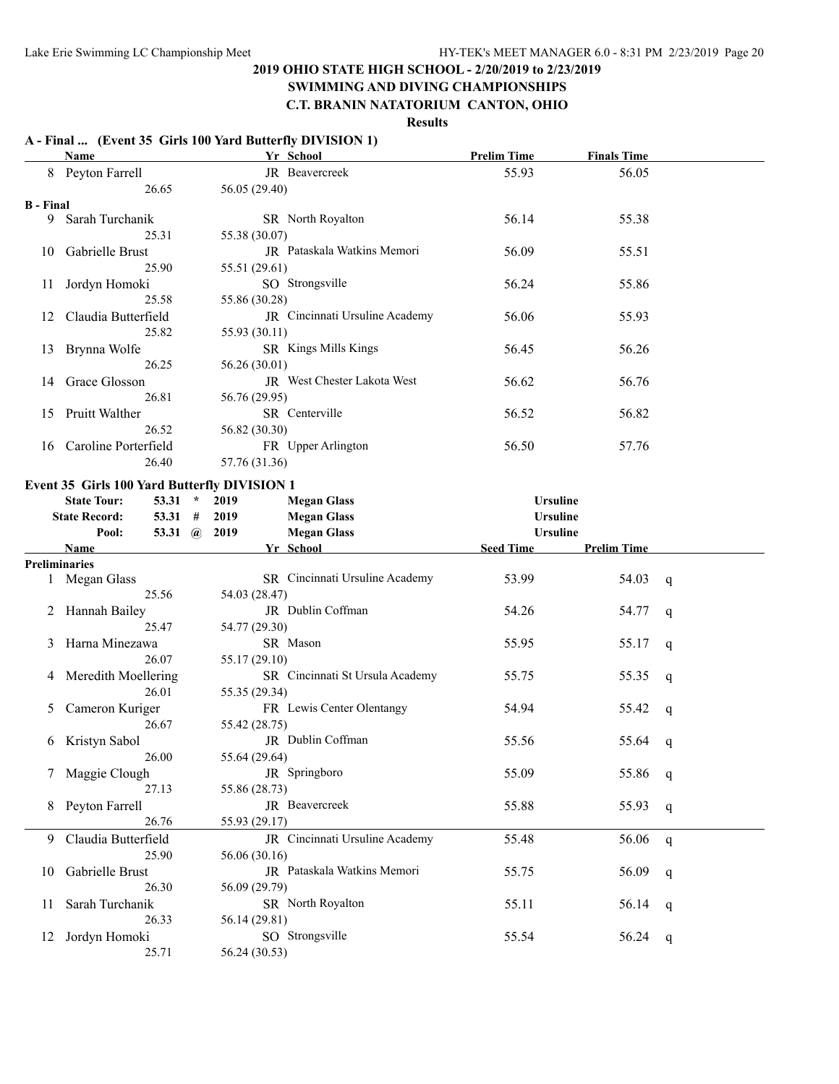# **SWIMMING AND DIVING CHAMPIONSHIPS**

# **C.T. BRANIN NATATORIUM CANTON, OHIO**

### **Results**

### **A - Final ... (Event 35 Girls 100 Yard Butterfly DIVISION 1)**

|                  | Name                                         | Yr School                       | <b>Prelim Time</b> | <b>Finals Time</b>    |  |
|------------------|----------------------------------------------|---------------------------------|--------------------|-----------------------|--|
|                  | 8 Peyton Farrell                             | JR Beavercreek                  | 55.93              | 56.05                 |  |
|                  | 26.65                                        | 56.05 (29.40)                   |                    |                       |  |
| <b>B</b> - Final |                                              |                                 |                    |                       |  |
| 9                | Sarah Turchanik                              | SR North Royalton               | 56.14              | 55.38                 |  |
|                  | 25.31                                        | 55.38 (30.07)                   |                    |                       |  |
|                  | Gabrielle Brust                              | JR Pataskala Watkins Memori     | 56.09              |                       |  |
| 10               |                                              |                                 |                    | 55.51                 |  |
|                  | 25.90                                        | 55.51 (29.61)                   |                    |                       |  |
| 11               | Jordyn Homoki                                | SO Strongsville                 | 56.24              | 55.86                 |  |
|                  | 25.58                                        | 55.86 (30.28)                   |                    |                       |  |
| 12               | Claudia Butterfield                          | JR Cincinnati Ursuline Academy  | 56.06              | 55.93                 |  |
|                  | 25.82                                        | 55.93 (30.11)                   |                    |                       |  |
| 13               | Brynna Wolfe                                 | SR Kings Mills Kings            | 56.45              | 56.26                 |  |
|                  | 26.25                                        | 56.26 (30.01)                   |                    |                       |  |
| 14               | Grace Glosson                                | JR West Chester Lakota West     | 56.62              | 56.76                 |  |
|                  | 26.81                                        | 56.76 (29.95)                   |                    |                       |  |
|                  |                                              |                                 |                    |                       |  |
| 15               | <b>Pruitt Walther</b>                        | SR Centerville                  | 56.52              | 56.82                 |  |
|                  | 26.52                                        | 56.82 (30.30)                   |                    |                       |  |
| 16               | Caroline Porterfield                         | FR Upper Arlington              | 56.50              | 57.76                 |  |
|                  | 26.40                                        | 57.76 (31.36)                   |                    |                       |  |
|                  | Event 35 Girls 100 Yard Butterfly DIVISION 1 |                                 |                    |                       |  |
|                  | <b>State Tour:</b><br>53.31<br>$\star$       | 2019<br><b>Megan Glass</b>      | <b>Ursuline</b>    |                       |  |
|                  | <b>State Record:</b>                         | 2019                            | <b>Ursuline</b>    |                       |  |
|                  | $53.31$ #                                    | <b>Megan Glass</b>              |                    |                       |  |
|                  | 53.31 $(a)$<br>Pool:                         | 2019<br><b>Megan Glass</b>      | <b>Ursuline</b>    |                       |  |
|                  | Name                                         | Yr School                       | <b>Seed Time</b>   | <b>Prelim Time</b>    |  |
|                  | <b>Preliminaries</b>                         |                                 |                    |                       |  |
|                  | Megan Glass                                  | SR Cincinnati Ursuline Academy  | 53.99              | 54.03<br>q            |  |
|                  | 25.56                                        | 54.03 (28.47)                   |                    |                       |  |
|                  | 2 Hannah Bailey                              | JR Dublin Coffman               | 54.26              | 54.77<br>q            |  |
|                  | 25.47                                        | 54.77 (29.30)                   |                    |                       |  |
| 3                | Harna Minezawa                               | SR Mason                        | 55.95              | 55.17<br>q            |  |
|                  | 26.07                                        | 55.17 (29.10)                   |                    |                       |  |
|                  | 4 Meredith Moellering                        | SR Cincinnati St Ursula Academy | 55.75              | 55.35<br>q            |  |
|                  | 26.01                                        | 55.35 (29.34)                   |                    |                       |  |
|                  |                                              | FR Lewis Center Olentangy       |                    |                       |  |
| 5                | Cameron Kuriger                              |                                 | 54.94              | 55.42<br>q            |  |
|                  | 26.67                                        | 55.42 (28.75)                   |                    |                       |  |
| 6                | Kristyn Sabol                                | JR Dublin Coffman               | 55.56              | 55.64<br>q            |  |
|                  | 26.00                                        | 55.64 (29.64)                   |                    |                       |  |
|                  | Maggie Clough                                | JR Springboro                   | 55.09              | 55.86<br>q            |  |
|                  | 27.13                                        | 55.86 (28.73)                   |                    |                       |  |
| 8                | Peyton Farrell                               | JR Beavercreek                  | 55.88              | 55.93<br>$\mathsf{q}$ |  |
|                  | 26.76                                        | 55.93 (29.17)                   |                    |                       |  |
| 9.               | Claudia Butterfield                          | JR Cincinnati Ursuline Academy  | 55.48              | 56.06<br>$\mathsf{q}$ |  |
|                  | 25.90                                        | 56.06 (30.16)                   |                    |                       |  |
|                  |                                              | JR Pataskala Watkins Memori     |                    |                       |  |
| 10               | Gabrielle Brust                              |                                 | 55.75              | 56.09<br>q            |  |
|                  | 26.30                                        | 56.09 (29.79)                   |                    |                       |  |
| 11               | Sarah Turchanik                              | SR North Royalton               | 55.11              | 56.14<br>q            |  |
|                  | 26.33                                        | 56.14 (29.81)                   |                    |                       |  |
|                  | 12 Jordyn Homoki                             | SO Strongsville                 | 55.54              | 56.24<br>q            |  |
|                  | 25.71                                        | 56.24 (30.53)                   |                    |                       |  |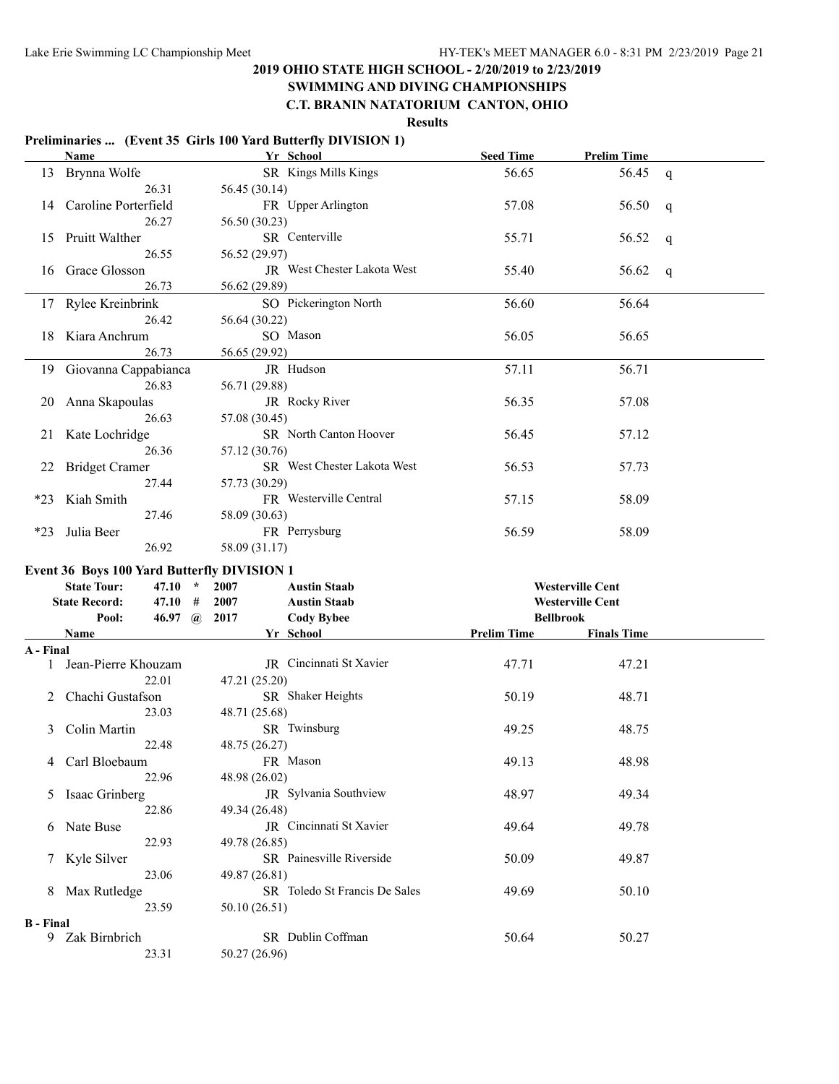#### **SWIMMING AND DIVING CHAMPIONSHIPS C.T. BRANIN NATATORIUM CANTON, OHIO**

**Results**

#### **Preliminaries ... (Event 35 Girls 100 Yard Butterfly DIVISION 1) Name Yr School Seed Time Prelim Time** 13 Brynna Wolfe SR Kings Mills Kings 56.65 56.45 q 26.31 56.45 (30.14) 14 Caroline Porterfield FR Upper Arlington 57.08 56.50 q 26.27 56.50 (30.23) 15 Pruitt Walther SR Centerville 55.71 56.52 q 26.55 56.52 (29.97) 16 Grace Glosson JR West Chester Lakota West 55.40 56.62 q 26.73 56.62 (29.89) 17 Rylee Kreinbrink SO Pickerington North 56.60 56.64 26.42 56.64 (30.22) 18 Kiara Anchrum SO Mason 56.05 56.65 26.73 56.65 (29.92) 19 Giovanna Cappabianca JR Hudson 57.11 56.71 26.83 56.71 (29.88) 20 Anna Skapoulas JR Rocky River 56.35 57.08 26.63 57.08 (30.45) 21 Kate Lochridge SR North Canton Hoover 56.45 57.12 26.36 57.12 (30.76) 22 Bridget Cramer SR West Chester Lakota West 56.53 57.73 27.44 57.73 (30.29) \*23 Kiah Smith FR Westerville Central 57.15 58.09 27.46 58.09 (30.63) \*23 Julia Beer FR Perrysburg 56.59 58.09 26.92 58.09 (31.17) **Event 36 Boys 100 Yard Butterfly DIVISION 1 State Tour: 47.10 \* 2007 Austin Staab Westerville Cent State Record: 47.10 # 2007 Austin Staab Westerville Cent Pool: 46.97 @ 2017 Cody Bybee Bellbrook Name Prelim Time Prelim Time Finals Time A - Final** 1 Jean-Pierre Khouzam JR Cincinnati St Xavier 47.71 47.21 22.01 47.21 (25.20) 2 Chachi Gustafson SR Shaker Heights 50.19 48.71 23.03 48.71 (25.68) 3 Colin Martin SR Twinsburg 49.25 48.75 22.48 48.75 (26.27) 4 Carl Bloebaum **FR Mason** 49.13 48.98 22.96 48.98 (26.02) 5 Isaac Grinberg JR Sylvania Southview 48.97 49.34 22.86 49.34 (26.48) 6 Nate Buse JR Cincinnati St Xavier 49.64 49.78 22.93 49.78 (26.85) 7 Kyle Silver SR Painesville Riverside 50.09 49.87 23.06 49.87 (26.81) 8 Max Rutledge SR Toledo St Francis De Sales 49.69 50.10 23.59 50.10 (26.51) **B - Final** 9 Zak Birnbrich SR Dublin Coffman 50.64 50.27 23.31 50.27 (26.96)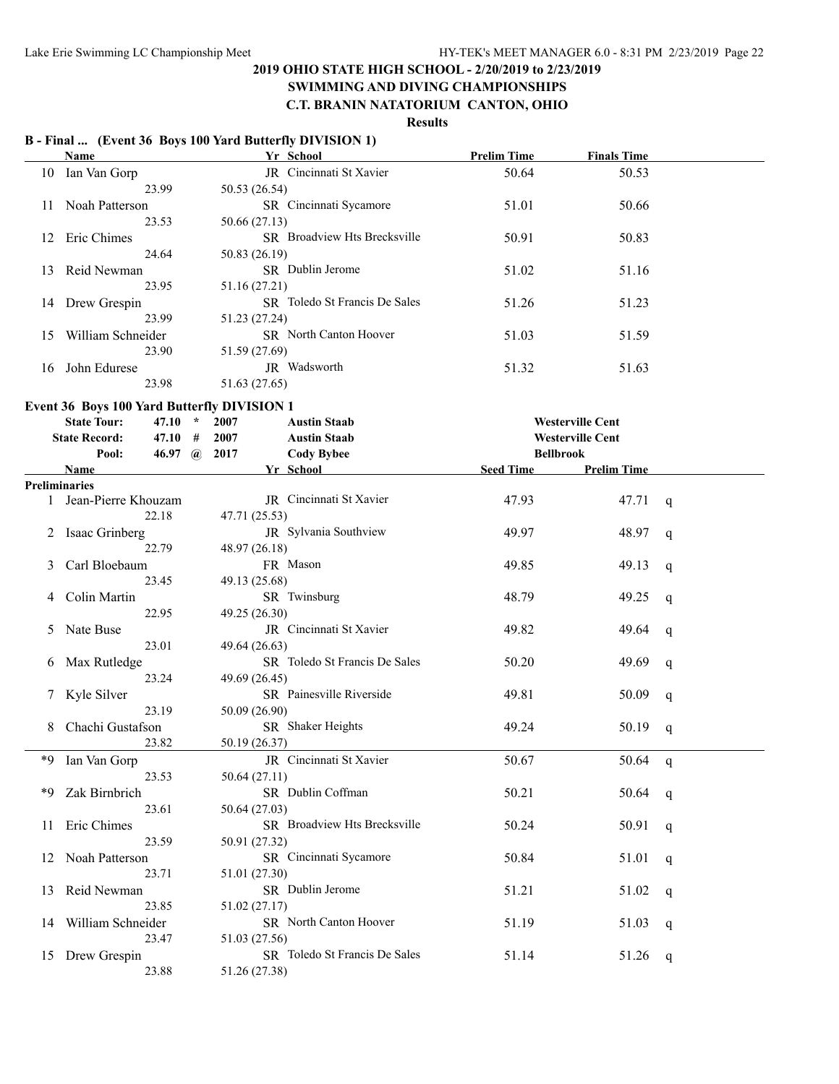#### **SWIMMING AND DIVING CHAMPIONSHIPS C.T. BRANIN NATATORIUM CANTON, OHIO**

# **Results**

#### **B - Final ... (Event 36 Boys 100 Yard Butterfly DIVISION 1)**

|    | Name              | Yr School                            | <b>Prelim Time</b> | <b>Finals Time</b> |  |
|----|-------------------|--------------------------------------|--------------------|--------------------|--|
| 10 | Ian Van Gorp      | JR Cincinnati St Xavier              | 50.64              | 50.53              |  |
|    | 23.99             | 50.53 (26.54)                        |                    |                    |  |
| 11 | Noah Patterson    | <b>SR</b> Cincinnati Sycamore        | 51.01              | 50.66              |  |
|    | 23.53             | 50.66 (27.13)                        |                    |                    |  |
| 12 | Eric Chimes       | <b>SR</b> Broadview Hts Brecksville  | 50.91              | 50.83              |  |
|    | 24.64             | 50.83 (26.19)                        |                    |                    |  |
| 13 | Reid Newman       | <b>SR</b> Dublin Jerome              | 51.02              | 51.16              |  |
|    | 23.95             | 51.16 (27.21)                        |                    |                    |  |
| 14 | Drew Grespin      | <b>SR</b> Toledo St Francis De Sales | 51.26              | 51.23              |  |
|    | 23.99             | 51.23 (27.24)                        |                    |                    |  |
| 15 | William Schneider | <b>SR</b> North Canton Hoover        | 51.03              | 51.59              |  |
|    | 23.90             | 51.59 (27.69)                        |                    |                    |  |
| 16 | John Edurese      | JR Wadsworth                         | 51.32              | 51.63              |  |
|    | 23.98             | 51.63 (27.65)                        |                    |                    |  |

#### **Event 36 Boys 100 Yard Butterfly DIVISION 1**

|    | <b>State Tour:</b><br>47.10         | 2007<br>$\star$ | <b>Austin Staab</b>           |                  | <b>Westerville Cent</b> |              |
|----|-------------------------------------|-----------------|-------------------------------|------------------|-------------------------|--------------|
|    | <b>State Record:</b><br>47.10       | 2007<br>#       | <b>Austin Staab</b>           |                  | <b>Westerville Cent</b> |              |
|    | Pool:<br>46.97 $\omega$             | 2017            | <b>Cody Bybee</b>             | <b>Bellbrook</b> |                         |              |
|    | <b>Name</b><br><b>Preliminaries</b> |                 | Yr School                     | <b>Seed Time</b> | <b>Prelim Time</b>      |              |
|    | 1 Jean-Pierre Khouzam               |                 | JR Cincinnati St Xavier       | 47.93            | 47.71                   | q            |
|    | 22.18                               | 47.71 (25.53)   |                               |                  |                         |              |
| 2  | Isaac Grinberg                      |                 | JR Sylvania Southview         | 49.97            | 48.97                   | $\mathsf{q}$ |
|    | 22.79                               | 48.97 (26.18)   |                               |                  |                         |              |
| 3  | Carl Bloebaum                       |                 | FR Mason                      | 49.85            | 49.13                   | q            |
|    | 23.45                               | 49.13 (25.68)   |                               |                  |                         |              |
| 4  | Colin Martin                        |                 | SR Twinsburg                  | 48.79            | 49.25                   | q            |
|    | 22.95                               | 49.25 (26.30)   |                               |                  |                         |              |
| 5  | Nate Buse                           |                 | JR Cincinnati St Xavier       | 49.82            | 49.64                   | q            |
|    | 23.01                               | 49.64 (26.63)   |                               |                  |                         |              |
| 6  | Max Rutledge                        |                 | SR Toledo St Francis De Sales | 50.20            | 49.69                   | q            |
|    | 23.24                               | 49.69 (26.45)   |                               |                  |                         |              |
|    | Kyle Silver                         |                 | SR Painesville Riverside      | 49.81            | 50.09                   | q            |
|    | 23.19                               | 50.09 (26.90)   |                               |                  |                         |              |
|    | Chachi Gustafson                    |                 | SR Shaker Heights             | 49.24            | 50.19                   | $\mathsf{q}$ |
|    | 23.82                               | 50.19 (26.37)   |                               |                  |                         |              |
| *9 | Ian Van Gorp                        |                 | JR Cincinnati St Xavier       | 50.67            | 50.64                   | q            |
|    | 23.53                               | 50.64(27.11)    |                               |                  |                         |              |
| *9 | Zak Birnbrich                       |                 | SR Dublin Coffman             | 50.21            | 50.64                   | q            |
|    | 23.61                               | 50.64 (27.03)   |                               |                  |                         |              |
| 11 | Eric Chimes                         |                 | SR Broadview Hts Brecksville  | 50.24            | 50.91                   | q            |
|    | 23.59                               | 50.91 (27.32)   |                               |                  |                         |              |
|    | 12 Noah Patterson                   |                 | SR Cincinnati Sycamore        | 50.84            | 51.01                   | $\mathsf{q}$ |
|    | 23.71                               | 51.01 (27.30)   |                               |                  |                         |              |
| 13 | Reid Newman                         |                 | SR Dublin Jerome              | 51.21            | 51.02                   | q            |
|    | 23.85                               | 51.02 (27.17)   |                               |                  |                         |              |
| 14 | William Schneider                   |                 | SR North Canton Hoover        | 51.19            | 51.03                   | q            |
|    | 23.47                               | 51.03 (27.56)   |                               |                  |                         |              |
| 15 | Drew Grespin                        |                 | SR Toledo St Francis De Sales | 51.14            | 51.26                   | q            |
|    | 23.88                               | 51.26 (27.38)   |                               |                  |                         |              |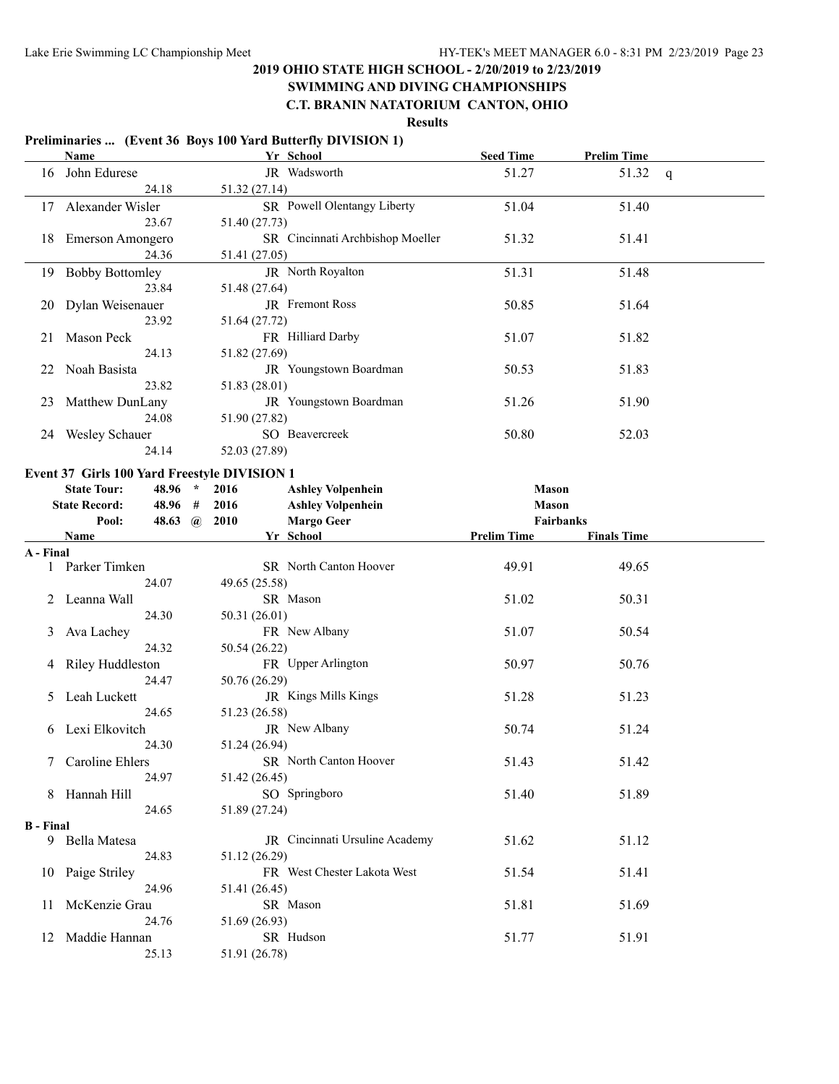# **SWIMMING AND DIVING CHAMPIONSHIPS**

**C.T. BRANIN NATATORIUM CANTON, OHIO**

**Results**

#### **Preliminaries ... (Event 36 Boys 100 Yard Butterfly DIVISION 1)**

|                  | Name                                         |               | Yr School                        | <b>Seed Time</b>   | <b>Prelim Time</b> |   |
|------------------|----------------------------------------------|---------------|----------------------------------|--------------------|--------------------|---|
| 16               | John Edurese                                 |               | JR Wadsworth                     | 51.27              | 51.32              | q |
|                  | 24.18                                        | 51.32 (27.14) |                                  |                    |                    |   |
| 17               | Alexander Wisler                             |               | SR Powell Olentangy Liberty      | 51.04              | 51.40              |   |
|                  | 23.67                                        | 51.40 (27.73) |                                  |                    |                    |   |
| 18               | Emerson Amongero                             |               | SR Cincinnati Archbishop Moeller | 51.32              | 51.41              |   |
|                  | 24.36                                        | 51.41 (27.05) |                                  |                    |                    |   |
| 19               | <b>Bobby Bottomley</b>                       |               | JR North Royalton                | 51.31              | 51.48              |   |
|                  | 23.84                                        | 51.48 (27.64) |                                  |                    |                    |   |
| 20               | Dylan Weisenauer                             |               | JR Fremont Ross                  | 50.85              | 51.64              |   |
|                  | 23.92                                        | 51.64 (27.72) |                                  |                    |                    |   |
| 21               | Mason Peck                                   |               | FR Hilliard Darby                | 51.07              | 51.82              |   |
|                  | 24.13                                        | 51.82 (27.69) |                                  |                    |                    |   |
| 22               | Noah Basista                                 |               | JR Youngstown Boardman           | 50.53              | 51.83              |   |
|                  | 23.82                                        | 51.83 (28.01) |                                  |                    |                    |   |
| 23               | Matthew DunLany                              |               | JR Youngstown Boardman           | 51.26              | 51.90              |   |
|                  | 24.08                                        | 51.90 (27.82) |                                  |                    |                    |   |
|                  |                                              |               | SO Beavercreek                   |                    |                    |   |
|                  | 24 Wesley Schauer<br>24.14                   |               |                                  | 50.80              | 52.03              |   |
|                  |                                              | 52.03 (27.89) |                                  |                    |                    |   |
|                  | Event 37 Girls 100 Yard Freestyle DIVISION 1 |               |                                  |                    |                    |   |
|                  | 48.96 *<br><b>State Tour:</b>                | 2016          | <b>Ashley Volpenhein</b>         | <b>Mason</b>       |                    |   |
|                  | <b>State Record:</b><br>48.96 #              | 2016          | <b>Ashley Volpenhein</b>         | <b>Mason</b>       |                    |   |
|                  | 48.63 @ 2010<br>Pool:                        |               | <b>Margo Geer</b>                | Fairbanks          |                    |   |
|                  | Name                                         |               | Yr School                        | <b>Prelim Time</b> | <b>Finals Time</b> |   |
| A - Final        |                                              |               |                                  |                    |                    |   |
|                  |                                              |               |                                  |                    |                    |   |
|                  | 1 Parker Timken                              |               | SR North Canton Hoover           | 49.91              | 49.65              |   |
|                  | 24.07                                        | 49.65 (25.58) |                                  |                    |                    |   |
|                  | 2 Leanna Wall                                |               | SR Mason                         | 51.02              | 50.31              |   |
|                  | 24.30                                        | 50.31 (26.01) |                                  |                    |                    |   |
| 3                | Ava Lachey                                   |               | FR New Albany                    | 51.07              | 50.54              |   |
|                  | 24.32                                        | 50.54 (26.22) |                                  |                    |                    |   |
| 4                | Riley Huddleston                             |               | FR Upper Arlington               | 50.97              | 50.76              |   |
|                  | 24.47                                        | 50.76 (26.29) |                                  |                    |                    |   |
| $\mathcal{D}$    | Leah Luckett                                 |               | JR Kings Mills Kings             | 51.28              | 51.23              |   |
|                  | 24.65                                        | 51.23 (26.58) |                                  |                    |                    |   |
|                  | 6 Lexi Elkovitch                             |               | JR New Albany                    | 50.74              | 51.24              |   |
|                  | 24.30                                        | 51.24 (26.94) |                                  |                    |                    |   |
|                  | 7 Caroline Ehlers                            |               | SR North Canton Hoover           | 51.43              | 51.42              |   |
|                  | 24.97                                        | 51.42 (26.45) |                                  |                    |                    |   |
|                  | 8 Hannah Hill                                |               | SO Springboro                    | 51.40              | 51.89              |   |
|                  | 24.65                                        | 51.89 (27.24) |                                  |                    |                    |   |
| <b>B</b> - Final |                                              |               |                                  |                    |                    |   |
|                  | 9 Bella Matesa                               |               | JR Cincinnati Ursuline Academy   | 51.62              | 51.12              |   |
|                  | 24.83                                        | 51.12 (26.29) |                                  |                    |                    |   |
|                  | 10 Paige Striley                             |               | FR West Chester Lakota West      | 51.54              | 51.41              |   |
|                  | 24.96                                        | 51.41 (26.45) |                                  |                    |                    |   |
| 11               | McKenzie Grau                                |               | SR Mason                         | 51.81              | 51.69              |   |
|                  | 24.76                                        | 51.69 (26.93) |                                  |                    |                    |   |
| 12               | Maddie Hannan                                |               | SR Hudson                        | 51.77              | 51.91              |   |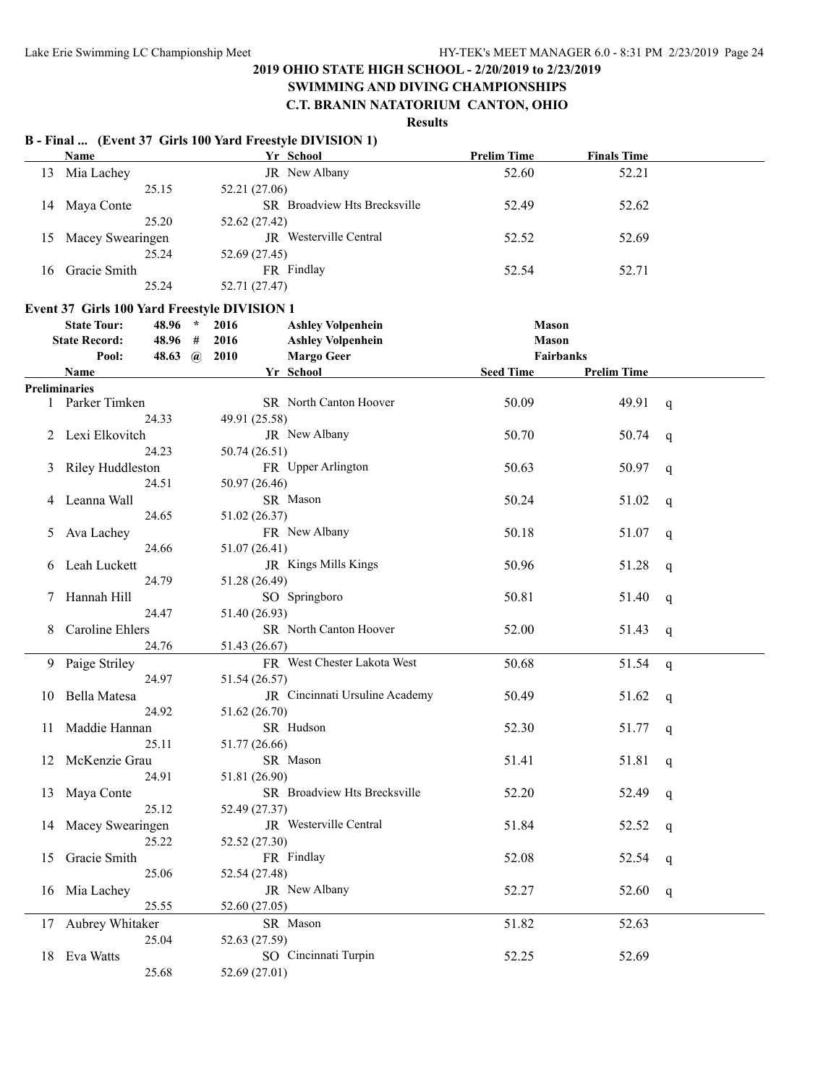# **SWIMMING AND DIVING CHAMPIONSHIPS**

# **C.T. BRANIN NATATORIUM CANTON, OHIO**

|    |                                              |                |               | B - Final  (Event 37 Girls 100 Yard Freestyle DIVISION 1) |                    |                    |   |
|----|----------------------------------------------|----------------|---------------|-----------------------------------------------------------|--------------------|--------------------|---|
|    | Name                                         |                |               | Yr School                                                 | <b>Prelim Time</b> | <b>Finals Time</b> |   |
| 13 | Mia Lachey                                   |                |               | JR New Albany                                             | 52.60              | 52.21              |   |
|    |                                              | 25.15          | 52.21 (27.06) |                                                           |                    |                    |   |
| 14 | Maya Conte                                   |                |               | SR Broadview Hts Brecksville                              | 52.49              | 52.62              |   |
|    |                                              | 25.20          | 52.62 (27.42) |                                                           |                    |                    |   |
| 15 | Macey Swearingen                             |                |               | JR Westerville Central                                    | 52.52              | 52.69              |   |
|    |                                              | 25.24          | 52.69 (27.45) |                                                           |                    |                    |   |
| 16 | Gracie Smith                                 |                |               | FR Findlay                                                | 52.54              | 52.71              |   |
|    |                                              | 25.24          | 52.71 (27.47) |                                                           |                    |                    |   |
|    | Event 37 Girls 100 Yard Freestyle DIVISION 1 |                |               |                                                           |                    |                    |   |
|    | <b>State Tour:</b>                           | 48.96 *        | 2016          | <b>Ashley Volpenhein</b>                                  | <b>Mason</b>       |                    |   |
|    | <b>State Record:</b>                         | 48.96 #        | 2016          | <b>Ashley Volpenhein</b>                                  | <b>Mason</b>       |                    |   |
|    | Pool:                                        | 48.63 $\omega$ | 2010          | <b>Margo Geer</b>                                         | Fairbanks          |                    |   |
|    | <b>Name</b>                                  |                |               | Yr School                                                 | <b>Seed Time</b>   | <b>Prelim Time</b> |   |
|    | <b>Preliminaries</b>                         |                |               |                                                           |                    |                    |   |
|    | 1 Parker Timken                              |                |               | <b>SR</b> North Canton Hoover                             | 50.09              | 49.91              | q |
|    |                                              | 24.33          | 49.91 (25.58) |                                                           |                    |                    |   |
|    | Lexi Elkovitch                               |                |               | JR New Albany                                             | 50.70              | 50.74              | q |
|    |                                              | 24.23          | 50.74 (26.51) |                                                           |                    |                    |   |
| 3  | Riley Huddleston                             |                |               | FR Upper Arlington                                        | 50.63              | 50.97              | q |
|    |                                              | 24.51          | 50.97 (26.46) |                                                           |                    |                    |   |
|    | Leanna Wall                                  |                |               | SR Mason                                                  | 50.24              | 51.02              | q |
|    |                                              | 24.65          | 51.02 (26.37) |                                                           |                    |                    |   |
| 5  | Ava Lachey                                   |                |               | FR New Albany                                             | 50.18              | 51.07              | q |
|    |                                              | 24.66          | 51.07 (26.41) |                                                           |                    |                    |   |
|    | Leah Luckett                                 |                |               | JR Kings Mills Kings                                      | 50.96              | 51.28              | q |
|    |                                              | 24.79          | 51.28 (26.49) |                                                           |                    |                    |   |
| 7  | Hannah Hill                                  |                |               | SO Springboro                                             | 50.81              | 51.40              | q |
|    |                                              | 24.47          | 51.40 (26.93) |                                                           |                    |                    |   |
|    | Caroline Ehlers                              |                |               | SR North Canton Hoover                                    | 52.00              | 51.43              | q |
|    |                                              | 24.76          | 51.43 (26.67) |                                                           |                    |                    |   |
| 9. | Paige Striley                                |                |               | FR West Chester Lakota West                               | 50.68              | 51.54              |   |
|    |                                              | 24.97          | 51.54 (26.57) |                                                           |                    |                    | q |
| 10 | Bella Matesa                                 |                |               | JR Cincinnati Ursuline Academy                            | 50.49              | 51.62              |   |
|    |                                              | 24.92          | 51.62 (26.70) |                                                           |                    |                    | q |
|    | 11 Maddie Hannan                             |                |               | SR Hudson                                                 | 52.30              | 51.77              |   |
|    |                                              | 25.11          | 51.77 (26.66) |                                                           |                    |                    | q |
|    | 12 McKenzie Grau                             |                |               | SR Mason                                                  | 51.41              | 51.81              | q |
|    |                                              | 24.91          | 51.81 (26.90) |                                                           |                    |                    |   |
|    | 13 Maya Conte                                |                |               | SR Broadview Hts Brecksville                              | 52.20              | 52.49              | q |
|    |                                              | 25.12          | 52.49 (27.37) |                                                           |                    |                    |   |
| 14 | Macey Swearingen                             |                |               | JR Westerville Central                                    | 51.84              | 52.52              | q |
|    |                                              | 25.22          | 52.52 (27.30) |                                                           |                    |                    |   |
| 15 | Gracie Smith                                 |                |               | FR Findlay                                                | 52.08              | 52.54              | q |
|    |                                              | 25.06          | 52.54 (27.48) |                                                           |                    |                    |   |
|    | 16 Mia Lachey                                |                |               | JR New Albany                                             | 52.27              | 52.60              | q |
|    |                                              | 25.55          | 52.60 (27.05) |                                                           |                    |                    |   |
|    | 17 Aubrey Whitaker                           |                |               | SR Mason                                                  | 51.82              | 52.63              |   |
|    |                                              | 25.04          | 52.63 (27.59) |                                                           |                    |                    |   |
|    | 18 Eva Watts                                 |                |               | SO Cincinnati Turpin                                      | 52.25              | 52.69              |   |
|    |                                              | 25.68          | 52.69 (27.01) |                                                           |                    |                    |   |
|    |                                              |                |               |                                                           |                    |                    |   |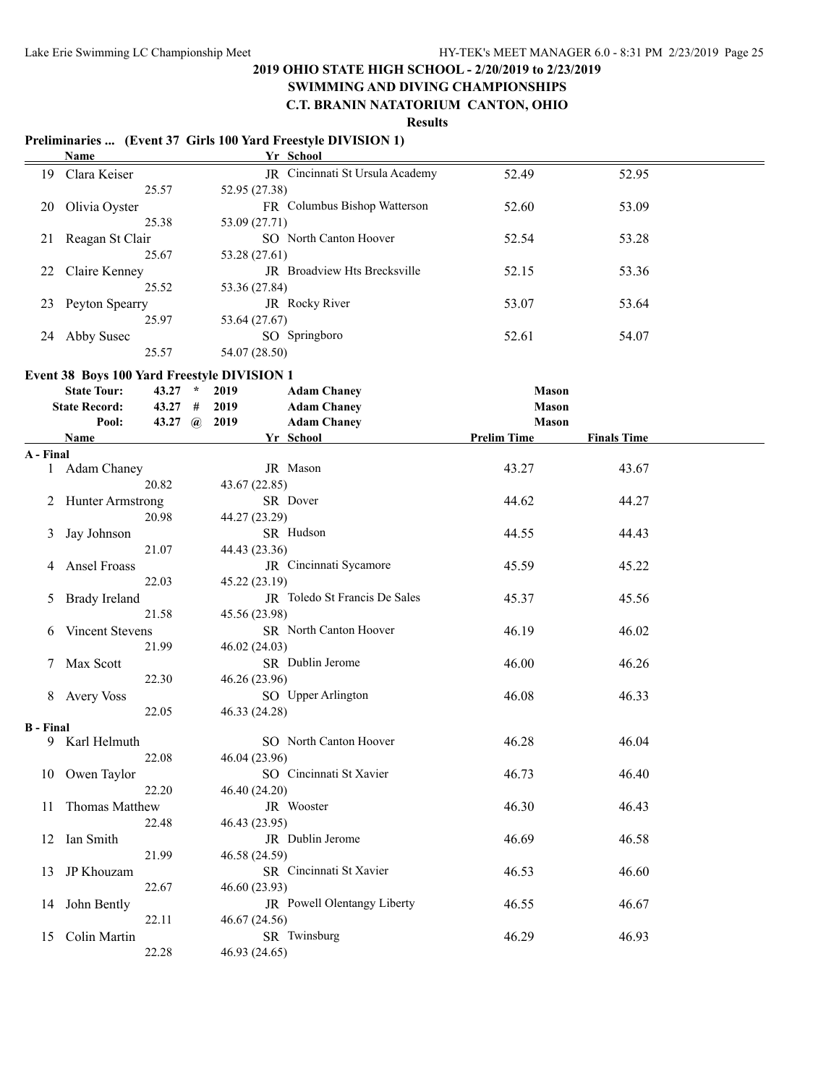# **SWIMMING AND DIVING CHAMPIONSHIPS**

# **C.T. BRANIN NATATORIUM CANTON, OHIO**

**Results**

#### **Preliminaries ... (Event 37 Girls 100 Yard Freestyle DIVISION 1) Name Yr School**

|    | гчаше           | тт эспоот                           |       |       |  |
|----|-----------------|-------------------------------------|-------|-------|--|
| 19 | Clara Keiser    | JR Cincinnati St Ursula Academy     | 52.49 | 52.95 |  |
|    | 25.57           | 52.95 (27.38)                       |       |       |  |
| 20 | Olivia Oyster   | FR Columbus Bishop Watterson        | 52.60 | 53.09 |  |
|    | 25.38           | 53.09 (27.71)                       |       |       |  |
| 21 | Reagan St Clair | SO North Canton Hoover              | 52.54 | 53.28 |  |
|    | 25.67           | 53.28 (27.61)                       |       |       |  |
| 22 | Claire Kenney   | <b>IR</b> Broadview Hts Brecksville | 52.15 | 53.36 |  |
|    | 25.52           | 53.36 (27.84)                       |       |       |  |
| 23 | Peyton Spearry  | <b>JR</b> Rocky River               | 53.07 | 53.64 |  |
|    | 25.97           | 53.64 (27.67)                       |       |       |  |
| 24 | Abby Susec      | SO Springboro                       | 52.61 | 54.07 |  |
|    | 25.57           | 54.07 (28.50)                       |       |       |  |

#### **Event 38 Boys 100 Yard Freestyle DIVISION 1**

|                  | <b>State Tour:</b>   | 43.27 $*$      | 2019          | <b>Adam Chaney</b>            | <b>Mason</b>       |                    |  |
|------------------|----------------------|----------------|---------------|-------------------------------|--------------------|--------------------|--|
|                  | <b>State Record:</b> | $43.27$ #      | 2019          | <b>Adam Chaney</b>            | <b>Mason</b>       |                    |  |
|                  | Pool:                | 43.27 $\omega$ | 2019          | <b>Adam Chaney</b>            | <b>Mason</b>       |                    |  |
|                  | <b>Name</b>          |                |               | Yr School                     | <b>Prelim Time</b> | <b>Finals Time</b> |  |
| A - Final        | 1 Adam Chaney        |                |               | JR Mason                      | 43.27              | 43.67              |  |
|                  | 20.82                |                | 43.67 (22.85) |                               |                    |                    |  |
|                  | 2 Hunter Armstrong   |                |               | SR Dover                      | 44.62              | 44.27              |  |
|                  | 20.98                |                | 44.27 (23.29) |                               |                    |                    |  |
| 3                | Jay Johnson          |                |               | SR Hudson                     | 44.55              | 44.43              |  |
|                  | 21.07                |                | 44.43 (23.36) |                               |                    |                    |  |
| 4                | Ansel Froass         |                |               | JR Cincinnati Sycamore        | 45.59              | 45.22              |  |
|                  | 22.03                |                | 45.22 (23.19) |                               |                    |                    |  |
| 5                | <b>Brady Ireland</b> |                |               | JR Toledo St Francis De Sales | 45.37              | 45.56              |  |
|                  | 21.58                |                | 45.56 (23.98) |                               |                    |                    |  |
| 6                | Vincent Stevens      |                |               | SR North Canton Hoover        | 46.19              | 46.02              |  |
|                  | 21.99                |                | 46.02 (24.03) |                               |                    |                    |  |
| 7                | Max Scott            |                |               | SR Dublin Jerome              | 46.00              | 46.26              |  |
|                  | 22.30                |                | 46.26 (23.96) |                               |                    |                    |  |
| 8                | <b>Avery Voss</b>    |                |               | SO Upper Arlington            | 46.08              | 46.33              |  |
|                  | 22.05                |                | 46.33 (24.28) |                               |                    |                    |  |
| <b>B</b> - Final |                      |                |               |                               |                    |                    |  |
| 9                | Karl Helmuth         |                |               | SO North Canton Hoover        | 46.28              | 46.04              |  |
|                  | 22.08                |                | 46.04 (23.96) |                               |                    |                    |  |
|                  | 10 Owen Taylor       |                |               | SO Cincinnati St Xavier       | 46.73              | 46.40              |  |
|                  | 22.20                |                | 46.40 (24.20) |                               |                    |                    |  |
| 11               | Thomas Matthew       |                |               | JR Wooster                    | 46.30              | 46.43              |  |
|                  | 22.48                |                | 46.43 (23.95) |                               |                    |                    |  |
| 12               | Ian Smith            |                |               | JR Dublin Jerome              | 46.69              | 46.58              |  |
|                  | 21.99                |                | 46.58 (24.59) |                               |                    |                    |  |
| 13               | JP Khouzam           |                |               | SR Cincinnati St Xavier       | 46.53              | 46.60              |  |
|                  | 22.67                |                | 46.60 (23.93) |                               |                    |                    |  |
|                  | 14 John Bently       |                |               | JR Powell Olentangy Liberty   | 46.55              | 46.67              |  |
|                  | 22.11                |                | 46.67 (24.56) |                               |                    |                    |  |
| 15               | Colin Martin         |                |               | SR Twinsburg                  | 46.29              | 46.93              |  |
|                  | 22.28                |                | 46.93 (24.65) |                               |                    |                    |  |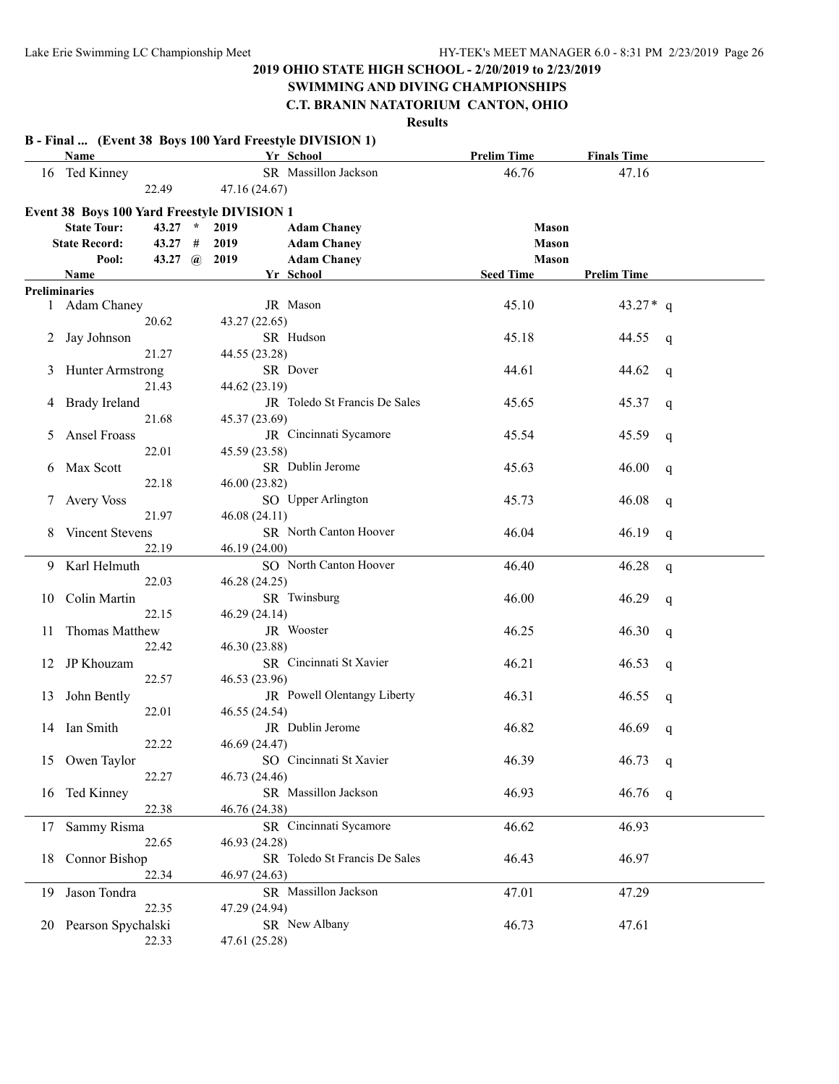### **SWIMMING AND DIVING CHAMPIONSHIPS**

### **C.T. BRANIN NATATORIUM CANTON, OHIO**

|    | Name                                        |                |               | B - Final  (Event 38 Boys 100 Yard Freestyle DIVISION 1)<br>Yr School | <b>Prelim Time</b> | <b>Finals Time</b>   |
|----|---------------------------------------------|----------------|---------------|-----------------------------------------------------------------------|--------------------|----------------------|
|    | 16 Ted Kinney                               |                |               | SR Massillon Jackson                                                  | 46.76              | 47.16                |
|    |                                             | 22.49          | 47.16 (24.67) |                                                                       |                    |                      |
|    | Event 38 Boys 100 Yard Freestyle DIVISION 1 |                |               |                                                                       |                    |                      |
|    | <b>State Tour:</b>                          | $43.27$ *      | 2019          | <b>Adam Chaney</b>                                                    | <b>Mason</b>       |                      |
|    | <b>State Record:</b>                        | 43.27#         | 2019          | <b>Adam Chaney</b>                                                    | <b>Mason</b>       |                      |
|    | Pool:                                       | 43.27 $\omega$ | 2019          | <b>Adam Chaney</b>                                                    | <b>Mason</b>       |                      |
|    | Name                                        |                |               | Yr School                                                             | <b>Seed Time</b>   | <b>Prelim Time</b>   |
|    | <b>Preliminaries</b>                        |                |               |                                                                       |                    |                      |
|    | 1 Adam Chaney                               |                |               | JR Mason                                                              | 45.10              | 43.27 $*$ q          |
|    |                                             | 20.62          | 43.27 (22.65) |                                                                       |                    |                      |
| 2  | Jay Johnson                                 |                |               | SR Hudson                                                             | 45.18              | 44.55<br>q           |
|    |                                             | 21.27          | 44.55 (23.28) |                                                                       |                    |                      |
| 3  | Hunter Armstrong                            |                |               | SR Dover                                                              | 44.61              | 44.62<br>q           |
|    |                                             | 21.43          | 44.62 (23.19) |                                                                       |                    |                      |
|    | 4 Brady Ireland                             |                |               | JR Toledo St Francis De Sales                                         | 45.65              | 45.37<br>q           |
|    |                                             | 21.68          | 45.37 (23.69) |                                                                       |                    |                      |
| 5  | Ansel Froass                                |                |               | JR Cincinnati Sycamore                                                | 45.54              | 45.59<br>q           |
|    |                                             | 22.01          | 45.59 (23.58) |                                                                       |                    |                      |
| 6  | Max Scott                                   |                |               | SR Dublin Jerome                                                      | 45.63              | 46.00<br>q           |
|    |                                             | 22.18          | 46.00 (23.82) |                                                                       |                    |                      |
| 7  | <b>Avery Voss</b>                           |                |               | SO Upper Arlington                                                    | 45.73              | 46.08<br>q           |
|    |                                             | 21.97          | 46.08 (24.11) |                                                                       |                    |                      |
| 8  | Vincent Stevens                             |                |               | SR North Canton Hoover                                                | 46.04              | 46.19<br>q           |
|    |                                             | 22.19          | 46.19 (24.00) |                                                                       |                    |                      |
| 9  | Karl Helmuth                                |                |               | SO North Canton Hoover                                                | 46.40              | 46.28<br>$\mathbf q$ |
|    |                                             | 22.03          | 46.28 (24.25) |                                                                       |                    |                      |
| 10 | Colin Martin                                |                |               | SR Twinsburg                                                          | 46.00              | 46.29<br>q           |
|    |                                             | 22.15          | 46.29 (24.14) |                                                                       |                    |                      |
| 11 | Thomas Matthew                              |                |               | JR Wooster                                                            | 46.25              | 46.30<br>q           |
|    |                                             | 22.42          | 46.30 (23.88) |                                                                       |                    |                      |
| 12 | JP Khouzam                                  |                |               | SR Cincinnati St Xavier                                               | 46.21              | 46.53<br>q           |
|    |                                             | 22.57          | 46.53 (23.96) |                                                                       |                    |                      |
| 13 | John Bently                                 |                |               | JR Powell Olentangy Liberty                                           | 46.31              | 46.55<br>q           |
|    |                                             | 22.01          | 46.55 (24.54) |                                                                       |                    |                      |
|    | 14 Ian Smith                                |                |               | JR Dublin Jerome                                                      | 46.82              | 46.69<br>q           |
|    |                                             | 22.22          | 46.69 (24.47) |                                                                       |                    |                      |
|    | 15 Owen Taylor                              |                |               | SO Cincinnati St Xavier                                               | 46.39              | 46.73<br>q           |
|    |                                             | 22.27          | 46.73 (24.46) |                                                                       |                    |                      |
| 16 | Ted Kinney                                  |                |               | SR Massillon Jackson                                                  | 46.93              | 46.76<br>q           |
|    |                                             | 22.38          | 46.76 (24.38) |                                                                       |                    |                      |
| 17 | Sammy Risma                                 |                |               | SR Cincinnati Sycamore                                                | 46.62              | 46.93                |
|    |                                             | 22.65          | 46.93 (24.28) |                                                                       |                    |                      |
| 18 | Connor Bishop                               |                |               | SR Toledo St Francis De Sales                                         | 46.43              | 46.97                |
|    |                                             | 22.34          | 46.97 (24.63) |                                                                       |                    |                      |
| 19 | Jason Tondra                                |                |               | SR Massillon Jackson                                                  | 47.01              | 47.29                |
|    |                                             | 22.35          | 47.29 (24.94) |                                                                       |                    |                      |
|    |                                             |                |               | SR New Albany                                                         | 46.73              | 47.61                |
|    | 20 Pearson Spychalski                       |                |               |                                                                       |                    |                      |
|    |                                             | 22.33          | 47.61 (25.28) |                                                                       |                    |                      |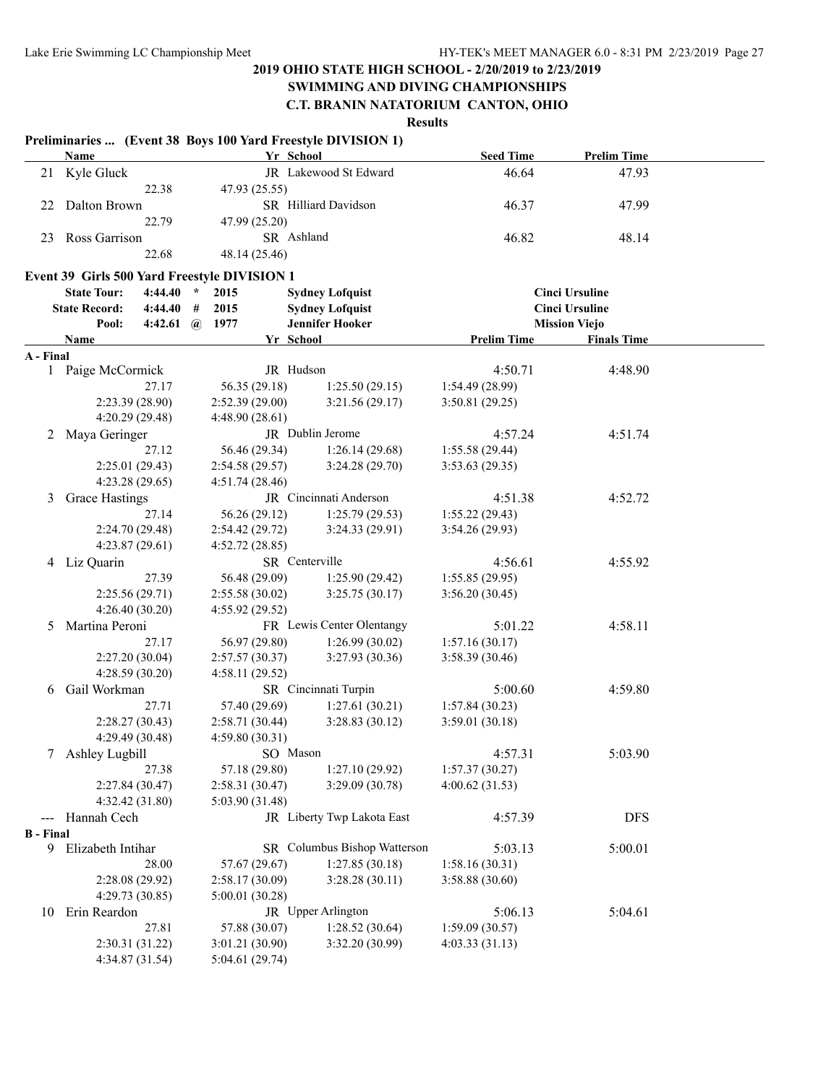# **SWIMMING AND DIVING CHAMPIONSHIPS**

# **C.T. BRANIN NATATORIUM CANTON, OHIO**

|                  | Name                                         |                       |                 | Preliminaries  (Event 38 Boys 100 Yard Freestyle DIVISION 1)<br>Yr School | <b>Seed Time</b>   | <b>Prelim Time</b>    |  |
|------------------|----------------------------------------------|-----------------------|-----------------|---------------------------------------------------------------------------|--------------------|-----------------------|--|
|                  | 21 Kyle Gluck                                |                       |                 | JR Lakewood St Edward                                                     | 46.64              | 47.93                 |  |
|                  |                                              | 22.38                 | 47.93 (25.55)   |                                                                           |                    |                       |  |
| 22               | Dalton Brown                                 |                       |                 | SR Hilliard Davidson                                                      | 46.37              | 47.99                 |  |
|                  |                                              | 22.79                 | 47.99 (25.20)   |                                                                           |                    |                       |  |
| 23               | Ross Garrison                                |                       |                 | SR Ashland                                                                | 46.82              | 48.14                 |  |
|                  |                                              | 22.68                 | 48.14 (25.46)   |                                                                           |                    |                       |  |
|                  |                                              |                       |                 |                                                                           |                    |                       |  |
|                  | Event 39 Girls 500 Yard Freestyle DIVISION 1 |                       |                 |                                                                           |                    |                       |  |
|                  | <b>State Tour:</b>                           | $4:44.40*$            | 2015            | <b>Sydney Lofquist</b>                                                    |                    | <b>Cinci Ursuline</b> |  |
|                  | <b>State Record:</b>                         | $4:44.40#$ #          | 2015            | <b>Sydney Lofquist</b>                                                    |                    | <b>Cinci Ursuline</b> |  |
|                  | Pool:                                        | 4:42.61 $\omega$ 1977 |                 | <b>Jennifer Hooker</b>                                                    |                    | <b>Mission Viejo</b>  |  |
|                  | Name                                         |                       |                 | Yr School                                                                 | <b>Prelim Time</b> | <b>Finals Time</b>    |  |
| A - Final        |                                              |                       |                 |                                                                           |                    |                       |  |
|                  | 1 Paige McCormick                            |                       |                 | JR Hudson                                                                 | 4:50.71            | 4:48.90               |  |
|                  |                                              | 27.17                 | 56.35 (29.18)   | 1:25.50(29.15)                                                            | 1:54.49 (28.99)    |                       |  |
|                  | 2:23.39 (28.90)                              |                       | 2:52.39(29.00)  | 3:21.56(29.17)                                                            | 3:50.81 (29.25)    |                       |  |
|                  | 4:20.29 (29.48)                              |                       | 4:48.90(28.61)  |                                                                           |                    |                       |  |
| 2                | Maya Geringer                                |                       |                 | JR Dublin Jerome                                                          | 4:57.24            | 4:51.74               |  |
|                  |                                              | 27.12                 | 56.46 (29.34)   | 1:26.14(29.68)                                                            | 1:55.58(29.44)     |                       |  |
|                  | 2:25.01 (29.43)                              |                       | 2:54.58(29.57)  | 3:24.28(29.70)                                                            | 3:53.63(29.35)     |                       |  |
|                  | 4:23.28(29.65)                               |                       | 4:51.74(28.46)  |                                                                           |                    |                       |  |
| 3                | Grace Hastings                               |                       |                 | JR Cincinnati Anderson                                                    | 4:51.38            | 4:52.72               |  |
|                  |                                              | 27.14                 | 56.26 (29.12)   | 1:25.79(29.53)                                                            | 1:55.22(29.43)     |                       |  |
|                  | 2:24.70 (29.48)                              |                       | 2:54.42(29.72)  | 3:24.33(29.91)                                                            | 3:54.26(29.93)     |                       |  |
|                  | 4:23.87(29.61)                               |                       | 4:52.72(28.85)  |                                                                           |                    |                       |  |
|                  | 4 Liz Quarin                                 |                       |                 | SR Centerville                                                            | 4:56.61            | 4:55.92               |  |
|                  |                                              | 27.39                 | 56.48 (29.09)   | 1:25.90(29.42)                                                            | 1:55.85(29.95)     |                       |  |
|                  | 2:25.56(29.71)                               |                       | 2:55.58(30.02)  | 3:25.75(30.17)                                                            | 3:56.20(30.45)     |                       |  |
|                  | 4:26.40(30.20)                               |                       | 4:55.92 (29.52) |                                                                           |                    |                       |  |
| 5                | Martina Peroni                               |                       |                 | FR Lewis Center Olentangy                                                 | 5:01.22            | 4:58.11               |  |
|                  |                                              | 27.17                 | 56.97 (29.80)   | 1:26.99(30.02)                                                            | 1:57.16(30.17)     |                       |  |
|                  | 2:27.20(30.04)                               |                       | 2:57.57(30.37)  | 3:27.93(30.36)                                                            | 3:58.39 (30.46)    |                       |  |
|                  | 4:28.59 (30.20)                              |                       | 4:58.11 (29.52) |                                                                           |                    |                       |  |
| 6                | Gail Workman                                 |                       |                 | SR Cincinnati Turpin                                                      | 5:00.60            | 4:59.80               |  |
|                  |                                              | 27.71                 | 57.40 (29.69)   | 1:27.61(30.21)                                                            | 1:57.84(30.23)     |                       |  |
|                  | 2:28.27(30.43)                               |                       | 2:58.71(30.44)  | 3:28.83(30.12)                                                            | 3:59.01(30.18)     |                       |  |
|                  | 4:29.49 (30.48)                              |                       | 4:59.80(30.31)  |                                                                           |                    |                       |  |
| 7                | Ashley Lugbill                               |                       |                 | SO Mason                                                                  | 4:57.31            | 5:03.90               |  |
|                  |                                              | 27.38                 | 57.18 (29.80)   | 1:27.10 (29.92)                                                           | 1:57.37(30.27)     |                       |  |
|                  | 2:27.84 (30.47)                              |                       | 2:58.31(30.47)  | 3:29.09 (30.78)                                                           | 4:00.62(31.53)     |                       |  |
|                  | 4:32.42(31.80)                               |                       | 5:03.90 (31.48) |                                                                           |                    |                       |  |
| $\frac{1}{2}$    | Hannah Cech                                  |                       |                 | JR Liberty Twp Lakota East                                                | 4:57.39            | <b>DFS</b>            |  |
| <b>B</b> - Final |                                              |                       |                 |                                                                           |                    |                       |  |
|                  | 9 Elizabeth Intihar                          |                       |                 | SR Columbus Bishop Watterson                                              | 5:03.13            | 5:00.01               |  |
|                  |                                              | 28.00                 | 57.67 (29.67)   | 1:27.85(30.18)                                                            | 1:58.16(30.31)     |                       |  |
|                  | 2:28.08 (29.92)                              |                       | 2:58.17 (30.09) | 3:28.28(30.11)                                                            | 3:58.88 (30.60)    |                       |  |
|                  | 4:29.73 (30.85)                              |                       | 5:00.01(30.28)  |                                                                           |                    |                       |  |
| 10               | Erin Reardon                                 |                       |                 | JR Upper Arlington                                                        | 5:06.13            | 5:04.61               |  |
|                  |                                              | 27.81                 | 57.88 (30.07)   | 1:28.52(30.64)                                                            | 1:59.09(30.57)     |                       |  |
|                  | 2:30.31 (31.22)                              |                       | 3:01.21 (30.90) | 3:32.20 (30.99)                                                           | 4:03.33(31.13)     |                       |  |
|                  | 4:34.87 (31.54)                              |                       | 5:04.61 (29.74) |                                                                           |                    |                       |  |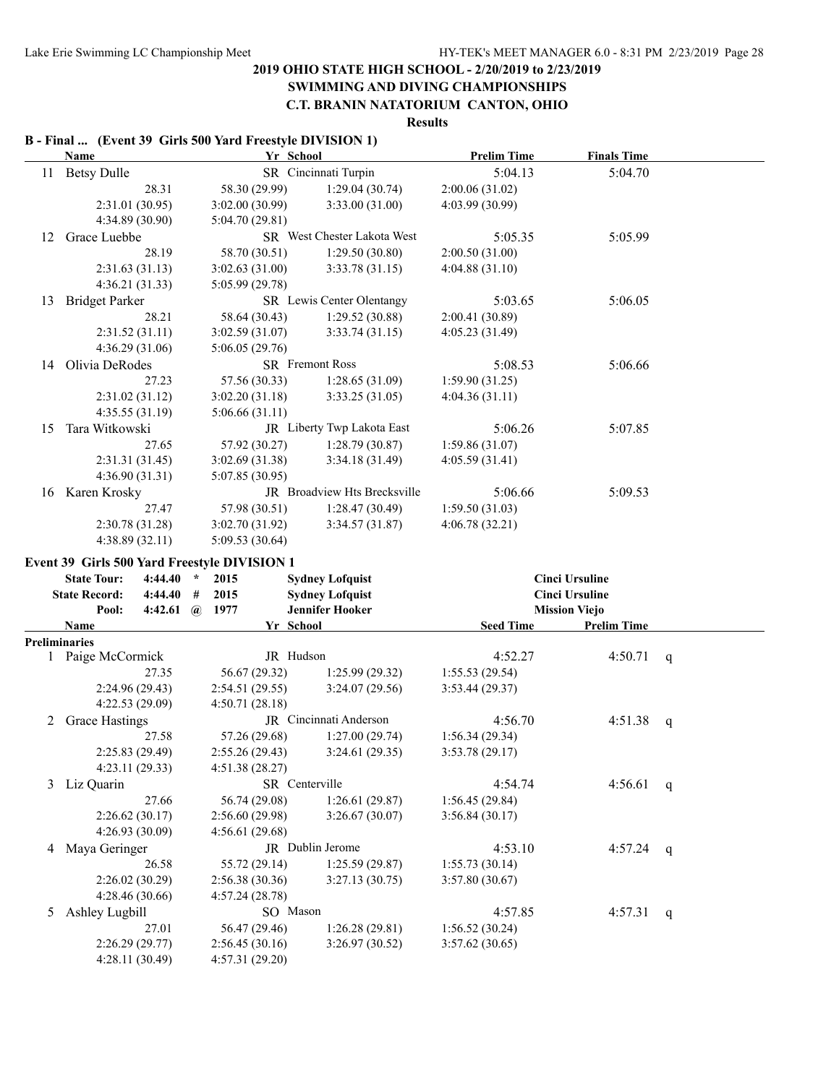#### **SWIMMING AND DIVING CHAMPIONSHIPS C.T. BRANIN NATATORIUM CANTON, OHIO**

# **Results**

#### **B - Final ... (Event 39 Girls 500 Yard Freestyle DIVISION 1)**

|    | <b>Name</b>                                  | Yr School                         |                              | <b>Prelim Time</b> | <b>Finals Time</b>    |   |
|----|----------------------------------------------|-----------------------------------|------------------------------|--------------------|-----------------------|---|
| 11 | <b>Betsy Dulle</b>                           |                                   | SR Cincinnati Turpin         | 5:04.13            | 5:04.70               |   |
|    | 28.31                                        | 58.30 (29.99)                     | 1:29.04(30.74)               | 2:00.06 (31.02)    |                       |   |
|    | 2:31.01(30.95)                               | 3:02.00 (30.99)                   | 3:33.00 (31.00)              | 4:03.99 (30.99)    |                       |   |
|    | 4:34.89 (30.90)                              | 5:04.70(29.81)                    |                              |                    |                       |   |
| 12 | Grace Luebbe                                 |                                   | SR West Chester Lakota West  | 5:05.35            | 5:05.99               |   |
|    | 28.19                                        | 58.70 (30.51)                     | 1:29.50(30.80)               | 2:00.50 (31.00)    |                       |   |
|    | 2:31.63(31.13)                               | 3:02.63(31.00)                    | 3:33.78(31.15)               | 4:04.88(31.10)     |                       |   |
|    | 4:36.21(31.33)                               | 5:05.99(29.78)                    |                              |                    |                       |   |
| 13 | <b>Bridget Parker</b>                        |                                   | SR Lewis Center Olentangy    | 5:03.65            | 5:06.05               |   |
|    | 28.21                                        | 58.64 (30.43)                     | 1:29.52(30.88)               | 2:00.41 (30.89)    |                       |   |
|    | 2:31.52(31.11)                               | 3:02.59(31.07)                    | 3:33.74(31.15)               | 4:05.23 (31.49)    |                       |   |
|    | 4:36.29(31.06)                               | 5:06.05(29.76)                    |                              |                    |                       |   |
| 14 | Olivia DeRodes                               |                                   | SR Fremont Ross              | 5:08.53            | 5:06.66               |   |
|    | 27.23                                        | 57.56 (30.33)                     | 1:28.65(31.09)               | 1:59.90(31.25)     |                       |   |
|    | 2:31.02(31.12)                               | 3:02.20(31.18)                    | 3:33.25(31.05)               | 4:04.36(31.11)     |                       |   |
|    | 4:35.55(31.19)                               | 5:06.66(31.11)                    |                              |                    |                       |   |
| 15 | Tara Witkowski                               |                                   | JR Liberty Twp Lakota East   | 5:06.26            | 5:07.85               |   |
|    | 27.65                                        | 57.92 (30.27)                     | 1:28.79(30.87)               | 1:59.86(31.07)     |                       |   |
|    | 2:31.31 (31.45)                              | 3:02.69(31.38)                    | 3:34.18(31.49)               | 4:05.59(31.41)     |                       |   |
|    | 4:36.90(31.31)                               | 5:07.85 (30.95)                   |                              |                    |                       |   |
|    | 16 Karen Krosky                              |                                   | JR Broadview Hts Brecksville | 5:06.66            | 5:09.53               |   |
|    | 27.47                                        | 57.98 (30.51)                     | 1:28.47(30.49)               | 1:59.50(31.03)     |                       |   |
|    | 2:30.78 (31.28)                              | 3:02.70 (31.92)                   | 3:34.57(31.87)               | 4:06.78(32.21)     |                       |   |
|    | 4:38.89(32.11)                               | 5:09.53 (30.64)                   |                              |                    |                       |   |
|    | Event 39 Girls 500 Yard Freestyle DIVISION 1 |                                   |                              |                    |                       |   |
|    |                                              |                                   |                              |                    |                       |   |
|    | <b>State Tour:</b><br>4:44.40                | 2015<br>$\star$                   | <b>Sydney Lofquist</b>       |                    | <b>Cinci Ursuline</b> |   |
|    | <b>State Record:</b><br>4:44.40              | 2015<br>#                         | <b>Sydney Lofquist</b>       |                    | <b>Cinci Ursuline</b> |   |
|    | Pool:<br>4:42.61                             | $(a)$ 1977                        | <b>Jennifer Hooker</b>       |                    | <b>Mission Viejo</b>  |   |
|    | Name                                         | Yr School                         |                              | <b>Seed Time</b>   | <b>Prelim Time</b>    |   |
|    | <b>Preliminaries</b>                         |                                   |                              |                    |                       |   |
|    | Paige McCormick                              | JR Hudson                         |                              | 4:52.27            | 4:50.71               | q |
|    | 27.35                                        | 56.67 (29.32)                     | 1:25.99(29.32)               | 1:55.53(29.54)     |                       |   |
|    | 2:24.96 (29.43)                              | 2:54.51(29.55)                    | 3:24.07(29.56)               | 3:53.44(29.37)     |                       |   |
|    | 4:22.53 (29.09)                              | 4:50.71(28.18)                    |                              |                    |                       |   |
| 2  | Grace Hastings                               |                                   | JR Cincinnati Anderson       | 4:56.70            | 4:51.38               | q |
|    | 27.58                                        | 57.26 (29.68)                     | 1:27.00(29.74)               | 1:56.34(29.34)     |                       |   |
|    | 2:25.83 (29.49)                              | 2:55.26(29.43)                    | 3:24.61(29.35)               | 3:53.78(29.17)     |                       |   |
|    | 4:23.11 (29.33)                              | 4:51.38 (28.27)                   |                              |                    |                       |   |
|    | 3 Liz Quarin                                 | SR Centerville                    |                              | 4:54.74            | 4:56.61               | q |
|    | 27.66                                        | 56.74 (29.08)                     | 1:26.61(29.87)               | 1:56.45(29.84)     |                       |   |
|    | 2:26.62(30.17)                               | 2:56.60(29.98)                    | 3:26.67(30.07)               | 3:56.84(30.17)     |                       |   |
|    | 4:26.93 (30.09)                              | 4:56.61(29.68)                    |                              |                    |                       |   |
| 4  | Maya Geringer                                |                                   | JR Dublin Jerome             | 4:53.10            | 4:57.24               | q |
|    | 26.58                                        | 55.72 (29.14)                     | 1:25.59(29.87)               | 1:55.73(30.14)     |                       |   |
|    | 2:26.02 (30.29)                              | 2:56.38(30.36)                    | 3:27.13(30.75)               | 3:57.80(30.67)     |                       |   |
|    | 4:28.46 (30.66)                              | 4:57.24(28.78)                    |                              |                    |                       |   |
| 5  | Ashley Lugbill                               | SO Mason                          |                              | 4:57.85            | 4:57.31               | q |
|    | 27.01                                        | 56.47 (29.46)                     | 1:26.28(29.81)               | 1:56.52(30.24)     |                       |   |
|    | 2:26.29(29.77)<br>4:28.11 (30.49)            | 2:56.45(30.16)<br>4:57.31 (29.20) | 3:26.97(30.52)               | 3:57.62(30.65)     |                       |   |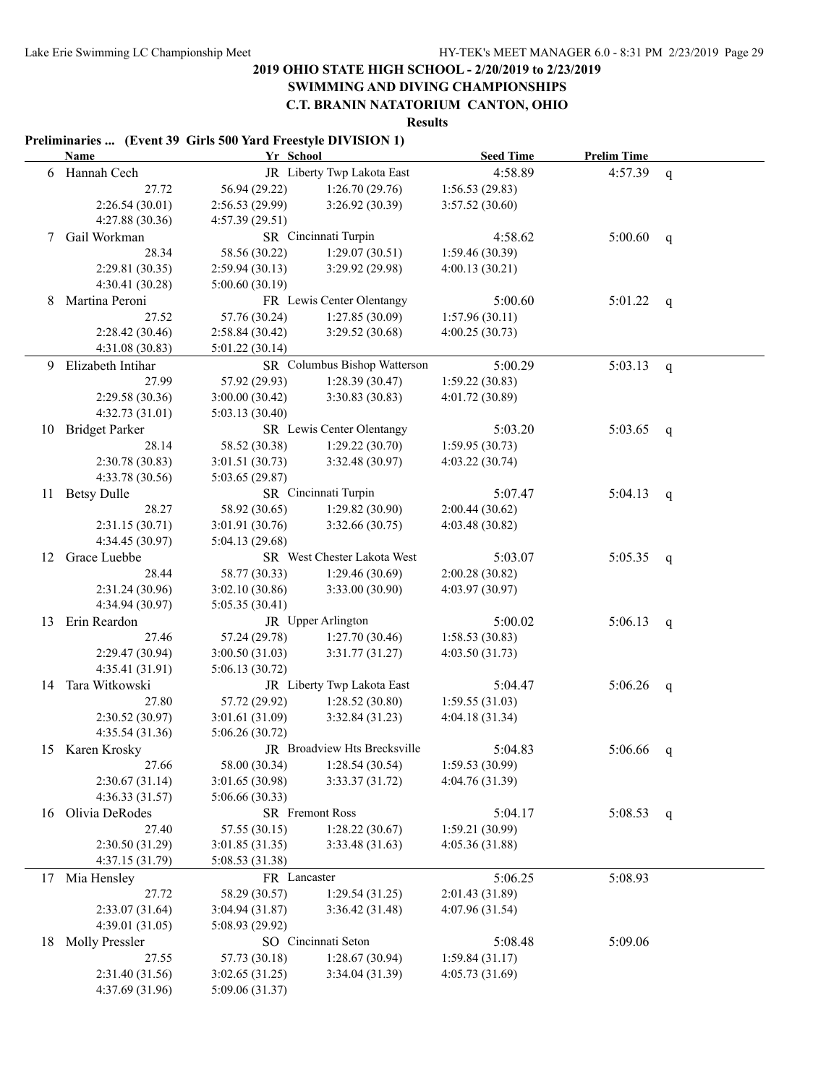# **SWIMMING AND DIVING CHAMPIONSHIPS**

**C.T. BRANIN NATATORIUM CANTON, OHIO**

**Results**

#### **Preliminaries ... (Event 39 Girls 500 Yard Freestyle DIVISION 1)**

|    | Name                  | Yr School       |                              | <b>Seed Time</b> | <b>Prelim Time</b> |              |
|----|-----------------------|-----------------|------------------------------|------------------|--------------------|--------------|
|    | 6 Hannah Cech         |                 | JR Liberty Twp Lakota East   | 4:58.89          | 4:57.39            | q            |
|    | 27.72                 | 56.94 (29.22)   | 1:26.70(29.76)               | 1:56.53(29.83)   |                    |              |
|    | 2:26.54(30.01)        | 2:56.53(29.99)  | 3:26.92(30.39)               | 3:57.52(30.60)   |                    |              |
|    | 4:27.88 (30.36)       | 4:57.39 (29.51) |                              |                  |                    |              |
| 7  | Gail Workman          |                 | SR Cincinnati Turpin         | 4:58.62          | 5:00.60            | q            |
|    | 28.34                 | 58.56 (30.22)   | 1:29.07(30.51)               | 1:59.46 (30.39)  |                    |              |
|    | 2:29.81(30.35)        | 2:59.94(30.13)  | 3:29.92(29.98)               | 4:00.13(30.21)   |                    |              |
|    | 4:30.41 (30.28)       | 5:00.60 (30.19) |                              |                  |                    |              |
| 8  | Martina Peroni        |                 | FR Lewis Center Olentangy    | 5:00.60          | 5:01.22            |              |
|    | 27.52                 | 57.76 (30.24)   | 1:27.85(30.09)               | 1:57.96(30.11)   |                    | q            |
|    | 2:28.42 (30.46)       | 2:58.84(30.42)  | 3:29.52 (30.68)              | 4:00.25(30.73)   |                    |              |
|    | 4:31.08 (30.83)       | 5:01.22(30.14)  |                              |                  |                    |              |
|    | Elizabeth Intihar     |                 | SR Columbus Bishop Watterson | 5:00.29          | 5:03.13            |              |
| 9  |                       | 57.92 (29.93)   |                              |                  |                    | $\mathsf{q}$ |
|    | 27.99                 |                 | 1:28.39(30.47)               | 1:59.22(30.83)   |                    |              |
|    | 2:29.58 (30.36)       | 3:00.00(30.42)  | 3:30.83(30.83)               | 4:01.72 (30.89)  |                    |              |
|    | 4:32.73(31.01)        | 5:03.13(30.40)  |                              |                  |                    |              |
| 10 | <b>Bridget Parker</b> |                 | SR Lewis Center Olentangy    | 5:03.20          | 5:03.65            | q            |
|    | 28.14                 | 58.52 (30.38)   | 1:29.22(30.70)               | 1:59.95(30.73)   |                    |              |
|    | 2:30.78(30.83)        | 3:01.51(30.73)  | 3:32.48 (30.97)              | 4:03.22 (30.74)  |                    |              |
|    | 4:33.78 (30.56)       | 5:03.65(29.87)  |                              |                  |                    |              |
| 11 | <b>Betsy Dulle</b>    |                 | SR Cincinnati Turpin         | 5:07.47          | 5:04.13            | q            |
|    | 28.27                 | 58.92 (30.65)   | 1:29.82(30.90)               | 2:00.44(30.62)   |                    |              |
|    | 2:31.15(30.71)        | 3:01.91(30.76)  | 3:32.66(30.75)               | 4:03.48(30.82)   |                    |              |
|    | 4:34.45 (30.97)       | 5:04.13 (29.68) |                              |                  |                    |              |
| 12 | Grace Luebbe          |                 | SR West Chester Lakota West  | 5:03.07          | 5:05.35            | q            |
|    | 28.44                 | 58.77 (30.33)   | 1:29.46(30.69)               | 2:00.28(30.82)   |                    |              |
|    | 2:31.24 (30.96)       | 3:02.10(30.86)  | 3:33.00(30.90)               | 4:03.97 (30.97)  |                    |              |
|    | 4:34.94 (30.97)       | 5:05.35 (30.41) |                              |                  |                    |              |
| 13 | Erin Reardon          |                 | JR Upper Arlington           | 5:00.02          | 5:06.13            | q            |
|    | 27.46                 | 57.24 (29.78)   | 1:27.70(30.46)               | 1:58.53(30.83)   |                    |              |
|    | 2:29.47 (30.94)       | 3:00.50(31.03)  | 3:31.77(31.27)               | 4:03.50 (31.73)  |                    |              |
|    | 4:35.41 (31.91)       | 5:06.13 (30.72) |                              |                  |                    |              |
| 14 | Tara Witkowski        |                 | JR Liberty Twp Lakota East   | 5:04.47          | 5:06.26            | q            |
|    | 27.80                 | 57.72 (29.92)   | 1:28.52(30.80)               | 1:59.55(31.03)   |                    |              |
|    | 2:30.52 (30.97)       | 3:01.61(31.09)  | 3:32.84(31.23)               | 4:04.18(31.34)   |                    |              |
|    | 4:35.54 (31.36)       | 5:06.26(30.72)  |                              |                  |                    |              |
|    | 15 Karen Krosky       |                 | JR Broadview Hts Brecksville | 5:04.83          | 5:06.66            | q            |
|    | 27.66                 | 58.00 (30.34)   | 1:28.54(30.54)               | 1:59.53 (30.99)  |                    |              |
|    | 2:30.67(31.14)        | 3:01.65 (30.98) | 3:33.37(31.72)               | 4:04.76 (31.39)  |                    |              |
|    | 4:36.33(31.57)        | 5:06.66 (30.33) |                              |                  |                    |              |
| 16 | Olivia DeRodes        |                 | SR Fremont Ross              | 5:04.17          | 5:08.53            | q            |
|    | 27.40                 | 57.55 (30.15)   | 1:28.22(30.67)               | 1:59.21(30.99)   |                    |              |
|    | 2:30.50 (31.29)       | 3:01.85 (31.35) | 3:33.48 (31.63)              | 4:05.36 (31.88)  |                    |              |
|    | 4:37.15 (31.79)       | 5:08.53 (31.38) |                              |                  |                    |              |
| 17 | Mia Hensley           | FR Lancaster    |                              | 5:06.25          | 5:08.93            |              |
|    | 27.72                 | 58.29 (30.57)   | 1:29.54(31.25)               | 2:01.43 (31.89)  |                    |              |
|    | 2:33.07(31.64)        | 3:04.94 (31.87) | 3:36.42 (31.48)              | 4:07.96(31.54)   |                    |              |
|    | 4:39.01(31.05)        | 5:08.93 (29.92) |                              |                  |                    |              |
| 18 | <b>Molly Pressler</b> |                 | SO Cincinnati Seton          | 5:08.48          | 5:09.06            |              |
|    | 27.55                 | 57.73 (30.18)   | 1:28.67(30.94)               | 1:59.84(31.17)   |                    |              |
|    | 2:31.40 (31.56)       | 3:02.65(31.25)  | 3:34.04 (31.39)              | 4:05.73 (31.69)  |                    |              |
|    | 4:37.69 (31.96)       | 5:09.06 (31.37) |                              |                  |                    |              |
|    |                       |                 |                              |                  |                    |              |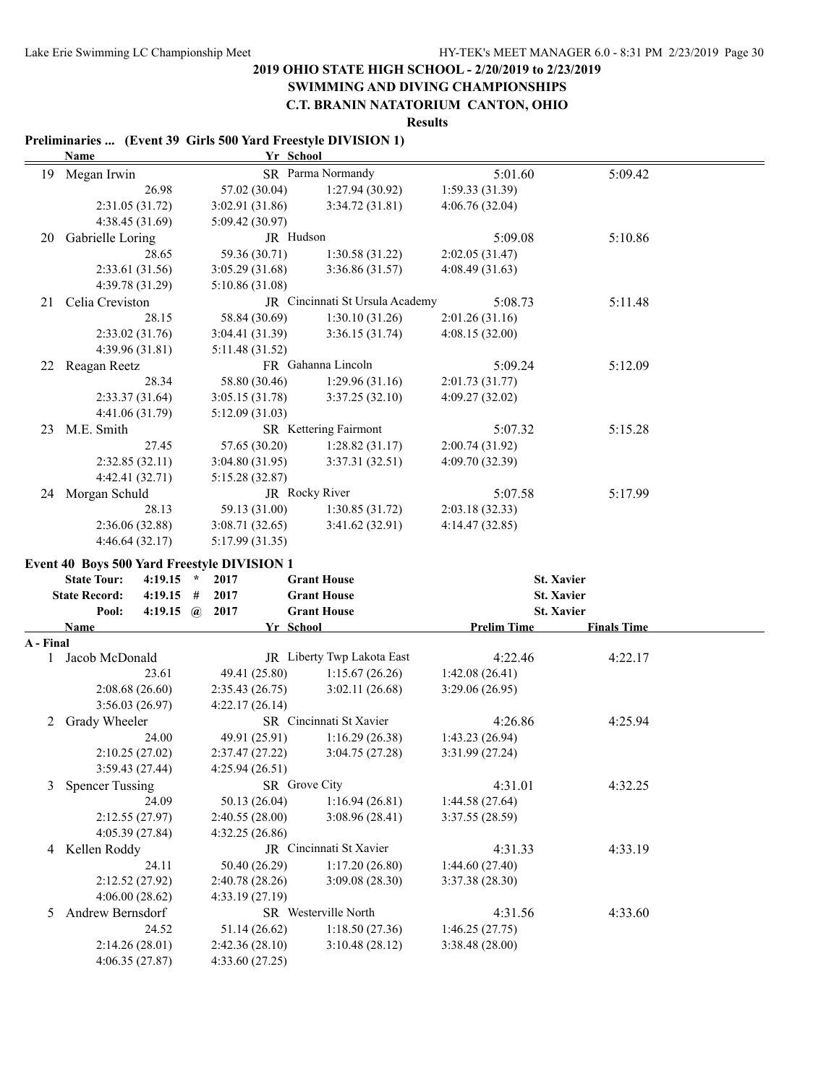### **SWIMMING AND DIVING CHAMPIONSHIPS**

#### **C.T. BRANIN NATATORIUM CANTON, OHIO**

**Results**

#### **Preliminaries ... (Event 39 Girls 500 Yard Freestyle DIVISION 1)**

|                           | <b>Name</b>                                 | Yr School                         |                                 |                    |                    |  |
|---------------------------|---------------------------------------------|-----------------------------------|---------------------------------|--------------------|--------------------|--|
|                           | 19 Megan Irwin                              |                                   | SR Parma Normandy               | 5:01.60            | 5:09.42            |  |
|                           | 26.98                                       | 57.02 (30.04)                     | 1:27.94 (30.92)                 | 1:59.33(31.39)     |                    |  |
|                           | 2:31.05 (31.72)                             | 3:02.91(31.86)                    | 3:34.72 (31.81)                 | 4:06.76(32.04)     |                    |  |
|                           | 4:38.45 (31.69)                             | 5:09.42 (30.97)                   |                                 |                    |                    |  |
| 20                        | Gabrielle Loring                            | JR Hudson                         |                                 | 5:09.08            | 5:10.86            |  |
|                           | 28.65                                       | 59.36 (30.71)                     | 1:30.58(31.22)                  | 2:02.05(31.47)     |                    |  |
|                           | 2:33.61 (31.56)                             | 3:05.29(31.68)                    | 3:36.86(31.57)                  | 4:08.49(31.63)     |                    |  |
|                           | 4:39.78 (31.29)                             | 5:10.86(31.08)                    |                                 |                    |                    |  |
| 21                        | Celia Creviston                             |                                   | JR Cincinnati St Ursula Academy | 5:08.73            | 5:11.48            |  |
|                           | 28.15                                       |                                   | 1:30.10(31.26)                  | 2:01.26(31.16)     |                    |  |
|                           |                                             | 58.84 (30.69)                     |                                 |                    |                    |  |
|                           | 2:33.02 (31.76)                             | 3:04.41(31.39)                    | 3:36.15(31.74)                  | 4:08.15(32.00)     |                    |  |
|                           | 4:39.96 (31.81)                             | 5:11.48 (31.52)                   |                                 |                    |                    |  |
|                           | 22 Reagan Reetz                             |                                   | FR Gahanna Lincoln              | 5:09.24            | 5:12.09            |  |
|                           | 28.34                                       | 58.80 (30.46)                     | 1:29.96(31.16)                  | 2:01.73 (31.77)    |                    |  |
|                           | 2:33.37(31.64)                              | 3:05.15(31.78)                    | 3:37.25(32.10)                  | 4:09.27 (32.02)    |                    |  |
|                           | 4:41.06 (31.79)                             | 5:12.09(31.03)                    |                                 |                    |                    |  |
| 23                        | M.E. Smith                                  |                                   | SR Kettering Fairmont           | 5:07.32            | 5:15.28            |  |
|                           | 27.45                                       | 57.65 (30.20)                     | 1:28.82(31.17)                  | 2:00.74 (31.92)    |                    |  |
|                           | 2:32.85(32.11)                              | 3:04.80(31.95)                    | 3:37.31(32.51)                  | 4:09.70 (32.39)    |                    |  |
|                           | 4:42.41 (32.71)                             | 5:15.28 (32.87)                   |                                 |                    |                    |  |
|                           | 24 Morgan Schuld                            |                                   | JR Rocky River                  | 5:07.58            | 5:17.99            |  |
|                           | 28.13                                       | 59.13 (31.00)                     | 1:30.85(31.72)                  | 2:03.18(32.33)     |                    |  |
|                           | 2:36.06 (32.88)                             | 3:08.71(32.65)                    | 3:41.62(32.91)                  | 4:14.47 (32.85)    |                    |  |
|                           | 4:46.64(32.17)                              | 5:17.99 (31.35)                   |                                 |                    |                    |  |
|                           | Event 40 Boys 500 Yard Freestyle DIVISION 1 |                                   |                                 |                    |                    |  |
|                           |                                             |                                   |                                 |                    |                    |  |
|                           |                                             |                                   |                                 |                    |                    |  |
|                           | <b>State Tour:</b><br>4:19.15<br>$\star$    | 2017                              | <b>Grant House</b>              | <b>St. Xavier</b>  |                    |  |
|                           | <b>State Record:</b><br>4:19.15<br>#        | 2017                              | <b>Grant House</b>              | <b>St. Xavier</b>  |                    |  |
|                           | $\mathbf{a}$<br>Pool:<br>4:19.15            | 2017                              | <b>Grant House</b>              | <b>St. Xavier</b>  |                    |  |
|                           | Name                                        | Yr School                         |                                 | <b>Prelim Time</b> | <b>Finals Time</b> |  |
| A - Final<br>$\mathbf{1}$ |                                             |                                   |                                 |                    |                    |  |
|                           | Jacob McDonald<br>23.61                     |                                   | JR Liberty Twp Lakota East      | 4:22.46            | 4:22.17            |  |
|                           |                                             | 49.41 (25.80)                     | 1:15.67(26.26)                  | 1:42.08(26.41)     |                    |  |
|                           | 2:08.68(26.60)                              | 2:35.43(26.75)                    | 3:02.11(26.68)                  | 3:29.06(26.95)     |                    |  |
|                           | 3:56.03 (26.97)                             | 4:22.17(26.14)                    |                                 |                    |                    |  |
| 2                         | Grady Wheeler                               |                                   | SR Cincinnati St Xavier         | 4:26.86            | 4:25.94            |  |
|                           | 24.00                                       | 49.91 (25.91)                     | 1:16.29(26.38)                  | 1:43.23(26.94)     |                    |  |
|                           | 2:10.25(27.02)                              | 2:37.47(27.22)                    | 3:04.75(27.28)                  | 3:31.99(27.24)     |                    |  |
|                           | 3:59.43 (27.44)                             | 4:25.94 (26.51)                   |                                 |                    |                    |  |
| 3                         | <b>Spencer Tussing</b>                      | SR Grove City                     |                                 | 4:31.01            | 4:32.25            |  |
|                           | 24.09                                       | 50.13 (26.04)                     | 1:16.94(26.81)                  | 1:44.58(27.64)     |                    |  |
|                           | 2:12.55 (27.97)                             | 2:40.55(28.00)                    | 3:08.96(28.41)                  | 3:37.55 (28.59)    |                    |  |
|                           | 4:05.39 (27.84)                             | 4:32.25(26.86)                    |                                 |                    |                    |  |
|                           | 4 Kellen Roddy                              |                                   | JR Cincinnati St Xavier         | 4:31.33            | 4:33.19            |  |
|                           | 24.11                                       | 50.40 (26.29)                     | 1:17.20(26.80)                  | 1:44.60(27.40)     |                    |  |
|                           | 2:12.52(27.92)                              | 2:40.78 (28.26)                   | 3:09.08 (28.30)                 | 3:37.38 (28.30)    |                    |  |
|                           | 4:06.00(28.62)                              | 4:33.19(27.19)                    |                                 |                    |                    |  |
| 5                         | Andrew Bernsdorf                            |                                   | SR Westerville North            | 4:31.56            | 4:33.60            |  |
|                           | 24.52                                       | 51.14 (26.62)                     | 1:18.50(27.36)                  | 1:46.25(27.75)     |                    |  |
|                           | 2:14.26(28.01)<br>4:06.35(27.87)            | 2:42.36 (28.10)<br>4:33.60(27.25) | 3:10.48(28.12)                  | 3:38.48 (28.00)    |                    |  |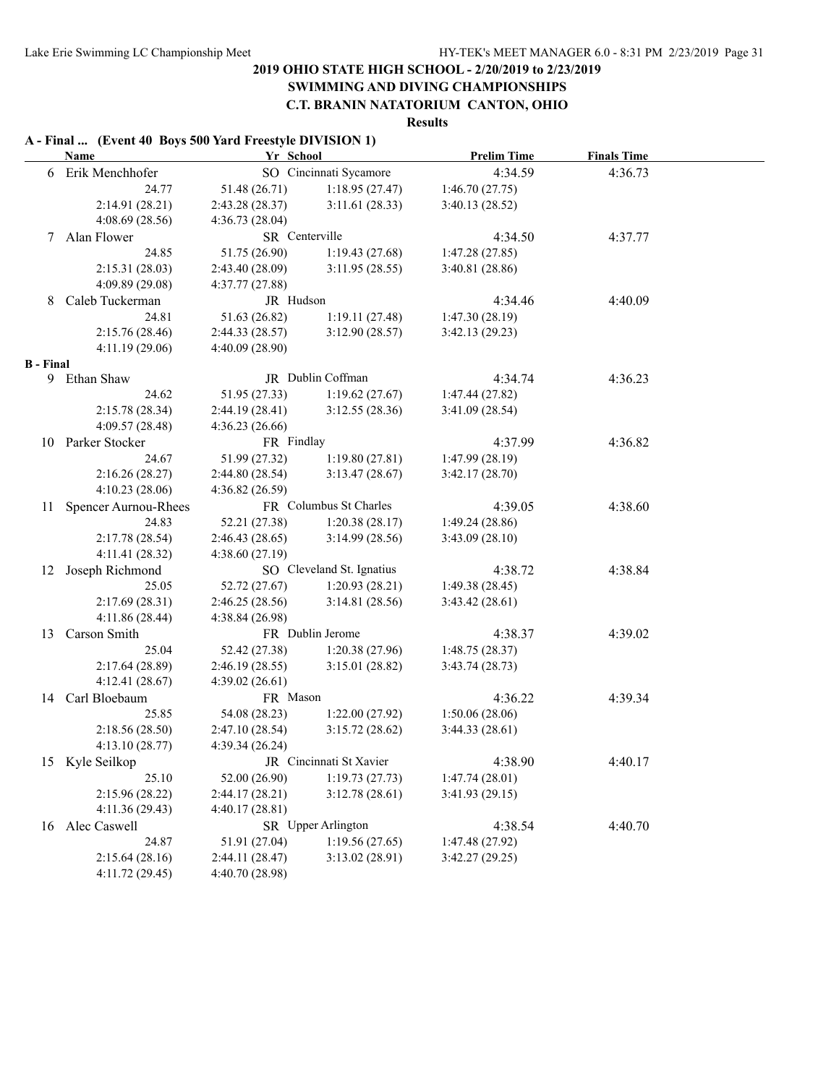# **SWIMMING AND DIVING CHAMPIONSHIPS**

### **C.T. BRANIN NATATORIUM CANTON, OHIO**

#### **Results**

### **A - Final ... (Event 40 Boys 500 Yard Freestyle DIVISION 1)**

|                  | <b>Name</b>             | Yr School               |                           | <b>Prelim Time</b> | <b>Finals Time</b> |  |
|------------------|-------------------------|-------------------------|---------------------------|--------------------|--------------------|--|
|                  | 6 Erik Menchhofer       |                         | SO Cincinnati Sycamore    | 4:34.59            | 4:36.73            |  |
|                  | 24.77                   | 51.48 (26.71)           | 1:18.95(27.47)            | 1:46.70(27.75)     |                    |  |
|                  | 2:14.91 (28.21)         | 2:43.28(28.37)          | 3:11.61(28.33)            | 3:40.13(28.52)     |                    |  |
|                  | 4:08.69(28.56)          | 4:36.73(28.04)          |                           |                    |                    |  |
| 7                | Alan Flower             | SR Centerville          |                           | 4:34.50            | 4:37.77            |  |
|                  | 24.85                   | 51.75 (26.90)           | 1:19.43(27.68)            | 1:47.28(27.85)     |                    |  |
|                  | 2:15.31(28.03)          | 2:43.40(28.09)          | 3:11.95(28.55)            | 3:40.81(28.86)     |                    |  |
|                  | 4:09.89 (29.08)         | 4:37.77(27.88)          |                           |                    |                    |  |
| 8                | Caleb Tuckerman         | JR Hudson               |                           | 4:34.46            | 4:40.09            |  |
|                  | 24.81                   | 51.63 (26.82)           | 1:19.11(27.48)            | 1:47.30(28.19)     |                    |  |
|                  | 2:15.76(28.46)          | 2:44.33(28.57)          | 3:12.90(28.57)            | 3:42.13(29.23)     |                    |  |
|                  | 4:11.19(29.06)          | 4:40.09(28.90)          |                           |                    |                    |  |
| <b>B</b> - Final |                         |                         |                           |                    |                    |  |
|                  | 9 Ethan Shaw            |                         | JR Dublin Coffman         | 4:34.74            | 4:36.23            |  |
|                  | 24.62                   | 51.95 (27.33)           | 1:19.62(27.67)            | 1:47.44(27.82)     |                    |  |
|                  | 2:15.78(28.34)          | 2:44.19(28.41)          | 3:12.55(28.36)            | 3:41.09(28.54)     |                    |  |
|                  | 4:09.57 (28.48)         | 4:36.23(26.66)          |                           |                    |                    |  |
|                  | 10 Parker Stocker       | FR Findlay              |                           | 4:37.99            | 4:36.82            |  |
|                  | 24.67                   | 51.99 (27.32)           | 1:19.80(27.81)            | 1:47.99(28.19)     |                    |  |
|                  | 2:16.26(28.27)          | 2:44.80(28.54)          | 3:13.47(28.67)            | 3:42.17(28.70)     |                    |  |
|                  | 4:10.23(28.06)          | 4:36.82(26.59)          |                           |                    |                    |  |
|                  | 11 Spencer Aurnou-Rhees |                         | FR Columbus St Charles    | 4:39.05            | 4:38.60            |  |
|                  | 24.83                   | 52.21 (27.38)           | 1:20.38(28.17)            | 1:49.24(28.86)     |                    |  |
|                  | 2:17.78(28.54)          | 2:46.43(28.65)          | 3:14.99(28.56)            | 3:43.09(28.10)     |                    |  |
|                  | 4:11.41(28.32)          | 4:38.60(27.19)          |                           |                    |                    |  |
|                  | 12 Joseph Richmond      |                         | SO Cleveland St. Ignatius | 4:38.72            | 4:38.84            |  |
|                  | 25.05                   | 52.72 (27.67)           | 1:20.93(28.21)            | 1:49.38(28.45)     |                    |  |
|                  | 2:17.69(28.31)          | 2:46.25(28.56)          | 3:14.81(28.56)            | 3:43.42(28.61)     |                    |  |
|                  | 4:11.86 (28.44)         | 4:38.84(26.98)          |                           |                    |                    |  |
| 13               | Carson Smith            |                         | FR Dublin Jerome          | 4:38.37            | 4:39.02            |  |
|                  | 25.04                   | 52.42 (27.38)           | 1:20.38(27.96)            | 1:48.75(28.37)     |                    |  |
|                  | 2:17.64 (28.89)         | 2:46.19(28.55)          | 3:15.01(28.82)            | 3:43.74(28.73)     |                    |  |
|                  | 4:12.41(28.67)          | 4:39.02(26.61)          |                           |                    |                    |  |
|                  | 14 Carl Bloebaum        | FR Mason                |                           | 4:36.22            | 4:39.34            |  |
|                  | 25.85                   | 54.08 (28.23)           | 1:22.00(27.92)            | 1:50.06(28.06)     |                    |  |
|                  | 2:18.56(28.50)          | 2:47.10(28.54)          | 3:15.72(28.62)            | 3:44.33(28.61)     |                    |  |
|                  | 4:13.10(28.77)          | 4:39.34(26.24)          |                           |                    |                    |  |
|                  | 15 Kyle Seilkop         | JR Cincinnati St Xavier |                           | 4:38.90            | 4:40.17            |  |
|                  | 25.10                   | 52.00 (26.90)           | 1:19.73(27.73)            | 1:47.74(28.01)     |                    |  |
|                  | 2:15.96 (28.22)         | 2:44.17(28.21)          | 3:12.78(28.61)            | 3:41.93(29.15)     |                    |  |
|                  | 4:11.36 (29.43)         | 4:40.17(28.81)          |                           |                    |                    |  |
|                  | 16 Alec Caswell         |                         | SR Upper Arlington        | 4:38.54            | 4:40.70            |  |
|                  | 24.87                   | 51.91 (27.04)           | 1:19.56(27.65)            | 1:47.48 (27.92)    |                    |  |
|                  | 2:15.64(28.16)          | 2:44.11 (28.47)         | 3:13.02(28.91)            | 3:42.27(29.25)     |                    |  |
|                  | 4:11.72 (29.45)         | 4:40.70 (28.98)         |                           |                    |                    |  |
|                  |                         |                         |                           |                    |                    |  |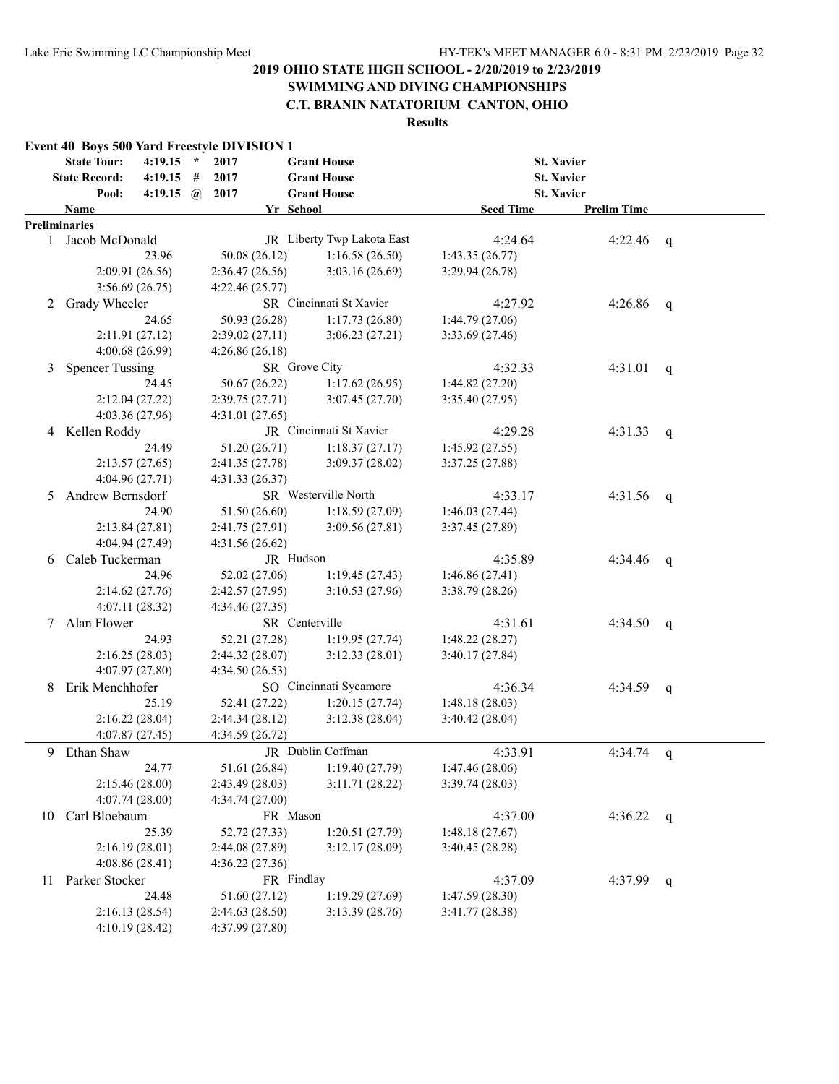# **SWIMMING AND DIVING CHAMPIONSHIPS**

### **C.T. BRANIN NATATORIUM CANTON, OHIO**

|    |                        |                       |                | Event 40 Boys 500 Yard Freestyle DIVISION 1 |                            |                  |                    |              |
|----|------------------------|-----------------------|----------------|---------------------------------------------|----------------------------|------------------|--------------------|--------------|
|    | <b>State Tour:</b>     | $4:19.15$ *           |                | 2017                                        | <b>Grant House</b>         |                  | <b>St. Xavier</b>  |              |
|    | <b>State Record:</b>   | $4:19.15$ #           |                | 2017                                        | <b>Grant House</b>         |                  | <b>St. Xavier</b>  |              |
|    | Pool:                  | 4:19.15 $\omega$ 2017 |                |                                             | <b>Grant House</b>         |                  | <b>St. Xavier</b>  |              |
|    | <b>Name</b>            |                       |                |                                             | Yr School                  | <b>Seed Time</b> | <b>Prelim Time</b> |              |
|    | Preliminaries          |                       |                |                                             |                            |                  |                    |              |
|    | 1 Jacob McDonald       |                       |                |                                             | JR Liberty Twp Lakota East | 4:24.64          | 4:22.46            | q            |
|    |                        | 23.96                 |                | 50.08 (26.12)                               | 1:16.58(26.50)             | 1:43.35(26.77)   |                    |              |
|    |                        | 2:09.91(26.56)        |                | 2:36.47(26.56)                              | 3:03.16(26.69)             | 3:29.94 (26.78)  |                    |              |
|    |                        | 3:56.69(26.75)        |                | 4:22.46(25.77)                              |                            |                  |                    |              |
| 2  | Grady Wheeler          |                       |                |                                             | SR Cincinnati St Xavier    | 4:27.92          | 4:26.86            | q            |
|    |                        | 24.65                 |                | 50.93 (26.28)                               | 1:17.73(26.80)             | 1:44.79 (27.06)  |                    |              |
|    |                        | 2:11.91(27.12)        |                | 2:39.02(27.11)                              | 3:06.23(27.21)             | 3:33.69 (27.46)  |                    |              |
|    |                        | 4:00.68 (26.99)       |                | 4:26.86(26.18)                              |                            |                  |                    |              |
| 3  | <b>Spencer Tussing</b> |                       |                |                                             | SR Grove City              | 4:32.33          | 4:31.01            | $\mathsf{q}$ |
|    |                        | 24.45                 |                | 50.67 (26.22)                               | 1:17.62(26.95)             | 1:44.82(27.20)   |                    |              |
|    |                        | 2:12.04(27.22)        |                | 2:39.75(27.71)                              | 3:07.45(27.70)             | 3:35.40(27.95)   |                    |              |
|    |                        | 4:03.36 (27.96)       |                | 4:31.01(27.65)                              |                            |                  |                    |              |
| 4  | Kellen Roddy           |                       |                |                                             | JR Cincinnati St Xavier    | 4:29.28          | 4:31.33            | q            |
|    |                        | 24.49                 |                | 51.20 (26.71)                               | 1:18.37(27.17)             | 1:45.92(27.55)   |                    |              |
|    |                        | 2:13.57(27.65)        |                | 2:41.35 (27.78)                             | 3:09.37(28.02)             | 3:37.25(27.88)   |                    |              |
|    |                        | 4:04.96 (27.71)       |                | 4:31.33(26.37)                              |                            |                  |                    |              |
| 5. | Andrew Bernsdorf       |                       |                | SR Westerville North                        | 4:33.17                    | 4:31.56          | q                  |              |
|    |                        | 24.90                 |                | 51.50 (26.60)                               | 1:18.59(27.09)             | 1:46.03(27.44)   |                    |              |
|    | 2:13.84(27.81)         |                       | 2:41.75(27.91) | 3:09.56(27.81)                              | 3:37.45(27.89)             |                  |                    |              |
|    |                        | 4:04.94 (27.49)       |                | 4:31.56(26.62)                              |                            |                  |                    |              |
| 6  | Caleb Tuckerman        |                       |                |                                             | JR Hudson                  | 4:35.89          | 4:34.46            | q            |
|    |                        | 24.96                 |                | 52.02 (27.06)                               | 1:19.45(27.43)             | 1:46.86(27.41)   |                    |              |
|    |                        | 2:14.62(27.76)        |                | 2:42.57(27.95)                              | 3:10.53(27.96)             | 3:38.79(28.26)   |                    |              |
|    |                        | 4:07.11(28.32)        |                | 4:34.46 (27.35)                             |                            |                  |                    |              |
| 7  | Alan Flower            |                       |                |                                             | SR Centerville             | 4:31.61          | 4:34.50            | q            |
|    |                        | 24.93                 |                | 52.21 (27.28)                               | 1:19.95(27.74)             | 1:48.22(28.27)   |                    |              |
|    |                        | 2:16.25(28.03)        |                | 2:44.32(28.07)                              | 3:12.33(28.01)             | 3:40.17(27.84)   |                    |              |
|    |                        | 4:07.97 (27.80)       |                | 4:34.50 (26.53)                             |                            |                  |                    |              |
| 8  | Erik Menchhofer        |                       |                |                                             | SO Cincinnati Sycamore     | 4:36.34          | 4:34.59            | q            |
|    |                        | 25.19                 |                | 52.41 (27.22)                               | 1:20.15(27.74)             | 1:48.18(28.03)   |                    |              |
|    |                        | 2:16.22(28.04)        |                | 2:44.34(28.12)                              | 3:12.38(28.04)             | 3:40.42(28.04)   |                    |              |
|    |                        | 4:07.87(27.45)        |                | 4:34.59 (26.72)                             |                            |                  |                    |              |
| 9  | Ethan Shaw             |                       |                |                                             | JR Dublin Coffman          | 4:33.91          | $4:34.74$ q        |              |
|    |                        | 24.77                 |                | 51.61 (26.84)                               | 1:19.40(27.79)             | 1:47.46(28.06)   |                    |              |
|    |                        | 2:15.46 (28.00)       |                | 2:43.49 (28.03)                             | 3:11.71(28.22)             | 3:39.74(28.03)   |                    |              |
|    |                        | 4:07.74(28.00)        |                | 4:34.74(27.00)                              |                            |                  |                    |              |
| 10 | Carl Bloebaum          |                       |                |                                             | FR Mason                   | 4:37.00          | 4:36.22 $q$        |              |
|    |                        | 25.39                 |                | 52.72 (27.33)                               | 1:20.51(27.79)             | 1:48.18(27.67)   |                    |              |
|    |                        | 2:16.19(28.01)        |                | 2:44.08 (27.89)                             | 3:12.17(28.09)             | 3:40.45(28.28)   |                    |              |
|    |                        | 4:08.86(28.41)        |                | 4:36.22(27.36)                              |                            |                  |                    |              |
| 11 | Parker Stocker         |                       |                |                                             | FR Findlay                 | 4:37.09          | 4:37.99            | $\mathsf{q}$ |
|    |                        | 24.48                 |                | 51.60 (27.12)                               | 1:19.29(27.69)             | 1:47.59(28.30)   |                    |              |
|    |                        | 2:16.13(28.54)        |                | 2:44.63(28.50)                              | 3:13.39(28.76)             | 3:41.77 (28.38)  |                    |              |
|    |                        | 4:10.19(28.42)        |                | 4:37.99 (27.80)                             |                            |                  |                    |              |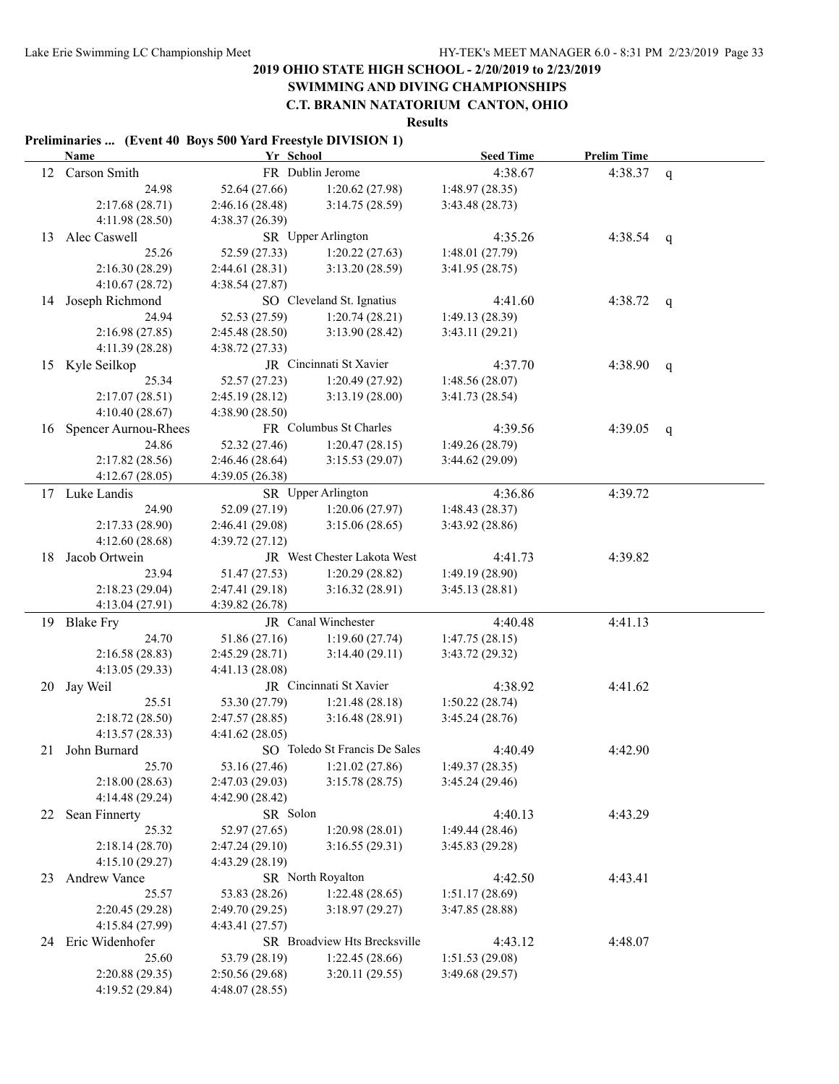# **SWIMMING AND DIVING CHAMPIONSHIPS**

# **C.T. BRANIN NATATORIUM CANTON, OHIO**

#### **Results**

#### **Preliminaries ... (Event 40 Boys 500 Yard Freestyle DIVISION 1)**

|    | Name                    | Yr School       |                                  | <b>Seed Time</b>                  | <b>Prelim Time</b> |              |
|----|-------------------------|-----------------|----------------------------------|-----------------------------------|--------------------|--------------|
|    | 12 Carson Smith         |                 | FR Dublin Jerome                 | 4:38.67                           | 4:38.37            | $\mathbf q$  |
|    | 24.98                   | 52.64 (27.66)   | 1:20.62(27.98)                   | 1:48.97 (28.35)                   |                    |              |
|    | 2:17.68(28.71)          | 2:46.16(28.48)  | 3:14.75(28.59)                   | 3:43.48(28.73)                    |                    |              |
|    | 4:11.98 (28.50)         | 4:38.37(26.39)  |                                  |                                   |                    |              |
| 13 | Alec Caswell            |                 | SR Upper Arlington               | 4:35.26                           | 4:38.54            | q            |
|    | 25.26                   | 52.59 (27.33)   | 1:20.22(27.63)                   | 1:48.01(27.79)                    |                    |              |
|    | 2:16.30(28.29)          | 2:44.61(28.31)  | 3:13.20(28.59)                   | 3:41.95(28.75)                    |                    |              |
|    | 4:10.67(28.72)          | 4:38.54(27.87)  |                                  |                                   |                    |              |
| 14 | Joseph Richmond         |                 | SO Cleveland St. Ignatius        | 4:41.60                           | 4:38.72            | q            |
|    | 24.94                   | 52.53 (27.59)   | 1:20.74(28.21)                   | 1:49.13 (28.39)                   |                    |              |
|    | 2:16.98(27.85)          | 2:45.48(28.50)  | 3:13.90(28.42)                   | 3:43.11 (29.21)                   |                    |              |
|    | 4:11.39(28.28)          | 4:38.72 (27.33) |                                  |                                   |                    |              |
|    | 15 Kyle Seilkop         |                 | JR Cincinnati St Xavier          | 4:37.70                           | 4:38.90            | $\mathsf{q}$ |
|    | 25.34                   | 52.57 (27.23)   | 1:20.49(27.92)                   | 1:48.56(28.07)                    |                    |              |
|    | 2:17.07(28.51)          | 2:45.19(28.12)  | 3:13.19(28.00)                   | 3:41.73 (28.54)                   |                    |              |
|    | 4:10.40(28.67)          | 4:38.90(28.50)  |                                  |                                   |                    |              |
|    | 16 Spencer Aurnou-Rhees |                 | FR Columbus St Charles           | 4:39.56                           | 4:39.05            | q            |
|    | 24.86                   | 52.32 (27.46)   | 1:20.47(28.15)                   | 1:49.26(28.79)                    |                    |              |
|    | 2:17.82(28.56)          | 2:46.46(28.64)  | 3:15.53(29.07)                   | 3:44.62 (29.09)                   |                    |              |
|    | 4:12.67(28.05)          | 4:39.05 (26.38) |                                  |                                   |                    |              |
|    | 17 Luke Landis          |                 | SR Upper Arlington               | 4:36.86                           | 4:39.72            |              |
|    | 24.90                   | 52.09 (27.19)   | 1:20.06(27.97)                   | 1:48.43(28.37)                    |                    |              |
|    | 2:17.33(28.90)          | 2:46.41(29.08)  | 3:15.06(28.65)                   | 3:43.92 (28.86)                   |                    |              |
|    | 4:12.60(28.68)          | 4:39.72(27.12)  |                                  |                                   |                    |              |
| 18 | Jacob Ortwein           |                 | JR West Chester Lakota West      | 4:41.73                           | 4:39.82            |              |
|    | 23.94                   | 51.47 (27.53)   | 1:20.29(28.82)                   | 1:49.19(28.90)                    |                    |              |
|    | 2:18.23(29.04)          | 2:47.41 (29.18) | 3:16.32(28.91)                   | 3:45.13(28.81)                    |                    |              |
|    | 4:13.04 (27.91)         | 4:39.82 (26.78) |                                  |                                   |                    |              |
|    | 19 Blake Fry            |                 | JR Canal Winchester              | 4:40.48                           | 4:41.13            |              |
|    | 24.70                   | 51.86 (27.16)   | 1:19.60(27.74)                   | 1:47.75(28.15)                    |                    |              |
|    | 2:16.58(28.83)          | 2:45.29(28.71)  | 3:14.40(29.11)                   | 3:43.72 (29.32)                   |                    |              |
|    | 4:13.05(29.33)          | 4:41.13 (28.08) |                                  |                                   |                    |              |
|    | 20 Jay Weil             |                 | JR Cincinnati St Xavier          | 4:38.92                           | 4:41.62            |              |
|    | 25.51                   | 53.30 (27.79)   | 1:21.48(28.18)                   | 1:50.22(28.74)                    |                    |              |
|    | 2:18.72(28.50)          | 2:47.57(28.85)  | 3:16.48(28.91)                   | 3:45.24(28.76)                    |                    |              |
|    | 4:13.57(28.33)          | 4:41.62(28.05)  |                                  |                                   |                    |              |
|    | 21 John Burnard         |                 | SO Toledo St Francis De Sales    | 4:40.49                           | 4:42.90            |              |
|    | 25.70                   | 53.16 (27.46)   | 1:21.02(27.86)                   | 1:49.37 (28.35)                   |                    |              |
|    | 2:18.00(28.63)          | 2:47.03 (29.03) | 3:15.78(28.75)                   | 3:45.24(29.46)                    |                    |              |
|    | 4:14.48 (29.24)         | 4:42.90 (28.42) |                                  |                                   |                    |              |
| 22 | Sean Finnerty           | SR Solon        |                                  | 4:40.13                           | 4:43.29            |              |
|    | 25.32                   | 52.97 (27.65)   | 1:20.98(28.01)                   | 1:49.44(28.46)                    |                    |              |
|    | 2:18.14(28.70)          | 2:47.24(29.10)  | 3:16.55(29.31)                   | 3:45.83(29.28)                    |                    |              |
|    | 4:15.10(29.27)          | 4:43.29 (28.19) |                                  |                                   |                    |              |
|    | <b>Andrew Vance</b>     |                 | SR North Royalton                |                                   |                    |              |
| 23 | 25.57                   | 53.83 (28.26)   |                                  | 4:42.50<br>1:51.17(28.69)         | 4:43.41            |              |
|    | 2:20.45(29.28)          | 2:49.70 (29.25) | 1:22.48(28.65)                   | 3:47.85 (28.88)                   |                    |              |
|    | 4:15.84 (27.99)         | 4:43.41(27.57)  | 3:18.97(29.27)                   |                                   |                    |              |
| 24 | Eric Widenhofer         |                 | SR Broadview Hts Brecksville     | 4:43.12                           | 4:48.07            |              |
|    |                         |                 |                                  |                                   |                    |              |
|    | 25.60                   | 53.79 (28.19)   | 1:22.45(28.66)<br>3:20.11(29.55) | 1:51.53(29.08)<br>3:49.68 (29.57) |                    |              |
|    | 2:20.88(29.35)          | 2:50.56(29.68)  |                                  |                                   |                    |              |
|    | 4:19.52 (29.84)         | 4:48.07 (28.55) |                                  |                                   |                    |              |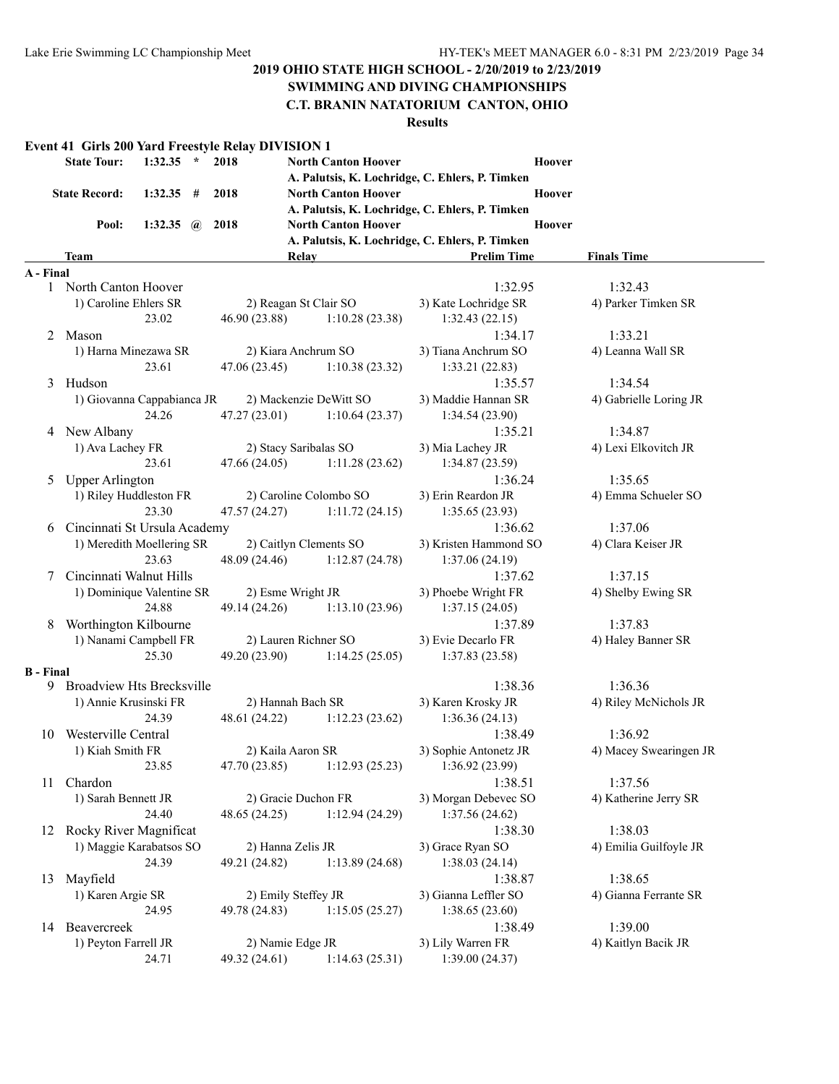#### **SWIMMING AND DIVING CHAMPIONSHIPS**

#### **C.T. BRANIN NATATORIUM CANTON, OHIO**

#### **Results**

#### **Event 41 Girls 200 Yard Freestyle Relay DIVISION 1**

| State Tour: 1:32.35 * 2018   |                        |  | <b>North Canton Hoover</b>                      | Hoover |
|------------------------------|------------------------|--|-------------------------------------------------|--------|
|                              |                        |  | A. Palutsis, K. Lochridge, C. Ehlers, P. Timken |        |
| State Record: 1:32.35 # 2018 |                        |  | <b>North Canton Hoover</b>                      | Hoover |
|                              |                        |  | A. Palutsis, K. Lochridge, C. Ehlers, P. Timken |        |
|                              | Pool: $1:32.35$ @ 2018 |  | <b>North Canton Hoover</b>                      | Hoover |
|                              |                        |  | A. Palutsis, K. Lochridge, C. Ehlers, P. Timken |        |

#### **Team Relay Relay Prelim Time Finals Time**

| A - Final        |                                                   |                        |                                |                       |              |
|------------------|---------------------------------------------------|------------------------|--------------------------------|-----------------------|--------------|
|                  | 1 North Canton Hoover                             |                        |                                | 1:32.95               | 1:32.43      |
|                  | 1) Caroline Ehlers SR                             | 2) Reagan St Clair SO  |                                | 3) Kate Lochridge SR  | 4) Parker Ti |
|                  | 23.02                                             | 46.90 (23.88)          | 1:10.28(23.38)                 | 1:32.43(22.15)        |              |
| 2                | Mason                                             |                        |                                | 1:34.17               | 1:33.21      |
|                  | 1) Harna Minezawa SR                              | 2) Kiara Anchrum SO    |                                | 3) Tiana Anchrum SO   | 4) Leanna V  |
|                  | 23.61                                             | 47.06(23.45)           | 1:10.38(23.32)                 | 1:33.21(22.83)        |              |
| 3                | Hudson                                            |                        |                                | 1:35.57               | 1:34.54      |
|                  | 1) Giovanna Cappabianca JR 2) Mackenzie DeWitt SO |                        |                                | 3) Maddie Hannan SR   | 4) Gabrielle |
|                  | 24.26                                             |                        | 47.27 (23.01) 1:10.64 (23.37)  | 1:34.54(23.90)        |              |
|                  | 4 New Albany                                      |                        |                                | 1:35.21               | 1:34.87      |
|                  | 1) Ava Lachey FR                                  | 2) Stacy Saribalas SO  |                                | 3) Mia Lachey JR      | 4) Lexi Elk  |
|                  | 23.61                                             | 47.66 (24.05)          | 1:11.28(23.62)                 | 1:34.87(23.59)        |              |
| 5                | <b>Upper Arlington</b>                            |                        |                                | 1:36.24               | 1:35.65      |
|                  | 1) Riley Huddleston FR                            | 2) Caroline Colombo SO |                                | 3) Erin Reardon JR    | 4) Emma S    |
|                  | 23.30                                             |                        | $47.57(24.27)$ 1:11.72 (24.15) | 1:35.65(23.93)        |              |
|                  | 6 Cincinnati St Ursula Academy                    |                        |                                | 1:36.62               | 1:37.06      |
|                  | 1) Meredith Moellering SR                         |                        | 2) Caitlyn Clements SO         | 3) Kristen Hammond SO | 4) Clara Ke  |
|                  | 23.63                                             |                        | 48.09 (24.46) 1:12.87 (24.78)  | 1:37.06(24.19)        |              |
| 7                | Cincinnati Walnut Hills                           |                        |                                | 1:37.62               | 1:37.15      |
|                  | 1) Dominique Valentine SR                         | 2) Esme Wright JR      |                                | 3) Phoebe Wright FR   | 4) Shelby E  |
|                  | 24.88                                             |                        | 49.14 (24.26) 1:13.10 (23.96)  | 1:37.15(24.05)        |              |
| 8                | Worthington Kilbourne                             |                        |                                | 1:37.89               | 1:37.83      |
|                  | 1) Nanami Campbell FR                             | 2) Lauren Richner SO   |                                | 3) Evie Decarlo FR    | 4) Haley Ba  |
|                  | 25.30                                             | 49.20 (23.90)          | 1:14.25(25.05)                 | 1:37.83(23.58)        |              |
| <b>B</b> - Final |                                                   |                        |                                |                       |              |
|                  | 9 Broadview Hts Brecksville                       |                        |                                | 1:38.36               | 1:36.36      |
|                  | 1) Annie Krusinski FR                             | 2) Hannah Bach SR      |                                | 3) Karen Krosky JR    | 4) Riley Mo  |
|                  | 24.39                                             |                        | 48.61 (24.22) 1:12.23 (23.62)  | 1:36.36(24.13)        |              |
|                  | 10 Westerville Central                            |                        |                                | 1:38.49               | 1:36.92      |
|                  | 1) Kiah Smith FR                                  | 2) Kaila Aaron SR      |                                | 3) Sophie Antonetz JR | 4) Macey S   |
|                  | 23.85                                             | 47.70(23.85)           | 1:12.93(25.23)                 | 1:36.92 (23.99)       |              |
|                  | 11 Chardon                                        |                        |                                | 1:38.51               | 1:37.56      |
|                  | 1) Sarah Bennett JR                               | 2) Gracie Duchon FR    |                                | 3) Morgan Debevec SO  | 4) Katherin  |
|                  | 24.40                                             |                        | 48.65 (24.25) 1:12.94 (24.29)  | 1:37.56(24.62)        |              |
| 12               | Rocky River Magnificat                            |                        |                                | 1:38.30               | 1:38.03      |
|                  | 1) Maggie Karabatsos SO                           | 2) Hanna Zelis JR      |                                | 3) Grace Ryan SO      | 4) Emilia G  |
|                  | 24.39                                             |                        | 49.21 (24.82) 1:13.89 (24.68)  | 1:38.03(24.14)        |              |
| 13               | Mayfield                                          |                        |                                | 1:38.87               | 1:38.65      |
|                  | 1) Karen Argie SR                                 | 2) Emily Steffey JR    |                                | 3) Gianna Leffler SO  | 4) Gianna F  |
|                  | 24.95                                             |                        | 49.78 (24.83) 1:15.05 (25.27)  | 1:38.65(23.60)        |              |
|                  | 14 Beavercreek                                    |                        |                                | 1:38.49               | 1:39.00      |
|                  | 1) Peyton Farrell JR                              | 2) Namie Edge JR       |                                | 3) Lily Warren FR     | 4) Kaitlyn I |

24.71 49.32 (24.61) 1:14.63 (25.31) 1:39.00 (24.37)

4) Leanna Wall SR 4) Gabrielle Loring JR 4) Lexi Elkovitch JR

4) Parker Timken SR

4) Emma Schueler SO

4) Clara Keiser JR

4) Shelby Ewing SR

4) Haley Banner SR

4) Riley McNichols JR

4) Macey Swearingen JR

4) Katherine Jerry SR

4) Emilia Guilfoyle JR

4) Gianna Ferrante SR

4) Kaitlyn Bacik JR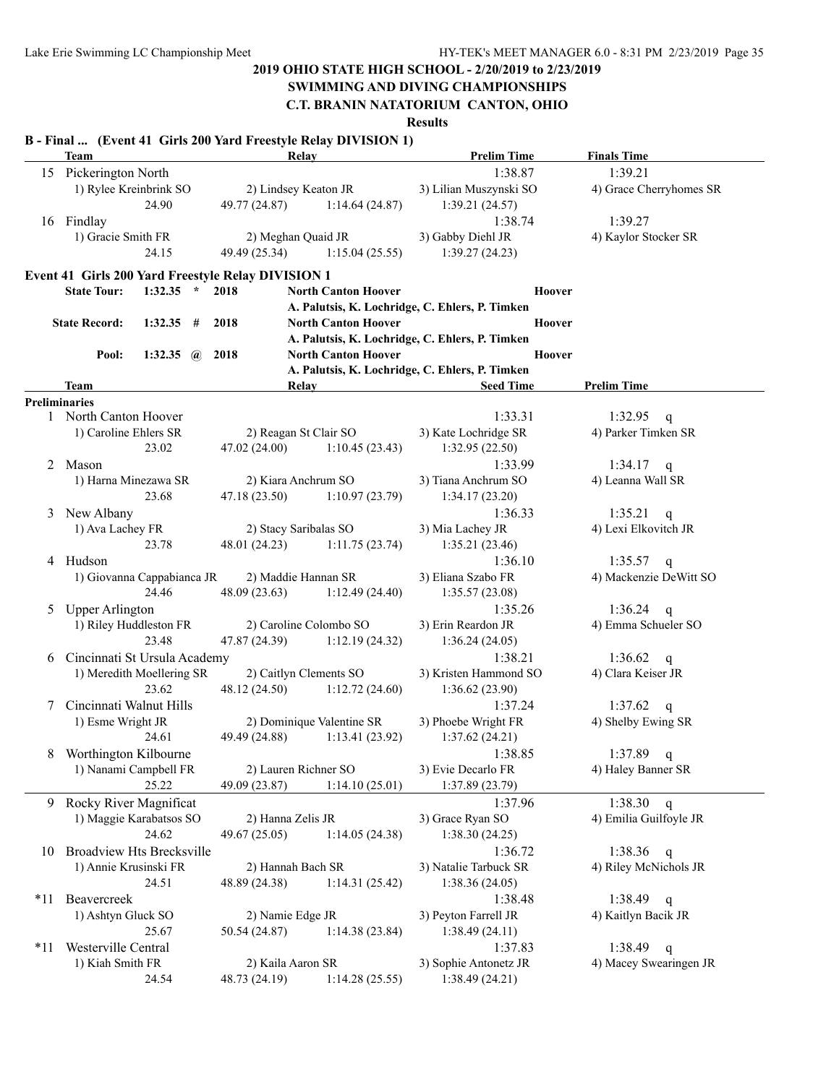# **SWIMMING AND DIVING CHAMPIONSHIPS**

**C.T. BRANIN NATATORIUM CANTON, OHIO**

**Results**

#### **B - Final ... (Event 41 Girls 200 Yard Freestyle Relay DIVISION 1)**

|       | <b>Team</b>                                        |                                 | Relay                      | <b>Prelim Time</b>                              | <b>Finals Time</b>      |
|-------|----------------------------------------------------|---------------------------------|----------------------------|-------------------------------------------------|-------------------------|
|       | 15 Pickerington North                              |                                 |                            | 1:38.87                                         | 1:39.21                 |
|       | 1) Rylee Kreinbrink SO                             |                                 | 2) Lindsey Keaton JR       | 3) Lilian Muszynski SO                          | 4) Grace Cherryhomes SR |
|       | 24.90                                              | 49.77 (24.87)                   | 1:14.64(24.87)             | 1:39.21(24.57)                                  |                         |
|       | 16 Findlay                                         |                                 |                            | 1:38.74                                         | 1:39.27                 |
|       | 1) Gracie Smith FR                                 |                                 | 2) Meghan Quaid JR         | 3) Gabby Diehl JR                               | 4) Kaylor Stocker SR    |
|       | 24.15                                              | 49.49 (25.34)<br>1:15.04(25.55) |                            | 1:39.27(24.23)                                  |                         |
|       | Event 41 Girls 200 Yard Freestyle Relay DIVISION 1 |                                 |                            |                                                 |                         |
|       | $1:32.35$ * 2018<br><b>State Tour:</b>             |                                 | <b>North Canton Hoover</b> | <b>Hoover</b>                                   |                         |
|       |                                                    |                                 |                            | A. Palutsis, K. Lochridge, C. Ehlers, P. Timken |                         |
|       | <b>State Record:</b><br>$1:32.35$ # 2018           |                                 | <b>North Canton Hoover</b> | Hoover                                          |                         |
|       |                                                    |                                 |                            | A. Palutsis, K. Lochridge, C. Ehlers, P. Timken |                         |
|       | Pool:<br>1:32.35 $\omega$ 2018                     |                                 | <b>North Canton Hoover</b> | <b>Hoover</b>                                   |                         |
|       |                                                    |                                 |                            | A. Palutsis, K. Lochridge, C. Ehlers, P. Timken |                         |
|       | Team                                               |                                 | Relav                      | <b>Seed Time</b>                                | <b>Prelim Time</b>      |
|       | <b>Preliminaries</b>                               |                                 |                            |                                                 |                         |
|       | 1 North Canton Hoover                              |                                 |                            | 1:33.31                                         | 1:32.95 q               |
|       | 1) Caroline Ehlers SR                              |                                 | 2) Reagan St Clair SO      | 3) Kate Lochridge SR                            | 4) Parker Timken SR     |
|       | 23.02                                              | 47.02 (24.00)                   | 1:10.45(23.43)             | 1:32.95(22.50)                                  |                         |
| 2     | Mason                                              |                                 |                            | 1:33.99                                         | $1:34.17$ q             |
|       | 1) Harna Minezawa SR                               |                                 | 2) Kiara Anchrum SO        | 3) Tiana Anchrum SO                             | 4) Leanna Wall SR       |
|       | 23.68                                              | 47.18(23.50)                    | 1:10.97(23.79)             | 1:34.17(23.20)                                  |                         |
| 3     | New Albany                                         |                                 |                            | 1:36.33                                         | 1:35.21<br>$\mathbf{q}$ |
|       | 1) Ava Lachey FR                                   |                                 | 2) Stacy Saribalas SO      | 3) Mia Lachey JR                                | 4) Lexi Elkovitch JR    |
|       | 23.78                                              | 48.01(24.23)                    | 1:11.75(23.74)             | 1:35.21(23.46)                                  |                         |
|       | 4 Hudson                                           |                                 |                            | 1:36.10                                         | 1:35.57 q               |
|       | 1) Giovanna Cappabianca JR                         |                                 | 2) Maddie Hannan SR        | 3) Eliana Szabo FR                              | 4) Mackenzie DeWitt SO  |
|       | 24.46                                              | 48.09 (23.63)                   | 1:12.49(24.40)             | 1:35.57(23.08)                                  |                         |
| 5     | <b>Upper Arlington</b>                             |                                 |                            | 1:35.26                                         | 1:36.24<br>$\mathsf{q}$ |
|       | 1) Riley Huddleston FR                             | 2) Caroline Colombo SO          |                            | 3) Erin Reardon JR                              | 4) Emma Schueler SO     |
|       | 23.48                                              | 47.87 (24.39)                   | 1:12.19(24.32)             | 1:36.24(24.05)                                  |                         |
| 6     | Cincinnati St Ursula Academy                       |                                 |                            | 1:38.21                                         | 1:36.62<br>$\mathbf q$  |
|       | 1) Meredith Moellering SR                          |                                 | 2) Caitlyn Clements SO     | 3) Kristen Hammond SO                           | 4) Clara Keiser JR      |
|       | 23.62                                              | 48.12 (24.50)                   | 1:12.72(24.60)             | 1:36.62(23.90)                                  |                         |
| 7     | Cincinnati Walnut Hills                            |                                 |                            | 1:37.24                                         | 1:37.62<br>$\mathsf{q}$ |
|       | 1) Esme Wright JR                                  |                                 | 2) Dominique Valentine SR  | 3) Phoebe Wright FR                             | 4) Shelby Ewing SR      |
|       | 24.61                                              | 49.49 (24.88)                   | 1:13.41(23.92)             | 1:37.62(24.21)                                  |                         |
| 8     | Worthington Kilbourne                              |                                 |                            | 1:38.85                                         | 1:37.89<br>q            |
|       | 1) Nanami Campbell FR                              |                                 | 2) Lauren Richner SO       | 3) Evie Decarlo FR                              | 4) Haley Banner SR      |
|       | 25.22                                              | 49.09 (23.87)                   | 1:14.10(25.01)             | 1:37.89 (23.79)                                 |                         |
| 9.    | Rocky River Magnificat                             |                                 |                            | 1:37.96                                         | 1:38.30<br>$\mathsf{q}$ |
|       | 1) Maggie Karabatsos SO                            | 2) Hanna Zelis JR               |                            | 3) Grace Ryan SO                                | 4) Emilia Guilfoyle JR  |
|       | 24.62                                              | 49.67 (25.05)                   | 1:14.05(24.38)             | 1:38.30(24.25)                                  |                         |
| 10    | <b>Broadview Hts Brecksville</b>                   |                                 |                            | 1:36.72                                         | 1:38.36<br>q            |
|       | 1) Annie Krusinski FR                              |                                 | 2) Hannah Bach SR          | 3) Natalie Tarbuck SR                           | 4) Riley McNichols JR   |
|       | 24.51                                              | 48.89 (24.38)                   | 1:14.31(25.42)             | 1:38.36(24.05)                                  |                         |
| $*11$ | Beavercreek                                        |                                 |                            | 1:38.48                                         | 1:38.49<br>q            |
|       | 1) Ashtyn Gluck SO                                 | 2) Namie Edge JR                |                            | 3) Peyton Farrell JR                            | 4) Kaitlyn Bacik JR     |
|       | 25.67                                              | 50.54 (24.87)                   | 1:14.38(23.84)             | 1:38.49(24.11)                                  |                         |
| $*11$ | Westerville Central                                |                                 |                            | 1:37.83                                         | 1:38.49<br>$\mathbf q$  |
|       | 1) Kiah Smith FR                                   | 2) Kaila Aaron SR               |                            | 3) Sophie Antonetz JR                           | 4) Macey Swearingen JR  |
|       | 24.54                                              | 48.73 (24.19)                   | 1:14.28(25.55)             | 1:38.49(24.21)                                  |                         |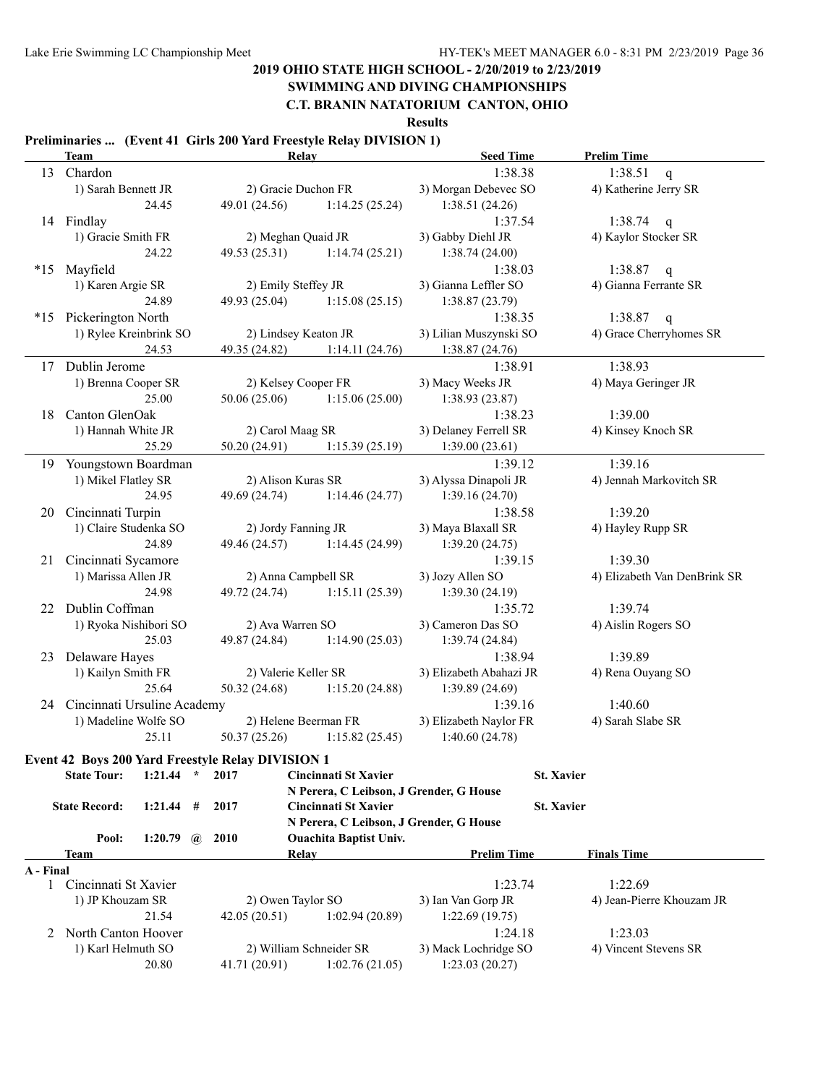### **SWIMMING AND DIVING CHAMPIONSHIPS**

**C.T. BRANIN NATATORIUM CANTON, OHIO**

**Results**

#### **Preliminaries ... (Event 41 Girls 200 Yard Freestyle Relay DIVISION 1)**

|           | <b>Team</b>                                              |                  |                 |                                                     | <b>Relay</b>                            | <b>Seed Time</b>        | <b>Prelim Time</b>           |
|-----------|----------------------------------------------------------|------------------|-----------------|-----------------------------------------------------|-----------------------------------------|-------------------------|------------------------------|
|           | 13 Chardon                                               |                  |                 |                                                     |                                         | 1:38.38                 | 1:38.51<br>$\mathbf{q}$      |
|           | 1) Sarah Bennett JR                                      |                  |                 | 2) Gracie Duchon FR                                 |                                         | 3) Morgan Debevec SO    | 4) Katherine Jerry SR        |
|           |                                                          | 24.45            |                 | 49.01 (24.56)                                       | 1:14.25(25.24)                          | 1:38.51(24.26)          |                              |
|           | 14 Findlay                                               |                  |                 |                                                     |                                         | 1:37.54                 | 1:38.74 q                    |
|           | 1) Gracie Smith FR                                       |                  |                 | 2) Meghan Quaid JR                                  |                                         | 3) Gabby Diehl JR       | 4) Kaylor Stocker SR         |
|           |                                                          | 24.22            |                 | 49.53(25.31)                                        | 1:14.74(25.21)                          | 1:38.74(24.00)          |                              |
| $*15$     | Mayfield                                                 |                  |                 |                                                     |                                         | 1:38.03                 | 1:38.87 q                    |
|           | 1) Karen Argie SR                                        |                  |                 | 2) Emily Steffey JR                                 |                                         | 3) Gianna Leffler SO    | 4) Gianna Ferrante SR        |
|           |                                                          | 24.89            |                 | 49.93 (25.04)                                       | 1:15.08(25.15)                          | 1:38.87(23.79)          |                              |
| $*15$     | Pickerington North                                       |                  |                 |                                                     |                                         | 1:38.35                 | 1:38.87<br>$\mathsf{q}$      |
|           | 1) Rylee Kreinbrink SO                                   |                  |                 | 2) Lindsey Keaton JR                                |                                         | 3) Lilian Muszynski SO  | 4) Grace Cherryhomes SR      |
|           |                                                          | 24.53            |                 | 49.35 (24.82)                                       | 1:14.11(24.76)                          | 1:38.87(24.76)          |                              |
| 17        | Dublin Jerome                                            |                  |                 |                                                     |                                         | 1:38.91                 | 1:38.93                      |
|           | 1) Brenna Cooper SR                                      |                  |                 | 2) Kelsey Cooper FR                                 |                                         | 3) Macy Weeks JR        | 4) Maya Geringer JR          |
|           |                                                          | 25.00            |                 | 50.06(25.06)                                        | 1:15.06(25.00)                          | 1:38.93(23.87)          |                              |
| 18        | Canton GlenOak                                           |                  |                 |                                                     |                                         | 1:38.23                 | 1:39.00                      |
|           | 1) Hannah White JR                                       |                  |                 | 2) Carol Maag SR                                    |                                         | 3) Delaney Ferrell SR   | 4) Kinsey Knoch SR           |
|           |                                                          | 25.29            |                 | 50.20(24.91)                                        | 1:15.39(25.19)                          | 1:39.00(23.61)          |                              |
| 19        | Youngstown Boardman                                      |                  |                 |                                                     |                                         | 1:39.12                 | 1:39.16                      |
|           | 1) Mikel Flatley SR                                      |                  |                 | 2) Alison Kuras SR                                  |                                         | 3) Alyssa Dinapoli JR   | 4) Jennah Markovitch SR      |
|           |                                                          | 24.95            |                 | 49.69 (24.74)                                       | 1:14.46(24.77)                          | 1:39.16(24.70)          |                              |
| 20        | Cincinnati Turpin                                        |                  |                 |                                                     |                                         | 1:38.58                 | 1:39.20                      |
|           | 1) Claire Studenka SO                                    |                  |                 | 2) Jordy Fanning JR                                 |                                         | 3) Maya Blaxall SR      | 4) Hayley Rupp SR            |
|           |                                                          | 24.89            |                 | 49.46 (24.57)                                       | 1:14.45(24.99)                          | 1:39.20(24.75)          |                              |
|           | 21 Cincinnati Sycamore                                   |                  |                 |                                                     |                                         | 1:39.15                 | 1:39.30                      |
|           | 1) Marissa Allen JR                                      |                  |                 | 2) Anna Campbell SR                                 |                                         | 3) Jozy Allen SO        | 4) Elizabeth Van DenBrink SR |
|           |                                                          | 24.98            |                 | 49.72 (24.74)                                       | 1:15.11(25.39)                          | 1:39.30(24.19)          |                              |
| 22        | Dublin Coffman                                           |                  |                 |                                                     |                                         | 1:35.72                 | 1:39.74                      |
|           | 1) Ryoka Nishibori SO                                    |                  |                 |                                                     |                                         | 3) Cameron Das SO       | 4) Aislin Rogers SO          |
|           |                                                          | 25.03            |                 | 2) Ava Warren SO<br>49.87 (24.84)<br>1:14.90(25.03) |                                         | 1:39.74(24.84)          |                              |
|           | Delaware Hayes                                           |                  |                 |                                                     |                                         | 1:38.94                 |                              |
| 23        |                                                          |                  |                 |                                                     |                                         | 3) Elizabeth Abahazi JR | 1:39.89                      |
|           | 1) Kailyn Smith FR                                       |                  |                 | 2) Valerie Keller SR                                |                                         |                         | 4) Rena Ouyang SO            |
|           |                                                          | 25.64            |                 | 50.32 (24.68)                                       | 1:15.20(24.88)                          | 1:39.89(24.69)          |                              |
|           | 24 Cincinnati Ursuline Academy                           |                  |                 |                                                     |                                         | 1:39.16                 | 1:40.60                      |
|           | 1) Madeline Wolfe SO                                     |                  |                 |                                                     | 2) Helene Beerman FR                    | 3) Elizabeth Naylor FR  | 4) Sarah Slabe SR            |
|           |                                                          | 25.11            |                 | 50.37(25.26)                                        | 1:15.82(25.45)                          | 1:40.60(24.78)          |                              |
|           | <b>Event 42 Boys 200 Yard Freestyle Relay DIVISION 1</b> |                  |                 |                                                     |                                         |                         |                              |
|           | <b>State Tour:</b>                                       | 1:21.44          | $\star$<br>2017 |                                                     | <b>Cincinnati St Xavier</b>             |                         | <b>St. Xavier</b>            |
|           |                                                          |                  |                 |                                                     | N Perera, C Leibson, J Grender, G House |                         |                              |
|           | <b>State Record:</b>                                     | 1:21.44          | 2017<br>#       |                                                     | <b>Cincinnati St Xavier</b>             |                         | <b>St. Xavier</b>            |
|           |                                                          |                  |                 |                                                     | N Perera, C Leibson, J Grender, G House |                         |                              |
|           | Pool:                                                    | 1:20.79 $\omega$ | 2010            |                                                     | <b>Ouachita Baptist Univ.</b>           |                         |                              |
|           | Team                                                     |                  |                 |                                                     | <b>Relay</b>                            | <b>Prelim Time</b>      | <b>Finals Time</b>           |
| A - Final |                                                          |                  |                 |                                                     |                                         |                         |                              |
| 1         | Cincinnati St Xavier                                     |                  |                 |                                                     |                                         | 1:23.74                 | 1:22.69                      |
|           | 1) JP Khouzam SR                                         |                  |                 | 2) Owen Taylor SO                                   |                                         | 3) Ian Van Gorp JR      | 4) Jean-Pierre Khouzam JR    |
|           |                                                          | 21.54            |                 | 42.05 (20.51)                                       | 1:02.94(20.89)                          | 1:22.69(19.75)          |                              |
| 2         | North Canton Hoover                                      |                  |                 |                                                     |                                         | 1:24.18                 | 1:23.03                      |
|           | 1) Karl Helmuth SO                                       |                  |                 |                                                     | 2) William Schneider SR                 | 3) Mack Lochridge SO    | 4) Vincent Stevens SR        |
|           |                                                          | 20.80            |                 | 41.71 (20.91)                                       | 1:02.76(21.05)                          | 1:23.03(20.27)          |                              |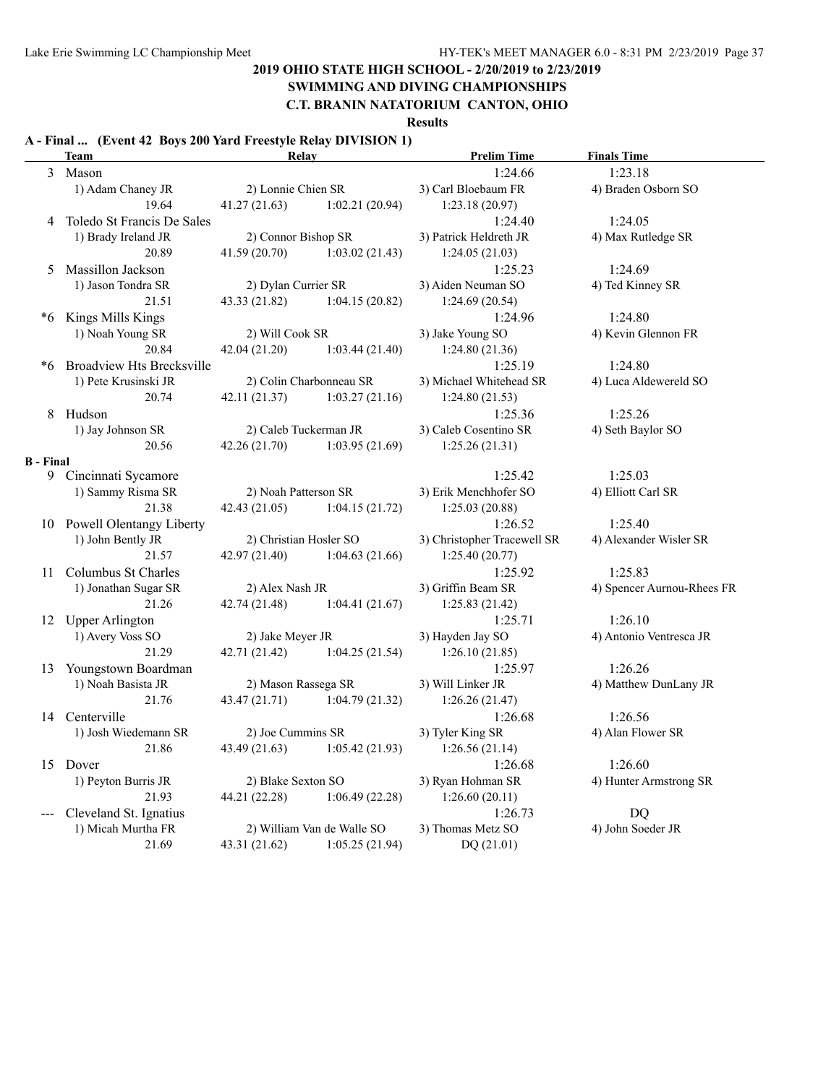# **SWIMMING AND DIVING CHAMPIONSHIPS**

### **C.T. BRANIN NATATORIUM CANTON, OHIO**

#### **Results**

### **A - Final ... (Event 42 Boys 200 Yard Freestyle Relay DIVISION 1)**

|                  | <b>Team</b>                      | Relay                  |                            | <b>Prelim Time</b>          | <b>Finals Time</b>         |
|------------------|----------------------------------|------------------------|----------------------------|-----------------------------|----------------------------|
|                  | 3 Mason                          |                        |                            | 1:24.66                     | 1:23.18                    |
|                  | 1) Adam Chaney JR                | 2) Lonnie Chien SR     |                            | 3) Carl Bloebaum FR         | 4) Braden Osborn SO        |
|                  | 19.64                            | 41.27(21.63)           | 1:02.21(20.94)             | 1:23.18(20.97)              |                            |
| 4                | Toledo St Francis De Sales       |                        |                            | 1:24.40                     | 1:24.05                    |
|                  | 1) Brady Ireland JR              | 2) Connor Bishop SR    |                            | 3) Patrick Heldreth JR      | 4) Max Rutledge SR         |
|                  | 20.89                            | 41.59(20.70)           | 1:03.02(21.43)             | 1:24.05(21.03)              |                            |
| 5                | Massillon Jackson                |                        |                            | 1:25.23                     | 1:24.69                    |
|                  | 1) Jason Tondra SR               | 2) Dylan Currier SR    |                            | 3) Aiden Neuman SO          | 4) Ted Kinney SR           |
|                  | 21.51                            | 43.33(21.82)           | 1:04.15(20.82)             | 1:24.69(20.54)              |                            |
| *6               | Kings Mills Kings                |                        |                            | 1:24.96                     | 1:24.80                    |
|                  | 1) Noah Young SR                 | 2) Will Cook SR        |                            | 3) Jake Young SO            | 4) Kevin Glennon FR        |
|                  | 20.84                            | 42.04(21.20)           | 1:03.44(21.40)             | 1:24.80(21.36)              |                            |
| *6               | <b>Broadview Hts Brecksville</b> |                        |                            | 1:25.19                     | 1:24.80                    |
|                  | 1) Pete Krusinski JR             |                        | 2) Colin Charbonneau SR    | 3) Michael Whitehead SR     | 4) Luca Aldewereld SO      |
|                  | 20.74                            | 42.11(21.37)           | 1:03.27(21.16)             | 1:24.80(21.53)              |                            |
| 8                | Hudson                           |                        |                            | 1:25.36                     | 1:25.26                    |
|                  | 1) Jay Johnson SR                | 2) Caleb Tuckerman JR  |                            | 3) Caleb Cosentino SR       | 4) Seth Baylor SO          |
|                  | 20.56                            | 42.26(21.70)           | 1:03.95(21.69)             | 1:25.26(21.31)              |                            |
| <b>B</b> - Final |                                  |                        |                            |                             |                            |
|                  | 9 Cincinnati Sycamore            |                        |                            | 1:25.42                     | 1:25.03                    |
|                  | 1) Sammy Risma SR                | 2) Noah Patterson SR   |                            | 3) Erik Menchhofer SO       | 4) Elliott Carl SR         |
|                  | 21.38                            | 42.43(21.05)           | 1:04.15(21.72)             | 1:25.03(20.88)              |                            |
| 10               | Powell Olentangy Liberty         |                        |                            | 1:26.52                     | 1:25.40                    |
|                  | 1) John Bently JR                | 2) Christian Hosler SO |                            | 3) Christopher Tracewell SR | 4) Alexander Wisler SR     |
|                  | 21.57                            | 42.97 (21.40)          | 1:04.63(21.66)             | 1:25.40(20.77)              |                            |
| 11               | Columbus St Charles              |                        |                            | 1:25.92                     | 1:25.83                    |
|                  | 1) Jonathan Sugar SR             | 2) Alex Nash JR        |                            | 3) Griffin Beam SR          | 4) Spencer Aurnou-Rhees FR |
|                  | 21.26                            | 42.74 (21.48)          | 1:04.41(21.67)             | 1:25.83(21.42)              |                            |
|                  | 12 Upper Arlington               |                        |                            | 1:25.71                     | 1:26.10                    |
|                  | 1) Avery Voss SO                 | 2) Jake Meyer JR       |                            | 3) Hayden Jay SO            | 4) Antonio Ventresca JR    |
|                  | 21.29                            | 42.71 (21.42)          | 1:04.25(21.54)             | 1:26.10(21.85)              |                            |
| 13               | Youngstown Boardman              |                        |                            | 1:25.97                     | 1:26.26                    |
|                  | 1) Noah Basista JR               | 2) Mason Rassega SR    |                            | 3) Will Linker JR           | 4) Matthew DunLany JR      |
|                  | 21.76                            | 43.47 (21.71)          | 1:04.79(21.32)             | 1:26.26(21.47)              |                            |
| 14               | Centerville                      |                        |                            | 1:26.68                     | 1:26.56                    |
|                  | 1) Josh Wiedemann SR             | 2) Joe Cummins SR      |                            | 3) Tyler King SR            | 4) Alan Flower SR          |
|                  | 21.86                            | 43.49 (21.63)          | 1:05.42(21.93)             | 1:26.56(21.14)              |                            |
| 15               | Dover                            |                        |                            | 1:26.68                     | 1:26.60                    |
|                  | 1) Peyton Burris JR              | 2) Blake Sexton SO     |                            | 3) Ryan Hohman SR           | 4) Hunter Armstrong SR     |
|                  | 21.93                            | 44.21 (22.28)          | 1:06.49(22.28)             | 1:26.60(20.11)              |                            |
| ---              | Cleveland St. Ignatius           |                        |                            | 1:26.73                     | DQ                         |
|                  | 1) Micah Murtha FR               |                        | 2) William Van de Walle SO | 3) Thomas Metz SO           | 4) John Soeder JR          |
|                  | 21.69                            | 43.31 (21.62)          | 1:05.25(21.94)             | DQ(21.01)                   |                            |
|                  |                                  |                        |                            |                             |                            |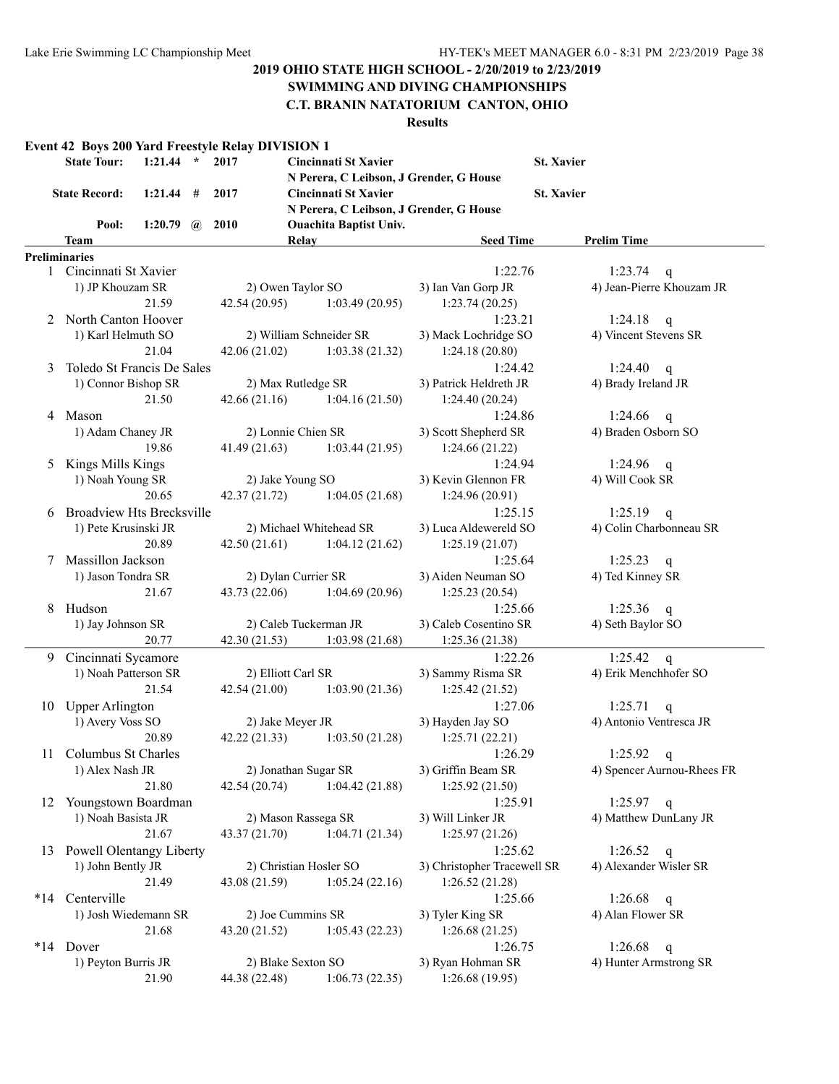# **SWIMMING AND DIVING CHAMPIONSHIPS**

# **C.T. BRANIN NATATORIUM CANTON, OHIO**

|     | <b>State Tour:</b>               | $1:21.44$ *      |   | 2017                   | Cincinnati St Xavier<br>N Perera, C Leibson, J Grender, G House |                        | <b>St. Xavier</b>          |  |  |  |
|-----|----------------------------------|------------------|---|------------------------|-----------------------------------------------------------------|------------------------|----------------------------|--|--|--|
|     | <b>State Record:</b>             | 1:21.44          | # | 2017                   | <b>Cincinnati St Xavier</b><br><b>St. Xavier</b>                |                        |                            |  |  |  |
|     |                                  |                  |   |                        | N Perera, C Leibson, J Grender, G House                         |                        |                            |  |  |  |
|     | Pool:                            | 1:20.79 $\omega$ |   | <b>2010</b>            | <b>Ouachita Baptist Univ.</b>                                   |                        |                            |  |  |  |
|     | Team                             |                  |   |                        | Relay                                                           | <b>Seed Time</b>       | <b>Prelim Time</b>         |  |  |  |
|     | <b>Preliminaries</b>             |                  |   |                        |                                                                 |                        |                            |  |  |  |
|     | 1 Cincinnati St Xavier           |                  |   |                        |                                                                 | 1:22.76                | 1:23.74<br>q               |  |  |  |
|     | 1) JP Khouzam SR                 |                  |   |                        | 2) Owen Taylor SO                                               | 3) Ian Van Gorp JR     | 4) Jean-Pierre Khouzam JR  |  |  |  |
|     |                                  | 21.59            |   | 42.54(20.95)           | 1:03.49(20.95)                                                  | 1:23.74(20.25)         |                            |  |  |  |
| 2   | North Canton Hoover              |                  |   |                        |                                                                 | 1:23.21                | 1:24.18<br>q               |  |  |  |
|     | 1) Karl Helmuth SO               |                  |   |                        | 2) William Schneider SR                                         | 3) Mack Lochridge SO   | 4) Vincent Stevens SR      |  |  |  |
|     |                                  | 21.04            |   | 42.06(21.02)           | 1:03.38(21.32)                                                  | 1:24.18(20.80)         |                            |  |  |  |
| 3   | Toledo St Francis De Sales       |                  |   |                        |                                                                 | 1:24.42                | 1:24.40<br>q               |  |  |  |
|     | 1) Connor Bishop SR              |                  |   |                        | 2) Max Rutledge SR                                              | 3) Patrick Heldreth JR | 4) Brady Ireland JR        |  |  |  |
|     |                                  | 21.50            |   | 42.66(21.16)           | 1:04.16(21.50)                                                  | 1:24.40(20.24)         |                            |  |  |  |
| 4   | Mason                            |                  |   |                        |                                                                 | 1:24.86                | 1:24.66<br>$\mathbf{q}$    |  |  |  |
|     | 1) Adam Chaney JR                |                  |   |                        | 2) Lonnie Chien SR                                              | 3) Scott Shepherd SR   | 4) Braden Osborn SO        |  |  |  |
|     |                                  | 19.86            |   | 41.49(21.63)           | 1:03.44(21.95)                                                  | 1:24.66(21.22)         |                            |  |  |  |
| 5   | Kings Mills Kings                |                  |   |                        |                                                                 | 1:24.94                | 1:24.96 $q$                |  |  |  |
|     | 1) Noah Young SR                 |                  |   |                        | 2) Jake Young SO                                                | 3) Kevin Glennon FR    | 4) Will Cook SR            |  |  |  |
|     |                                  | 20.65            |   | 42.37 (21.72)          | 1:04.05(21.68)                                                  | 1:24.96(20.91)         |                            |  |  |  |
| 6   | <b>Broadview Hts Brecksville</b> |                  |   |                        |                                                                 | 1:25.15                | 1:25.19<br>$\mathsf{q}$    |  |  |  |
|     | 1) Pete Krusinski JR             |                  |   |                        | 2) Michael Whitehead SR                                         | 3) Luca Aldewereld SO  | 4) Colin Charbonneau SR    |  |  |  |
|     |                                  | 20.89            |   | 42.50(21.61)           | 1:04.12(21.62)                                                  | 1:25.19(21.07)         |                            |  |  |  |
| 7   | Massillon Jackson                |                  |   |                        |                                                                 | 1:25.64                | 1:25.23<br>$\mathbf q$     |  |  |  |
|     | 1) Jason Tondra SR               |                  |   |                        | 2) Dylan Currier SR                                             | 3) Aiden Neuman SO     | 4) Ted Kinney SR           |  |  |  |
|     |                                  | 21.67            |   | 43.73 (22.06)          | 1:04.69(20.96)                                                  | 1:25.23(20.54)         |                            |  |  |  |
| 8   | Hudson                           |                  |   |                        |                                                                 | 1:25.66                | 1:25.36<br>$\mathbf{q}$    |  |  |  |
|     | 1) Jay Johnson SR                |                  |   | 2) Caleb Tuckerman JR  |                                                                 | 3) Caleb Cosentino SR  | 4) Seth Baylor SO          |  |  |  |
|     |                                  | 20.77            |   | 42.30 (21.53)          | 1:03.98(21.68)                                                  | 1:25.36(21.38)         |                            |  |  |  |
| 9.  | Cincinnati Sycamore              |                  |   |                        |                                                                 | 1:22.26                | 1:25.42<br>$\mathsf{q}$    |  |  |  |
|     | 1) Noah Patterson SR             |                  |   |                        | 2) Elliott Carl SR                                              | 3) Sammy Risma SR      | 4) Erik Menchhofer SO      |  |  |  |
|     |                                  | 21.54            |   | 42.54 (21.00)          | 1:03.90(21.36)                                                  | 1:25.42(21.52)         |                            |  |  |  |
|     | 10 Upper Arlington               |                  |   |                        |                                                                 | 1:27.06                | 1:25.71<br>q               |  |  |  |
|     | 1) Avery Voss SO                 |                  |   |                        | 2) Jake Meyer JR                                                | 3) Hayden Jay SO       | 4) Antonio Ventresca JR    |  |  |  |
|     |                                  | 20.89            |   | 42.22 (21.33)          | 1:03.50(21.28)                                                  | 1:25.71(22.21)         |                            |  |  |  |
|     | 11 Columbus St Charles           |                  |   |                        |                                                                 | 1:26.29                | 1:25.92 q                  |  |  |  |
|     | 1) Alex Nash JR                  |                  |   |                        | 2) Jonathan Sugar SR                                            | 3) Griffin Beam SR     | 4) Spencer Aurnou-Rhees FR |  |  |  |
|     |                                  | 21.80            |   | 42.54 (20.74)          | 1:04.42(21.88)                                                  | 1:25.92(21.50)         |                            |  |  |  |
| 12  | Youngstown Boardman              |                  |   |                        |                                                                 | 1:25.91                | $1:25.97$ q                |  |  |  |
|     | 1) Noah Basista JR               |                  |   |                        | 2) Mason Rassega SR                                             | 3) Will Linker JR      | 4) Matthew DunLany JR      |  |  |  |
|     |                                  | 21.67            |   | 43.37 (21.70)          | 1:04.71(21.34)                                                  | 1:25.97(21.26)         |                            |  |  |  |
|     | 13 Powell Olentangy Liberty      |                  |   |                        |                                                                 | 1:25.62                | 1:26.52<br>$\mathbf{q}$    |  |  |  |
|     | 1) John Bently JR                |                  |   | 2) Christian Hosler SO | 3) Christopher Tracewell SR                                     | 4) Alexander Wisler SR |                            |  |  |  |
|     |                                  | 21.49            |   | 43.08 (21.59)          | 1:05.24(22.16)                                                  | 1:26.52(21.28)         |                            |  |  |  |
| *14 | Centerville                      |                  |   |                        |                                                                 | 1:25.66                | 1:26.68<br>q               |  |  |  |
|     | 1) Josh Wiedemann SR             |                  |   |                        | 2) Joe Cummins SR                                               | 3) Tyler King SR       | 4) Alan Flower SR          |  |  |  |
|     |                                  | 21.68            |   | 43.20 (21.52)          | 1:05.43(22.23)                                                  | 1:26.68(21.25)         |                            |  |  |  |
| *14 | Dover                            |                  |   |                        |                                                                 | 1:26.75                | 1:26.68<br>$\mathbf q$     |  |  |  |
|     | 1) Peyton Burris JR              |                  |   |                        | 2) Blake Sexton SO                                              | 3) Ryan Hohman SR      | 4) Hunter Armstrong SR     |  |  |  |
|     |                                  | 21.90            |   | 44.38 (22.48)          | 1:06.73(22.35)                                                  | 1:26.68(19.95)         |                            |  |  |  |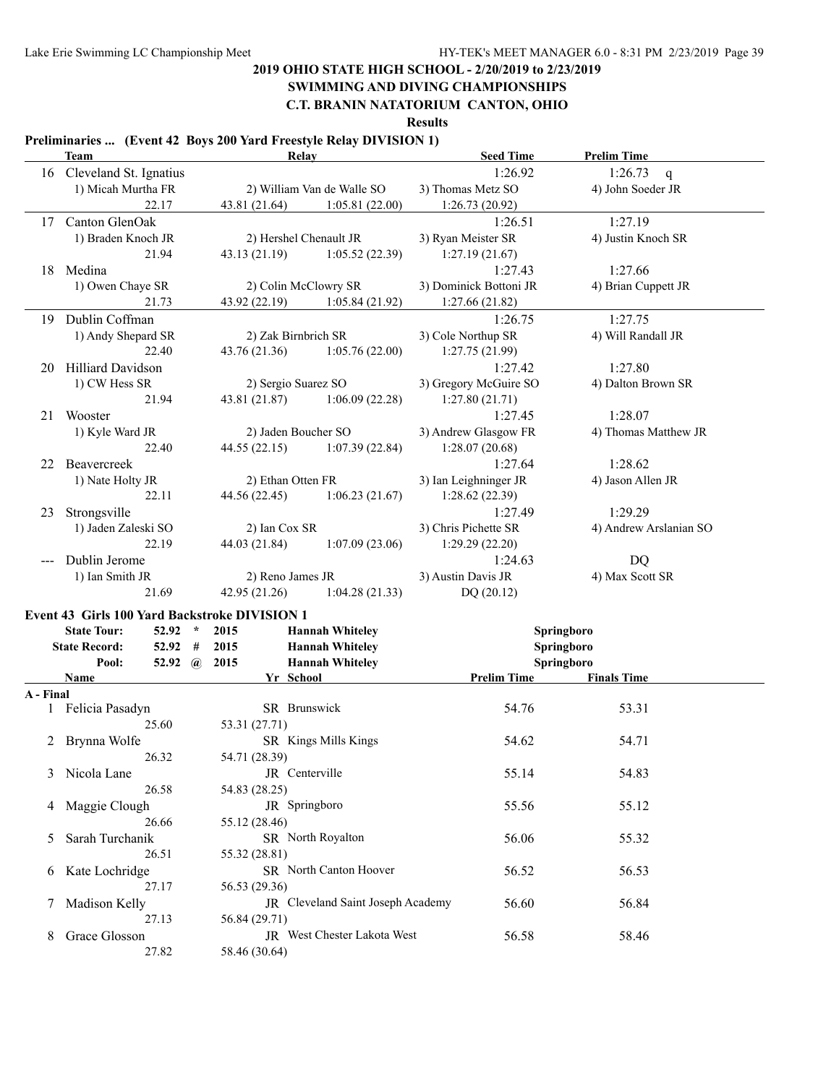# **SWIMMING AND DIVING CHAMPIONSHIPS**

**C.T. BRANIN NATATORIUM CANTON, OHIO**

**Results**

### **Preliminaries ... (Event 42 Boys 200 Yard Freestyle Relay DIVISION 1)**

27.82 58.46 (30.64)

|               | Temminaries  (EVERT $\mathbb{Z}$ D0) $\mathbb{Z}$ D0) Target recognic rectation by EU (DIOT) T<br>Team |                     | Relay                             | <b>Seed Time</b>         | <b>Prelim Time</b>     |  |
|---------------|--------------------------------------------------------------------------------------------------------|---------------------|-----------------------------------|--------------------------|------------------------|--|
|               | 16 Cleveland St. Ignatius                                                                              |                     |                                   | 1:26.92                  | 1:26.73<br>q           |  |
|               | 1) Micah Murtha FR                                                                                     |                     | 2) William Van de Walle SO        | 3) Thomas Metz SO        | 4) John Soeder JR      |  |
|               | 22.17                                                                                                  | 43.81 (21.64)       | 1:05.81(22.00)                    | 1:26.73(20.92)           |                        |  |
| 17            | Canton GlenOak                                                                                         |                     |                                   | 1:26.51                  | 1:27.19                |  |
|               | 1) Braden Knoch JR                                                                                     |                     | 2) Hershel Chenault JR            | 3) Ryan Meister SR       | 4) Justin Knoch SR     |  |
|               | 21.94                                                                                                  | 43.13(21.19)        | 1:05.52(22.39)                    | 1:27.19(21.67)           |                        |  |
|               | 18 Medina                                                                                              |                     |                                   | 1:27.43                  | 1:27.66                |  |
|               | 1) Owen Chaye SR                                                                                       |                     | 2) Colin McClowry SR              | 3) Dominick Bottoni JR   | 4) Brian Cuppett JR    |  |
|               | 21.73                                                                                                  | 43.92 (22.19)       | 1:05.84(21.92)                    | 1:27.66(21.82)           |                        |  |
|               | 19 Dublin Coffman                                                                                      |                     |                                   | 1:26.75                  | 1:27.75                |  |
|               | 1) Andy Shepard SR                                                                                     | 2) Zak Birnbrich SR |                                   | 3) Cole Northup SR       | 4) Will Randall JR     |  |
|               | 22.40                                                                                                  | 43.76 (21.36)       | 1:05.76(22.00)                    | 1:27.75(21.99)           |                        |  |
| 20            | <b>Hilliard Davidson</b>                                                                               |                     |                                   | 1:27.42                  | 1:27.80                |  |
|               | 1) CW Hess SR                                                                                          | 2) Sergio Suarez SO |                                   | 3) Gregory McGuire SO    | 4) Dalton Brown SR     |  |
|               | 21.94                                                                                                  | 43.81 (21.87)       | 1:06.09(22.28)                    | 1:27.80(21.71)           |                        |  |
| 21            | Wooster                                                                                                |                     |                                   | 1:27.45                  | 1:28.07                |  |
|               | 1) Kyle Ward JR                                                                                        |                     | 2) Jaden Boucher SO               | 3) Andrew Glasgow FR     | 4) Thomas Matthew JR   |  |
|               | 22.40                                                                                                  | 44.55(22.15)        | 1:07.39(22.84)                    | 1:28.07(20.68)           |                        |  |
| 22.           | Beavercreek                                                                                            |                     |                                   | 1:27.64                  | 1:28.62                |  |
|               | 1) Nate Holty JR                                                                                       | 2) Ethan Otten FR   |                                   | 3) Ian Leighninger JR    | 4) Jason Allen JR      |  |
|               | 22.11                                                                                                  | 44.56 (22.45)       | 1:06.23(21.67)                    | 1:28.62(22.39)           |                        |  |
| 23            | Strongsville                                                                                           |                     |                                   | 1:27.49                  | 1:29.29                |  |
|               | 1) Jaden Zaleski SO                                                                                    | 2) Ian Cox SR       |                                   | 3) Chris Pichette SR     | 4) Andrew Arslanian SO |  |
|               | 22.19                                                                                                  | 44.03 (21.84)       | 1:07.09(23.06)                    | 1:29.29(22.20)           |                        |  |
|               | Dublin Jerome                                                                                          |                     |                                   | 1:24.63                  | DQ                     |  |
|               | 1) Ian Smith JR                                                                                        | 2) Reno James JR    |                                   | 3) Austin Davis JR       | 4) Max Scott SR        |  |
|               | 21.69                                                                                                  | 42.95 (21.26)       | 1:04.28(21.33)                    | DQ(20.12)                |                        |  |
|               |                                                                                                        |                     |                                   |                          |                        |  |
|               | Event 43 Girls 100 Yard Backstroke DIVISION 1<br><b>State Tour:</b><br>$52.92$ *                       | 2015                | <b>Hannah Whiteley</b>            |                          | Springboro             |  |
|               | <b>State Record:</b><br>52.92<br>#                                                                     | 2015                | <b>Hannah Whiteley</b>            |                          |                        |  |
|               | Pool:<br>52.92 $\omega$                                                                                | 2015                | <b>Hannah Whiteley</b>            | Springboro<br>Springboro |                        |  |
|               | <b>Name</b>                                                                                            | Yr School           |                                   | <b>Prelim Time</b>       | <b>Finals Time</b>     |  |
| A - Final     |                                                                                                        |                     |                                   |                          |                        |  |
|               | 1 Felicia Pasadyn                                                                                      |                     | SR Brunswick                      | 54.76                    | 53.31                  |  |
|               | 25.60                                                                                                  | 53.31 (27.71)       |                                   |                          |                        |  |
|               | 2 Brynna Wolfe                                                                                         |                     | SR Kings Mills Kings              | 54.62                    | 54.71                  |  |
|               | 26.32                                                                                                  | 54.71 (28.39)       |                                   |                          |                        |  |
| 3             | Nicola Lane                                                                                            |                     | JR Centerville                    | 55.14                    | 54.83                  |  |
|               | 26.58                                                                                                  | 54.83 (28.25)       |                                   |                          |                        |  |
| 4             | Maggie Clough                                                                                          |                     | JR Springboro                     | 55.56                    | 55.12                  |  |
|               | 26.66                                                                                                  | 55.12 (28.46)       |                                   |                          |                        |  |
| 5             | Sarah Turchanik                                                                                        |                     | SR North Royalton                 | 56.06                    | 55.32                  |  |
|               | 26.51                                                                                                  | 55.32 (28.81)       |                                   |                          |                        |  |
| $\sigma$      | Kate Lochridge                                                                                         |                     | SR North Canton Hoover            | 56.52                    | 56.53                  |  |
|               | 27.17                                                                                                  | 56.53 (29.36)       |                                   |                          |                        |  |
|               | Madison Kelly                                                                                          |                     | JR Cleveland Saint Joseph Academy | 56.60                    | 56.84                  |  |
| $\mathcal{L}$ | 27.13                                                                                                  | 56.84 (29.71)       |                                   |                          |                        |  |
| 8             | Grace Glosson                                                                                          |                     | JR West Chester Lakota West       | 56.58                    | 58.46                  |  |
|               |                                                                                                        |                     |                                   |                          |                        |  |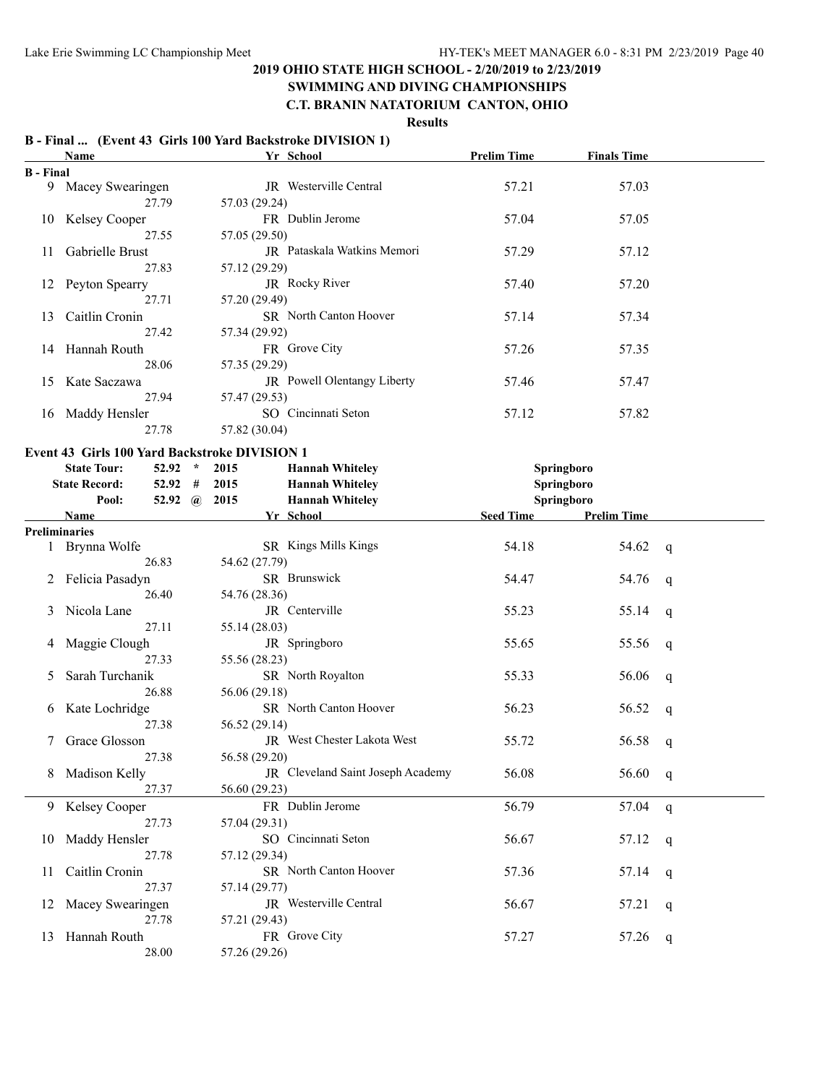#### **SWIMMING AND DIVING CHAMPIONSHIPS C.T. BRANIN NATATORIUM CANTON, OHIO**

# **Results**

#### **B - Final ... (Event 43 Girls 100 Yard Backstroke DIVISION 1)**

|                  | Name                                          |               | Yr School                         | <b>Prelim Time</b> | <b>Finals Time</b> |             |
|------------------|-----------------------------------------------|---------------|-----------------------------------|--------------------|--------------------|-------------|
| <b>B</b> - Final |                                               |               |                                   |                    |                    |             |
|                  | 9 Macey Swearingen                            |               | JR Westerville Central            | 57.21              | 57.03              |             |
|                  | 27.79                                         | 57.03 (29.24) |                                   |                    |                    |             |
|                  | 10 Kelsey Cooper                              |               | FR Dublin Jerome                  | 57.04              | 57.05              |             |
|                  | 27.55                                         | 57.05 (29.50) |                                   |                    |                    |             |
| 11               | Gabrielle Brust                               |               | JR Pataskala Watkins Memori       | 57.29              | 57.12              |             |
|                  | 27.83                                         | 57.12 (29.29) |                                   |                    |                    |             |
|                  | 12 Peyton Spearry                             |               | JR Rocky River                    | 57.40              | 57.20              |             |
|                  | 27.71                                         | 57.20 (29.49) |                                   |                    |                    |             |
|                  |                                               |               | SR North Canton Hoover            |                    |                    |             |
| 13               | Caitlin Cronin                                |               |                                   | 57.14              | 57.34              |             |
|                  | 27.42                                         | 57.34 (29.92) |                                   |                    |                    |             |
|                  | 14 Hannah Routh                               |               | FR Grove City                     | 57.26              | 57.35              |             |
|                  | 28.06                                         | 57.35 (29.29) |                                   |                    |                    |             |
|                  | 15 Kate Saczawa                               |               | JR Powell Olentangy Liberty       | 57.46              | 57.47              |             |
|                  | 27.94                                         | 57.47 (29.53) |                                   |                    |                    |             |
|                  | 16 Maddy Hensler                              |               | SO Cincinnati Seton               | 57.12              | 57.82              |             |
|                  | 27.78                                         | 57.82 (30.04) |                                   |                    |                    |             |
|                  | Event 43 Girls 100 Yard Backstroke DIVISION 1 |               |                                   |                    |                    |             |
|                  | <b>State Tour:</b><br>$52.92$ *               | 2015          | <b>Hannah Whiteley</b>            | Springboro         |                    |             |
|                  | <b>State Record:</b><br>$52.92$ #             | 2015          | <b>Hannah Whiteley</b>            | Springboro         |                    |             |
|                  | Pool:                                         | 52.92 @ 2015  | <b>Hannah Whiteley</b>            | Springboro         |                    |             |
|                  | Name                                          |               | Yr School                         | Seed Time          | <b>Prelim Time</b> |             |
|                  | Preliminaries                                 |               |                                   |                    |                    |             |
|                  | 1 Brynna Wolfe                                |               | SR Kings Mills Kings              | 54.18              | 54.62              | q           |
|                  | 26.83                                         | 54.62 (27.79) |                                   |                    |                    |             |
|                  | 2 Felicia Pasadyn                             |               | SR Brunswick                      | 54.47              | 54.76              |             |
|                  |                                               |               |                                   |                    |                    | q           |
|                  | 26.40                                         | 54.76 (28.36) | JR Centerville                    |                    |                    |             |
| 3                | Nicola Lane                                   |               |                                   | 55.23              | 55.14              | q           |
|                  | 27.11                                         | 55.14 (28.03) |                                   |                    |                    |             |
| 4                | Maggie Clough                                 |               | JR Springboro                     | 55.65              | 55.56              | q           |
|                  | 27.33                                         | 55.56 (28.23) |                                   |                    |                    |             |
| 5                | Sarah Turchanik                               |               | SR North Royalton                 | 55.33              | 56.06              | q           |
|                  | 26.88                                         | 56.06 (29.18) |                                   |                    |                    |             |
| 6                | Kate Lochridge                                |               | SR North Canton Hoover            | 56.23              | 56.52              | q           |
|                  | 27.38                                         | 56.52 (29.14) |                                   |                    |                    |             |
|                  | Grace Glosson                                 |               | JR West Chester Lakota West       | 55.72              | 56.58              | q           |
|                  | 27.38                                         | 56.58 (29.20) |                                   |                    |                    |             |
|                  | Madison Kelly                                 |               | JR Cleveland Saint Joseph Academy | 56.08              | 56.60              | q           |
|                  | 27.37                                         | 56.60 (29.23) |                                   |                    |                    |             |
|                  | 9 Kelsey Cooper                               |               | FR Dublin Jerome                  | 56.79              | 57.04              | $\mathbf q$ |
|                  | 27.73                                         | 57.04 (29.31) |                                   |                    |                    |             |
| 10               | Maddy Hensler                                 |               | SO Cincinnati Seton               | 56.67              | 57.12              | q           |
|                  | 27.78                                         | 57.12 (29.34) |                                   |                    |                    |             |
| 11               | Caitlin Cronin                                |               | SR North Canton Hoover            | 57.36              | 57.14              | q           |
|                  | 27.37                                         | 57.14 (29.77) |                                   |                    |                    |             |
|                  | 12 Macey Swearingen                           |               | JR Westerville Central            | 56.67              | 57.21              | q           |
|                  | 27.78                                         | 57.21 (29.43) |                                   |                    |                    |             |
|                  | 13 Hannah Routh                               |               | FR Grove City                     | 57.27              | 57.26              |             |
|                  | 28.00                                         | 57.26 (29.26) |                                   |                    |                    | q           |
|                  |                                               |               |                                   |                    |                    |             |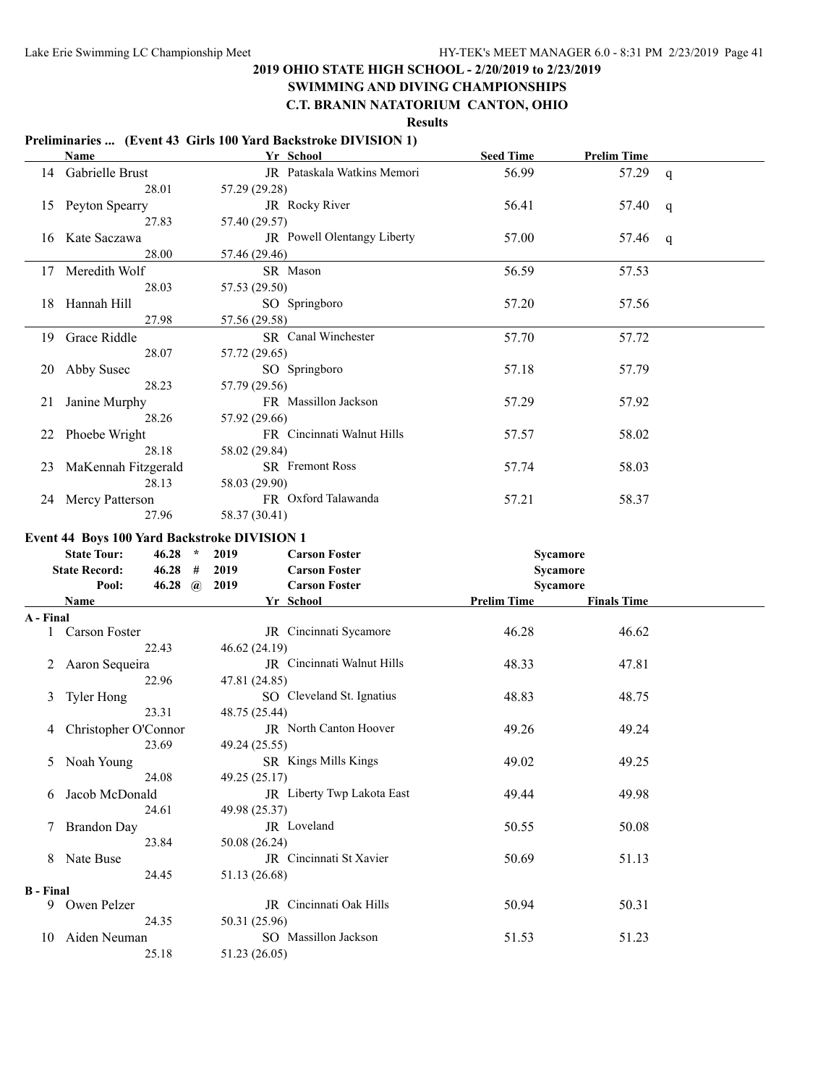# **SWIMMING AND DIVING CHAMPIONSHIPS**

# **C.T. BRANIN NATATORIUM CANTON, OHIO**

|                  |                                              |                        |               | Preliminaries  (Event 43 Girls 100 Yard Backstroke DIVISION 1) |                    |                    |   |
|------------------|----------------------------------------------|------------------------|---------------|----------------------------------------------------------------|--------------------|--------------------|---|
|                  | Name                                         |                        |               | Yr School                                                      | <b>Seed Time</b>   | <b>Prelim Time</b> |   |
| 14               | Gabrielle Brust                              |                        |               | JR Pataskala Watkins Memori                                    | 56.99              | 57.29              | q |
|                  |                                              | 28.01                  | 57.29 (29.28) |                                                                |                    |                    |   |
| 15 <sup>2</sup>  | Peyton Spearry                               |                        |               | JR Rocky River                                                 | 56.41              | 57.40              | q |
|                  |                                              | 27.83                  | 57.40 (29.57) |                                                                |                    |                    |   |
| 16               | Kate Saczawa                                 |                        |               | JR Powell Olentangy Liberty                                    | 57.00              | 57.46              | q |
|                  |                                              | 28.00                  | 57.46 (29.46) |                                                                |                    |                    |   |
| 17               | Meredith Wolf                                |                        |               | SR Mason                                                       | 56.59              | 57.53              |   |
|                  |                                              | 28.03                  | 57.53 (29.50) |                                                                |                    |                    |   |
| 18               | Hannah Hill                                  |                        |               | SO Springboro                                                  | 57.20              | 57.56              |   |
|                  |                                              | 27.98                  | 57.56 (29.58) |                                                                |                    |                    |   |
| 19               | Grace Riddle                                 |                        |               | SR Canal Winchester                                            | 57.70              | 57.72              |   |
|                  |                                              | 28.07                  | 57.72 (29.65) |                                                                |                    |                    |   |
| 20               | Abby Susec                                   |                        |               | SO Springboro                                                  | 57.18              | 57.79              |   |
|                  |                                              | 28.23                  | 57.79 (29.56) |                                                                |                    |                    |   |
| 21               |                                              |                        |               | FR Massillon Jackson                                           | 57.29              | 57.92              |   |
|                  | Janine Murphy                                | 28.26                  |               |                                                                |                    |                    |   |
|                  |                                              |                        | 57.92 (29.66) | FR Cincinnati Walnut Hills                                     |                    |                    |   |
| 22               | Phoebe Wright                                |                        |               |                                                                | 57.57              | 58.02              |   |
|                  |                                              | 28.18                  | 58.02 (29.84) |                                                                |                    |                    |   |
| 23               | MaKennah Fitzgerald                          |                        |               | SR Fremont Ross                                                | 57.74              | 58.03              |   |
|                  |                                              | 28.13                  | 58.03 (29.90) |                                                                |                    |                    |   |
| 24               | <b>Mercy Patterson</b>                       |                        |               | FR Oxford Talawanda                                            | 57.21              | 58.37              |   |
|                  |                                              | 27.96                  | 58.37 (30.41) |                                                                |                    |                    |   |
|                  | Event 44 Boys 100 Yard Backstroke DIVISION 1 |                        |               |                                                                |                    |                    |   |
|                  |                                              |                        |               |                                                                |                    |                    |   |
|                  | <b>State Tour:</b>                           | 46.28<br>$\mathcal{R}$ | 2019          | <b>Carson Foster</b>                                           |                    | Sycamore           |   |
|                  | <b>State Record:</b>                         | $46.28$ #              | 2019          | <b>Carson Foster</b>                                           |                    | Sycamore           |   |
|                  | Pool:                                        | 46.28 $\omega$         | 2019          | <b>Carson Foster</b>                                           |                    | Sycamore           |   |
|                  | Name                                         |                        |               | Yr School                                                      | <b>Prelim Time</b> | <b>Finals Time</b> |   |
| A - Final        |                                              |                        |               |                                                                |                    |                    |   |
|                  | Carson Foster                                |                        |               | JR Cincinnati Sycamore                                         | 46.28              | 46.62              |   |
|                  |                                              | 22.43                  | 46.62 (24.19) |                                                                |                    |                    |   |
|                  | Aaron Sequeira                               |                        |               | JR Cincinnati Walnut Hills                                     | 48.33              | 47.81              |   |
|                  |                                              | 22.96                  | 47.81 (24.85) |                                                                |                    |                    |   |
| 3                | <b>Tyler Hong</b>                            |                        |               | SO Cleveland St. Ignatius                                      | 48.83              | 48.75              |   |
|                  |                                              | 23.31                  | 48.75 (25.44) |                                                                |                    |                    |   |
|                  |                                              |                        |               | JR North Canton Hoover                                         | 49.26              | 49.24              |   |
|                  | 4 Christopher O'Connor                       | 23.69                  |               |                                                                |                    |                    |   |
|                  |                                              |                        | 49.24 (25.55) | SR Kings Mills Kings                                           | 49.02              | 49.25              |   |
|                  | 5 Noah Young                                 | 24.08                  |               |                                                                |                    |                    |   |
| 6                |                                              |                        | 49.25 (25.17) |                                                                |                    |                    |   |
|                  | Jacob McDonald                               | 24.61                  |               | JR Liberty Twp Lakota East                                     | 49.44              | 49.98              |   |
|                  |                                              |                        | 49.98 (25.37) |                                                                |                    |                    |   |
| 7                | <b>Brandon Day</b>                           |                        |               | JR Loveland                                                    | 50.55              | 50.08              |   |
|                  |                                              | 23.84                  | 50.08 (26.24) |                                                                |                    |                    |   |
|                  | 8 Nate Buse                                  |                        |               | JR Cincinnati St Xavier                                        | 50.69              | 51.13              |   |
|                  |                                              | 24.45                  | 51.13 (26.68) |                                                                |                    |                    |   |
| <b>B</b> - Final |                                              |                        |               | JR Cincinnati Oak Hills                                        |                    |                    |   |
|                  | 9 Owen Pelzer                                | 24.35                  |               |                                                                | 50.94              | 50.31              |   |
|                  | 10 Aiden Neuman                              |                        | 50.31 (25.96) | SO Massillon Jackson                                           | 51.53              | 51.23              |   |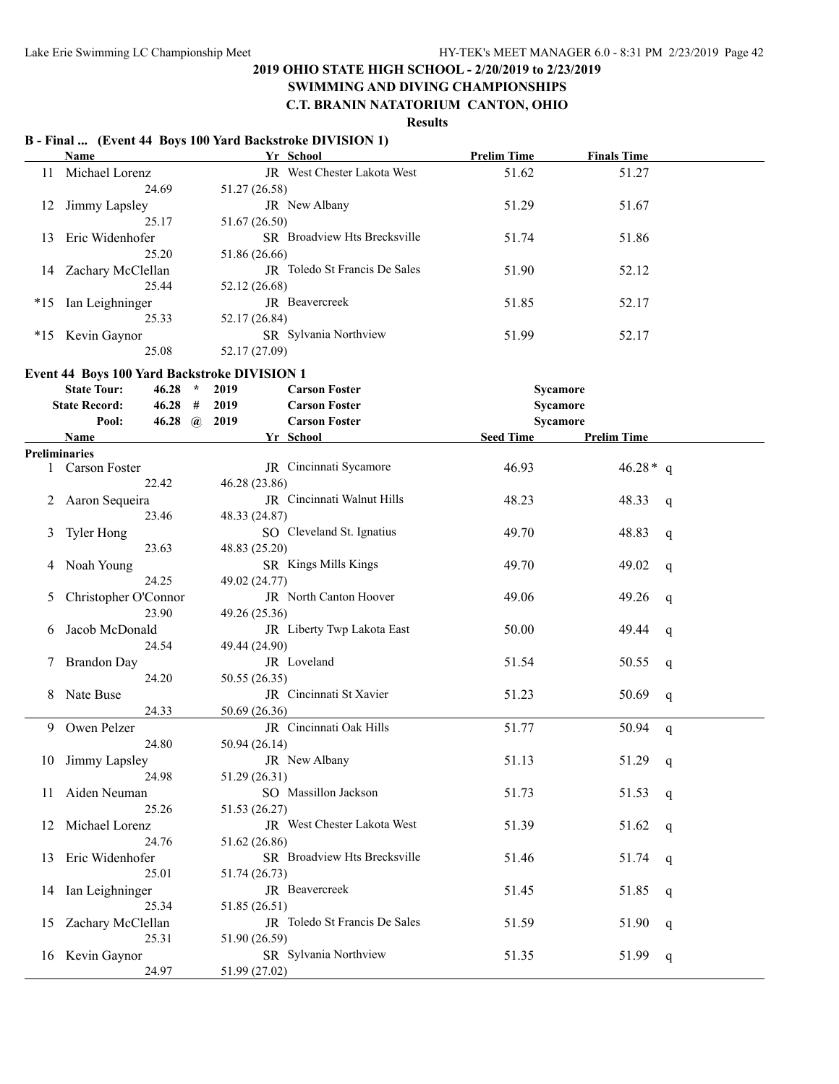#### **SWIMMING AND DIVING CHAMPIONSHIPS C.T. BRANIN NATATORIUM CANTON, OHIO**

### **Results**

#### **B - Final ... (Event 44 Boys 100 Yard Backstroke DIVISION 1) Name Yr School Prelim Time Finals Time** 11 Michael Lorenz JR West Chester Lakota West 51.62 51.27 24.69 51.27 (26.58) 12 Jimmy Lapsley JR New Albany 51.29 51.67 25.17 51.67 (26.50) 13 Eric Widenhofer SR Broadview Hts Brecksville 51.74 51.86 25.20 51.86 (26.66) 14 Zachary McClellan JR Toledo St Francis De Sales 51.90 52.12 25.44 52.12 (26.68) \*15 Ian Leighninger JR Beavercreek 51.85 52.17 25.33 52.17 (26.84) \*15 Kevin Gaynor SR Sylvania Northview 51.99 52.17 25.08 52.17 (27.09) **Event 44 Boys 100 Yard Backstroke DIVISION 1 State Tour: 46.28 \* 2019 Carson Foster Sycamore State Record: 46.28 # 2019 Carson Foster Sycamore Pool: 46.28 @ 2019 Carson Foster Sycamore Name Seed Time Prelim Time Seed Time Prelim Time Preliminaries** 1 Carson Foster JR Cincinnati Sycamore 46.93 46.28\* q 22.42 46.28 (23.86) 2 Aaron Sequeira JR Cincinnati Walnut Hills 48.23 48.33 q 23.46 48.33 (24.87) 3 Tyler Hong SO Cleveland St. Ignatius 49.70 48.83 q 23.63 48.83 (25.20) 4 Noah Young SR Kings Mills Kings 49.70 49.02 q 24.25 49.02 (24.77) 5 Christopher O'Connor JR North Canton Hoover 49.06 49.26 q 23.90 49.26 (25.36) 6 Jacob McDonald JR Liberty Twp Lakota East 50.00 49.44 q 24.54 49.44 (24.90) 7 Brandon Day **JR** Loveland 51.54 50.55 q 24.20 50.55 (26.35) 8 Nate Buse JR Cincinnati St Xavier 51.23 50.69 q 24.33 50.69 (26.36) 9 Owen Pelzer JR Cincinnati Oak Hills 51.77 50.94 q 24.80 50.94 (26.14) 10 Jimmy Lapsley **JR** New Albany 51.13 51.29 q 24.98 51.29 (26.31) 11 Aiden Neuman SO Massillon Jackson 51.73 51.53 q 25.26 51.53 (26.27) 12 Michael Lorenz JR West Chester Lakota West 51.39 51.62 q 24.76 51.62 (26.86) 13 Eric Widenhofer SR Broadview Hts Brecksville 51.46 51.74 q 25.01 51.74 (26.73) 14 Ian Leighninger JR Beavercreek 51.45 51.85 q 25.34 51.85 (26.51) 15 Zachary McClellan JR Toledo St Francis De Sales 51.59 51.90 q 25.31 51.90 (26.59) 16 Kevin Gaynor SR Sylvania Northview 51.35 51.99 q 24.97 51.99 (27.02)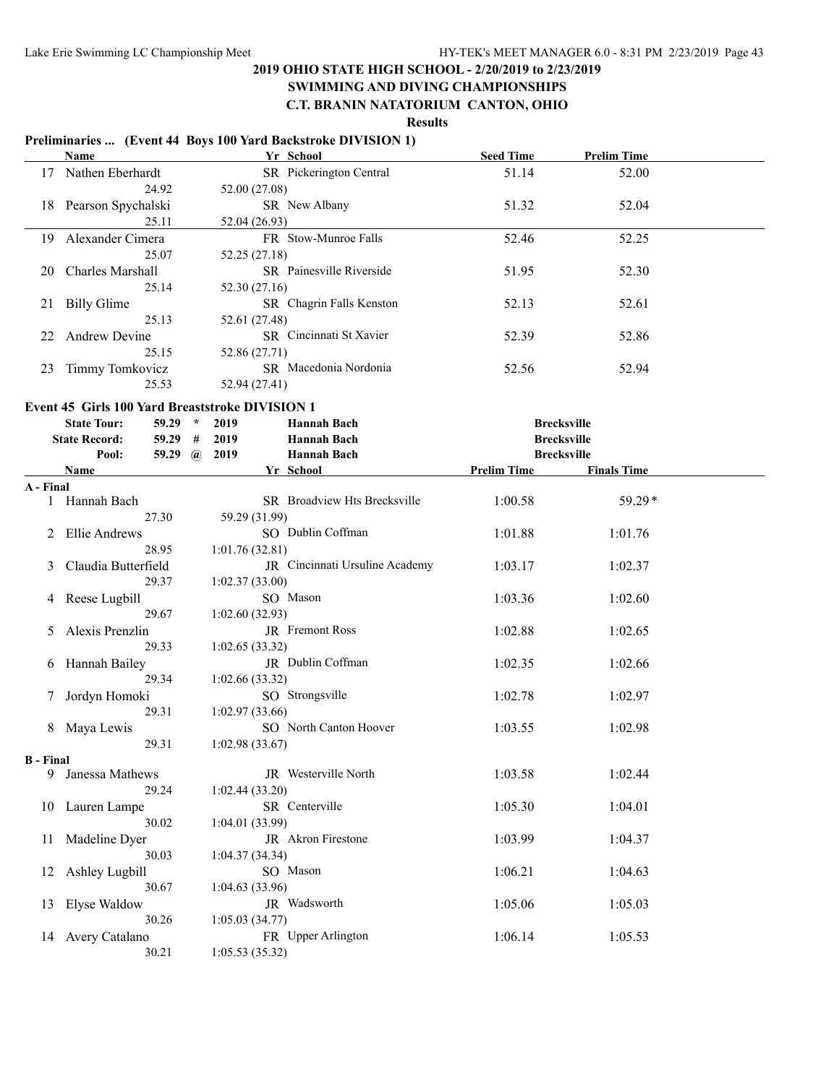# **SWIMMING AND DIVING CHAMPIONSHIPS**

### **C.T. BRANIN NATATORIUM CANTON, OHIO**

#### **Results Preliminaries ... (Event 44 Boys 100 Yard Backstroke DIVISION 1) Name Seed Time Prelim Time CONSIDER <b>SEEM Seed Time Prelim Time** 17 Nathen Eberhardt SR Pickerington Central 51.14 52.00 24.92 52.00 (27.08) 18 Pearson Spychalski SR New Albany 51.32 52.04 25.11 52.04 (26.93) 19 Alexander Cimera FR Stow-Munroe Falls 52.46 52.25 25.07 52.25 (27.18) 20 Charles Marshall SR Painesville Riverside 51.95 52.30 25.14 52.30 (27.16) 21 Billy Glime SR Chagrin Falls Kenston 52.13 52.61 25.13 52.61 (27.48) 22 Andrew Devine SR Cincinnati St Xavier 52.39 52.86 25.15 52.86 (27.71) 23 Timmy Tomkovicz SR Macedonia Nordonia 52.56 52.94 25.53 52.94 (27.41) **Event 45 Girls 100 Yard Breaststroke DIVISION 1 State Tour: 59.29 \* 2019 Hannah Bach Brecksville State Record: 59.29 # 2019 Hannah Bach Brecksville Pool: 59.29 @ 2019 Hannah Bach Brecksville Name Yr School Prelim Time Finals Time A - Final** 1 Hannah Bach SR Broadview Hts Brecksville 1:00.58 59.29\* 27.30 59.29 (31.99) 2 Ellie Andrews SO Dublin Coffman 1:01.88 1:01.76 28.95 1:01.76 (32.81) 3 Claudia Butterfield JR Cincinnati Ursuline Academy 1:03.17 1:02.37 29.37 1:02.37 (33.00) 4 Reese Lugbill SO Mason 1:03.36 1:02.60 29.67 1:02.60 (32.93) 5 Alexis Prenzlin JR Fremont Ross 1:02.88 1:02.65 29.33 1:02.65 (33.32) 6 Hannah Bailey JR Dublin Coffman 1:02.35 1:02.66 29.34 1:02.66 (33.32) 7 Jordyn Homoki SO Strongsville 1:02.78 1:02.97 29.31 1:02.97 (33.66) 8 Maya Lewis SO North Canton Hoover 1:03.55 1:02.98 29.31 1:02.98 (33.67) **B - Final** 9 Janessa Mathews JR Westerville North 1:03.58 1:02.44 29.24 1:02.44 (33.20)

10 Lauren Lampe SR Centerville 1:05.30 1:04.01

11 Madeline Dyer JR Akron Firestone 1:03.99 1:04.37

12 Ashley Lugbill SO Mason 1:06.21 1:04.63

13 Elyse Waldow JR Wadsworth 1:05.06 1:05.03

14 Avery Catalano FR Upper Arlington 1:06.14 1:05.53

30.02 1:04.01 (33.99)

30.03 1:04.37 (34.34)

30.67 1:04.63 (33.96)

30.26 1:05.03 (34.77)

30.21 1:05.53 (35.32)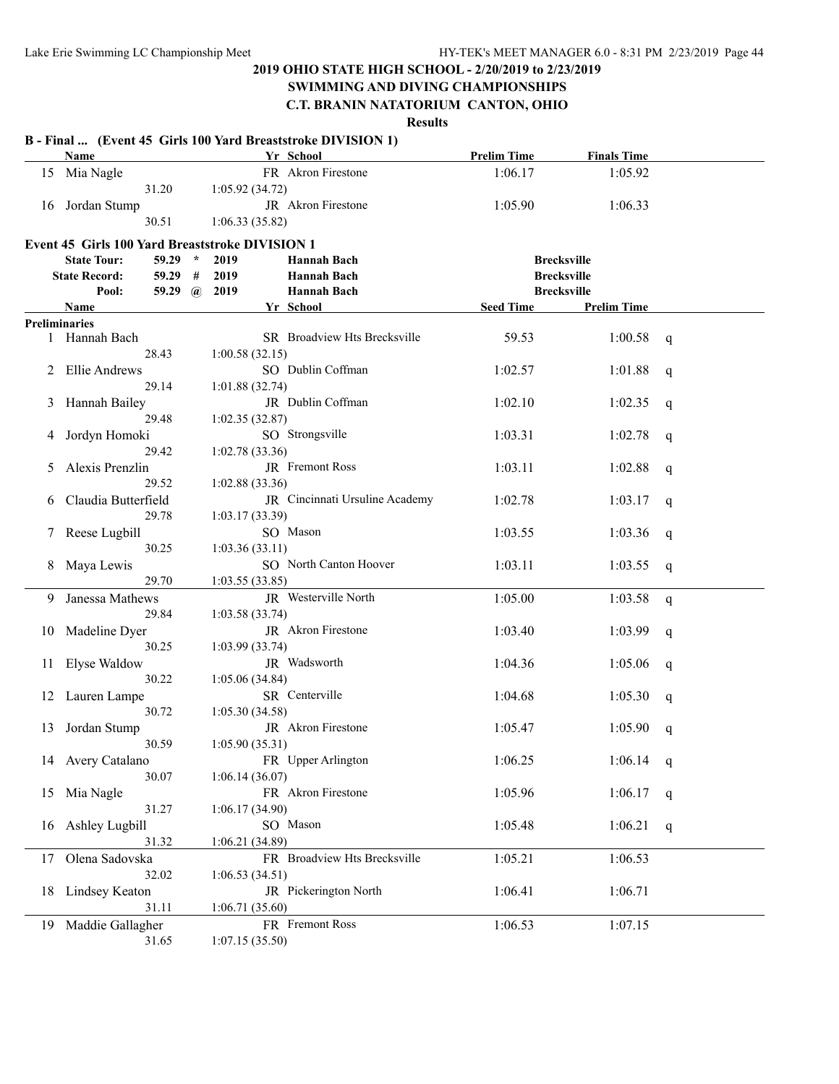# **SWIMMING AND DIVING CHAMPIONSHIPS**

# **C.T. BRANIN NATATORIUM CANTON, OHIO**

|    | Name                                                   |                |   |                 | B - Final  (Event 45 Girls 100 Yard Breaststroke DIVISION 1)<br>Yr School | <b>Prelim Time</b> | <b>Finals Time</b> |              |
|----|--------------------------------------------------------|----------------|---|-----------------|---------------------------------------------------------------------------|--------------------|--------------------|--------------|
| 15 | Mia Nagle                                              |                |   |                 | FR Akron Firestone                                                        | 1:06.17            | 1:05.92            |              |
|    |                                                        | 31.20          |   | 1:05.92(34.72)  |                                                                           |                    |                    |              |
| 16 | Jordan Stump                                           |                |   |                 | JR Akron Firestone                                                        | 1:05.90            | 1:06.33            |              |
|    |                                                        | 30.51          |   | 1:06.33(35.82)  |                                                                           |                    |                    |              |
|    | <b>Event 45 Girls 100 Yard Breaststroke DIVISION 1</b> |                |   |                 |                                                                           |                    |                    |              |
|    | <b>State Tour:</b>                                     | $59.29$ *      |   | 2019            | Hannah Bach                                                               |                    | <b>Brecksville</b> |              |
|    | <b>State Record:</b>                                   | 59.29          | # | 2019            | Hannah Bach                                                               |                    | <b>Brecksville</b> |              |
|    | Pool:                                                  | 59.29 $\omega$ |   | 2019            | <b>Hannah Bach</b>                                                        |                    | <b>Brecksville</b> |              |
|    | <b>Name</b>                                            |                |   |                 | Yr School                                                                 | <b>Seed Time</b>   | <b>Prelim Time</b> |              |
|    | <b>Preliminaries</b>                                   |                |   |                 |                                                                           |                    |                    |              |
|    | 1 Hannah Bach                                          |                |   |                 | SR Broadview Hts Brecksville                                              | 59.53              | 1:00.58            | $\mathsf{q}$ |
|    |                                                        | 28.43          |   | 1:00.58(32.15)  |                                                                           |                    |                    |              |
|    | Ellie Andrews                                          |                |   |                 | SO Dublin Coffman                                                         | 1:02.57            | 1:01.88            | q            |
|    |                                                        | 29.14          |   | 1:01.88 (32.74) |                                                                           |                    |                    |              |
| 3  | Hannah Bailey                                          |                |   |                 | JR Dublin Coffman                                                         | 1:02.10            | 1:02.35            | q            |
|    |                                                        | 29.48          |   | 1:02.35(32.87)  |                                                                           |                    |                    |              |
|    | Jordyn Homoki                                          |                |   |                 | SO Strongsville                                                           | 1:03.31            | 1:02.78            | q            |
|    |                                                        | 29.42          |   | 1:02.78(33.36)  |                                                                           |                    |                    |              |
| 5  | Alexis Prenzlin                                        |                |   |                 | JR Fremont Ross                                                           | 1:03.11            | 1:02.88            |              |
|    |                                                        | 29.52          |   | 1:02.88(33.36)  |                                                                           |                    |                    | q            |
| 6  | Claudia Butterfield                                    |                |   |                 | JR Cincinnati Ursuline Academy                                            | 1:02.78            | 1:03.17            |              |
|    |                                                        | 29.78          |   | 1:03.17(33.39)  |                                                                           |                    |                    | q            |
|    | Reese Lugbill                                          |                |   |                 | SO Mason                                                                  | 1:03.55            |                    |              |
| 7  |                                                        | 30.25          |   |                 |                                                                           |                    | 1:03.36            | q            |
|    |                                                        |                |   | 1:03.36(33.11)  | SO North Canton Hoover                                                    |                    |                    |              |
| 8  | Maya Lewis                                             |                |   |                 |                                                                           | 1:03.11            | 1:03.55            | q            |
|    |                                                        | 29.70          |   | 1:03.55 (33.85) |                                                                           |                    |                    |              |
| 9. | Janessa Mathews                                        |                |   |                 | JR Westerville North                                                      | 1:05.00            | 1:03.58            | $\mathbf{q}$ |
|    |                                                        | 29.84          |   | 1:03.58(33.74)  |                                                                           |                    |                    |              |
| 10 | Madeline Dyer                                          |                |   |                 | JR Akron Firestone                                                        | 1:03.40            | 1:03.99            | q            |
|    |                                                        | 30.25          |   | 1:03.99 (33.74) |                                                                           |                    |                    |              |
| 11 | Elyse Waldow                                           |                |   |                 | JR Wadsworth                                                              | 1:04.36            | 1:05.06            | q            |
|    |                                                        | 30.22          |   | 1:05.06(34.84)  |                                                                           |                    |                    |              |
| 12 | Lauren Lampe                                           |                |   |                 | SR Centerville                                                            | 1:04.68            | 1:05.30            | q            |
|    |                                                        | 30.72          |   | 1:05.30(34.58)  |                                                                           |                    |                    |              |
| 13 | Jordan Stump                                           |                |   |                 | JR Akron Firestone                                                        | 1:05.47            | 1:05.90            | q            |
|    |                                                        | 30.59          |   | 1:05.90(35.31)  |                                                                           |                    |                    |              |
|    | 14 Avery Catalano                                      |                |   |                 | FR Upper Arlington                                                        | 1:06.25            | 1:06.14            | q            |
|    |                                                        | 30.07          |   | 1:06.14(36.07)  |                                                                           |                    |                    |              |
| 15 | Mia Nagle                                              |                |   |                 | FR Akron Firestone                                                        | 1:05.96            | 1:06.17            | q            |
|    |                                                        | 31.27          |   | 1:06.17(34.90)  |                                                                           |                    |                    |              |
| 16 | Ashley Lugbill                                         |                |   |                 | SO Mason                                                                  | 1:05.48            | 1:06.21            | q            |
|    |                                                        | 31.32          |   | 1:06.21(34.89)  |                                                                           |                    |                    |              |
| 17 | Olena Sadovska                                         |                |   |                 | FR Broadview Hts Brecksville                                              | 1:05.21            | 1:06.53            |              |
|    |                                                        | 32.02          |   | 1:06.53(34.51)  |                                                                           |                    |                    |              |
|    | 18 Lindsey Keaton                                      |                |   |                 | JR Pickerington North                                                     | 1:06.41            | 1:06.71            |              |
|    |                                                        | 31.11          |   | 1:06.71(35.60)  |                                                                           |                    |                    |              |
|    | 19 Maddie Gallagher                                    |                |   |                 | FR Fremont Ross                                                           | 1:06.53            | 1:07.15            |              |
|    |                                                        | 31.65          |   | 1:07.15(35.50)  |                                                                           |                    |                    |              |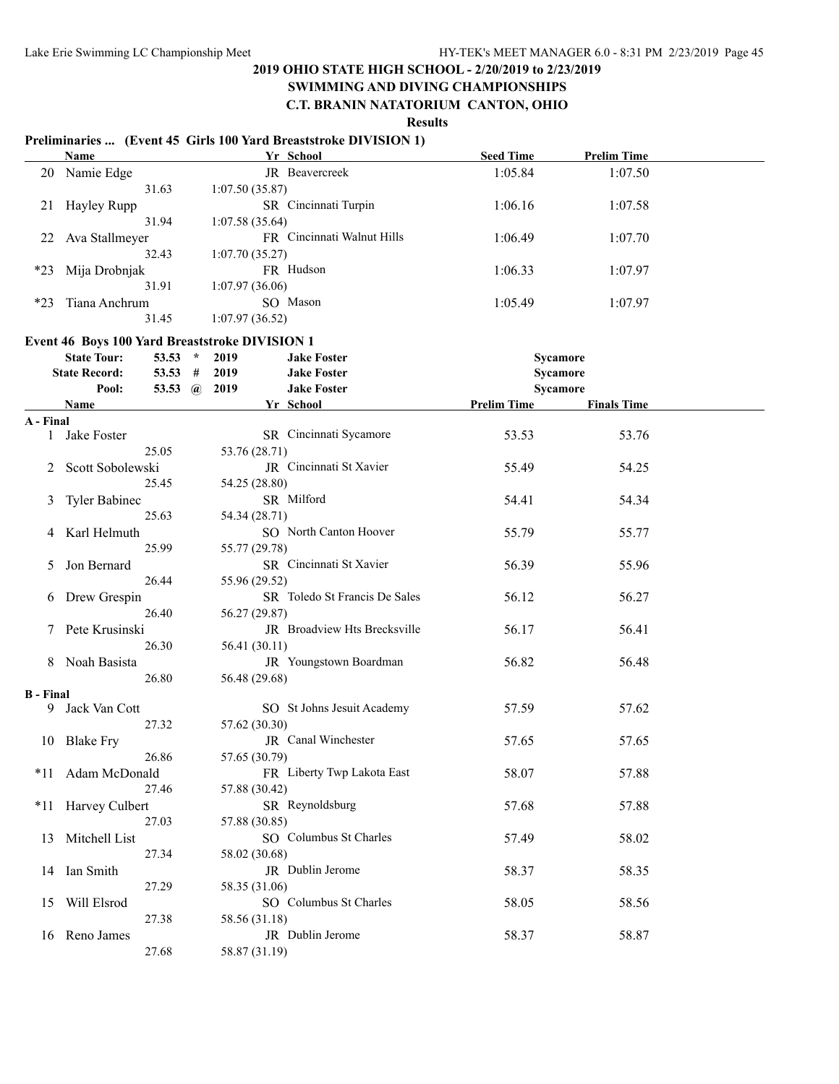#### **SWIMMING AND DIVING CHAMPIONSHIPS C.T. BRANIN NATATORIUM CANTON, OHIO**

|                  |                                                |                |                | Preliminaries  (Event 45 Girls 100 Yard Breaststroke DIVISION 1) |                    |                    |  |
|------------------|------------------------------------------------|----------------|----------------|------------------------------------------------------------------|--------------------|--------------------|--|
|                  | Name                                           |                |                | Yr School                                                        | <b>Seed Time</b>   | <b>Prelim Time</b> |  |
|                  | 20 Namie Edge                                  |                |                | JR Beavercreek                                                   | 1:05.84            | 1:07.50            |  |
|                  | 31.63                                          |                | 1:07.50(35.87) |                                                                  |                    |                    |  |
| 21               | Hayley Rupp                                    |                |                | SR Cincinnati Turpin                                             | 1:06.16            | 1:07.58            |  |
|                  | 31.94                                          |                | 1:07.58(35.64) |                                                                  |                    |                    |  |
| 22               | Ava Stallmeyer                                 |                |                | FR Cincinnati Walnut Hills                                       | 1:06.49            | 1:07.70            |  |
|                  | 32.43                                          |                | 1:07.70(35.27) |                                                                  |                    |                    |  |
| $*23$            | Mija Drobnjak                                  |                |                | FR Hudson                                                        | 1:06.33            | 1:07.97            |  |
|                  | 31.91                                          |                | 1:07.97(36.06) |                                                                  |                    |                    |  |
| $*23$            | Tiana Anchrum                                  |                |                | SO Mason                                                         | 1:05.49            | 1:07.97            |  |
|                  | 31.45                                          |                | 1:07.97(36.52) |                                                                  |                    |                    |  |
|                  | Event 46 Boys 100 Yard Breaststroke DIVISION 1 |                |                |                                                                  |                    |                    |  |
|                  | <b>State Tour:</b>                             | 53.53 $*$      | 2019           | <b>Jake Foster</b>                                               |                    | Sycamore           |  |
|                  | <b>State Record:</b>                           | 53.53 #        | 2019           | <b>Jake Foster</b>                                               |                    | Sycamore           |  |
|                  | Pool:                                          | 53.53 $\omega$ | 2019           | <b>Jake Foster</b>                                               |                    | Sycamore           |  |
|                  | Name                                           |                |                | Yr School                                                        | <b>Prelim Time</b> | <b>Finals Time</b> |  |
| A - Final        |                                                |                |                |                                                                  |                    |                    |  |
|                  | 1 Jake Foster                                  |                |                | SR Cincinnati Sycamore                                           | 53.53              | 53.76              |  |
|                  | 25.05                                          |                | 53.76 (28.71)  |                                                                  |                    |                    |  |
| 2                | Scott Sobolewski                               |                |                | JR Cincinnati St Xavier                                          | 55.49              | 54.25              |  |
|                  | 25.45                                          |                | 54.25 (28.80)  |                                                                  |                    |                    |  |
| 3                | <b>Tyler Babinec</b>                           |                |                | SR Milford                                                       | 54.41              | 54.34              |  |
|                  | 25.63                                          |                | 54.34 (28.71)  |                                                                  |                    |                    |  |
|                  | Karl Helmuth                                   |                |                | SO North Canton Hoover                                           | 55.79              | 55.77              |  |
| 4                | 25.99                                          |                |                |                                                                  |                    |                    |  |
|                  |                                                |                | 55.77 (29.78)  | SR Cincinnati St Xavier                                          |                    |                    |  |
| 5.               | Jon Bernard                                    |                |                |                                                                  | 56.39              | 55.96              |  |
|                  | 26.44                                          |                | 55.96 (29.52)  | SR Toledo St Francis De Sales                                    |                    |                    |  |
| 6                | Drew Grespin                                   |                |                |                                                                  | 56.12              | 56.27              |  |
|                  | 26.40                                          |                | 56.27 (29.87)  |                                                                  |                    |                    |  |
| 7                | Pete Krusinski                                 |                |                | JR Broadview Hts Brecksville                                     | 56.17              | 56.41              |  |
|                  | 26.30                                          |                | 56.41 (30.11)  |                                                                  |                    |                    |  |
| 8                | Noah Basista                                   |                |                | JR Youngstown Boardman                                           | 56.82              | 56.48              |  |
|                  | 26.80                                          |                | 56.48 (29.68)  |                                                                  |                    |                    |  |
| <b>B</b> - Final | Jack Van Cott                                  |                |                | SO St Johns Jesuit Academy                                       | 57.59              | 57.62              |  |
| 9.               | 27.32                                          |                | 57.62 (30.30)  |                                                                  |                    |                    |  |
|                  |                                                |                |                | JR Canal Winchester                                              | 57.65              | 57.65              |  |
|                  | 10 Blake Fry                                   |                |                |                                                                  |                    |                    |  |
|                  | 26.86                                          |                | 57.65 (30.79)  |                                                                  |                    |                    |  |
| $*11$            | Adam McDonald                                  |                |                | FR Liberty Twp Lakota East                                       | 58.07              | 57.88              |  |
|                  | 27.46                                          |                | 57.88 (30.42)  |                                                                  |                    |                    |  |
| $*11$            | <b>Harvey Culbert</b>                          |                |                | SR Reynoldsburg                                                  | 57.68              | 57.88              |  |
|                  | 27.03                                          |                | 57.88 (30.85)  |                                                                  |                    |                    |  |
| 13               | Mitchell List                                  |                |                | SO Columbus St Charles                                           | 57.49              | 58.02              |  |
|                  | 27.34                                          |                | 58.02 (30.68)  |                                                                  |                    |                    |  |
| 14               | Ian Smith                                      |                |                | JR Dublin Jerome                                                 | 58.37              | 58.35              |  |
|                  | 27.29                                          |                | 58.35 (31.06)  |                                                                  |                    |                    |  |
| 15               | Will Elsrod                                    |                |                | SO Columbus St Charles                                           | 58.05              | 58.56              |  |
|                  | 27.38                                          |                | 58.56 (31.18)  |                                                                  |                    |                    |  |
|                  | 16 Reno James                                  |                |                | JR Dublin Jerome                                                 | 58.37              | 58.87              |  |
|                  | 27.68                                          |                | 58.87 (31.19)  |                                                                  |                    |                    |  |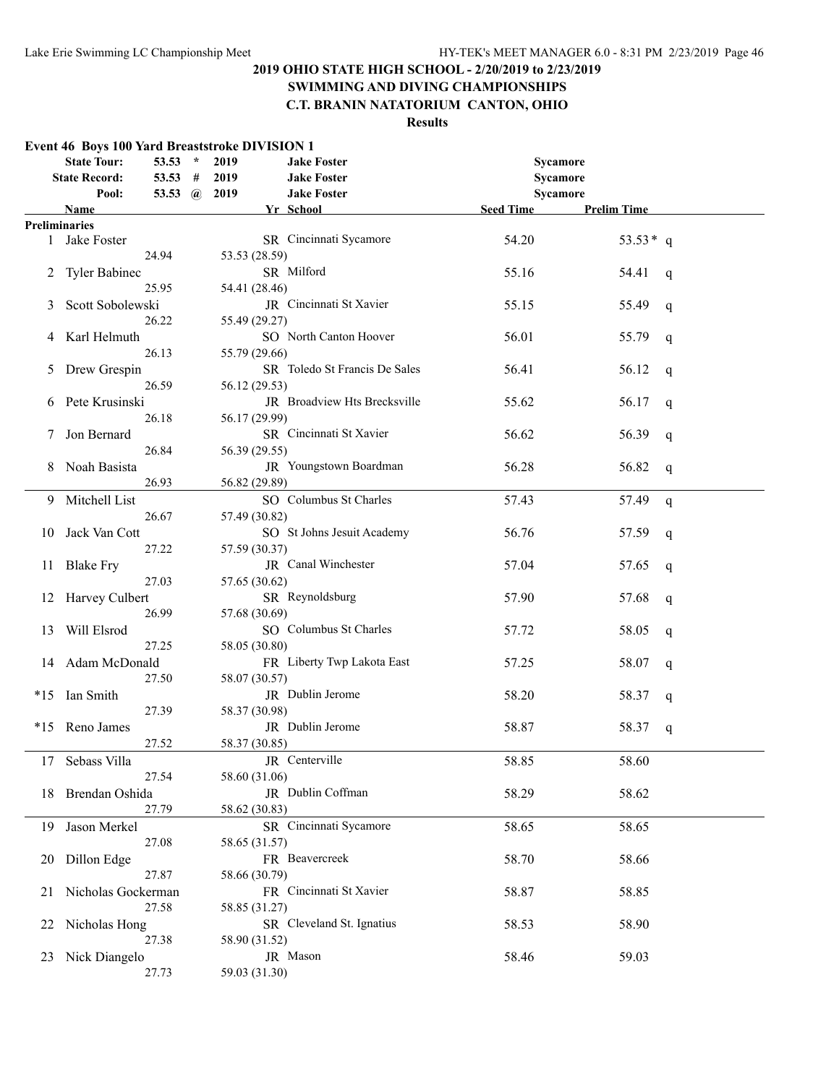# **SWIMMING AND DIVING CHAMPIONSHIPS**

# **C.T. BRANIN NATATORIUM CANTON, OHIO**

|       | <b>State Tour:</b><br><b>State Record:</b> | 53.53 $*$<br>53.53 # | 2019<br>2019  | <b>Jake Foster</b><br><b>Jake Foster</b> | Sycamore<br>Sycamore |                    |   |
|-------|--------------------------------------------|----------------------|---------------|------------------------------------------|----------------------|--------------------|---|
|       | Pool:                                      | 53.53 $\omega$       | 2019          | <b>Jake Foster</b>                       | Sycamore             |                    |   |
|       | Name                                       |                      |               | Yr School                                | <b>Seed Time</b>     | <b>Prelim Time</b> |   |
|       | <b>Preliminaries</b><br>Jake Foster        |                      |               | SR Cincinnati Sycamore                   | 54.20                | $53.53*$ q         |   |
| 1     |                                            |                      |               |                                          |                      |                    |   |
|       |                                            | 24.94                | 53.53 (28.59) | SR Milford                               | 55.16                |                    |   |
| 2     | <b>Tyler Babinec</b>                       | 25.95                | 54.41 (28.46) |                                          |                      | 54.41              | q |
|       | Scott Sobolewski                           |                      |               | JR Cincinnati St Xavier                  | 55.15                |                    |   |
| 3     |                                            | 26.22                | 55.49 (29.27) |                                          |                      | 55.49              | q |
|       | Karl Helmuth                               |                      |               | SO North Canton Hoover                   | 56.01                | 55.79              |   |
|       |                                            | 26.13                | 55.79 (29.66) |                                          |                      |                    | q |
| 5     | Drew Grespin                               |                      |               | SR Toledo St Francis De Sales            | 56.41                | 56.12              |   |
|       |                                            | 26.59                | 56.12 (29.53) |                                          |                      |                    | q |
| 6     | Pete Krusinski                             |                      |               | JR Broadview Hts Brecksville             | 55.62                | 56.17              |   |
|       |                                            | 26.18                | 56.17 (29.99) |                                          |                      |                    | q |
|       | Jon Bernard                                |                      |               | SR Cincinnati St Xavier                  | 56.62                | 56.39              | q |
|       |                                            | 26.84                | 56.39 (29.55) |                                          |                      |                    |   |
| 8     | Noah Basista                               |                      |               | JR Youngstown Boardman                   | 56.28                | 56.82              | q |
|       |                                            | 26.93                | 56.82 (29.89) |                                          |                      |                    |   |
|       | 9 Mitchell List                            |                      |               | SO Columbus St Charles                   | 57.43                | 57.49              | q |
|       |                                            | 26.67                | 57.49 (30.82) |                                          |                      |                    |   |
| 10    | Jack Van Cott                              |                      |               | SO St Johns Jesuit Academy               | 56.76                | 57.59              | q |
|       |                                            | 27.22                | 57.59 (30.37) |                                          |                      |                    |   |
| 11    | <b>Blake Fry</b>                           |                      |               | JR Canal Winchester                      | 57.04                | 57.65              | q |
|       |                                            | 27.03                | 57.65 (30.62) |                                          |                      |                    |   |
| 12    | Harvey Culbert                             |                      |               | SR Reynoldsburg                          | 57.90                | 57.68              | q |
|       |                                            | 26.99                | 57.68 (30.69) |                                          |                      |                    |   |
| 13    | Will Elsrod                                |                      |               | SO Columbus St Charles                   | 57.72                | 58.05              | q |
|       |                                            | 27.25                | 58.05 (30.80) |                                          |                      |                    |   |
| 14    | Adam McDonald                              |                      |               | FR Liberty Twp Lakota East               | 57.25                | 58.07              | q |
|       |                                            | 27.50                | 58.07 (30.57) |                                          |                      |                    |   |
| $*15$ | Ian Smith                                  |                      |               | JR Dublin Jerome                         | 58.20                | 58.37              | q |
|       |                                            | 27.39                | 58.37 (30.98) |                                          |                      |                    |   |
|       | *15 Reno James                             |                      |               | JR Dublin Jerome                         | 58.87                | 58.37              | q |
|       |                                            | 27.52                | 58.37 (30.85) |                                          |                      |                    |   |
|       | 17 Sebass Villa                            |                      |               | JR Centerville                           | 58.85                | 58.60              |   |
|       |                                            | 27.54                | 58.60 (31.06) |                                          |                      |                    |   |
|       | 18 Brendan Oshida                          |                      |               | JR Dublin Coffman                        | 58.29                | 58.62              |   |
|       |                                            | 27.79                | 58.62 (30.83) |                                          |                      |                    |   |
| 19    | Jason Merkel                               |                      |               | SR Cincinnati Sycamore                   | 58.65                | 58.65              |   |
|       |                                            | 27.08                | 58.65 (31.57) |                                          |                      |                    |   |
| 20    | Dillon Edge                                |                      |               | FR Beavercreek                           | 58.70                | 58.66              |   |
|       |                                            | 27.87                | 58.66 (30.79) |                                          |                      |                    |   |
| 21    | Nicholas Gockerman                         |                      |               | FR Cincinnati St Xavier                  | 58.87                | 58.85              |   |
|       |                                            | 27.58                | 58.85 (31.27) |                                          |                      |                    |   |
| 22    | Nicholas Hong                              |                      |               | SR Cleveland St. Ignatius                | 58.53                | 58.90              |   |
|       |                                            | 27.38                | 58.90 (31.52) |                                          |                      |                    |   |
| 23    | Nick Diangelo                              |                      |               | JR Mason                                 | 58.46                | 59.03              |   |
|       |                                            | 27.73                | 59.03 (31.30) |                                          |                      |                    |   |
|       |                                            |                      |               |                                          |                      |                    |   |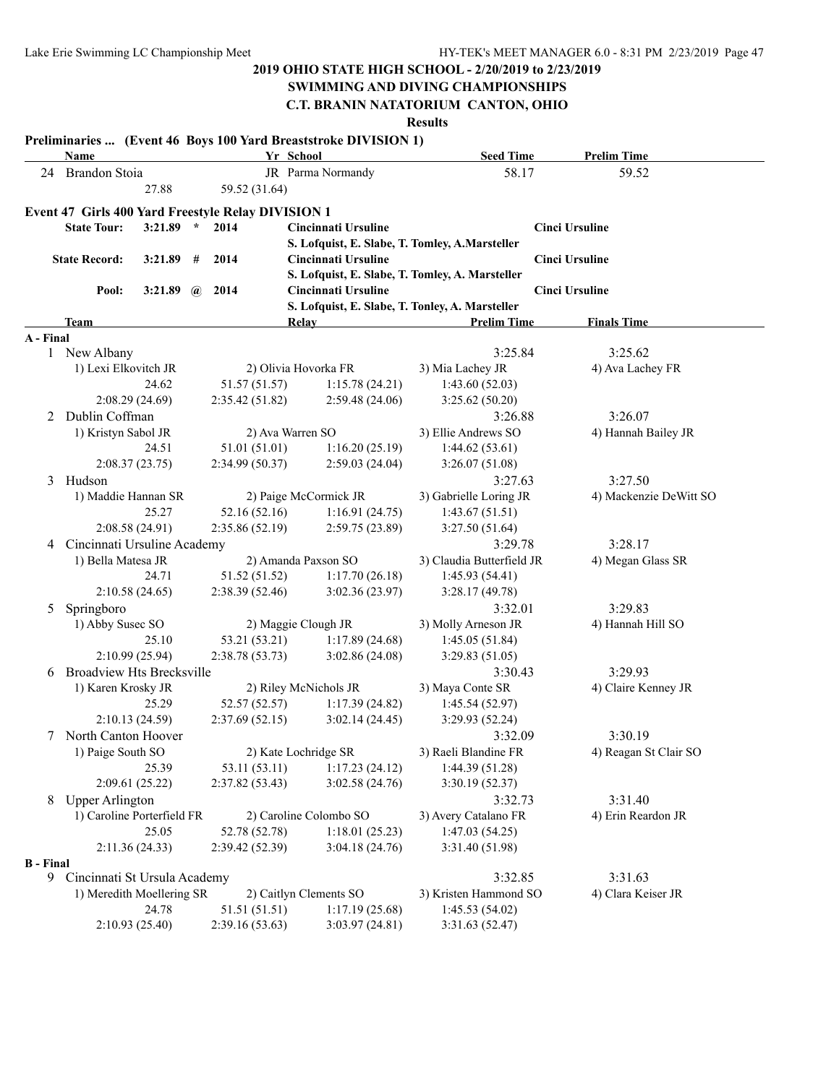### **SWIMMING AND DIVING CHAMPIONSHIPS**

**C.T. BRANIN NATATORIUM CANTON, OHIO**

|                  | Name                                                 |                  |                                  | Preliminaries  (Event 46 Boys 100 Yard Breaststroke DIVISION 1)<br>Yr School | <b>Seed Time</b>                  | <b>Prelim Time</b>     |
|------------------|------------------------------------------------------|------------------|----------------------------------|------------------------------------------------------------------------------|-----------------------------------|------------------------|
| 24               | Brandon Stoia                                        |                  |                                  | JR Parma Normandy                                                            | 58.17                             | 59.52                  |
|                  |                                                      | 27.88            | 59.52 (31.64)                    |                                                                              |                                   |                        |
|                  |                                                      |                  |                                  |                                                                              |                                   |                        |
|                  | Event 47 Girls 400 Yard Freestyle Relay DIVISION 1   |                  | 2014                             |                                                                              |                                   |                        |
|                  | <b>State Tour:</b>                                   | $3:21.89$ *      |                                  | <b>Cincinnati Ursuline</b>                                                   |                                   | <b>Cinci Ursuline</b>  |
|                  |                                                      |                  |                                  | S. Lofquist, E. Slabe, T. Tomley, A.Marsteller                               |                                   |                        |
|                  | <b>State Record:</b>                                 | 3:21.89<br>#     | 2014                             | <b>Cincinnati Ursuline</b>                                                   |                                   | <b>Cinci Ursuline</b>  |
|                  |                                                      |                  |                                  | S. Lofquist, E. Slabe, T. Tomley, A. Marsteller                              |                                   |                        |
|                  | Pool:                                                | 3:21.89 $\omega$ | 2014                             | Cincinnati Ursuline                                                          |                                   | <b>Cinci Ursuline</b>  |
|                  |                                                      |                  |                                  | S. Lofquist, E. Slabe, T. Tonley, A. Marsteller                              |                                   |                        |
|                  | <b>Team</b>                                          |                  |                                  | <b>Relay</b>                                                                 | <b>Prelim Time</b>                | <b>Finals Time</b>     |
| A - Final        | 1 New Albany                                         |                  |                                  |                                                                              | 3:25.84                           | 3:25.62                |
|                  |                                                      |                  |                                  | 2) Olivia Hovorka FR                                                         | 3) Mia Lachey JR                  |                        |
|                  | 1) Lexi Elkovitch JR                                 | 24.62            |                                  | 1:15.78(24.21)                                                               |                                   | 4) Ava Lachey FR       |
|                  | 2:08.29 (24.69)                                      |                  | 51.57 (51.57)<br>2:35.42 (51.82) | 2:59.48(24.06)                                                               | 1:43.60(52.03)<br>3:25.62 (50.20) |                        |
| 2                | Dublin Coffman                                       |                  |                                  |                                                                              | 3:26.88                           | 3:26.07                |
|                  |                                                      |                  |                                  |                                                                              |                                   |                        |
|                  | 1) Kristyn Sabol JR                                  | 24.51            | 51.01 (51.01)                    | 2) Ava Warren SO                                                             | 3) Ellie Andrews SO               | 4) Hannah Bailey JR    |
|                  |                                                      |                  |                                  | 1:16.20(25.19)                                                               | 1:44.62(53.61)                    |                        |
|                  | 2:08.37(23.75)<br>Hudson                             |                  | 2:34.99 (50.37)                  | 2:59.03(24.04)                                                               | 3:26.07(51.08)                    |                        |
| 3                |                                                      |                  |                                  |                                                                              | 3:27.63                           | 3:27.50                |
|                  | 1) Maddie Hannan SR                                  |                  |                                  | 2) Paige McCormick JR                                                        | 3) Gabrielle Loring JR            | 4) Mackenzie DeWitt SO |
|                  |                                                      | 25.27            | 52.16 (52.16)                    | 1:16.91(24.75)                                                               | 1:43.67(51.51)                    |                        |
|                  | 2:08.58 (24.91)                                      |                  | 2:35.86(52.19)                   | 2:59.75(23.89)                                                               | 3:27.50(51.64)                    |                        |
| 4                | Cincinnati Ursuline Academy                          |                  |                                  |                                                                              | 3:29.78                           | 3:28.17                |
|                  | 1) Bella Matesa JR                                   | 24.71            |                                  | 2) Amanda Paxson SO                                                          | 3) Claudia Butterfield JR         | 4) Megan Glass SR      |
|                  |                                                      |                  | 51.52 (51.52)                    | 1:17.70(26.18)                                                               | 1:45.93(54.41)                    |                        |
|                  | 2:10.58(24.65)                                       |                  | 2:38.39(52.46)                   | 3:02.36(23.97)                                                               | 3:28.17(49.78)                    |                        |
| 5                | Springboro                                           |                  |                                  |                                                                              | 3:32.01                           | 3:29.83                |
|                  | 1) Abby Susec SO                                     | 25.10            |                                  | 2) Maggie Clough JR                                                          | 3) Molly Arneson JR               | 4) Hannah Hill SO      |
|                  | 2:10.99 (25.94)                                      |                  | 53.21 (53.21)                    | 1:17.89(24.68)                                                               | 1:45.05(51.84)                    |                        |
|                  |                                                      |                  | 2:38.78(53.73)                   | 3:02.86(24.08)                                                               | 3:29.83(51.05)                    |                        |
| 6                | <b>Broadview Hts Brecksville</b>                     |                  |                                  |                                                                              | 3:30.43                           | 3:29.93                |
|                  | 1) Karen Krosky JR                                   | 25.29            |                                  | 2) Riley McNichols JR                                                        | 3) Maya Conte SR                  | 4) Claire Kenney JR    |
|                  | 2:10.13(24.59)                                       |                  | 52.57 (52.57)<br>2:37.69(52.15)  | 1:17.39(24.82)<br>3:02.14(24.45)                                             | 1:45.54(52.97)<br>3:29.93 (52.24) |                        |
|                  | North Canton Hoover                                  |                  |                                  |                                                                              | 3:32.09                           | 3:30.19                |
| 7                |                                                      |                  |                                  |                                                                              | 3) Raeli Blandine FR              | 4) Reagan St Clair SO  |
|                  | 1) Paige South SO                                    |                  |                                  | 2) Kate Lochridge SR                                                         |                                   |                        |
|                  |                                                      | 25.39            | 53.11 (53.11)                    | 1:17.23(24.12)                                                               | 1:44.39(51.28)                    |                        |
|                  | 2:09.61 (25.22)                                      |                  | 2:37.82 (53.43)                  | 3:02.58(24.76)                                                               | 3:30.19(52.37)                    |                        |
| 8                | <b>Upper Arlington</b><br>1) Caroline Porterfield FR |                  |                                  |                                                                              | 3:32.73                           | 3:31.40                |
|                  |                                                      |                  |                                  | 2) Caroline Colombo SO                                                       | 3) Avery Catalano FR              | 4) Erin Reardon JR     |
|                  |                                                      | 25.05            | 52.78 (52.78)                    | 1:18.01(25.23)                                                               | 1:47.03(54.25)                    |                        |
| <b>B</b> - Final | 2:11.36(24.33)                                       |                  | 2:39.42(52.39)                   | 3:04.18(24.76)                                                               | 3:31.40 (51.98)                   |                        |
|                  | 9 Cincinnati St Ursula Academy                       |                  |                                  |                                                                              | 3:32.85                           | 3:31.63                |
|                  | 1) Meredith Moellering SR                            |                  |                                  | 2) Caitlyn Clements SO                                                       | 3) Kristen Hammond SO             | 4) Clara Keiser JR     |
|                  |                                                      | 24.78            | 51.51 (51.51)                    | 1:17.19(25.68)                                                               | 1:45.53(54.02)                    |                        |
|                  | 2:10.93 (25.40)                                      |                  | 2:39.16(53.63)                   | 3:03.97(24.81)                                                               | 3:31.63(52.47)                    |                        |
|                  |                                                      |                  |                                  |                                                                              |                                   |                        |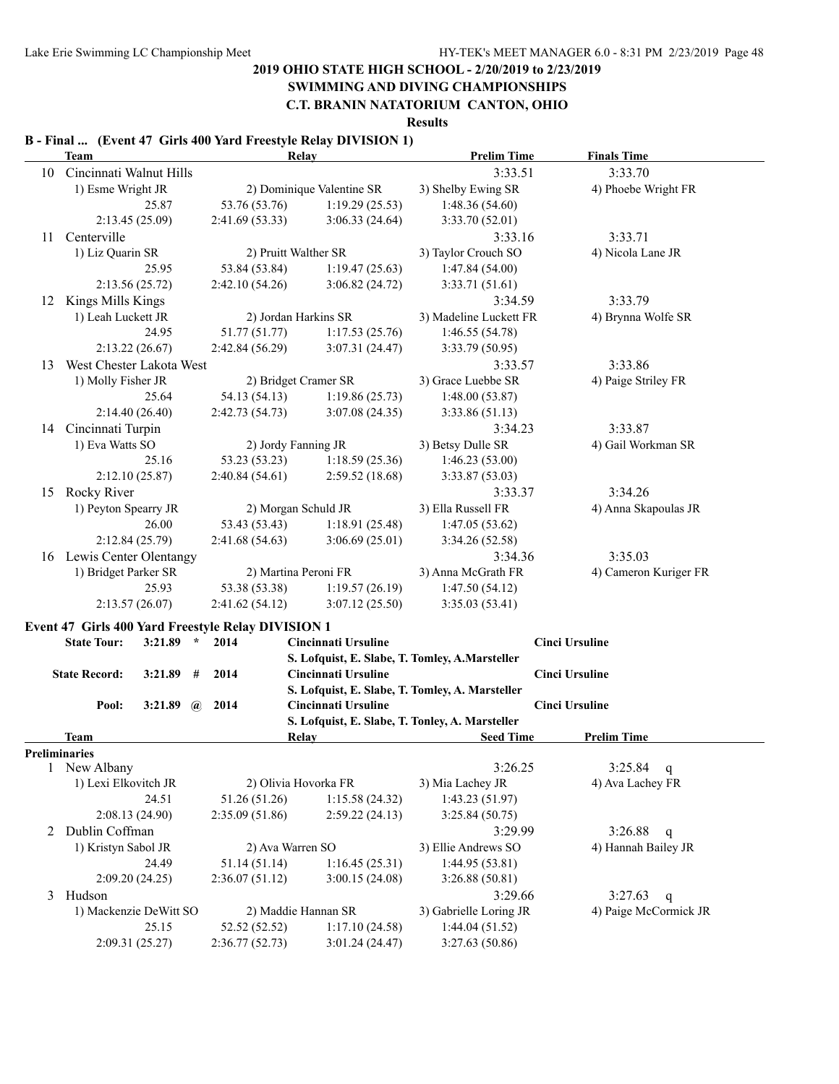# **SWIMMING AND DIVING CHAMPIONSHIPS**

**C.T. BRANIN NATATORIUM CANTON, OHIO**

**Results**

#### **B - Final ... (Event 47 Girls 400 Yard Freestyle Relay DIVISION 1)**

|              | <b>Team</b>                                               |         |           |                | Relay                      | <b>Prelim Time</b>                              | <b>Finals Time</b>    |   |
|--------------|-----------------------------------------------------------|---------|-----------|----------------|----------------------------|-------------------------------------------------|-----------------------|---|
| 10           | Cincinnati Walnut Hills                                   |         |           |                |                            | 3:33.51                                         | 3:33.70               |   |
|              | 1) Esme Wright JR                                         |         |           |                | 2) Dominique Valentine SR  | 3) Shelby Ewing SR                              | 4) Phoebe Wright FR   |   |
|              |                                                           | 25.87   |           | 53.76 (53.76)  | 1:19.29(25.53)             | 1:48.36(54.60)                                  |                       |   |
|              | 2:13.45 (25.09)                                           |         |           | 2:41.69(53.33) | 3:06.33(24.64)             | 3:33.70 (52.01)                                 |                       |   |
| 11           | Centerville                                               |         |           |                |                            | 3:33.16                                         | 3:33.71               |   |
|              | 1) Liz Quarin SR                                          |         |           |                | 2) Pruitt Walther SR       | 3) Taylor Crouch SO                             | 4) Nicola Lane JR     |   |
|              |                                                           | 25.95   |           | 53.84 (53.84)  | 1:19.47(25.63)             | 1:47.84(54.00)                                  |                       |   |
|              | 2:13.56(25.72)                                            |         |           | 2:42.10(54.26) | 3:06.82(24.72)             | 3:33.71(51.61)                                  |                       |   |
| 12           | Kings Mills Kings                                         |         |           |                |                            | 3:34.59                                         | 3:33.79               |   |
|              | 1) Leah Luckett JR                                        |         |           |                | 2) Jordan Harkins SR       | 3) Madeline Luckett FR                          | 4) Brynna Wolfe SR    |   |
|              |                                                           | 24.95   |           | 51.77 (51.77)  | 1:17.53(25.76)             | 1:46.55 (54.78)                                 |                       |   |
|              | 2:13.22(26.67)                                            |         |           | 2:42.84(56.29) | 3:07.31(24.47)             | 3:33.79 (50.95)                                 |                       |   |
| 13           | West Chester Lakota West                                  |         |           |                |                            | 3:33.57                                         | 3:33.86               |   |
|              | 1) Molly Fisher JR                                        |         |           |                | 2) Bridget Cramer SR       | 3) Grace Luebbe SR                              | 4) Paige Striley FR   |   |
|              |                                                           | 25.64   |           | 54.13 (54.13)  | 1:19.86(25.73)             | 1:48.00(53.87)                                  |                       |   |
|              | 2:14.40(26.40)                                            |         |           | 2:42.73(54.73) | 3:07.08(24.35)             | 3:33.86(51.13)                                  |                       |   |
| 14           | Cincinnati Turpin                                         |         |           |                |                            | 3:34.23                                         | 3:33.87               |   |
|              | 1) Eva Watts SO                                           |         |           |                | 2) Jordy Fanning JR        | 3) Betsy Dulle SR                               | 4) Gail Workman SR    |   |
|              |                                                           | 25.16   |           | 53.23 (53.23)  | 1:18.59(25.36)             | 1:46.23(53.00)                                  |                       |   |
|              | 2:12.10(25.87)                                            |         |           | 2:40.84(54.61) | 2:59.52(18.68)             | 3:33.87 (53.03)                                 |                       |   |
| 15           | Rocky River                                               |         |           |                |                            | 3:33.37                                         | 3:34.26               |   |
|              | 1) Peyton Spearry JR                                      |         |           |                | 2) Morgan Schuld JR        | 3) Ella Russell FR                              | 4) Anna Skapoulas JR  |   |
|              |                                                           | 26.00   |           | 53.43 (53.43)  | 1:18.91(25.48)             | 1:47.05(53.62)                                  |                       |   |
|              | 2:12.84(25.79)                                            |         |           | 2:41.68(54.63) | 3:06.69(25.01)             | 3:34.26 (52.58)                                 |                       |   |
| 16           | Lewis Center Olentangy                                    |         |           |                |                            | 3:34.36                                         | 3:35.03               |   |
|              | 1) Bridget Parker SR                                      |         |           |                | 2) Martina Peroni FR       | 3) Anna McGrath FR                              | 4) Cameron Kuriger FR |   |
|              |                                                           | 25.93   |           | 53.38 (53.38)  | 1:19.57(26.19)             | 1:47.50(54.12)                                  |                       |   |
|              | 2:13.57(26.07)                                            |         |           | 2:41.62(54.12) | 3:07.12(25.50)             | 3:35.03(53.41)                                  |                       |   |
|              |                                                           |         |           |                |                            |                                                 |                       |   |
|              | <b>Event 47 Girls 400 Yard Freestyle Relay DIVISION 1</b> |         |           |                |                            |                                                 |                       |   |
|              | <b>State Tour:</b>                                        | 3:21.89 | $\star$   | 2014           | <b>Cincinnati Ursuline</b> |                                                 | <b>Cinci Ursuline</b> |   |
|              |                                                           |         |           |                |                            | S. Lofquist, E. Slabe, T. Tomley, A.Marsteller  |                       |   |
|              | <b>State Record:</b>                                      | 3:21.89 | 2014<br># |                | <b>Cincinnati Ursuline</b> |                                                 | <b>Cinci Ursuline</b> |   |
|              | Pool:                                                     | 3:21.89 | 2014      |                | Cincinnati Ursuline        | S. Lofquist, E. Slabe, T. Tomley, A. Marsteller | <b>Cinci Ursuline</b> |   |
|              |                                                           |         | $\bm{a}$  |                |                            | S. Lofquist, E. Slabe, T. Tonley, A. Marsteller |                       |   |
|              | <b>Team</b>                                               |         |           |                | Relay                      | <b>Seed Time</b>                                | <b>Prelim Time</b>    |   |
|              | Preliminaries                                             |         |           |                |                            |                                                 |                       |   |
| $\mathbf{I}$ | New Albany                                                |         |           |                |                            | 3:26.25                                         | 3:25.84               | q |
|              | 1) Lexi Elkovitch JR                                      |         |           |                | 2) Olivia Hovorka FR       | 3) Mia Lachey JR                                | 4) Ava Lachey FR      |   |
|              |                                                           | 24.51   |           | 51.26 (51.26)  | 1:15.58(24.32)             | 1:43.23(51.97)                                  |                       |   |
|              | 2:08.13 (24.90)                                           |         |           | 2:35.09(51.86) | 2:59.22(24.13)             | 3:25.84 (50.75)                                 |                       |   |
|              | 2 Dublin Coffman                                          |         |           |                |                            | 3:29.99                                         | 3:26.88               | q |
|              | 1) Kristyn Sabol JR                                       |         |           |                | 2) Ava Warren SO           | 3) Ellie Andrews SO                             | 4) Hannah Bailey JR   |   |
|              |                                                           | 24.49   |           | 51.14 (51.14)  | 1:16.45(25.31)             | 1:44.95(53.81)                                  |                       |   |
|              | 2:09.20(24.25)                                            |         |           | 2:36.07(51.12) | 3:00.15(24.08)             | 3:26.88(50.81)                                  |                       |   |
|              | 3 Hudson                                                  |         |           |                |                            | 3:29.66                                         | 3:27.63               | q |
|              | 1) Mackenzie DeWitt SO                                    |         |           |                | 2) Maddie Hannan SR        | 3) Gabrielle Loring JR                          | 4) Paige McCormick JR |   |
|              |                                                           | 25.15   |           | 52.52 (52.52)  | 1:17.10(24.58)             | 1:44.04(51.52)                                  |                       |   |
|              | 2:09.31 (25.27)                                           |         |           | 2:36.77(52.73) | 3:01.24 (24.47)            | 3:27.63 (50.86)                                 |                       |   |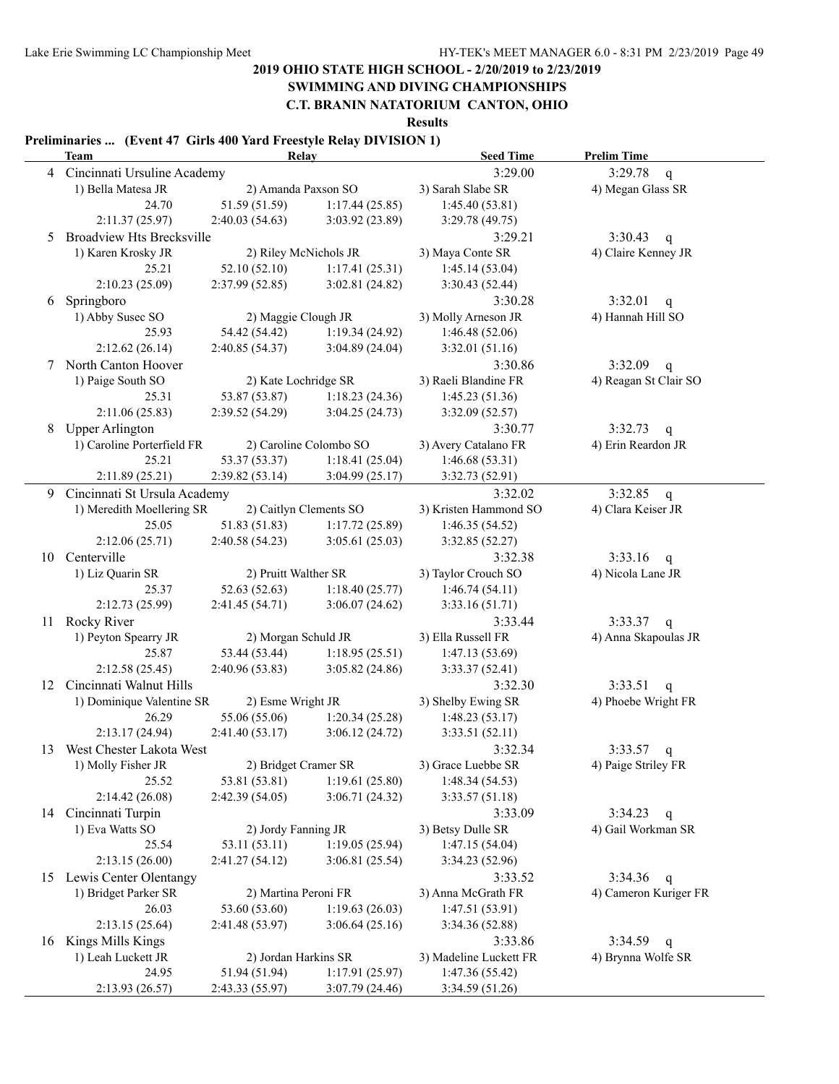# **SWIMMING AND DIVING CHAMPIONSHIPS**

**C.T. BRANIN NATATORIUM CANTON, OHIO**

**Results**

#### **Preliminaries ... (Event 47 Girls 400 Yard Freestyle Relay DIVISION 1)**

|    | <b>Team</b>                      | Relay                 |                        | <b>Seed Time</b>       | <b>Prelim Time</b>                 |
|----|----------------------------------|-----------------------|------------------------|------------------------|------------------------------------|
|    | 4 Cincinnati Ursuline Academy    |                       |                        | 3:29.00                | 3:29.78<br>q                       |
|    | 1) Bella Matesa JR               | 2) Amanda Paxson SO   |                        | 3) Sarah Slabe SR      | 4) Megan Glass SR                  |
|    | 24.70                            | 51.59 (51.59)         | 1:17.44(25.85)         | 1:45.40(53.81)         |                                    |
|    | 2:11.37 (25.97)                  | 2:40.03(54.63)        | 3:03.92 (23.89)        | 3:29.78 (49.75)        |                                    |
| 5  | <b>Broadview Hts Brecksville</b> |                       |                        | 3:29.21                | 3:30.43<br>$\mathsf{q}$            |
|    | 1) Karen Krosky JR               | 2) Riley McNichols JR |                        | 3) Maya Conte SR       | 4) Claire Kenney JR                |
|    | 25.21                            | 52.10(52.10)          | 1:17.41(25.31)         | 1:45.14(53.04)         |                                    |
|    | 2:10.23(25.09)                   | 2:37.99(52.85)        | 3:02.81(24.82)         | 3:30.43(52.44)         |                                    |
| 6  | Springboro                       |                       |                        | 3:30.28                | 3:32.01<br>$\mathsf{q}$            |
|    | 1) Abby Susec SO                 | 2) Maggie Clough JR   |                        | 3) Molly Arneson JR    | 4) Hannah Hill SO                  |
|    | 25.93                            | 54.42 (54.42)         | 1:19.34(24.92)         | 1:46.48(52.06)         |                                    |
|    | 2:12.62(26.14)                   | 2:40.85(54.37)        | 3:04.89(24.04)         | 3:32.01 (51.16)        |                                    |
| 7  | North Canton Hoover              |                       |                        | 3:30.86                | 3:32.09<br>q                       |
|    | 1) Paige South SO                | 2) Kate Lochridge SR  |                        | 3) Raeli Blandine FR   | 4) Reagan St Clair SO              |
|    | 25.31                            | 53.87 (53.87)         | 1:18.23(24.36)         | 1:45.23(51.36)         |                                    |
|    | 2:11.06(25.83)                   | 2:39.52(54.29)        | 3:04.25(24.73)         | 3:32.09(52.57)         |                                    |
| 8  | <b>Upper Arlington</b>           |                       |                        | 3:30.77                | 3:32.73                            |
|    | 1) Caroline Porterfield FR       |                       | 2) Caroline Colombo SO | 3) Avery Catalano FR   | $\mathbf{q}$<br>4) Erin Reardon JR |
|    | 25.21                            | 53.37 (53.37)         | 1:18.41(25.04)         | 1:46.68(53.31)         |                                    |
|    | 2:11.89 (25.21)                  | 2:39.82(53.14)        | 3:04.99(25.17)         | 3:32.73 (52.91)        |                                    |
|    |                                  |                       |                        |                        |                                    |
| 9. | Cincinnati St Ursula Academy     |                       |                        | 3:32.02                | 3:32.85<br>q                       |
|    | 1) Meredith Moellering SR        |                       | 2) Caitlyn Clements SO | 3) Kristen Hammond SO  | 4) Clara Keiser JR                 |
|    | 25.05                            | 51.83 (51.83)         | 1:17.72(25.89)         | 1:46.35(54.52)         |                                    |
|    | 2:12.06(25.71)                   | 2:40.58(54.23)        | 3:05.61(25.03)         | 3:32.85 (52.27)        |                                    |
| 10 | Centerville                      |                       |                        | 3:32.38                | $3:33.16$ q                        |
|    | 1) Liz Quarin SR                 | 2) Pruitt Walther SR  |                        | 3) Taylor Crouch SO    | 4) Nicola Lane JR                  |
|    | 25.37                            | 52.63 (52.63)         | 1:18.40(25.77)         | 1:46.74(54.11)         |                                    |
|    | 2:12.73 (25.99)                  | 2:41.45(54.71)        | 3:06.07(24.62)         | 3:33.16(51.71)         |                                    |
|    | 11 Rocky River                   |                       |                        | 3:33.44                | $3:33.37$ q                        |
|    | 1) Peyton Spearry JR             | 2) Morgan Schuld JR   |                        | 3) Ella Russell FR     | 4) Anna Skapoulas JR               |
|    | 25.87                            | 53.44 (53.44)         | 1:18.95(25.51)         | 1:47.13(53.69)         |                                    |
|    | 2:12.58 (25.45)                  | 2:40.96(53.83)        | 3:05.82(24.86)         | 3:33.37(52.41)         |                                    |
| 12 | Cincinnati Walnut Hills          |                       |                        | 3:32.30                | 3:33.51<br>q                       |
|    | 1) Dominique Valentine SR        | 2) Esme Wright JR     |                        | 3) Shelby Ewing SR     | 4) Phoebe Wright FR                |
|    | 26.29                            | 55.06 (55.06)         | 1:20.34(25.28)         | 1:48.23(53.17)         |                                    |
|    | 2:13.17(24.94)                   | 2:41.40(53.17)        | 3:06.12(24.72)         | 3:33.51(52.11)         |                                    |
| 13 | West Chester Lakota West         |                       |                        | 3:32.34                | 3:33.57<br>q                       |
|    | 1) Molly Fisher JR               | 2) Bridget Cramer SR  |                        | 3) Grace Luebbe SR     | 4) Paige Striley FR                |
|    | 25.52                            | 53.81 (53.81)         | 1:19.61(25.80)         | 1:48.34(54.53)         |                                    |
|    | 2:14.42(26.08)                   | 2:42.39 (54.05)       | 3:06.71(24.32)         | 3:33.57(51.18)         |                                    |
|    | 14 Cincinnati Turpin             |                       |                        | 3:33.09                | $3:34.23$ q                        |
|    | 1) Eva Watts SO                  | 2) Jordy Fanning JR   |                        | 3) Betsy Dulle SR      | 4) Gail Workman SR                 |
|    | 25.54                            | 53.11 (53.11)         | 1:19.05(25.94)         | 1:47.15(54.04)         |                                    |
|    | 2:13.15(26.00)                   | 2:41.27(54.12)        | 3:06.81(25.54)         | 3:34.23(52.96)         |                                    |
| 15 | Lewis Center Olentangy           |                       |                        | 3:33.52                | 3:34.36<br>$\mathbf{q}$            |
|    | 1) Bridget Parker SR             | 2) Martina Peroni FR  |                        | 3) Anna McGrath FR     | 4) Cameron Kuriger FR              |
|    | 26.03                            | 53.60 (53.60)         | 1:19.63(26.03)         | 1:47.51(53.91)         |                                    |
|    | 2:13.15(25.64)                   | 2:41.48 (53.97)       | 3:06.64(25.16)         | 3:34.36(52.88)         |                                    |
| 16 | Kings Mills Kings                |                       |                        | 3:33.86                | 3:34.59<br>$\mathbf{q}$            |
|    | 1) Leah Luckett JR               | 2) Jordan Harkins SR  |                        | 3) Madeline Luckett FR | 4) Brynna Wolfe SR                 |
|    | 24.95                            | 51.94 (51.94)         | 1:17.91(25.97)         | 1:47.36(55.42)         |                                    |
|    | 2:13.93 (26.57)                  | 2:43.33 (55.97)       | 3:07.79(24.46)         | 3:34.59 (51.26)        |                                    |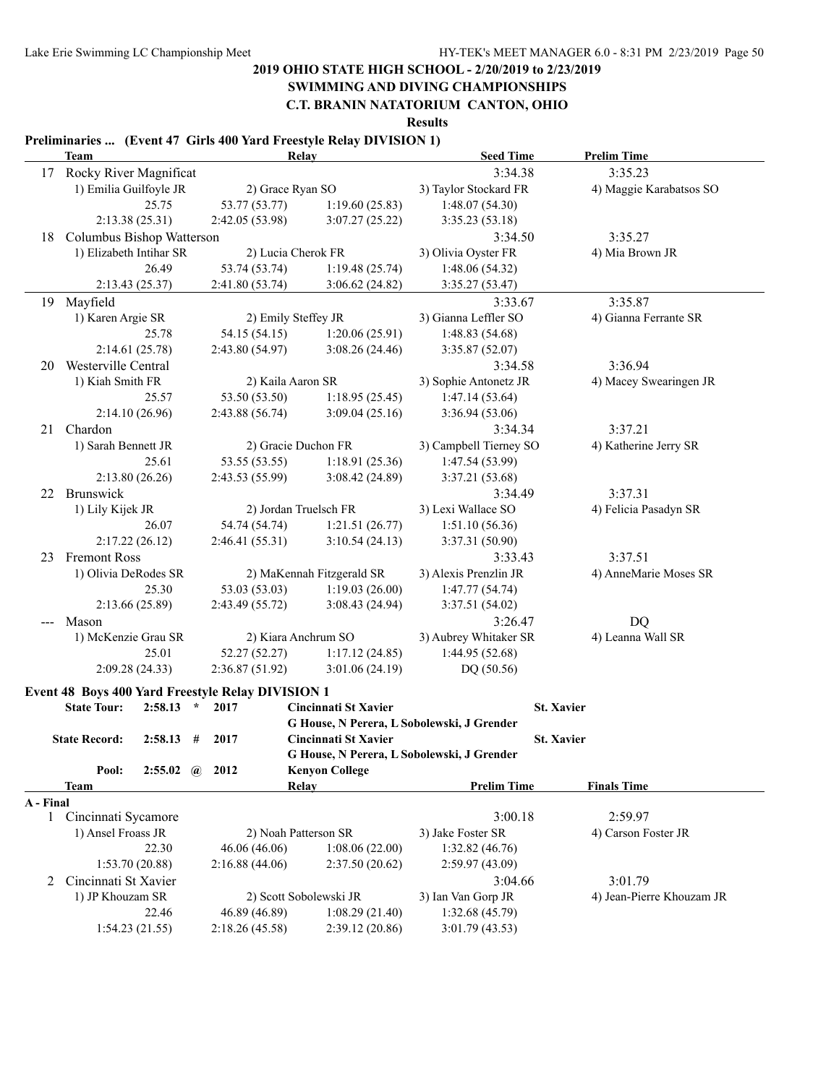# **SWIMMING AND DIVING CHAMPIONSHIPS**

**C.T. BRANIN NATATORIUM CANTON, OHIO Results**

#### **Preliminaries ... (Event 47 Girls 400 Yard Freestyle Relay DIVISION 1)**

|           | <b>Team</b>               |                      |  | Relay                                                    |                           | <b>Seed Time</b>                           | <b>Prelim Time</b>        |                |  |
|-----------|---------------------------|----------------------|--|----------------------------------------------------------|---------------------------|--------------------------------------------|---------------------------|----------------|--|
|           | 17 Rocky River Magnificat |                      |  |                                                          |                           | 3:34.38                                    | 3:35.23                   |                |  |
|           | 1) Emilia Guilfoyle JR    |                      |  | 2) Grace Ryan SO                                         |                           | 3) Taylor Stockard FR                      | 4) Maggie Karabatsos SO   |                |  |
|           |                           | 25.75                |  | 53.77 (53.77)                                            | 1:19.60(25.83)            | 1:48.07(54.30)                             |                           |                |  |
|           |                           | 2:13.38(25.31)       |  | 2:42.05(53.98)                                           | 3:07.27(25.22)            | 3:35.23(53.18)                             |                           |                |  |
| 18        | Columbus Bishop Watterson |                      |  |                                                          |                           | 3:34.50                                    | 3:35.27                   |                |  |
|           | 1) Elizabeth Intihar SR   |                      |  | 2) Lucia Cherok FR                                       |                           | 3) Olivia Oyster FR                        | 4) Mia Brown JR           |                |  |
|           |                           | 26.49                |  | 53.74 (53.74)                                            | 1:19.48(25.74)            | 1:48.06(54.32)                             |                           |                |  |
|           |                           | 2:13.43(25.37)       |  | 2:41.80(53.74)                                           | 3:06.62(24.82)            | 3:35.27(53.47)                             |                           |                |  |
| 19        | Mayfield                  |                      |  |                                                          |                           | 3:33.67                                    | 3:35.87                   |                |  |
|           | 1) Karen Argie SR         |                      |  | 2) Emily Steffey JR                                      |                           | 3) Gianna Leffler SO                       | 4) Gianna Ferrante SR     |                |  |
|           |                           | 25.78                |  | 54.15 (54.15)                                            | 1:20.06(25.91)            | 1:48.83(54.68)                             |                           |                |  |
|           |                           | 2:14.61 (25.78)      |  | 2:43.80(54.97)                                           | 3:08.26(24.46)            | 3:35.87(52.07)                             |                           |                |  |
| 20        | Westerville Central       |                      |  |                                                          |                           | 3:34.58                                    | 3:36.94                   |                |  |
|           | 1) Kiah Smith FR          |                      |  | 2) Kaila Aaron SR                                        |                           | 3) Sophie Antonetz JR                      | 4) Macey Swearingen JR    |                |  |
|           |                           | 25.57                |  | 53.50 (53.50)                                            | 1:18.95(25.45)            | 1:47.14(53.64)                             |                           |                |  |
|           |                           | 2:14.10 (26.96)      |  | 2:43.88 (56.74)                                          | 3:09.04(25.16)            | 3:36.94 (53.06)                            |                           |                |  |
|           | 21 Chardon                |                      |  |                                                          |                           | 3:34.34                                    | 3:37.21                   |                |  |
|           | 1) Sarah Bennett JR       |                      |  | 2) Gracie Duchon FR                                      |                           | 3) Campbell Tierney SO                     | 4) Katherine Jerry SR     |                |  |
|           |                           | 25.61                |  | 53.55 (53.55)                                            | 1:18.91(25.36)            | 1:47.54 (53.99)                            |                           |                |  |
|           |                           | 2:13.80(26.26)       |  | 2:43.53 (55.99)                                          | 3:08.42 (24.89)           | 3:37.21 (53.68)                            |                           |                |  |
|           | 22 Brunswick              |                      |  |                                                          |                           | 3:34.49                                    | 3:37.31                   |                |  |
|           |                           |                      |  |                                                          |                           | 3) Lexi Wallace SO                         | 4) Felicia Pasadyn SR     |                |  |
|           | 1) Lily Kijek JR          |                      |  | 2) Jordan Truelsch FR                                    |                           |                                            |                           |                |  |
|           |                           | 26.07                |  | 54.74 (54.74)                                            | 1:21.51(26.77)            | 1:51.10(56.36)                             |                           |                |  |
|           |                           | 2:17.22(26.12)       |  | 2:46.41(55.31)                                           | 3:10.54(24.13)            | 3:37.31 (50.90)                            |                           |                |  |
|           | 23 Fremont Ross           |                      |  |                                                          |                           | 3:33.43                                    | 3:37.51                   |                |  |
|           | 1) Olivia DeRodes SR      |                      |  |                                                          | 2) MaKennah Fitzgerald SR | 3) Alexis Prenzlin JR                      | 4) AnneMarie Moses SR     |                |  |
|           |                           | 25.30                |  |                                                          |                           | 53.03 (53.03)                              | 1:19.03(26.00)            | 1:47.77(54.74) |  |
|           |                           | 2:13.66 (25.89)      |  | 2:43.49 (55.72)                                          | 3:08.43(24.94)            | 3:37.51(54.02)                             |                           |                |  |
| $---$     | Mason                     |                      |  |                                                          |                           | 3:26.47                                    | <b>DQ</b>                 |                |  |
|           | 1) McKenzie Grau SR       |                      |  | 2) Kiara Anchrum SO                                      |                           | 3) Aubrey Whitaker SR                      | 4) Leanna Wall SR         |                |  |
|           |                           | 25.01                |  | 52.27 (52.27)                                            | 1:17.12(24.85)            | 1:44.95(52.68)                             |                           |                |  |
|           |                           | 2:09.28(24.33)       |  | 2:36.87(51.92)                                           | 3:01.06(24.19)            | DQ (50.56)                                 |                           |                |  |
|           |                           |                      |  | <b>Event 48 Boys 400 Yard Freestyle Relay DIVISION 1</b> |                           |                                            |                           |                |  |
|           | <b>State Tour:</b>        | $2:58.13$ * 2017     |  |                                                          | Cincinnati St Xavier      | <b>St. Xavier</b>                          |                           |                |  |
|           |                           |                      |  |                                                          |                           | G House, N Perera, L Sobolewski, J Grender |                           |                |  |
|           | <b>State Record:</b>      | $2:58.13$ #          |  | 2017                                                     | Cincinnati St Xavier      | <b>St. Xavier</b>                          |                           |                |  |
|           |                           |                      |  |                                                          |                           | G House, N Perera, L Sobolewski, J Grender |                           |                |  |
|           | Pool:                     | $2:55.02$ (a) $2012$ |  |                                                          | <b>Kenyon College</b>     |                                            |                           |                |  |
|           | <b>Team</b>               |                      |  | Relay                                                    |                           | <b>Prelim Time</b>                         | <b>Finals Time</b>        |                |  |
| A - Final |                           |                      |  |                                                          |                           |                                            |                           |                |  |
|           | 1 Cincinnati Sycamore     |                      |  |                                                          |                           | 3:00.18                                    | 2:59.97                   |                |  |
|           | 1) Ansel Froass JR        |                      |  | 2) Noah Patterson SR                                     |                           | 3) Jake Foster SR                          | 4) Carson Foster JR       |                |  |
|           |                           | 22.30                |  | 46.06 (46.06)                                            | 1:08.06(22.00)            | 1:32.82(46.76)                             |                           |                |  |
|           |                           | 1:53.70(20.88)       |  | 2:16.88(44.06)                                           | 2:37.50(20.62)            | 2:59.97 (43.09)                            |                           |                |  |
|           | Cincinnati St Xavier      |                      |  |                                                          |                           | 3:04.66                                    | 3:01.79                   |                |  |
| 2         | 1) JP Khouzam SR          |                      |  | 2) Scott Sobolewski JR                                   |                           |                                            |                           |                |  |
|           |                           |                      |  |                                                          |                           |                                            |                           |                |  |
|           |                           | 22.46                |  | 46.89 (46.89)                                            | 1:08.29(21.40)            | 3) Ian Van Gorp JR<br>1:32.68(45.79)       | 4) Jean-Pierre Khouzam JR |                |  |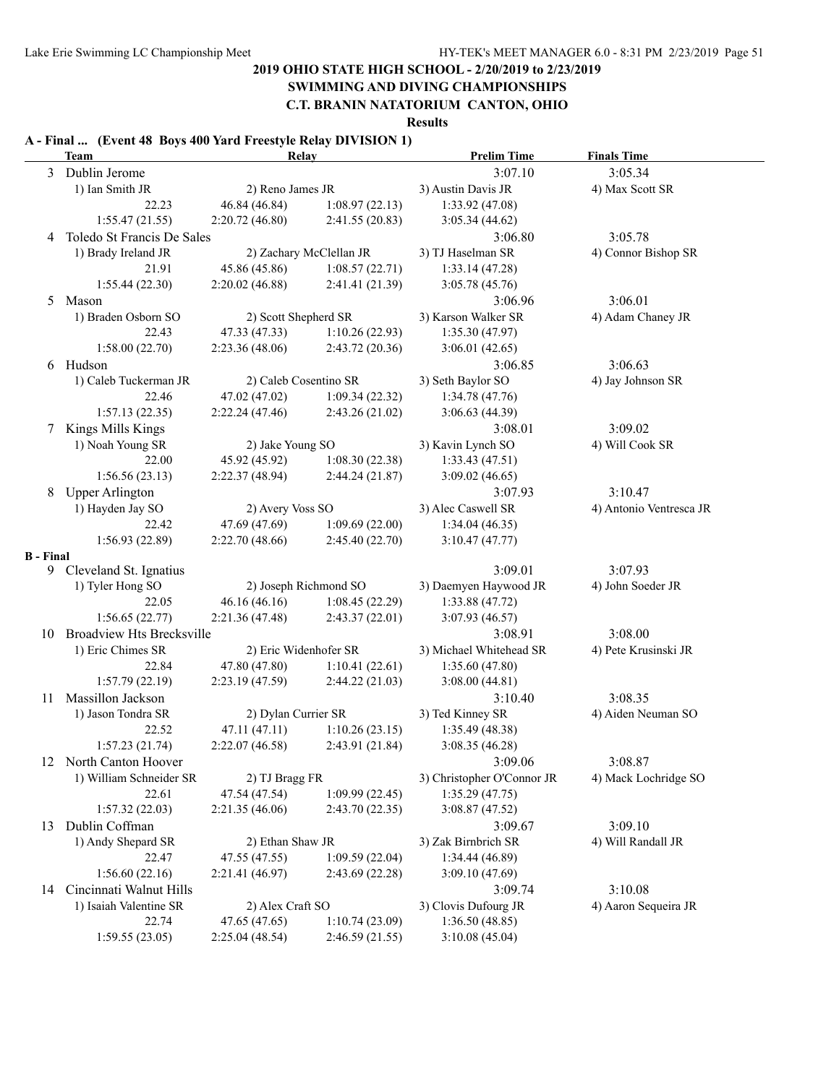# **SWIMMING AND DIVING CHAMPIONSHIPS**

**C.T. BRANIN NATATORIUM CANTON, OHIO**

**Results**

#### **A - Final ... (Event 48 Boys 400 Yard Freestyle Relay DIVISION 1)**

|                  | <b>Team</b>                  | <b>Relay</b>          |                         | <b>Prelim Time</b>         | <b>Finals Time</b>      |
|------------------|------------------------------|-----------------------|-------------------------|----------------------------|-------------------------|
| 3                | Dublin Jerome                |                       |                         | 3:07.10                    | 3:05.34                 |
|                  | 1) Ian Smith JR              | 2) Reno James JR      |                         | 3) Austin Davis JR         | 4) Max Scott SR         |
|                  | 22.23                        | 46.84 (46.84)         | 1:08.97(22.13)          | 1:33.92 (47.08)            |                         |
|                  | 1:55.47(21.55)               | 2:20.72(46.80)        | 2:41.55(20.83)          | 3:05.34(44.62)             |                         |
| 4                | Toledo St Francis De Sales   |                       |                         | 3:06.80                    | 3:05.78                 |
|                  | 1) Brady Ireland JR          |                       | 2) Zachary McClellan JR | 3) TJ Haselman SR          | 4) Connor Bishop SR     |
|                  | 21.91                        | 45.86 (45.86)         | 1:08.57(22.71)          | 1:33.14(47.28)             |                         |
|                  | 1:55.44(22.30)               | 2:20.02(46.88)        | 2:41.41 (21.39)         | 3:05.78 (45.76)            |                         |
| 5                | Mason                        |                       |                         | 3:06.96                    | 3:06.01                 |
|                  | 1) Braden Osborn SO          | 2) Scott Shepherd SR  |                         | 3) Karson Walker SR        | 4) Adam Chaney JR       |
|                  | 22.43                        | 47.33 (47.33)         | 1:10.26(22.93)          | 1:35.30(47.97)             |                         |
|                  | 1:58.00(22.70)               | 2:23.36(48.06)        | 2:43.72 (20.36)         | 3:06.01(42.65)             |                         |
| 6                | Hudson                       |                       |                         | 3:06.85                    | 3:06.63                 |
|                  | 1) Caleb Tuckerman JR        | 2) Caleb Cosentino SR |                         | 3) Seth Baylor SO          | 4) Jay Johnson SR       |
|                  | 22.46                        | 47.02 (47.02)         | 1:09.34(22.32)          | 1:34.78(47.76)             |                         |
|                  | 1:57.13(22.35)               | 2:22.24(47.46)        | 2:43.26(21.02)          | 3:06.63(44.39)             |                         |
| 7                | Kings Mills Kings            |                       |                         | 3:08.01                    | 3:09.02                 |
|                  | 1) Noah Young SR             | 2) Jake Young SO      |                         | 3) Kavin Lynch SO          | 4) Will Cook SR         |
|                  | 22.00                        | 45.92 (45.92)         | 1:08.30(22.38)          | 1:33.43(47.51)             |                         |
|                  | 1:56.56(23.13)               | 2:22.37(48.94)        | 2:44.24(21.87)          | 3:09.02(46.65)             |                         |
| 8                | <b>Upper Arlington</b>       |                       |                         | 3:07.93                    | 3:10.47                 |
|                  | 1) Hayden Jay SO             | 2) Avery Voss SO      |                         | 3) Alec Caswell SR         | 4) Antonio Ventresca JR |
|                  | 22.42                        | 47.69 (47.69)         | 1:09.69(22.00)          | 1:34.04(46.35)             |                         |
|                  | 1:56.93(22.89)               | 2:22.70(48.66)        | 2:45.40(22.70)          | 3:10.47(47.77)             |                         |
| <b>B</b> - Final |                              |                       |                         |                            |                         |
| 9.               | Cleveland St. Ignatius       |                       |                         | 3:09.01                    | 3:07.93                 |
|                  | 1) Tyler Hong SO             |                       | 2) Joseph Richmond SO   | 3) Daemyen Haywood JR      | 4) John Soeder JR       |
|                  | 22.05                        | 46.16(46.16)          | 1:08.45(22.29)          | 1:33.88(47.72)             |                         |
|                  | 1:56.65(22.77)               | 2:21.36(47.48)        | 2:43.37(22.01)          | 3:07.93 (46.57)            |                         |
|                  | 10 Broadview Hts Brecksville |                       |                         | 3:08.91                    | 3:08.00                 |
|                  | 1) Eric Chimes SR            | 2) Eric Widenhofer SR |                         | 3) Michael Whitehead SR    | 4) Pete Krusinski JR    |
|                  | 22.84                        | 47.80 (47.80)         | 1:10.41(22.61)          | 1:35.60 (47.80)            |                         |
|                  | 1:57.79(22.19)               | 2:23.19(47.59)        | 2:44.22(21.03)          | 3:08.00(44.81)             |                         |
| 11               | Massillon Jackson            |                       |                         | 3:10.40                    | 3:08.35                 |
|                  | 1) Jason Tondra SR           | 2) Dylan Currier SR   |                         | 3) Ted Kinney SR           | 4) Aiden Neuman SO      |
|                  | 22.52                        | 47.11 (47.11)         | 1:10.26(23.15)          | 1:35.49(48.38)             |                         |
|                  | 1:57.23(21.74)               | 2:22.07(46.58)        | 2:43.91 (21.84)         | 3:08.35(46.28)             |                         |
|                  | 12 North Canton Hoover       |                       |                         | 3:09.06                    | 3:08.87                 |
|                  | 1) William Schneider SR      | 2) TJ Bragg FR        |                         | 3) Christopher O'Connor JR | 4) Mack Lochridge SO    |
|                  | 22.61                        | 47.54 (47.54)         | 1:09.99(22.45)          | 1:35.29(47.75)             |                         |
|                  | 1:57.32(22.03)               | 2:21.35(46.06)        | 2:43.70(22.35)          | 3:08.87(47.52)             |                         |
| 13               | Dublin Coffman               |                       |                         | 3:09.67                    | 3:09.10                 |
|                  | 1) Andy Shepard SR           | 2) Ethan Shaw JR      |                         | 3) Zak Birnbrich SR        | 4) Will Randall JR      |
|                  | 22.47                        | 47.55 (47.55)         | 1:09.59(22.04)          | 1:34.44 (46.89)            |                         |
|                  | 1:56.60(22.16)               | 2:21.41 (46.97)       | 2:43.69(22.28)          | 3:09.10(47.69)             |                         |
| 14               | Cincinnati Walnut Hills      |                       |                         | 3:09.74                    | 3:10.08                 |
|                  | 1) Isaiah Valentine SR       | 2) Alex Craft SO      |                         | 3) Clovis Dufourg JR       | 4) Aaron Sequeira JR    |
|                  | 22.74                        | 47.65 (47.65)         | 1:10.74(23.09)          | 1:36.50(48.85)             |                         |
|                  | 1:59.55(23.05)               | 2:25.04(48.54)        | 2:46.59(21.55)          | 3:10.08 (45.04)            |                         |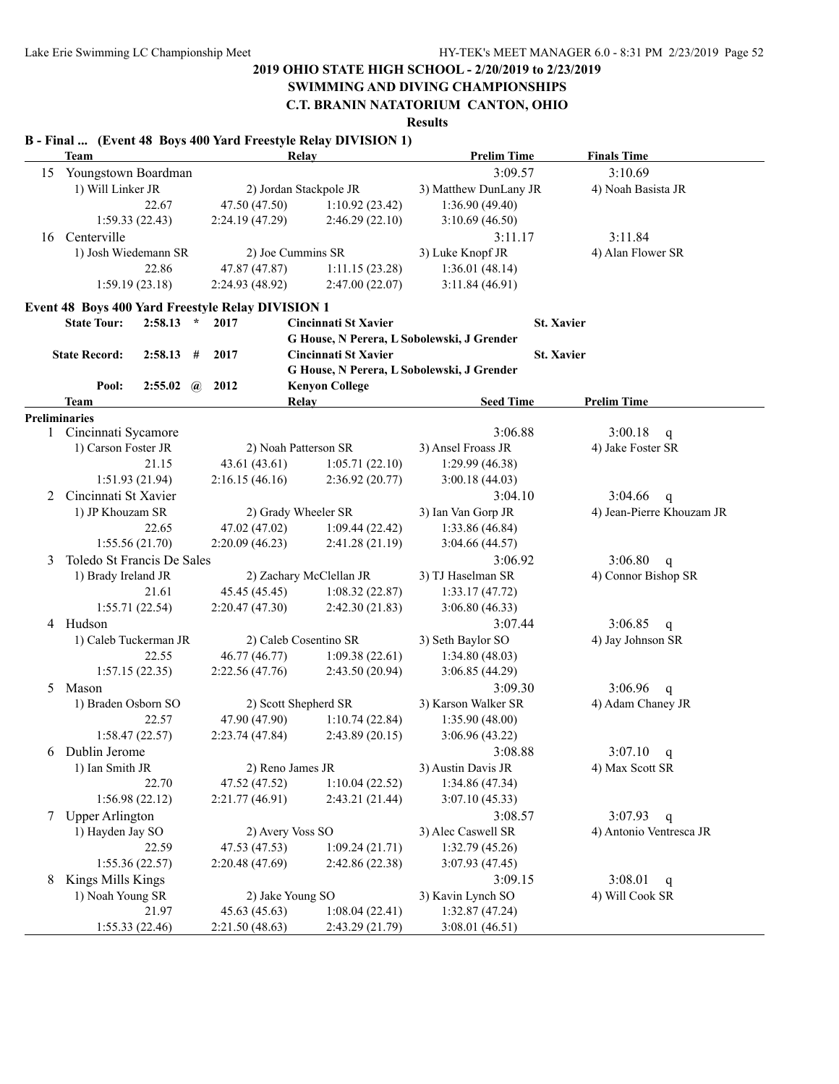# **SWIMMING AND DIVING CHAMPIONSHIPS**

**C.T. BRANIN NATATORIUM CANTON, OHIO**

**Results**

#### **B - Final ... (Event 48 Boys 400 Yard Freestyle Relay DIVISION 1)**

|    | <b>Team</b>                |                                 |   |                                                                  | Relay                                      | <b>Prelim Time</b>    | <b>Finals Time</b>        |
|----|----------------------------|---------------------------------|---|------------------------------------------------------------------|--------------------------------------------|-----------------------|---------------------------|
| 15 | Youngstown Boardman        |                                 |   |                                                                  |                                            | 3:09.57               | 3:10.69                   |
|    | 1) Will Linker JR          |                                 |   |                                                                  | 2) Jordan Stackpole JR                     | 3) Matthew DunLany JR | 4) Noah Basista JR        |
|    |                            | 22.67                           |   | 47.50 (47.50)                                                    | 1:10.92(23.42)                             | 1:36.90(49.40)        |                           |
|    | 1:59.33(22.43)             |                                 |   | 2:24.19 (47.29)                                                  | 2:46.29(22.10)                             | 3:10.69(46.50)        |                           |
| 16 | Centerville                |                                 |   |                                                                  |                                            | 3:11.17               | 3:11.84                   |
|    | 1) Josh Wiedemann SR       |                                 |   | 2) Joe Cummins SR                                                |                                            | 3) Luke Knopf JR      | 4) Alan Flower SR         |
|    |                            | 22.86                           |   | 47.87 (47.87)                                                    | 1:11.15(23.28)                             | 1:36.01(48.14)        |                           |
|    | 1:59.19(23.18)             |                                 |   | 2:24.93 (48.92)                                                  | 2:47.00(22.07)                             | 3:11.84(46.91)        |                           |
|    |                            |                                 |   |                                                                  |                                            |                       |                           |
|    | <b>State Tour:</b>         | $2:58.13$ *                     |   | <b>Event 48 Boys 400 Yard Freestyle Relay DIVISION 1</b><br>2017 | <b>Cincinnati St Xavier</b>                |                       | <b>St. Xavier</b>         |
|    |                            |                                 |   |                                                                  | G House, N Perera, L Sobolewski, J Grender |                       |                           |
|    | <b>State Record:</b>       | 2:58.13                         | # | 2017                                                             | Cincinnati St Xavier                       |                       | <b>St. Xavier</b>         |
|    |                            |                                 |   |                                                                  | G House, N Perera, L Sobolewski, J Grender |                       |                           |
|    | Pool:                      | $2:55.02 \quad \textcircled{a}$ |   | 2012                                                             | <b>Kenyon College</b>                      |                       |                           |
|    | <b>Team</b>                |                                 |   |                                                                  | <b>Relay</b>                               | <b>Seed Time</b>      | <b>Prelim Time</b>        |
|    | <b>Preliminaries</b>       |                                 |   |                                                                  |                                            |                       |                           |
|    | 1 Cincinnati Sycamore      |                                 |   |                                                                  |                                            | 3:06.88               | 3:00.18<br>q              |
|    | 1) Carson Foster JR        |                                 |   |                                                                  | 2) Noah Patterson SR                       | 3) Ansel Froass JR    | 4) Jake Foster SR         |
|    |                            | 21.15                           |   | 43.61 (43.61)                                                    | 1:05.71(22.10)                             | 1:29.99(46.38)        |                           |
|    | 1:51.93 (21.94)            |                                 |   | 2:16.15(46.16)                                                   | 2:36.92(20.77)                             | 3:00.18(44.03)        |                           |
| 2  | Cincinnati St Xavier       |                                 |   |                                                                  |                                            | 3:04.10               | 3:04.66<br>$\mathsf{q}$   |
|    | 1) JP Khouzam SR           |                                 |   |                                                                  | 2) Grady Wheeler SR                        | 3) Ian Van Gorp JR    | 4) Jean-Pierre Khouzam JR |
|    |                            | 22.65                           |   | 47.02 (47.02)                                                    | 1:09.44(22.42)                             | 1:33.86 (46.84)       |                           |
|    | 1:55.56(21.70)             |                                 |   | 2:20.09(46.23)                                                   | 2:41.28 (21.19)                            | 3:04.66(44.57)        |                           |
| 3  | Toledo St Francis De Sales |                                 |   |                                                                  |                                            | 3:06.92               | 3:06.80<br>$\mathbf{q}$   |
|    | 1) Brady Ireland JR        |                                 |   |                                                                  | 2) Zachary McClellan JR                    | 3) TJ Haselman SR     | 4) Connor Bishop SR       |
|    |                            | 21.61                           |   | 45.45 (45.45)                                                    | 1:08.32(22.87)                             | 1:33.17(47.72)        |                           |
|    | 1:55.71(22.54)             |                                 |   | 2:20.47(47.30)                                                   | 2:42.30(21.83)                             | 3:06.80(46.33)        |                           |
|    | 4 Hudson                   |                                 |   |                                                                  |                                            | 3:07.44               | 3:06.85<br>q              |
|    | 1) Caleb Tuckerman JR      |                                 |   |                                                                  | 2) Caleb Cosentino SR                      | 3) Seth Baylor SO     | 4) Jay Johnson SR         |
|    |                            | 22.55                           |   | 46.77 (46.77)                                                    | 1:09.38(22.61)                             | 1:34.80(48.03)        |                           |
|    | 1:57.15(22.35)             |                                 |   | 2:22.56(47.76)                                                   | 2:43.50(20.94)                             | 3:06.85 (44.29)       |                           |
| 5  | Mason                      |                                 |   |                                                                  |                                            | 3:09.30               | 3:06.96<br>q              |
|    | 1) Braden Osborn SO        |                                 |   |                                                                  | 2) Scott Shepherd SR                       | 3) Karson Walker SR   | 4) Adam Chaney JR         |
|    |                            | 22.57                           |   | 47.90 (47.90)                                                    | 1:10.74(22.84)                             | 1:35.90(48.00)        |                           |
|    | 1:58.47(22.57)             |                                 |   | 2:23.74(47.84)                                                   | 2:43.89(20.15)                             | 3:06.96(43.22)        |                           |
| 6  | Dublin Jerome              |                                 |   |                                                                  |                                            | 3:08.88               | 3:07.10<br>q              |
|    | 1) Ian Smith JR            |                                 |   | 2) Reno James JR                                                 |                                            | 3) Austin Davis JR    | 4) Max Scott SR           |
|    |                            | 22.70                           |   | 47.52 (47.52)                                                    | 1:10.04(22.52)                             | 1:34.86 (47.34)       |                           |
|    | 1:56.98(22.12)             |                                 |   | 2:21.77 (46.91)                                                  | 2:43.21 (21.44)                            | 3:07.10(45.33)        |                           |
|    | 7 Upper Arlington          |                                 |   |                                                                  |                                            | 3:08.57               | 3:07.93<br>$\mathbf{q}$   |
|    | 1) Hayden Jay SO           |                                 |   | 2) Avery Voss SO                                                 |                                            | 3) Alec Caswell SR    | 4) Antonio Ventresca JR   |
|    |                            | 22.59                           |   | 47.53 (47.53)                                                    | 1:09.24(21.71)                             | 1:32.79 (45.26)       |                           |
|    | 1:55.36(22.57)             |                                 |   | 2:20.48 (47.69)                                                  | 2:42.86 (22.38)                            | 3:07.93 (47.45)       |                           |
| 8  | Kings Mills Kings          |                                 |   |                                                                  |                                            | 3:09.15               | 3:08.01<br>q              |
|    | 1) Noah Young SR           |                                 |   | 2) Jake Young SO                                                 |                                            | 3) Kavin Lynch SO     | 4) Will Cook SR           |
|    |                            | 21.97                           |   | 45.63 (45.63)                                                    | 1:08.04(22.41)                             | 1:32.87(47.24)        |                           |
|    | 1:55.33(22.46)             |                                 |   | 2:21.50 (48.63)                                                  | 2:43.29 (21.79)                            | 3:08.01(46.51)        |                           |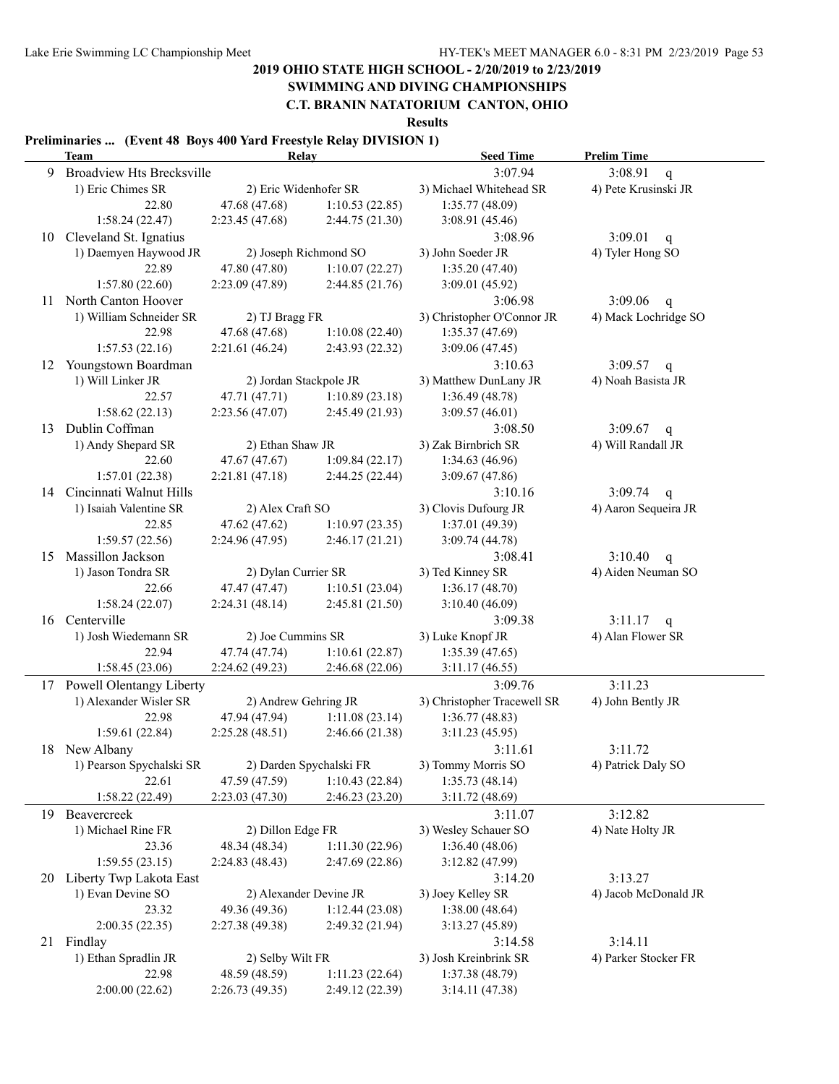# **SWIMMING AND DIVING CHAMPIONSHIPS**

**C.T. BRANIN NATATORIUM CANTON, OHIO**

**Results**

#### **Preliminaries ... (Event 48 Boys 400 Yard Freestyle Relay DIVISION 1)**

|    | <b>Team</b>                      |                     | Relay                   | <b>Seed Time</b>            | <b>Prelim Time</b>      |
|----|----------------------------------|---------------------|-------------------------|-----------------------------|-------------------------|
| 9  | <b>Broadview Hts Brecksville</b> |                     |                         | 3:07.94                     | 3:08.91<br>$\mathbf{q}$ |
|    | 1) Eric Chimes SR                |                     | 2) Eric Widenhofer SR   | 3) Michael Whitehead SR     | 4) Pete Krusinski JR    |
|    | 22.80                            | 47.68 (47.68)       | 1:10.53(22.85)          | 1:35.77(48.09)              |                         |
|    | 1:58.24(22.47)                   | 2:23.45(47.68)      | 2:44.75 (21.30)         | 3:08.91 (45.46)             |                         |
| 10 | Cleveland St. Ignatius           |                     |                         | 3:08.96                     | 3:09.01<br>$\mathbf q$  |
|    | 1) Daemyen Haywood JR            |                     | 2) Joseph Richmond SO   | 3) John Soeder JR           | 4) Tyler Hong SO        |
|    | 22.89                            | 47.80 (47.80)       | 1:10.07(22.27)          | 1:35.20(47.40)              |                         |
|    | 1:57.80(22.60)                   | 2:23.09(47.89)      | 2:44.85 (21.76)         | 3:09.01(45.92)              |                         |
| 11 | North Canton Hoover              |                     |                         | 3:06.98                     | 3:09.06<br>$\mathsf{q}$ |
|    | 1) William Schneider SR          | 2) TJ Bragg FR      |                         | 3) Christopher O'Connor JR  | 4) Mack Lochridge SO    |
|    | 22.98                            | 47.68 (47.68)       | 1:10.08(22.40)          | 1:35.37(47.69)              |                         |
|    | 1:57.53(22.16)                   | 2:21.61(46.24)      | 2:43.93 (22.32)         | 3:09.06(47.45)              |                         |
| 12 | Youngstown Boardman              |                     |                         | 3:10.63                     | 3:09.57<br>$\mathsf{q}$ |
|    | 1) Will Linker JR                |                     | 2) Jordan Stackpole JR  | 3) Matthew DunLany JR       | 4) Noah Basista JR      |
|    | 22.57                            | 47.71 (47.71)       | 1:10.89(23.18)          | 1:36.49(48.78)              |                         |
|    | 1:58.62(22.13)                   | 2:23.56(47.07)      | 2:45.49(21.93)          | 3:09.57(46.01)              |                         |
| 13 | Dublin Coffman                   |                     |                         | 3:08.50                     | 3:09.67<br>$\mathsf{q}$ |
|    | 1) Andy Shepard SR               | 2) Ethan Shaw JR    |                         | 3) Zak Birnbrich SR         | 4) Will Randall JR      |
|    | 22.60                            | 47.67 (47.67)       | 1:09.84(22.17)          | 1:34.63(46.96)              |                         |
|    | 1:57.01(22.38)                   | 2:21.81(47.18)      | 2:44.25 (22.44)         | 3:09.67(47.86)              |                         |
|    | 14 Cincinnati Walnut Hills       |                     |                         | 3:10.16                     | 3:09.74<br>$\mathsf{q}$ |
|    | 1) Isaiah Valentine SR           | 2) Alex Craft SO    |                         | 3) Clovis Dufourg JR        | 4) Aaron Sequeira JR    |
|    | 22.85                            | 47.62 (47.62)       | 1:10.97(23.35)          | 1:37.01 (49.39)             |                         |
|    | 1:59.57(22.56)                   | 2:24.96(47.95)      | 2:46.17(21.21)          | 3:09.74 (44.78)             |                         |
| 15 | Massillon Jackson                |                     |                         | 3:08.41                     | 3:10.40<br>q            |
|    | 1) Jason Tondra SR               | 2) Dylan Currier SR |                         | 3) Ted Kinney SR            | 4) Aiden Neuman SO      |
|    | 22.66                            | 47.47 (47.47)       | 1:10.51(23.04)          | 1:36.17(48.70)              |                         |
|    | 1:58.24(22.07)                   | 2:24.31(48.14)      | 2:45.81 (21.50)         | 3:10.40(46.09)              |                         |
| 16 | Centerville                      |                     |                         | 3:09.38                     | $3:11.17$ q             |
|    | 1) Josh Wiedemann SR             | 2) Joe Cummins SR   |                         | 3) Luke Knopf JR            | 4) Alan Flower SR       |
|    | 22.94                            | 47.74 (47.74)       | 1:10.61(22.87)          | 1:35.39(47.65)              |                         |
|    | 1:58.45(23.06)                   | 2:24.62(49.23)      | 2:46.68(22.06)          | 3:11.17(46.55)              |                         |
|    | 17 Powell Olentangy Liberty      |                     |                         | 3:09.76                     | 3:11.23                 |
|    | 1) Alexander Wisler SR           |                     | 2) Andrew Gehring JR    | 3) Christopher Tracewell SR | 4) John Bently JR       |
|    | 22.98                            | 47.94 (47.94)       | 1:11.08(23.14)          | 1:36.77(48.83)              |                         |
|    | 1:59.61(22.84)                   | 2:25.28(48.51)      | 2:46.66 (21.38)         | 3:11.23(45.95)              |                         |
|    | 18 New Albany                    |                     |                         | 3:11.61                     | 3:11.72                 |
|    | 1) Pearson Spychalski SR         |                     | 2) Darden Spychalski FR | 3) Tommy Morris SO          | 4) Patrick Daly SO      |
|    | 22.61                            | 47.59 (47.59)       | 1:10.43(22.84)          | 1:35.73(48.14)              |                         |
|    | 1:58.22(22.49)                   | 2:23.03(47.30)      | 2:46.23 (23.20)         | 3:11.72 (48.69)             |                         |
| 19 | Beavercreek                      |                     |                         | 3:11.07                     | 3:12.82                 |
|    | 1) Michael Rine FR               | 2) Dillon Edge FR   |                         | 3) Wesley Schauer SO        | 4) Nate Holty JR        |
|    | 23.36                            | 48.34 (48.34)       | 1:11.30(22.96)          | 1:36.40(48.06)              |                         |
|    | 1:59.55(23.15)                   | 2:24.83(48.43)      | 2:47.69 (22.86)         | 3:12.82 (47.99)             |                         |
| 20 | Liberty Twp Lakota East          |                     |                         | 3:14.20                     | 3:13.27                 |
|    | 1) Evan Devine SO                |                     | 2) Alexander Devine JR  | 3) Joey Kelley SR           | 4) Jacob McDonald JR    |
|    | 23.32                            | 49.36 (49.36)       | 1:12.44(23.08)          | 1:38.00(48.64)              |                         |
|    | 2:00.35(22.35)                   | 2:27.38 (49.38)     | 2:49.32(21.94)          | 3:13.27(45.89)              |                         |
|    | 21 Findlay                       |                     |                         | 3:14.58                     | 3:14.11                 |
|    | 1) Ethan Spradlin JR             | 2) Selby Wilt FR    |                         | 3) Josh Kreinbrink SR       | 4) Parker Stocker FR    |
|    | 22.98                            | 48.59 (48.59)       | 1:11.23(22.64)          | 1:37.38(48.79)              |                         |
|    | 2:00.00(22.62)                   | 2:26.73(49.35)      | 2:49.12 (22.39)         | 3:14.11(47.38)              |                         |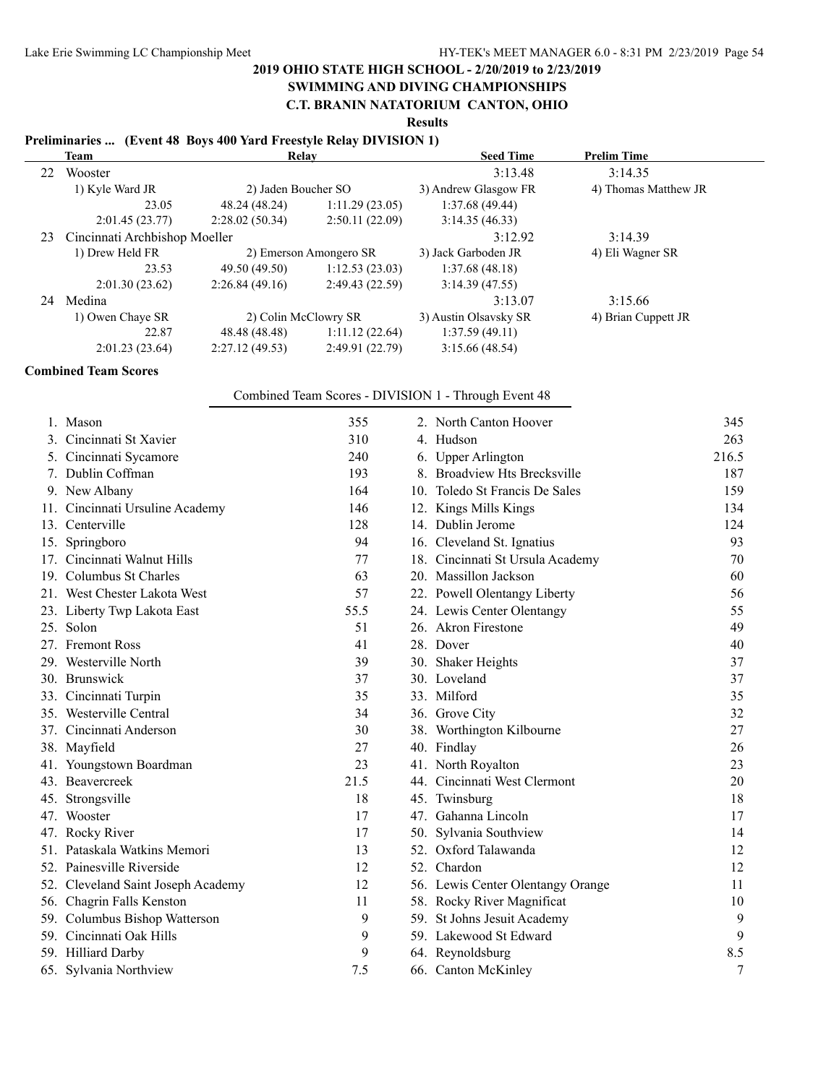### **SWIMMING AND DIVING CHAMPIONSHIPS**

#### **C.T. BRANIN NATATORIUM CANTON, OHIO**

**Results**

#### **Preliminaries ... (Event 48 Boys 400 Yard Freestyle Relay DIVISION 1)**

|    | Team                          | Relay                |                        | <b>Seed Time</b>      | <b>Prelim Time</b>   |  |
|----|-------------------------------|----------------------|------------------------|-----------------------|----------------------|--|
| 22 | Wooster                       |                      |                        | 3:13.48               | 3:14.35              |  |
|    | 1) Kyle Ward JR               | 2) Jaden Boucher SO  |                        | 3) Andrew Glasgow FR  | 4) Thomas Matthew JR |  |
|    | 23.05                         | 48.24 (48.24)        | 1:11.29(23.05)         | 1:37.68(49.44)        |                      |  |
|    | 2:01.45(23.77)                | 2:28.02(50.34)       | 2:50.11(22.09)         | 3:14.35(46.33)        |                      |  |
| 23 | Cincinnati Archbishop Moeller |                      |                        | 3:12.92               | 3:14.39              |  |
|    | 1) Drew Held FR               |                      | 2) Emerson Amongero SR | 3) Jack Garboden JR   | 4) Eli Wagner SR     |  |
|    | 23.53                         | 49.50 (49.50)        | 1:12.53(23.03)         | 1:37.68(48.18)        |                      |  |
|    | 2:01.30(23.62)                | 2:26.84(49.16)       | 2:49.43(22.59)         | 3:14.39(47.55)        |                      |  |
| 24 | Medina                        |                      |                        | 3:13.07               | 3:15.66              |  |
|    | 1) Owen Chaye SR              | 2) Colin McClowry SR |                        | 3) Austin Olsavsky SR | 4) Brian Cuppett JR  |  |
|    | 22.87                         | 48.48 (48.48)        | 1:11.12(22.64)         | 1:37.59(49.11)        |                      |  |
|    | 2:01.23(23.64)                | 2:27.12(49.53)       | 2:49.91(22.79)         | 3:15.66(48.54)        |                      |  |

#### **Combined Team Scores**

#### Combined Team Scores - DIVISION 1 - Through Event 48

| 1. Mason                           | 355  | 2. North Canton Hoover            | 345   |
|------------------------------------|------|-----------------------------------|-------|
| 3. Cincinnati St Xavier            | 310  | 4. Hudson                         | 263   |
| 5. Cincinnati Sycamore             | 240  | 6. Upper Arlington                | 216.5 |
| 7. Dublin Coffman                  | 193  | 8. Broadview Hts Brecksville      | 187   |
| 9. New Albany                      | 164  | 10. Toledo St Francis De Sales    | 159   |
| 11. Cincinnati Ursuline Academy    | 146  | 12. Kings Mills Kings             | 134   |
| 13. Centerville                    | 128  | 14. Dublin Jerome                 | 124   |
| 15. Springboro                     | 94   | 16. Cleveland St. Ignatius        | 93    |
| 17. Cincinnati Walnut Hills        | 77   | 18. Cincinnati St Ursula Academy  | 70    |
| 19. Columbus St Charles            | 63   | 20. Massillon Jackson             | 60    |
| 21. West Chester Lakota West       | 57   | 22. Powell Olentangy Liberty      | 56    |
| 23. Liberty Twp Lakota East        | 55.5 | 24. Lewis Center Olentangy        | 55    |
| 25. Solon                          | 51   | 26. Akron Firestone               | 49    |
| 27. Fremont Ross                   | 41   | 28. Dover                         | 40    |
| 29. Westerville North              | 39   | 30. Shaker Heights                | 37    |
| 30. Brunswick                      | 37   | 30. Loveland                      | 37    |
| 33. Cincinnati Turpin              | 35   | 33. Milford                       | 35    |
| 35. Westerville Central            | 34   | 36. Grove City                    | 32    |
| 37. Cincinnati Anderson            | 30   | 38. Worthington Kilbourne         | 27    |
| 38. Mayfield                       | 27   | 40. Findlay                       | 26    |
| 41. Youngstown Boardman            | 23   | 41. North Royalton                | 23    |
| 43. Beavercreek                    | 21.5 | 44. Cincinnati West Clermont      | 20    |
| 45. Strongsville                   | 18   | 45. Twinsburg                     | 18    |
| 47. Wooster                        | 17   | 47. Gahanna Lincoln               | 17    |
| 47. Rocky River                    | 17   | 50. Sylvania Southview            | 14    |
| 51. Pataskala Watkins Memori       | 13   | 52. Oxford Talawanda              | 12    |
| 52. Painesville Riverside          | 12   | 52. Chardon                       | 12    |
| 52. Cleveland Saint Joseph Academy | 12   | 56. Lewis Center Olentangy Orange | 11    |
| 56. Chagrin Falls Kenston          | 11   | 58. Rocky River Magnificat        | 10    |
| 59. Columbus Bishop Watterson      | 9    | 59. St Johns Jesuit Academy       | 9     |
| 59. Cincinnati Oak Hills           | 9    | 59. Lakewood St Edward            | 9     |
| 59. Hilliard Darby                 | 9    | 64. Reynoldsburg                  | 8.5   |
| 65. Sylvania Northview             | 7.5  | 66. Canton McKinley               | 7     |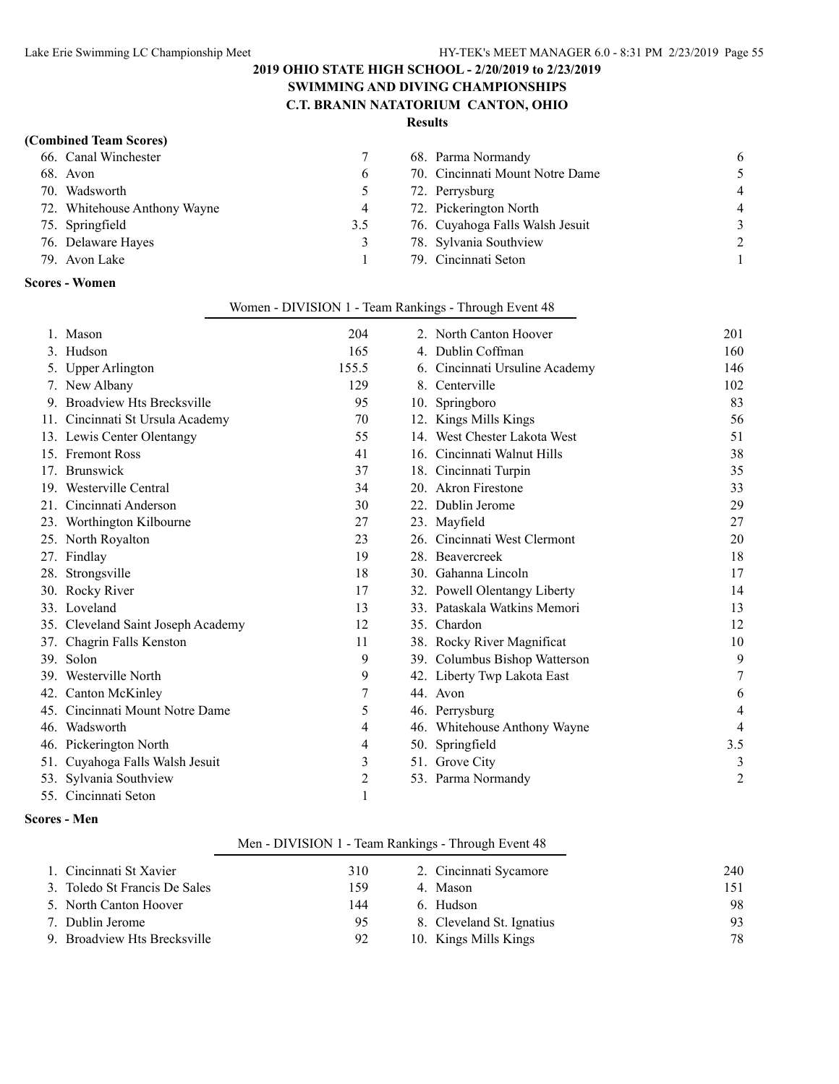#### **SWIMMING AND DIVING CHAMPIONSHIPS C.T. BRANIN NATATORIUM CANTON, OHIO**

#### **Results**

#### **(Combined Team Scores)**

| 66. Canal Winchester         |     | 68. Parma Normandy              | -6             |
|------------------------------|-----|---------------------------------|----------------|
| 68. Avon                     | b   | 70. Cincinnati Mount Notre Dame | 5.             |
| 70. Wadsworth                |     | 72. Perrysburg                  | $\overline{4}$ |
| 72. Whitehouse Anthony Wayne | 4   | 72. Pickerington North          | $\overline{4}$ |
| 75. Springfield              | 3.5 | 76. Cuyahoga Falls Walsh Jesuit | $\mathcal{E}$  |
| 76. Delaware Hayes           | 3   | 78. Sylvania Southview          | 2              |
| 79. Avon Lake                |     | 79. Cincinnati Seton            |                |
|                              |     |                                 |                |

#### **Scores - Women**

|     | 1. Mason                           | 204   | 2. North Canton Hoover         | 201 |
|-----|------------------------------------|-------|--------------------------------|-----|
|     | 3. Hudson                          | 165   | 4. Dublin Coffman              | 160 |
|     | 5. Upper Arlington                 | 155.5 | 6. Cincinnati Ursuline Academy | 146 |
|     | 7. New Albany                      | 129   | 8. Centerville                 | 102 |
|     | 9. Broadview Hts Brecksville       | 95    | 10. Springboro                 | 83  |
|     | 11. Cincinnati St Ursula Academy   | 70    | 12. Kings Mills Kings          | 56  |
|     | 13. Lewis Center Olentangy         | 55    | 14. West Chester Lakota West   | 51  |
|     | 15. Fremont Ross                   | 41    | 16. Cincinnati Walnut Hills    | 38  |
|     | 17. Brunswick                      | 37    | 18. Cincinnati Turpin          | 35  |
|     | 19. Westerville Central            | 34    | 20. Akron Firestone            | 33  |
|     | 21. Cincinnati Anderson            | 30    | 22. Dublin Jerome              | 29  |
|     | 23. Worthington Kilbourne          | 27    | 23. Mayfield                   | 27  |
|     | 25. North Royalton                 | 23    | 26. Cincinnati West Clermont   | 20  |
|     | 27. Findlay                        | 19    | 28. Beavercreek                | 18  |
|     | 28. Strongsville                   | 18    | 30. Gahanna Lincoln            | 17  |
|     | 30. Rocky River                    | 17    | 32. Powell Olentangy Liberty   | 14  |
|     | 33. Loveland                       | 13    | 33. Pataskala Watkins Memori   | 13  |
|     | 35. Cleveland Saint Joseph Academy | 12    | 35. Chardon                    | 12  |
|     | 37. Chagrin Falls Kenston          | 11    | 38. Rocky River Magnificat     | 10  |
|     | 39. Solon                          | 9     | 39. Columbus Bishop Watterson  | 9   |
|     | 39. Westerville North              | 9     | 42. Liberty Twp Lakota East    |     |
|     | 42. Canton McKinley                |       | 44. Avon                       | 6   |
| 45. | Cincinnati Mount Notre Dame        | 5     | 46. Perrysburg                 | 4   |
|     | 46. Wadsworth                      | 4     | 46. Whitehouse Anthony Wayne   | 4   |
|     | 46. Pickerington North             | 4     | 50. Springfield                | 3.5 |
|     | 51. Cuyahoga Falls Walsh Jesuit    | 3     | 51. Grove City                 | 3   |
|     | 53. Sylvania Southview             | 2     | 53. Parma Normandy             | 2   |
|     | 55. Cincinnati Seton               |       |                                |     |

#### Women - DIVISION 1 - Team Rankings - Through Event 48

#### **Scores - Men**

#### Men - DIVISION 1 - Team Rankings - Through Event 48

| 1. Cincinnati St Xavier       | 310  | 2. Cincinnati Sycamore    | 240 |
|-------------------------------|------|---------------------------|-----|
|                               |      |                           |     |
| 3. Toledo St Francis De Sales | 159. | 4. Mason                  | 151 |
| 5. North Canton Hoover        | 144  | 6 Hudson                  | 98  |
| 7. Dublin Jerome              | 95   | 8. Cleveland St. Ignatius | 93  |
| 9. Broadview Hts Brecksville  | 92   | 10. Kings Mills Kings     | 78  |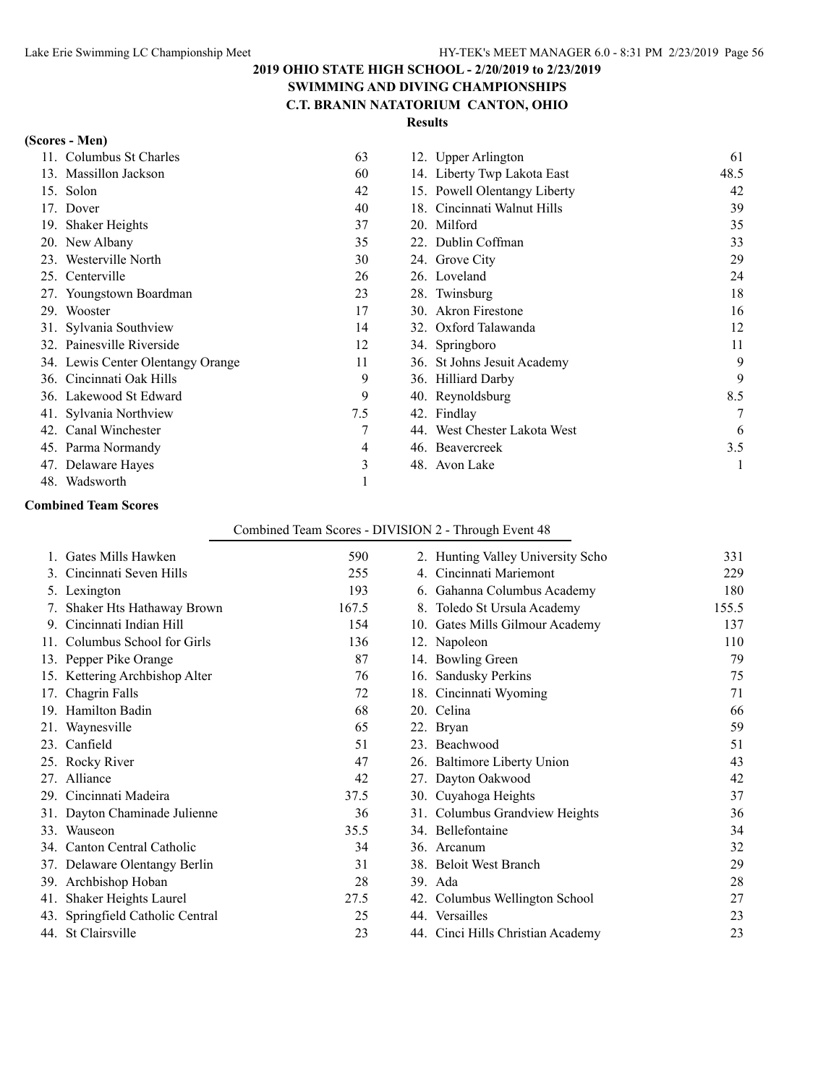#### **2019 OHIO STATE HIGH SCHOOL - 2/20/2019 to 2/23/2019 SWIMMING AND DIVING CHAMPIONSHIPS**

# **C.T. BRANIN NATATORIUM CANTON, OHIO**

#### **Results**

| (Scores - Men) |  |
|----------------|--|
|----------------|--|

| Columbus St Charles<br>11         | 63  | 12. Upper Arlington            | 61   |
|-----------------------------------|-----|--------------------------------|------|
| 13. Massillon Jackson             | 60  | 14. Liberty Twp Lakota East    | 48.5 |
| Solon<br>15.                      | 42  | 15. Powell Olentangy Liberty   | 42   |
| Dover<br>17.                      | 40  | Cincinnati Walnut Hills<br>18. | 39   |
| <b>Shaker Heights</b><br>19.      | 37  | 20. Milford                    | 35   |
| 20. New Albany                    | 35  | 22. Dublin Coffman             | 33   |
| Westerville North<br>23.          | 30  | 24. Grove City                 | 29   |
| 25. Centerville                   | 26  | 26. Loveland                   | 24   |
| 27. Youngstown Boardman           | 23  | 28. Twinsburg                  | 18   |
| 29. Wooster                       | 17  | 30. Akron Firestone            | 16   |
| 31. Sylvania Southview            | 14  | 32. Oxford Talawanda           | 12   |
| 32. Painesville Riverside         | 12  | 34. Springboro                 | 11   |
| 34. Lewis Center Olentangy Orange | 11  | 36. St Johns Jesuit Academy    | 9    |
| 36. Cincinnati Oak Hills          | 9   | 36. Hilliard Darby             | 9    |
| 36. Lakewood St Edward            | 9   | 40. Reynoldsburg               | 8.5  |
| 41. Sylvania Northview            | 7.5 | 42. Findlay                    | 7    |
| 42. Canal Winchester              |     | 44. West Chester Lakota West   | 6    |
| 45. Parma Normandy                | 4   | 46. Beavercreek                | 3.5  |
| 47. Delaware Hayes                | 3   | 48. Avon Lake                  |      |
| Wadsworth<br>48.                  |     |                                |      |

#### **Combined Team Scores**

#### Combined Team Scores - DIVISION 2 - Through Event 48

|    | Gates Mills Hawken               | 590   | 2. Hunting Valley University Scho | 331   |
|----|----------------------------------|-------|-----------------------------------|-------|
|    | 3. Cincinnati Seven Hills        | 255   | 4. Cincinnati Mariemont           | 229   |
|    | 5. Lexington                     | 193   | 6. Gahanna Columbus Academy       | 180   |
|    | Shaker Hts Hathaway Brown        | 167.5 | 8. Toledo St Ursula Academy       | 155.5 |
| 9. | Cincinnati Indian Hill           | 154   | 10. Gates Mills Gilmour Academy   | 137   |
|    | 11. Columbus School for Girls    | 136   | 12. Napoleon                      | 110   |
|    | 13. Pepper Pike Orange           | 87    | 14. Bowling Green                 | 79    |
|    | 15. Kettering Archbishop Alter   | 76    | 16. Sandusky Perkins              | 75    |
|    | 17. Chagrin Falls                | 72    | 18. Cincinnati Wyoming            | 71    |
|    | 19. Hamilton Badin               | 68    | 20. Celina                        | 66    |
|    | 21. Waynesville                  | 65    | 22. Bryan                         | 59    |
|    | 23. Canfield                     | 51    | 23. Beachwood                     | 51    |
|    | 25. Rocky River                  | 47    | 26. Baltimore Liberty Union       | 43    |
|    | 27. Alliance                     | 42    | 27. Dayton Oakwood                | 42    |
|    | 29. Cincinnati Madeira           | 37.5  | 30. Cuyahoga Heights              | 37    |
|    | 31. Dayton Chaminade Julienne    | 36    | 31. Columbus Grandview Heights    | 36    |
|    | 33. Wauseon                      | 35.5  | 34. Bellefontaine                 | 34    |
|    | 34. Canton Central Catholic      | 34    | 36. Arcanum                       | 32    |
|    | 37. Delaware Olentangy Berlin    | 31    | 38. Beloit West Branch            | 29    |
|    | 39. Archbishop Hoban             | 28    | 39. Ada                           | 28    |
|    | 41. Shaker Heights Laurel        | 27.5  | 42. Columbus Wellington School    | 27    |
|    | 43. Springfield Catholic Central | 25    | 44. Versailles                    | 23    |
|    | 44. St Clairsville               | 23    | 44. Cinci Hills Christian Academy | 23    |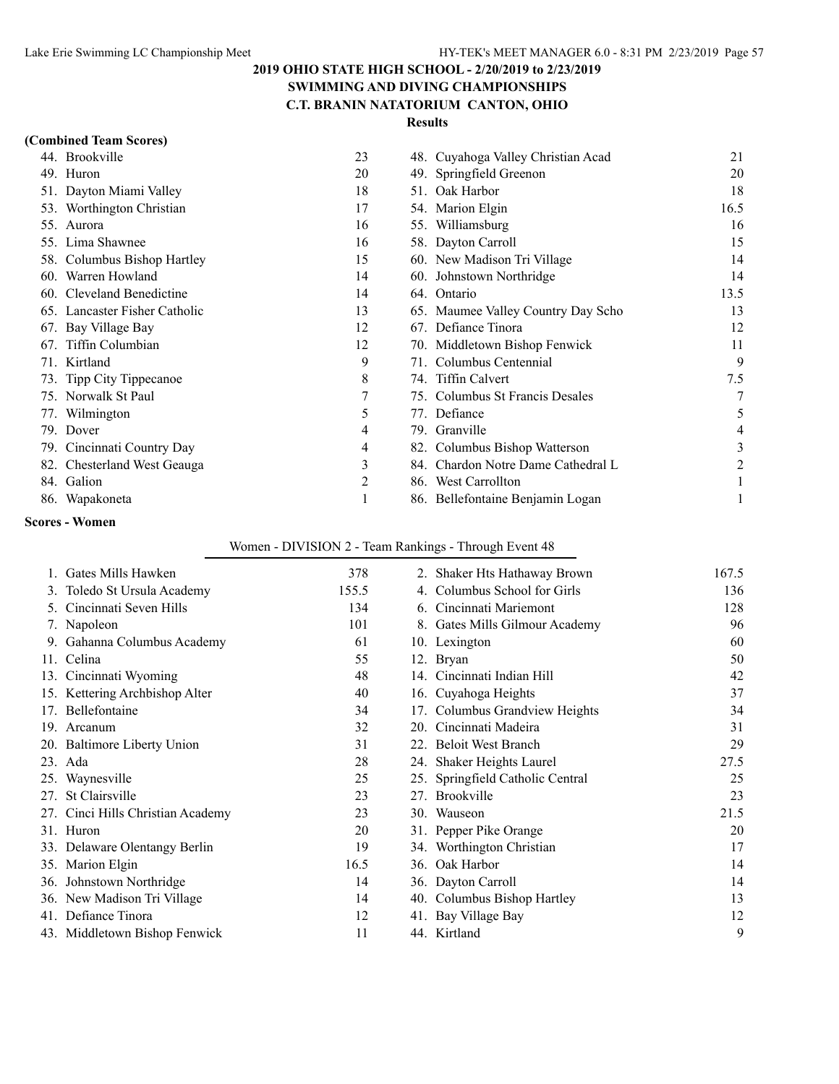#### **2019 OHIO STATE HIGH SCHOOL - 2/20/2019 to 2/23/2019 SWIMMING AND DIVING CHAMPIONSHIPS**

# **C.T. BRANIN NATATORIUM CANTON, OHIO**

#### **Results**

| Brookville<br>44.                | 23 | 48. Cuyahoga Valley Christian Acad    | 21   |
|----------------------------------|----|---------------------------------------|------|
| 49. Huron                        | 20 | 49. Springfield Greenon               | 20   |
| 51. Dayton Miami Valley          | 18 | Oak Harbor<br>51.                     | 18   |
| 53. Worthington Christian        | 17 | 54. Marion Elgin                      | 16.5 |
| 55. Aurora                       | 16 | 55. Williamsburg                      | 16   |
| 55. Lima Shawnee                 | 16 | 58. Dayton Carroll                    | 15   |
| 58. Columbus Bishop Hartley      | 15 | 60. New Madison Tri Village           | 14   |
| Warren Howland<br>60.            | 14 | 60. Johnstown Northridge              | 14   |
| Cleveland Benedictine<br>60.     | 14 | 64. Ontario                           | 13.5 |
| Lancaster Fisher Catholic<br>65. | 13 | 65. Maumee Valley Country Day Scho    | 13   |
| 67. Bay Village Bay              | 12 | 67. Defiance Tinora                   | 12   |
| 67. Tiffin Columbian             | 12 | 70. Middletown Bishop Fenwick         | 11   |
| Kirtland<br>71.                  | 9  | Columbus Centennial<br>71.            | 9    |
| 73. Tipp City Tippecanoe         | 8  | 74. Tiffin Calvert                    | 7.5  |
| Norwalk St Paul<br>75.           | 7  | Columbus St Francis Desales<br>75.    |      |
| 77. Wilmington                   | 5  | 77. Defiance                          | 5    |
| 79. Dover                        | 4  | Granville<br>79.                      |      |
| 79. Cincinnati Country Day       | 4  | Columbus Bishop Watterson<br>82.      | 3    |
| Chesterland West Geauga<br>82.   | 3  | Chardon Notre Dame Cathedral L<br>84. |      |
| 84. Galion                       | 2  | West Carrollton<br>86.                |      |
| 86. Wapakoneta                   |    | 86. Bellefontaine Benjamin Logan      |      |

#### **Scores - Women**

#### Women - DIVISION 2 - Team Rankings - Through Event 48

| Gates Mills Hawken                | 378   |     | 2. Shaker Hts Hathaway Brown     | 167.5 |
|-----------------------------------|-------|-----|----------------------------------|-------|
| 3. Toledo St Ursula Academy       | 155.5 | 4.  | Columbus School for Girls        | 136   |
| Cincinnati Seven Hills            | 134   | 6.  | Cincinnati Mariemont             | 128   |
| 7. Napoleon                       | 101   |     | 8. Gates Mills Gilmour Academy   | 96    |
| Gahanna Columbus Academy          | 61    |     | 10. Lexington                    | 60    |
| 11. Celina                        | 55    |     | 12. Bryan                        | 50    |
| 13. Cincinnati Wyoming            | 48    |     | 14. Cincinnati Indian Hill       | 42    |
| 15. Kettering Archbishop Alter    | 40    |     | 16. Cuyahoga Heights             | 37    |
| 17. Bellefontaine                 | 34    |     | 17. Columbus Grandview Heights   | 34    |
| 19. Arcanum                       | 32    | 20. | Cincinnati Madeira               | 31    |
| 20. Baltimore Liberty Union       | 31    |     | 22. Beloit West Branch           | 29    |
| 23. Ada                           | 28    |     | 24. Shaker Heights Laurel        | 27.5  |
| 25. Waynesville                   | 25    |     | 25. Springfield Catholic Central | 25    |
| 27. St Clairsville                | 23    |     | 27. Brookville                   | 23    |
| 27. Cinci Hills Christian Academy | 23    |     | 30. Wauseon                      | 21.5  |
| 31. Huron                         | 20    |     | 31. Pepper Pike Orange           | 20    |
| 33. Delaware Olentangy Berlin     | 19    |     | 34. Worthington Christian        | 17    |
| 35. Marion Elgin                  | 16.5  |     | 36. Oak Harbor                   | 14    |
| 36. Johnstown Northridge          | 14    |     | 36. Dayton Carroll               | 14    |
| 36. New Madison Tri Village       | 14    |     | 40. Columbus Bishop Hartley      | 13    |
| 41. Defiance Tinora               | 12    |     | 41. Bay Village Bay              | 12    |
| 43. Middletown Bishop Fenwick     | 11    |     | 44. Kirtland                     | 9     |
|                                   |       |     |                                  |       |